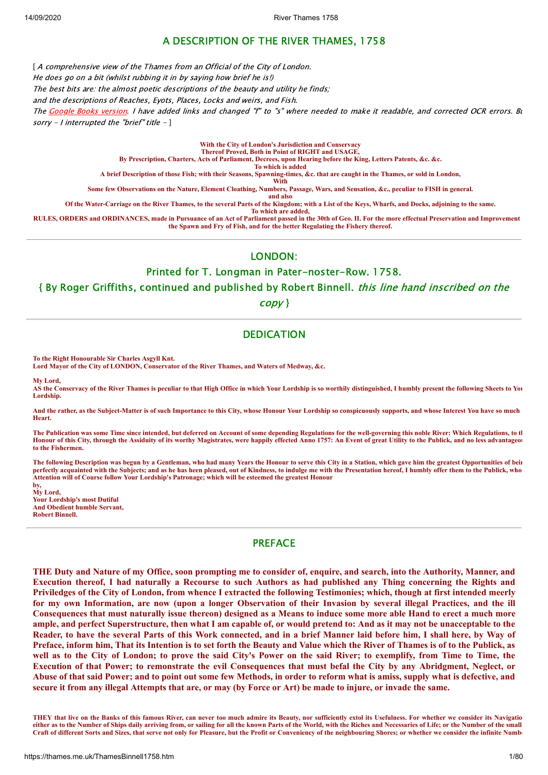# A DESCRIPTION OF THE RIVER THAMES, 1758

[ A comprehensive view of the Thames from an Official of the City of London.

He does go on a bit (whilst rubbing it in by saving how brief he is!)

The best bits are: the almost poetic descriptions of the beauty and utility he finds;

and the descriptions of Reaches, Eyots, Places, Locks and weirs, and Fish.

The [Google Books version](https://books.google.co.uk/books?id=mWZUAAAAcAAJ&printsec=frontcover&source=gbs_ge_summary_r&cad=0#v=onepage&q&f=false). I have added links and changed "f" to "s" where needed to make it readable, and corrected OCR errors. Bu sorry - I interrupted the "brief" title  $-1$ 

#### **With the City of London's Jurisdiction and Conservacy Thereof Proved, Both in Point of RIGHT and USAGE,**

**By Prescription, Charters, Acts of Parliament, Decrees, upon Hearing before the King, Letters Patents, &c. &c.**

**To which is added**

**A brief Description of those Fish; with their Seasons, Spawning-times, &c. that are caught in the Thames, or sold in London,**

**With**

**Some few Observations on the Nature, Element Cloathing, Numbers, Passage, Wars, and Sensation, &c., peculiar to FISH in general.**

**and also**

**Of the Water-Carriage on the River Thames, to the several Parts of the Kingdom; with a List of the Keys, Wharfs, and Docks, adjoining to the same. To which are added,**

**RULES, ORDERS and ORDINANCES, made in Pursuance of an Act of Parliament passed in the 30th of Geo. II. For the more effectual Preservation and Improvement the Spawn and Fry of Fish, and for the better Regulating the Fishery thereof.**

LONDON:

Printed for T. Longman in Pater-noster-Row. 1758.

{ By Roger Griffiths, continued and published by Robert Binnell. this line hand inscribed on the

copy }

# **DEDICATION**

**To the Right Honourable Sir Charles Asgyll Knt.**

**Lord Mayor of the City of LONDON, Conservator of the River Thames, and Waters of Medway, &c.**

**My Lord,**

**AS the Conservacy of the River Thames is peculiar to that High Office in which Your Lordship is so worthily distinguished, I humbly present the following Sheets to You Lordship.**

**And the rather, as the Subject-Matter is of such Importance to this City, whose Honour Your Lordship so conspicuously supports, and whose Interest You have so much Heart.**

**The Publication was some Time since intended, but deferred on Account of some depending Regulations for the well-governing this noble River: Which Regulations, to th Honour of this City, through the Assiduity of its worthy Magistrates, were happily effected Anno 1757: An Event of great Utility to the Publick, and no less advantageou to the Fishermen.**

**The following Description was begun by a Gentleman, who had many Years the Honour to serve this City in a Station, which gave him the greatest Opportunities of bein perfectly acquainted with the Subjects; and as he has heen pleased, out of Kindness, to indulge me with the Presentation hereof, I humbly offer them to the Publick, who Attention will of Course follow Your Lordship's Patronage; which will be esteemed the greatest Honour by,**

**My Lord, Your Lordship's most Dutiful And Obedient humble Servant, Robert Binnell.**

# PREFACE

THE Duty and Nature of my Office, soon prompting me to consider of, enquire, and search, into the Authority, Manner, and Execution thereof, I had naturally a Recourse to such Authors as had published any Thing concerning the Rights and Priviledges of the City of London, from whence I extracted the following Testimonies; which, though at first intended meerly for my own Information, are now (upon a longer Observation of their Invasion by several illegal Practices, and the ill Consequences that must naturally issue thereon) designed as a Means to induce some more able Hand to erect a much more ample, and perfect Superstructure, then what I am capable of, or would pretend to: And as it may not be unacceptable to the Reader, to have the several Parts of this Work connected, and in a brief Manner laid before him, I shall here, by Way of Preface, inform him, That its Intention is to set forth the Beauty and Value which the River of Thames is of to the Publick, as well as to the City of London; to prove the said City's Power on the said River; to exemplify, from Time to Time, the Execution of that Power; to remonstrate the evil Consequences that must befal the City by any Abridgment, Neglect, or Abuse of that said Power; and to point out some few Methods, in order to reform what is amiss, supply what is defective, and secure it from any illegal Attempts that are, or may (by Force or Art) be made to injure, or invade the same.

**THEY that live on the Banks of this famous River, can never too much admire its Beauty, nor sufficiently extol its Usefulness. For whether we consider its Navigatio** either as to the Number of Ships daily arriving from, or sailing for all the known Parts of the World, with the Riches and Necessaries of Life; or the Number of the small **Craft of different Sorts and Sizes, that serve not only for Pleasure, but the Profit or Conveniency of the neighbouring Shores; or whether we consider the infinite Numbe**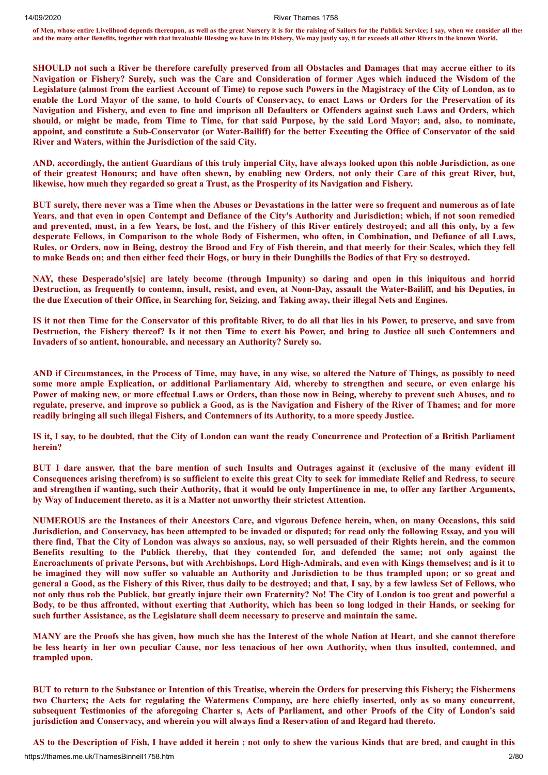**of Men, whose entire Livelihood depends thereupon, as well as the great Nursery it is for the raising of Sailors for the Publick Service; I say, when we consider all thes and the many other Benefits, together with that invaluable Blessing we have in its Fishery, We may justly say, it far exceeds all other Rivers in the known World.**

SHOULD not such a River be therefore carefully preserved from all Obstacles and Damages that may accrue either to its Navigation or Fishery? Surely, such was the Care and Consideration of former Ages which induced the Wisdom of the Legislature (almost from the earliest Account of Time) to repose such Powers in the Magistracy of the City of London, as to enable the Lord Mayor of the same, to hold Courts of Conservacy, to enact Laws or Orders for the Preservation of its Navigation and Fishery, and even to fine and imprison all Defaulters or Offenders against such Laws and Orders, which should, or might be made, from Time to Time, for that said Purpose, by the said Lord Mayor; and, also, to nominate, appoint, and constitute a Sub-Conservator (or Water-Bailiff) for the better Executing the Office of Conservator of the said **River and Waters, within the Jurisdiction of the said City.**

AND, accordingly, the antient Guardians of this truly imperial City, have always looked upon this noble Jurisdiction, as one of their greatest Honours; and have often shewn, by enabling new Orders, not only their Care of this great River, but, **likewise, how much they regarded so great a Trust, as the Prosperity of its Navigation and Fishery.**

BUT surely, there never was a Time when the Abuses or Devastations in the latter were so frequent and numerous as of late Years, and that even in open Contempt and Defiance of the City's Authority and Jurisdiction; which, if not soon remedied and prevented, must, in a few Years, be lost, and the Fishery of this River entirely destroyed; and all this only, by a few desperate Fellows, in Comparison to the whole Body of Fishermen, who often, in Combination, and Defiance of all Laws, Rules, or Orders, now in Being, destroy the Brood and Fry of Fish therein, and that meerly for their Scales, which they fell to make Beads on; and then either feed their Hogs, or bury in their Dunghills the Bodies of that Fry so destroved.

NAY, these Desperado's sicl are lately become (through Impunity) so daring and open in this injquitous and horrid Destruction, as frequently to contemn, insult, resist, and even, at Noon-Day, assault the Water-Bailiff, and his Deputies, in the due Execution of their Office, in Searching for, Seizing, and Taking away, their illegal Nets and Engines.

IS it not then Time for the Conservator of this profitable River, to do all that lies in his Power, to preserve, and save from Destruction, the Fishery thereof? Is it not then Time to exert his Power, and bring to Justice all such Contemners and **Invaders of so antient, honourable, and necessary an Authority? Surely so.**

AND if Circumstances, in the Process of Time, may have, in any wise, so altered the Nature of Things, as possibly to need some more ample Explication, or additional Parliamentary Aid, whereby to strengthen and secure, or even enlarge his Power of making new, or more effectual Laws or Orders, than those now in Being, whereby to prevent such Abuses, and to regulate, preserve, and improve so publick a Good, as is the Navigation and Fishery of the River of Thames; and for more **readily bringing all such illegal Fishers, and Contemners of its Authority, to a more speedy Justice.**

IS it, I say, to be doubted, that the City of London can want the ready Concurrence and Protection of a British Parliament **herein?**

BUT I dare answer, that the bare mention of such Insults and Outrages against it (exclusive of the many evident ill Consequences arising therefrom) is so sufficient to excite this great City to seek for immediate Relief and Redress, to secure and strengthen if wanting, such their Authority, that it would be only Impertinence in me, to offer any farther Arguments, **by Way of Inducement thereto, as it is a Matter not unworthy their strictest Attention.**

NUMEROUS are the Instances of their Ancestors Care, and vigorous Defence herein, when, on many Occasions, this said Jurisdiction, and Conservacy, has been attempted to be invaded or disputed; for read only the following Essay, and you will there find, That the City of London was always so anxious, nay, so well persuaded of their Rights herein, and the common Benefits resulting to the Publick thereby, that they contended for, and defended the same; not only against the Encroachments of private Persons, but with Archbishops, Lord High-Admirals, and even with Kings themselves; and is it to be imagined they will now suffer so valuable an Authority and Jurisdiction to be thus trampled upon; or so great and general a Good, as the Fishery of this River, thus daily to be destroved; and that, I say, by a few lawless Set of Fellows, who not only thus rob the Publick, but greatly injure their own Fraternity? No! The City of London is too great and powerful a Body, to be thus affronted, without exerting that Authority, which has been so long lodged in their Hands, or seeking for **such further Assistance, as the Legislature shall deem necessary to preserve and maintain the same.**

MANY are the Proofs she has given, how much she has the Interest of the whole Nation at Heart, and she cannot therefore be less hearty in her own peculiar Cause, nor less tenacious of her own Authority, when thus insulted, contemned, and **trampled upon.**

BUT to return to the Substance or Intention of this Treatise, wherein the Orders for preserving this Fishery; the Fishermens two Charters; the Acts for regulating the Watermens Company, are here chiefly inserted, only as so many concurrent, subsequent Testimonies of the aforegoing Charter s, Acts of Parliament, and other Proofs of the City of London's said **jurisdiction and Conservacy, and wherein you will always find a Reservation of and Regard had thereto.**

AS to the Description of Fish, I have added it herein; not only to shew the various Kinds that are bred, and caught in this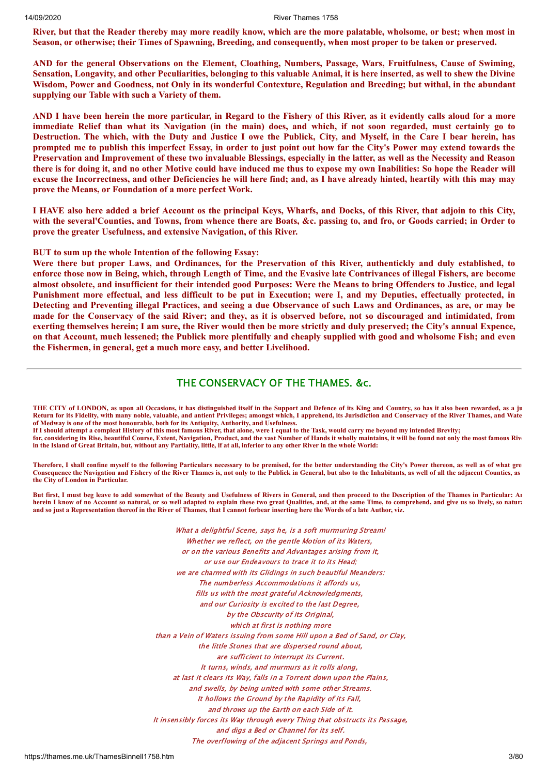River, but that the Reader thereby may more readily know, which are the more palatable, wholsome, or best; when most in Season, or otherwise; their Times of Spawning, Breeding, and consequently, when most proper to be taken or preserved.

AND for the general Observations on the Element, Cloathing, Numbers, Passage, Wars, Fruitfulness, Cause of Swiming, Sensation, Longavity, and other Peculiarities, belonging to this valuable Animal, it is here inserted, as well to shew the Divine Wisdom, Power and Goodness, not Only in its wonderful Contexture, Regulation and Breeding; but withal, in the abundant **supplying our Table with such a Variety of them.**

AND I have been herein the more particular, in Regard to the Fishery of this River, as it evidently calls aloud for a more immediate Relief than what its Navigation (in the main) does, and which, if not soon regarded, must certainly go to Destruction. The which, with the Duty and Justice I owe the Publick, City, and Myself, in the Care I bear herein, has prompted me to publish this imperfect Essay, in order to just point out how far the City's Power may extend towards the Preservation and Improvement of these two invaluable Blessings, especially in the latter, as well as the Necessity and Reason there is for doing it, and no other Motive could have induced me thus to expose my own Inabilities: So hope the Reader will excuse the Incorrectness, and other Deficiencies he will here find; and, as I have already hinted, heartily with this may may **prove the Means, or Foundation of a more perfect Work.**

I HAVE also here added a brief Account os the principal Keys, Wharfs, and Docks, of this River, that adjoin to this City, with the several'Counties, and Towns, from whence there are Boats, &c. passing to, and fro, or Goods carried; in Order to **prove the greater Usefulness, and extensive Navigation, of this River.**

**BUT to sum up the whole Intention of the following Essay:**

Were there but proper Laws, and Ordinances, for the Preservation of this River, authentickly and duly established, to enforce those now in Being, which, through Length of Time, and the Evasive late Contrivances of illegal Fishers, are become almost obsolete, and insufficient for their intended good Purposes: Were the Means to bring Offenders to Justice, and legal Punishment more effectual, and less difficult to be put in Execution; were I, and my Deputies, effectually protected, in Detecting and Preventing illegal Practices, and seeing a due Observance of such Laws and Ordinances, as are, or may be made for the Conservacy of the said River; and they, as it is observed before, not so discouraged and intimidated, from exerting themselves herein; I am sure, the River would then be more strictly and duly preserved; the City's annual Expence, on that Account, much lessened; the Publick more plentifully and cheaply supplied with good and wholsome Fish; and even **the Fishermen, in general, get a much more easy, and better Livelihood.**

# THE CONSERVACY OF THE THAMES. &c.

**THE CITY of LONDON, as upon all Occasions, it has distinguished itself in the Support and Defence of its King and Country, so has it also been rewarded, as a ju Return for its Fidelity, with many noble, valuable, and antient Privileges; amongst which, I apprehend, its Jurisdiction and Conservacy of the River Thames, and Wate of Medway is one of the most honourable, both for its Antiquity, Authority, and Usefulness.**

**If I should attempt a compleat History of this most famous River, that alone, were I equal to the Task, would carry me beyond my intended Brevity;** 

**for, considering its Rise, beautiful Course, Extent, Navigation, Product, and the vast Number of Hands it wholly maintains, it will be found not only the most famous Rive in the Island of Great Britain, but, without any Partiality, little, if at all, inferior to any other River in the whole World:**

**Therefore, I shall confine myself to the following Particulars necessary to be premised, for the better understanding the City's Power thereon, as well as of what gre Consequence the Navigation and Fishery of the River Thames is, not only to the Publick in General, but also to the Inhabitants, as well of all the adjacent Counties, as the City of London in Particular.**

**But first, I must beg leave to add somewhat of the Beauty and Usefulness of Rivers in General, and then proceed to the Description of the Thames in Particular: An herein I know of no Account so natural, or so well adapted to explain these two great Qualities, and, at the same Time, to comprehend, and give us so lively, so natura and so just a Representation thereof in the River of Thames, that I cannot forbear inserting here the Words of a late Author, viz.**

> What a delightful Scene, says he, is a soft murmuring Stream! Whether we reflect, on the gentle Motion of its Waters, or on the various Benefits and Advantages arising from it, or use our Endeavours to trace it to its Head; we are charmed with its Glidings in such beautiful Meanders: The numberless Accommodations it affords us, fills us with the most grateful Acknowledgments, and our Curiosity is excited to the last Degree, by the Obscurity of its Original, which at first is nothing more than a Vein of Waters issuing from some Hill upon a Bed of Sand, or Clay, the little Stones that are dispersed round about, are sufficient to interrupt its Current. It turns, winds, and murmurs as it rolls along, at last it clears its Way, falls in a Torrent down upon the Plains, and swells, by being united with some other Streams. It hollows the Ground by the Rapidity of its Fall, and throws up the Earth on each Side of it. It insensibly forces its Way through every Thing that obstructs its Passage, and digs a Bed or Channel for its self. The overflowing of the adjacent Springs and Ponds,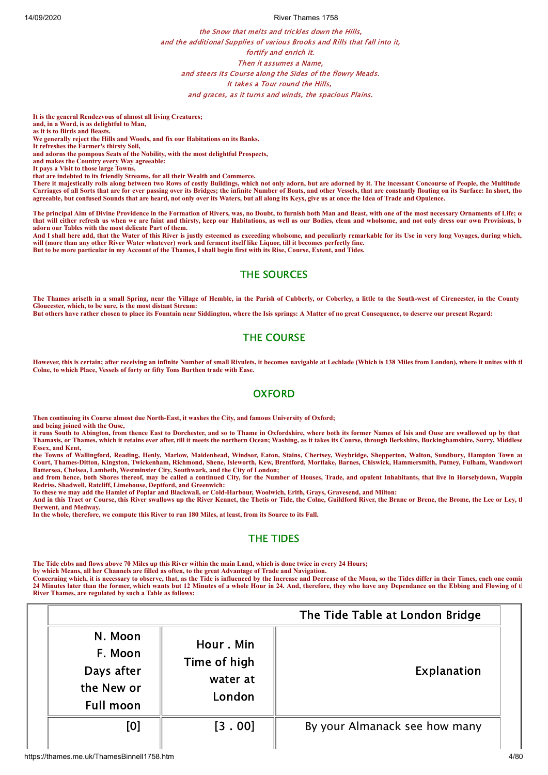the Snow that melts and trickles down the Hills, and the additional Supplies of various Brooks and Rills that fall into it, fortify and enrich it. Then it assumes a Name, and steers its Course along the Sides of the flowry Meads. It takes a Tour round the Hills, and graces, as it turns and winds, the spacious Plains.

**It is the general Rendezvous of almost all living Creatures;**

**and, in a Word, is as delightful to Man, as it is to Birds and Beasts.**

**We generally reject the Hills and Woods, and fix our Habitations on its Banks.**

**It refreshes the Farmer's thirsty Soil,**

**and adorns the pompous Seats of the Nobility, with the most delightful Prospects,** 

**and makes the Country every Way agreeable: It pays a Visit to those large Towns,**

**that are indebted to its friendly Streams, for all their Wealth and Commerce.**

There it majestically rolls along between two Rows of costly Buildings, which not only adorn, but are adorned by it. The incessant Concourse of People, the Multitude **Carriages of all Sorts that are for ever passing over its Bridges; the infinite Number of Boats, and other Vessels, that are constantly floating on its Surface: In short, tho agreeable, but confused Sounds that are heard, not only over its Waters, but all along its Keys, give us at once the Idea of Trade and Opulence.**

**The principal Aim of Divine Providence in the Formation of Rivers, was, no Doubt, to furnish both Man and Beast, with one of the most necessary Ornaments of Life; on that will either refresh us when we are faint and thirsty, keep our Habitations, as well as our Bodies, clean and wholsome, and not only dress our own Provisions, bu adorn our Tables with the most delicate Part of them.**

**And I shall here add, that the Water of this River is justly esteemed as exceeding wholsome, and peculiarly remarkable for its Use in very long Voyages, during which, will (more than any other River Water whatever) work and ferment itself like Liquor, till it becomes perfectly fine. But to be more particular in my Account of the Thames, I shall begin first with its Rise, Course, Extent, and Tides.**

# THE SOURCES

**The Thames ariseth in a small Spring, near the Village of Hemble, in the Parish of Cubberly, or Coberley, a little to the South-west of Cirencester, in the County Gloucester, which, to be sure, is the most distant Stream:**

**But others have rather chosen to place its Fountain near Siddington, where the Isis springs: A Matter of no great Consequence, to deserve our present Regard:**

# THE COURSE

**However, this is certain; after receiving an infinite Number of small Rivulets, it becomes navigable at Lechlade (Which is 138 Miles from London), where it unites with th Colne, to which Place, Vessels of forty or fifty Tons Burthen trade with Ease.**

# **OXFORD**

**Then continuing its Course almost due North-East, it washes the City, and famous University of Oxford;**

**and being joined with the Ouse,** 

**it runs South to Abington, from thence East to Dorchester, and so to Thame in Oxfordshire, where both its former Names of Isis and Ouse are swallowed up by that Thamasis, or Thames, which it retains ever after, till it meets the northern Ocean; Washing, as it takes its Course, through Berkshire, Buckinghamshire, Surry, Middlese Essex, and Kent,** 

**the Towns of Wallingford, Reading, Henly, Marlow, Maidenhead, Windsor, Eaton, Stains, Chertsey, Weybridge, Shepperton, Walton, Sundbury, Hampton Town an Court, Thames-Ditton, Kingston, Twickenham, Richmond, Shene, Isleworth, Kew, Brentford, Mortlake, Barnes, Chiswick, Hammersmith, Putney, Fulham, Wandswort Battersea, Chelsea, Lambeth, Westminster City, Southwark, and the City of London;**

**and from hence, both Shores thereof, may be called a continued City, for the Number of Houses, Trade, and opulent Inhabitants, that live in Horselydown, Wappin Redriss, Shadwell, Ratcliff, Limehouse, Deptford, and Greenwich:** 

**To these we may add the Hamlet of Poplar and Blackwall, or Cold-Harbour, Woolwich, Erith, Grays, Gravesend, and Milton:**

**And in this Tract or Course, this River swallows up the River Kennet, the Thetis or Tide, the Colne, Guildford River, the Brane or Brene, the Brome, the Lee or Ley, th Derwent, and Medway.**

**In the whole, therefore, we compute this River to run 180 Miles, at least, from its Source to its Fall.**

# THE TIDES

**The Tide ebbs and flows above 70 Miles up this River within the main Land, which is done twice in every 24 Hours;** 

**by which Means, all her Channels are filled as often, to the great Advantage of Trade and Navigation.**

**Concerning which, it is necessary to observe, that, as the Tide is influenced by the Increase and Decrease of the Moon, so the Tides differ in their Times, each one comin 24 Minutes later than the former, which wants but 12 Minutes of a whole Hour in 24. And, therefore, they who have any Dependance on the Ebbing and Flowing of th River Thames, are regulated by such a Table as follows:**

|                                                                    |                                                 | The Tide Table at London Bridge |
|--------------------------------------------------------------------|-------------------------------------------------|---------------------------------|
| N. Moon<br>F. Moon<br>Days after<br>the New or<br><b>Full moon</b> | Hour. Min<br>Time of high<br>water at<br>London | Explanation                     |
| [0]                                                                | [3.00]                                          | By your Almanack see how many   |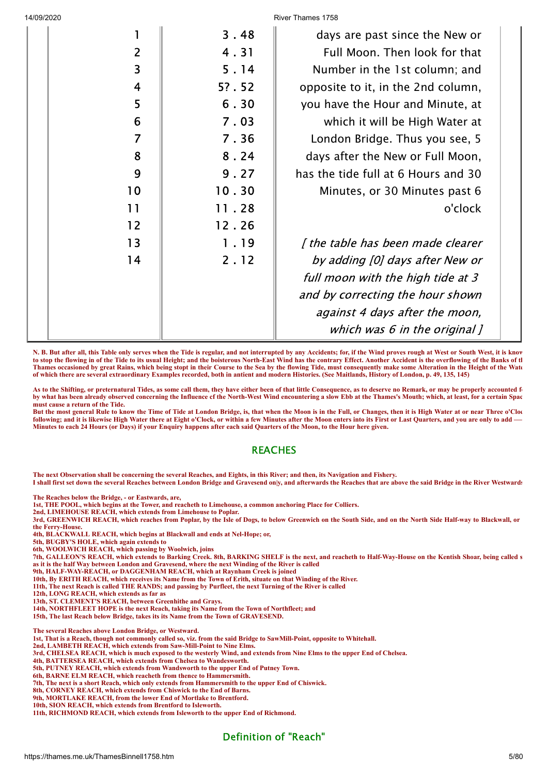|  |                | 3.48  | days are past since the New or      |  |
|--|----------------|-------|-------------------------------------|--|
|  | $\overline{2}$ | 4.31  | Full Moon. Then look for that       |  |
|  | 3              | 5.14  | Number in the 1st column; and       |  |
|  | $\overline{4}$ | 5?.52 | opposite to it, in the 2nd column,  |  |
|  | 5              | 6.30  | you have the Hour and Minute, at    |  |
|  | 6              | 7.03  | which it will be High Water at      |  |
|  | $\overline{7}$ | 7.36  | London Bridge. Thus you see, 5      |  |
|  | 8              | 8.24  | days after the New or Full Moon,    |  |
|  | 9              | 9.27  | has the tide full at 6 Hours and 30 |  |
|  | 10             | 10.30 | Minutes, or 30 Minutes past 6       |  |
|  | 11             | 11.28 | o'clock                             |  |
|  | 12             | 12.26 |                                     |  |
|  | 13             | 1.19  | [ the table has been made clearer   |  |
|  | 14             | 2.12  | by adding [0] days after New or     |  |
|  |                |       | full moon with the high tide at 3   |  |
|  |                |       | and by correcting the hour shown    |  |
|  |                |       | against 4 days after the moon,      |  |
|  |                |       | which was $6$ in the original $J$   |  |
|  |                |       |                                     |  |

**N. B. But after all, this Table only serves when the Tide is regular, and not interrupted by any Accidents; for, if the Wind proves rough at West or South West, it is know to stop the flowing in of the Tide to its usual Height; and the boisterous North-East Wind has the contrary Effect. Another Accident is the overflowing of the Banks of th Thames occasioned by great Rains, which being stopt in their Course to the Sea by the flowing Tide, must consequently make some Alteration in the Height of the Wate of which there are several extraordinary Examples recorded, both in antient and modern Histories. (See Maitlands, History of London, p. 49, 135, 145)**

As to the Shifting, or preternatural Tides, as some call them, they have either been of that little Consequence, as to deserve no Remark, or may be properly accounted f **by what has been already observed concerning the Influence cf the North-West Wind encountering a slow Ebb at the Thames's Mouth; which, at least, for a certain Spac must cause a return of the Tide.**

**But the most general Rule to know the Time of Tide at London Bridge, is, that when the Moon is in the Full, or Changes, then it is High Water at or near Three o'Cloc following; and it is likewise High Water there at Eight o'Clock, or within a few Minutes after the Moon enters into its First or Last Quarters, and you are only to add —— Minutes to each 24 Hours (or Days) if your Enquiry happens after each said Quarters of the Moon, to the Hour here given.**

# **REACHES**

**The next Observation shall be concerning the several Reaches, and Eights, in this River; and then, its Navigation and Fishery. I shall first set down the several Reaches between London Bridge and Gravesend on|y, and afterwards the Reaches that are above the said Bridge in the River Westwards**

**The Reaches below the Bridge, - or Eastwards, are,**

**1st, THE POOL, which begins at the Tower, and reacheth to Limehouse, a common anchoring Place for Colliers.**

**2nd, LIMEHOUSE REACH, which extends from Limehouse to Poplar.**

**3rd, GREENWICH REACH, which reaches from Poplar, by the Isle of Dogs, to below Greenwich on the South Side, and on the North Side Half-way to Blackwall, or the Ferry-House.**

**4th, BLACKWALL REACH, which begins at Blackwall and ends at Nel-Hope; or,**

**5th, BUGBY'S HOLE, which again extends to**

**6th, WOOLWICH REACH, which passing by Woolwich, joins**

**7th, GALLEON'S REACH, which extends to Barking Creek. 8th, BARKING SHELF is the next, and reacheth to Half-Way-House on the Kentish Shoar, being called s as it is the half Way between London and Gravesend, where the next Winding of the River is called**

**9th, HALF-WAY-REACH, or DAGGENHAM REACH, which at Raynham Creek is joined**

**10th, By ERITH REACH, which receives its Name from the Town of Erith, situate on that Winding of the River.**

**11th, The next Reach is called THE RANDS; and passing by Purfleet, the next Turning of the River is called**

**12th, LONG REACH, which extends as far as**

**13th, ST. CLEMENT'S REACH, between Greenhithe and Grays.**

**14th, NORTHFLEET HOPE is the next Reach, taking its Name from the Town of Northfleet; and**

**15th, The last Reach below Bridge, takes its its Name from the Town of GRAVESEND.**

**The several Reaches above London Bridge, or Westward.**

**1st, That is a Reach, though not commonly called so, viz. from the said Bridge to SawMill-Point, opposite to Whitehall.**

**2nd, LAMBETH REACH, which extends from Saw-Mill-Point to Nine Elms.**

**3rd, CHELSEA REACH, which is much exposed to the westerly Wind, and extends from Nine Elms to the upper End of Chelsea.**

**4th, BATTERSEA REACH, which extends from Chelsea to Wandesworth.**

**5th, PUTNEY REACH, which extends from Wandsworth to the upper End of Putney Town. 6th, BARNE ELM REACH, which reacheth from thence to Hammersmith.**

**7th, The next is a short Reach, which only extends from Hammersmith to the upper End of Chiswick.**

**8th, CORNEY REACH, which extends from Chiswick to the End of Barns.**

**9th, MORTLAKE REACH, from the lower End of Mortlake to Brentford.**

**10th, SION REACH, which extends from Brentford to Isleworth.**

**11th, RICHMOND REACH, which extends from Isleworth to the upper End of Richmond.**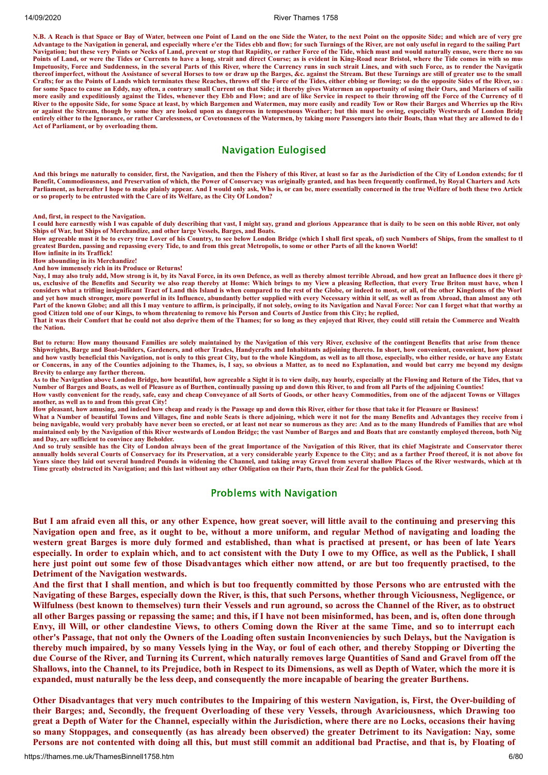**N.B. A Reach is that Space or Bay of Water, between one Point of Land on the one Side the Water, to the next Point on the opposite Side; and which are of very gre Advantage to the Navigation in general, and especially where e'er the Tides ebb and flow; for such Turnings of the River, are not only useful in regard to the sailing Part Navigation; but these very Points or Necks of Land, prevent or stop that Rapidity, or rather Force of the Tide, which must and would naturally ensue, were there no suc Points of Land, or were the Tides or Currents to have a long, strait and direct Course; as is evident in King-Road near Bristol, where the Tide comes in with so muc Impetuosity, Force and Suddenness, in the several Parts of this River, where the Currency runs in such strait Lines, and with such Force, as to render the Navigatio thereof imperfect, without the Assistance of several Horses to tow or draw up the Barges, &c. against the Stream. But these Turnings are still of greater use to the small Crafts; for as the Points of Lands which terminates these Reaches, throws off the Force of the Tides, either ebbing or flowing; so do the opposite Sides of the River, so a for some Space to cause an Eddy, nay often, a contrary small Current on that Side; it thereby gives Watermen an opportunity of using their Oars, and Mariners of sailin more easily and expeditiously against the Tides, whenever they Ebb and Flow; and are of like Service in respect to their throwing off the Force of the Currency of th River to the opposite Side, for some Space at least, by which Bargemen and Watermen, may more easily and readily Tow or Row their Barges and Wherries up the Rive or against the Stream, though by some they are looked upon as dangerous in tempestuous Weather; but this must be owing, especially Westwards of London Bridg** entirely either to the Ignorance, or rather Carelessness, or Covetousness of the Watermen, by taking more Passengers into their Boats, than what they are allowed to do l **Act of Parliament, or by overloading them.**

# Navigation Eulogised

**And this brings me naturally to consider, first, the Navigation, and then the Fishery of this River, at least so far as the Jurisdiction of the City of London extends; for th Benefit, Commodiousness, and Preservation of which, the Power of Conservacy was originally granted, and has been frequently confirmed, by Royal Charters and Acts Parliament, as hereafter I hope to make plainly appear. And I would only ask, Who is, or can be, more essentially concerned in the true Welfare of both these two Article or so properly to be entrusted with the Care of its Welfare, as the City Of London?**

**And, first, in respect to the Navigation.**

**I could here earnestly wish I was capable of duly describing that vast, I might say, grand and glorious Appearance that is daily to be seen on this noble River, not only Ships of War, but Ships of Merchandize, and other large Vessels, Barges, and Boats.**

How agreeable must it be to every true Lover of his Country, to see below London Bridge (which I shall first speak, of) such Numbers of Ships, from the smallest to the **greatest Burden, passing and repassing every Tide, to and from this great Metropolis, to some or other Parts of all the known World!**

**How infinite in its Traffick! How abounding in its Merchandize!**

**And how immensely rich in its Produce or Returns!**

Nay, I may also truly add, Mow strong is it, by its Naval Force, in its own Defence, as well as thereby almost terrible Abroad, and how great an Influence does it there giv **us, exclusive of the Benefits and Security we also reap thereby at Home: Which brings to my View a pleasing Reflection, that every True Briton must have, when h considers what a trifling insignificant Tract of Land this Island is when compared to the rest of the Globe, or indeed to most, or all, of the other Kingdoms of the Worl and yet how much stronger, more powerful in its Influence, abundantly better supplied with every Necessary within it self, as well as from Abroad, than almost any oth Part of the known Globe; and all this I may venture to affirm, is principally, if not solely, owing to its Navigation and Naval Force: Nor can I forget what that worthy an good Citizen told one of our Kings, to whom threatening to remove his Person and Courts of Justice from this City; he replied,** 

**That it was their Comfort that he could not also deprive them of the Thames; for so long as they enjoyed that River, they could still retain the Commerce and Wealth the Nation.**

**But to return: How many thousand Families are solely maintained by the Navigation of this very River, exclusive of the contingent Benefits that arise from thence Shipwrights, Barge and Boat-builders, Gardeners, and other Trades, Handycrafts and Inhabitants adjoining thereto. In short, how convenient, convenient, how pleasan and how vastly beneficial this Navigation, not is only to this great City, but to the whole Kingdom, as well as to all those, especially, who either reside, or have any Estate or Concerns, in any of the Counties adjoining to the Thames, is, I say, so obvious a Matter, as to need no Explanation, and would but carry me beyond my designe Brevity to enlarge any farther thereon.**

**As to the Navigation above London Bridge, how beautiful, how agreeable a Sight it is to view daily, nay hourly, especially at the Flowing and Return of the Tides, that va Number of Barges and Boats, as well of Pleasure as of Burthen, continually passing up and down this River, to and from all Parts of the adjoining Counties! How vastly convenient for the ready, safe, easy and cheap Conveyance of all Sorts of Goods, or other heavy Commodities, from one of the adjacent Towns or Villages another, as well as to and from this great City!**

**How pleasant, how amusing, and indeed how cheap and ready is the Passage up and down this River, either for those that take it for Pleasure or Business!**

**What a Number of beautiful Towns and Villages, fine and noble Seats is there adjoining, which were it not for the many Benefits and Advantages they receive from i being navigable, would very probably have never been so erected, or at least not near so numerous as they are: And as to the many Hundreds of Families that are whol maintained only by the Navigation of this River westwards of London Bridge; the vast Number of Barges and and Boats that are constantly employed thereon, both Nig and Day, are sufficient to convince any Beholder.**

**And so truly sensible has the City of London always been of the great Importance of the Navigation of this River, that its chief Magistrate and Conservator thereo annually holds several Courts of Conservacy for its Preservation, at a very considerable yearly Expence to the City; and as a farther Proof thereof, it is not above fou Years since they laid out several hundred Pounds in widening the Channel, and taking away Gravel from several shallow Places of the River westwards, which at th Time greatly obstructed its Navigation; and this last without any other Obligation on their Parts, than their Zeal for the publick Good.**

#### Problems with Navigation

But I am afraid even all this, or any other Expence, how great soever, will little avail to the continuing and preserving this Navigation open and free, as it ought to be, without a more uniform, and regular Method of navigating and loading the western great Barges is more duly formed and established, than what is practised at present, or has been of late Years especially. In order to explain which, and to act consistent with the Duty I owe to my Office, as well as the Publick, I shall here just point out some few of those Disadvantages which either now attend, or are but too frequently practised, to the **Detriment of the Navigation westwards.**

And the first that I shall mention, and which is but too frequently committed by those Persons who are entrusted with the Navigating of these Barges, especially down the River, is this, that such Persons, whether through Viciousness, Negligence, or Wilfulness (best known to themselves) turn their Vessels and run aground, so across the Channel of the River, as to obstruct all other Barges passing or repassing the same; and this, if I have not been misinformed, has been, and is, often done through Envy, ill Will, or other clandestine Views, to others Coming down the River at the same Time, and so to interrupt each other's Passage, that not only the Owners of the Loading often sustain Inconveniencies by such Delays, but the Navigation is thereby much impaired, by so many Vessels lying in the Way, or foul of each other, and thereby Stopping or Diverting the due Course of the River, and Turning its Current, which naturally removes large Quantities of Sand and Gravel from off the Shallows, into the Channel, to its Prejudice, both in Respect to its Dimensions, as well as Depth of Water, which the more it is expanded, must naturally be the less deep, and consequently the more incapable of bearing the greater Burthens.

Other Disadvantages that very much contributes to the Impairing of this western Navigation, is, First, the Over-building of their Barges; and, Secondly, the frequent Overloading of these very Vessels, through Avariciousness, which Drawing too great a Depth of Water for the Channel, especially within the Jurisdiction, where there are no Locks, occasions their having so many Stoppages, and consequently (as has already been observed) the greater Detriment to its Navigation: Nay, some Persons are not contented with doing all this, but must still commit an additional bad Practise, and that is, by Floating of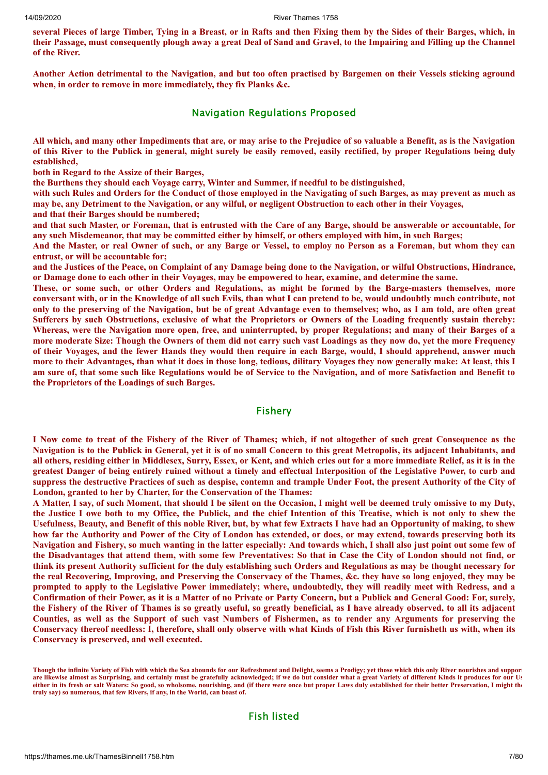several Pieces of large Timber, Tying in a Breast, or in Rafts and then Fixing them by the Sides of their Barges, which, in their Passage, must consequently plough away a great Deal of Sand and Gravel, to the Impairing and Filling up the Channel **of the River.**

Another Action detrimental to the Navigation, and but too often practised by Bargemen on their Vessels sticking aground **when, in order to remove in more immediately, they fix Planks &c.**

#### Navigation Regulations Proposed

All which, and many other Impediments that are, or may arise to the Prejudice of so valuable a Benefit, as is the Navigation of this River to the Publick in general, might surely be easily removed, easily rectified, by proper Regulations being duly **established,**

**both in Regard to the Assize of their Barges,**

**the Burthens they should each Voyage carry, Winter and Summer, if needful to be distinguished,**

with such Rules and Orders for the Conduct of those employed in the Navigating of such Barges, as may prevent as much as may be, any Detriment to the Navigation, or any wilful, or negligent Obstruction to each other in their Voyages,

**and that their Barges should be numbered;**

and that such Master, or Foreman, that is entrusted with the Care of any Barge, should be answerable or accountable, for any such Misdemeanor, that may be committed either by himself, or others employed with him, in such Barges;

And the Master, or real Owner of such, or any Barge or Vessel, to employ no Person as a Foreman, but whom they can **entrust, or will be accountable for;**

and the Justices of the Peace, on Complaint of any Damage being done to the Navigation, or wilful Obstructions, Hindrance, or Damage done to each other in their Voyages, may be empowered to hear, examine, and determine the same.

These, or some such, or other Orders and Regulations, as might be formed by the Barge-masters themselves, more conversant with, or in the Knowledge of all such Evils, than what I can pretend to be, would undoubtly much contribute, not only to the preserving of the Navigation, but be of great Advantage even to themselves; who, as I am told, are often great Sufferers by such Obstructions, exclusive of what the Proprietors or Owners of the Loading frequently sustain thereby: Whereas, were the Navigation more open, free, and uninterrupted, by proper Regulations; and many of their Barges of a more moderate Size: Though the Owners of them did not carry such vast Loadings as they now do, yet the more Frequency of their Vovages, and the fewer Hands they would then require in each Barge, would, I should apprehend, answer much more to their Advantages, than what it does in those long, tedious, dilitary Voyages they now generally make: At least, this I am sure of, that some such like Regulations would be of Service to the Navigation, and of more Satisfaction and Benefit to **the Proprietors of the Loadings of such Barges.**

#### Fishery

I Now come to treat of the Fishery of the River of Thames; which, if not altogether of such great Consequence as the Navigation is to the Publick in General, yet it is of no small Concern to this great Metropolis, its adjacent Inhabitants, and all others, residing either in Middlesex, Surry, Essex, or Kent, and which cries out for a more immediate Relief, as it is in the greatest Danger of being entirely ruined without a timely and effectual Interposition of the Legislative Power, to curb and suppress the destructive Practices of such as despise, contemn and trample Under Foot, the present Authority of the City of **London, granted to her by Charter, for the Conservation of the Thames:**

A Matter, I say, of such Moment, that should I be silent on the Occasion, I might well be deemed truly omissive to my Duty, the Justice I owe both to my Office, the Publick, and the chief Intention of this Treatise, which is not only to shew the Usefulness, Beauty, and Benefit of this noble River, but, by what few Extracts I have had an Opportunity of making, to shew how far the Authority and Power of the City of London has extended, or does, or may extend, towards preserving both its Navigation and Fishery, so much wanting in the latter especially: And towards which, I shall also just point out some few of the Disadvantages that attend them, with some few Preventatives: So that in Case the City of London should not find, or think its present Authority sufficient for the duly establishing such Orders and Regulations as may be thought necessary for the real Recovering, Improving, and Preserving the Conservacy of the Thames, &c. they have so long enjoyed, they may be prompted to apply to the Legislative Power immediately; where, undoubtedly, they will readily meet with Redress, and a Confirmation of their Power, as it is a Matter of no Private or Party Concern, but a Publick and General Good: For, surely, the Fishery of the River of Thames is so greatly useful, so greatly beneficial, as I have already observed, to all its adjacent Counties, as well as the Support of such vast Numbers of Fishermen, as to render any Arguments for preserving the Conservacy thereof needless: I, therefore, shall only observe with what Kinds of Fish this River furnisheth us with, when its **Conservacy is preserved, and well executed.**

**Though the infinite Variety of Fish with which the Sea abounds for our Refreshment and Delight, seems a Prodigy; yet those which this only River nourishes and support are likewise almost as Surprising, and certainly must be gratefully acknowledged; if we do but consider what a great Variety of different Kinds it produces for our Us either in its fresh or salt Waters: So good, so wholsome, nourishing, and (if there were once but proper Laws duly established for their better Preservation, I might the truly say) so numerous, that few Rivers, if any, in the World, can boast of.**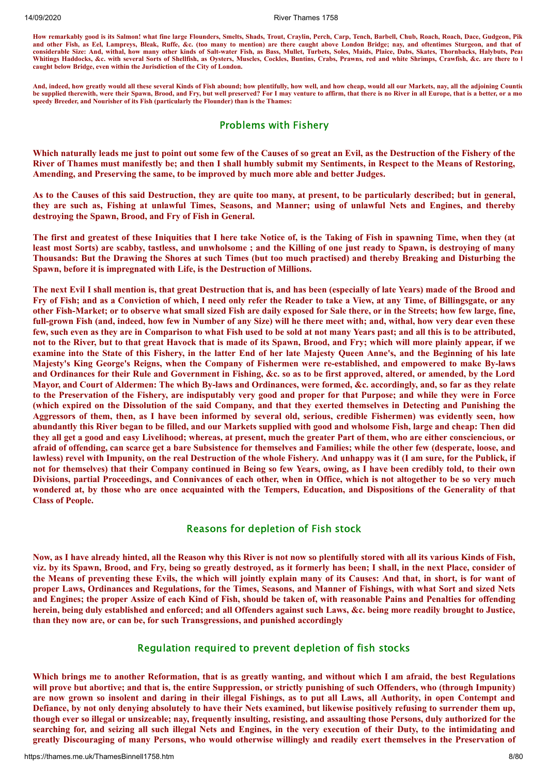**How remarkably good is its Salmon! what fine large Flounders, Smelts, Shads, Trout, Craylin, Perch, Carp, Tench, Barbell, Chub, Roach, Roach, Dace, Gudgeon, Pik and other Fish, as Eel, Lampreys, Bleak, Ruffe, &c. (too many to mention) are there caught above London Bridge; nay, and oftentimes Sturgeon, and that of considerable Size: And, withal, how many other kinds of Salt-water Fish, as Bass, Mullet, Turbets, Soles, Maids, Plaice, Dabs, Skates, Thornbacks, Halybuts, Pear** Whitings Haddocks, &c. with several Sorts of Shellfish, as Oysters, Muscles, Cockles, Buntins, Crabs, Prawns, red and white Shrimps, Crawfish, &c. are there to l **caught below Bridge, even within the Jurisdiction of the City of London.**

**And, indeed, how greatly would all these several Kinds of Fish abound; how plentifully, how well, and how cheap, would all our Markets, nay, all the adjoining Countie be supplied therewith, were their Spawn, Brood, and Fry, but well preserved? For I may venture to affirm, that there is no River in all Europe, that is a better, or a mo speedy Breeder, and Nourisher of its Fish (particularly the Flounder) than is the Thames:**

# Problems with Fishery

Which naturally leads me just to point out some few of the Causes of so great an Evil, as the Destruction of the Fishery of the River of Thames must manifestly be; and then I shall humbly submit my Sentiments, in Respect to the Means of Restoring, **Amending, and Preserving the same, to be improved by much more able and better Judges.**

As to the Causes of this said Destruction, they are quite too many, at present, to be particularly described; but in general, they are such as, Fishing at unlawful Times, Seasons, and Manner; using of unlawful Nets and Engines, and thereby **destroying the Spawn, Brood, and Fry of Fish in General.**

The first and greatest of these Iniquities that I here take Notice of, is the Taking of Fish in spawning Time, when they (at least most Sorts) are scabby, tastless, and unwholsome ; and the Killing of one just ready to Spawn, is destroying of many Thousands: But the Drawing the Shores at such Times (but too much practised) and thereby Breaking and Disturbing the **Spawn, before it is impregnated with Life, is the Destruction of Millions.**

The next Evil I shall mention is, that great Destruction that is, and has been (especially of late Years) made of the Brood and Fry of Fish; and as a Conviction of which, I need only refer the Reader to take a View, at any Time, of Billingsgate, or any other Fish-Market; or to observe what small sized Fish are daily exposed for Sale there, or in the Streets; how few large, fine, full-grown Fish (and, indeed, how few in Number of any Size) will he there meet with; and, withal, how very dear even these few, such even as they are in Comparison to what Fish used to be sold at not many Years past; and all this is to be attributed, not to the River, but to that great Havock that is made of its Spawn, Brood, and Fry; which will more plainly appear, if we examine into the State of this Fishery, in the latter End of her late Majesty Queen Anne's, and the Beginning of his late **Majesty's King George's Reigns, when the Company of Fishermen were re-established, and empowered to make By-laws** and Ordinances for their Rule and Government in Fishing, &c. so as to be first approved, altered, or amended, by the Lord Mayor, and Court of Aldermen: The which By-laws and Ordinances, were formed, &c. accordingly, and, so far as they relate to the Preservation of the Fishery, are indisputably very good and proper for that Purpose; and while they were in Force (which expired on the Dissolution of the said Company, and that they exerted themselves in Detecting and Punishing the Aggressors of them, then, as I have been informed by several old, serious, credible Fishermen) was evidently seen, how abundantly this River began to be filled, and our Markets supplied with good and wholsome Fish, large and cheap: Then did they all get a good and easy Livelihood; whereas, at present, much the greater Part of them, who are either consciencious, or afraid of offending, can scarce get a bare Subsistence for themselves and Families; while the other few (desperate, loose, and lawless) revel with Impunity, on the real Destruction of the whole Fishery. And unhappy was it (I am sure, for the Publick, if not for themselves) that their Company continued in Being so few Years, owing, as I have been credibly told, to their own Divisions, partial Proceedings, and Connivances of each other, when in Office, which is not altogether to be so very much wondered at, by those who are once acquainted with the Tempers, Education, and Dispositions of the Generality of that **Class of People.**

# Reasons for depletion of Fish stock

Now, as I have already hinted, all the Reason why this River is not now so plentifully stored with all its various Kinds of Fish, viz. by its Spawn, Brood, and Fry, being so greatly destroyed, as it formerly has been; I shall, in the next Place, consider of the Means of preventing these Evils, the which will jointly explain many of its Causes: And that, in short, is for want of proper Laws, Ordinances and Regulations, for the Times, Seasons, and Manner of Fishings, with what Sort and sized Nets and Engines; the proper Assize of each Kind of Fish, should be taken of, with reasonable Pains and Penalties for offending herein, being duly established and enforced; and all Offenders against such Laws, &c. being more readily brought to Justice, **than they now are, or can be, for such Transgressions, and punished accordingly**

# Regulation required to prevent depletion of fish stocks

Which brings me to another Reformation, that is as greatly wanting, and without which I am afraid, the best Regulations will prove but abortive; and that is, the entire Suppression, or strictly punishing of such Offenders, who (through Impunity) are now grown so insolent and daring in their illegal Fishings, as to put all Laws, all Authority, in open Contempt and Defiance, by not only denying absolutely to have their Nets examined, but likewise positively refusing to surrender them up, though ever so illegal or unsizeable; nay, frequently insulting, resisting, and assaulting those Persons, duly authorized for the searching for, and seizing all such illegal Nets and Engines, in the very execution of their Duty, to the intimidating and greatly Discouraging of many Persons, who would otherwise willingly and readily exert themselves in the Preservation of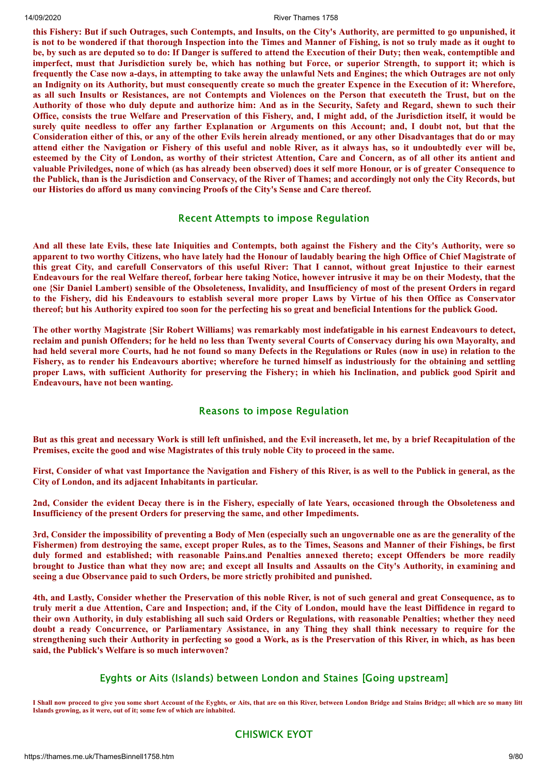this Fishery: But if such Outrages, such Contempts, and Insults, on the City's Authority, are permitted to go unpunished, it is not to be wondered if that thorough Inspection into the Times and Manner of Fishing, is not so truly made as it ought to be, by such as are deputed so to do: If Danger is suffered to attend the Execution of their Duty; then weak, contemptible and imperfect, must that Jurisdiction surely be, which has nothing but Force, or superior Strength, to support it; which is frequently the Case now a-days, in attempting to take away the unlawful Nets and Engines; the which Outrages are not only an Indignity on its Authority, but must consequently create so much the greater Expence in the Execution of it: Wherefore, as all such Insults or Resistances, are not Contempts and Violences on the Person that executeth the Trust, but on the Authority of those who duly depute and authorize him: And as in the Security, Safety and Regard, shewn to such their Office, consists the true Welfare and Preservation of this Fishery, and, I might add, of the Jurisdiction itself, it would be surely quite needless to offer any farther Explanation or Arguments on this Account; and, I doubt not, but that the Consideration either of this, or any of the other Evils herein already mentioned, or any other Disadvantages that do or may attend either the Navigation or Fishery of this useful and noble River, as it always has, so it undoubtedly ever will be, esteemed by the City of London, as worthy of their strictest Attention, Care and Concern, as of all other its antient and valuable Priviledges, none of which (as has already been observed) does it self more Honour, or is of greater Consequence to the Publick, than is the Jurisdiction and Conservacy, of the River of Thames; and accordingly not only the City Records, but **our Histories do afford us many convincing Proofs of the City's Sense and Care thereof.**

# Recent Attempts to impose Regulation

And all these late Evils, these late Iniquities and Contempts, both against the Fishery and the City's Authority, were so apparent to two worthy Citizens, who have lately had the Honour of laudably bearing the high Office of Chief Magistrate of this great City, and carefull Conservators of this useful River: That I cannot, without great Injustice to their earnest Endeavours for the real Welfare thereof, forbear here taking Notice, however intrusive it may be on their Modesty, that the one {Sir Daniel Lambert) sensible of the Obsoleteness, Invalidity, and Insufficiency of most of the present Orders in regard to the Fishery, did his Endeavours to establish several more proper Laws by Virtue of his then Office as Conservator thereof; but his Authority expired too soon for the perfecting his so great and beneficial Intentions for the publick Good.

The other worthy Magistrate {Sir Robert Williams} was remarkably most indefatigable in his earnest Endeavours to detect, reclaim and punish Offenders; for he held no less than Twenty several Courts of Conservacy during his own Mayoralty, and had held several more Courts, had he not found so many Defects in the Regulations or Rules (now in use) in relation to the Fishery, as to render his Endeavours abortive: wherefore he turned himself as industriously for the obtaining and settling proper Laws, with sufficient Authority for preserving the Fishery; in whieh his Inclination, and publick good Spirit and **Endeavours, have not been wanting.**

#### Reasons to impose Regulation

But as this great and necessary Work is still left unfinished, and the Evil increaseth, let me, by a brief Recapitulation of the **Premises, excite the good and wise Magistrates of this truly noble City to proceed in the same.**

First, Consider of what vast Importance the Navigation and Fishery of this River, is as well to the Publick in general, as the **City of London, and its adjacent Inhabitants in particular.**

2nd, Consider the evident Decay there is in the Fishery, especially of late Years, occasioned through the Obsoleteness and **Insufficiency of the present Orders for preserving the same, and other Impediments.**

3rd, Consider the impossibility of preventing a Body of Men (especially such an ungovernable one as are the generality of the Fishermen) from destroving the same, except proper Rules, as to the Times, Seasons and Manner of their Fishings, be first **duly formed and established; with reasonable Pains.and Penalties annexed thereto; except Offenders be more readily** brought to Justice than what they now are; and except all Insults and Assaults on the City's Authority, in examining and **seeing a due Observance paid to such Orders, be more strictly prohibited and punished.**

4th, and Lastly, Consider whether the Preservation of this noble River, is not of such general and great Consequence, as to truly merit a due Attention, Care and Inspection; and, if the City of London, mould have the least Diffidence in regard to their own Authority, in duly establishing all such said Orders or Regulations, with reasonable Penalties; whether they need doubt a ready Concurrence, or Parliamentary Assistance, in any Thing they shall think necessary to require for the strengthening such their Authority in perfecting so good a Work, as is the Preservation of this River, in which, as has been **said, the Publick's Welfare is so much interwoven?**

# Eyghts or Aits (Islands) between London and Staines [Going upstream]

**I Shall now proceed to give you some short Account of the Eyghts, or Aits, that are on this River, between London Bridge and Stains Bridge; all which are so many litt Islands growing, as it were, out of it; some few of which are inhabited.**

# CHISWICK EYOT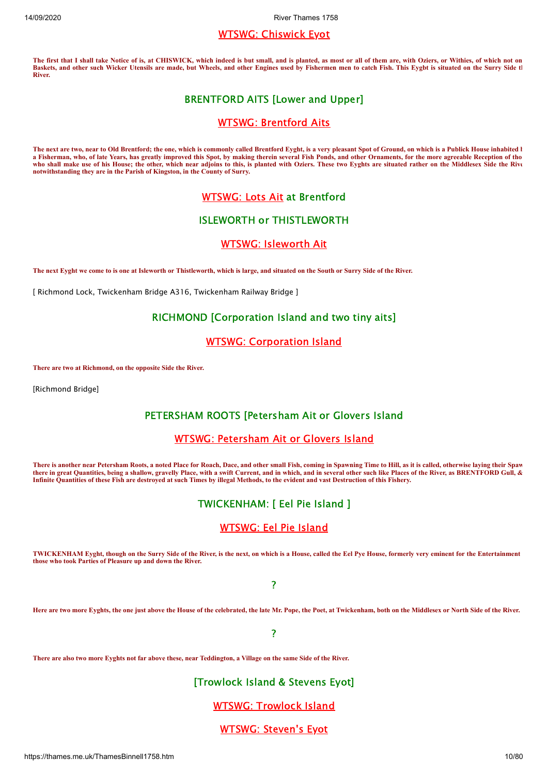# WTSWG: [Chiswick](https://thames.me.uk/s00241.htm) Eyot

**The first that I shall take Notice of is, at CHISWICK, which indeed is but small, and is planted, as most or all of them are, with Oziers, or Withies, of which not on Baskets, and other such Wicker Utensils are made, but Wheels, and other Engines used by Fishermen men to catch Fish. This Eygbt is situated on the Surry Side th River.**

# BRENTFORD AITS [Lower and Upper]

# WTSWG: [Brentford](https://thames.me.uk/s00281.htm) Aits

The next are two, near to Old Brentford; the one, which is commonly called Brentford Eyght, is a very pleasant Spot of Ground, on which is a Publick House inhabited **b a Fisherman, who, of late Years, has greatly improved this Spot, by making therein several Fish Ponds, and other Ornaments, for the more agreeable Reception of tho who shall make use of his House; the other, which near adjoins to this, is planted with Oziers. These two Eyghts are situated rather on the Middlesex Side the Rive notwithstanding they are in the Parish of Kingston, in the County of Surry.**

# [WTSWG:](https://thames.me.uk/s00282.htm) Lots Ait at Brentford

# ISLEWORTH or THISTLEWORTH

# WTSWG: [Isleworth](https://thames.me.uk/s00286.htm) Ait

**The next Eyght we come to is one at Isleworth or Thistleworth, which is large, and situated on the South or Surry Side of the River.**

[ Richmond Lock, Twickenham Bridge A316, Twickenham Railway Bridge ]

# RICHMOND [Corporation Island and two tiny aits]

# WTSWG: [Corporation](https://thames.me.uk/s00315.htm) Island

**There are two at Richmond, on the opposite Side the River.**

[Richmond Bridge]

# PETERSHAM ROOTS [Petersham Ait or Glovers Island

## WTSWG: [Petersham](https://thames.me.uk/s00322.htm) Ait or Glovers Island

**There is another near Petersham Roots, a noted Place for Roach, Dace, and other small Fish, coming in Spawning Time to Hill, as it is called, otherwise laying their Spaw there in great Quantities, being a shallow, gravelly Place, with a swift Current, and in which, and in several other such like Places of the River, as BRENTFORD Gull, & Infinite Quantities of these Fish are destroyed at such Times by illegal Methods, to the evident and vast Destruction of this Fishery.**

# TWICKENHAM: [ Eel Pie Island ]

# [WTSWG:](https://thames.me.uk/s00324.htm) Eel Pie Island

**TWICKENHAM Eyght, though on the Surry Side of the River, is the next, on which is a House, called the Eel Pye House, formerly very eminent for the Entertainment those who took Parties of Pleasure up and down the River.**

?

**Here are two more Eyghts, the one just above the House of the celebrated, the late Mr. Pope, the Poet, at Twickenham, both on the Middlesex or North Side of the River.**

?

**There are also two more Eyghts not far above these, near Teddington, a Village on the same Side of the River.**

# [Trowlock Island & Stevens Eyot]

# WTSWG: [Trowlock](https://thames.me.uk/s00334.htm) Island

# WTSWG: [Steven's](https://thames.me.uk/s00336.htm) Eyot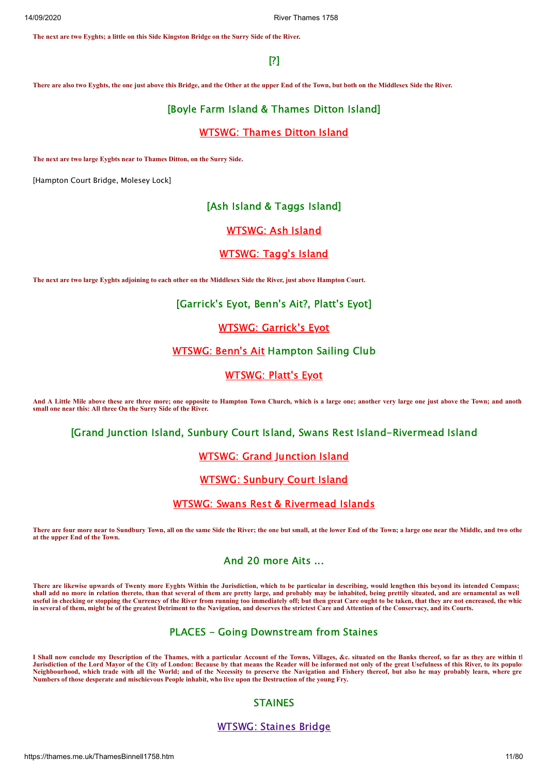**The next are two Eyghts; a little on this Side Kingston Bridge on the Surry Side of the River.**

# [?]

**There are also two Eyghts, the one just above this Bridge, and the Other at the upper End of the Town, but both on the Middlesex Side the River.**

# [Boyle Farm Island & Thames Ditton Island]

# [WTSWG:](https://thames.me.uk/s00366.htm) Thames Ditton Island

**The next are two large Eygbts near to Thames Ditton, on the Surry Side.**

[Hampton Court Bridge, Molesey Lock]

# [Ash Island & Taggs Island]

# [WTSWG:](https://thames.me.uk/s00381.htm) Ash Island

# [WTSWG:](https://thames.me.uk/s00382.htm) Tagg's Island

**The next are two large Eyghts adjoining to each other on the Middlesex Side the River, just above Hampton Court.**

#### [Garrick's Eyot, Benn's Ait?, Platt's Eyot]

# WTSWG: [Garrick's](https://thames.me.uk/s00386.htm) Eyot

# [WTSWG:](https://thames.me.uk/s00387.htm) Benn's Ait Hampton Sailing Club

# [WTSWG:](https://thames.me.uk/s00388.htm) Platt's Eyot

**And A Little Mile above these are three more; one opposite to Hampton Town Church, which is a large one; another very large one just above the Town; and anoth small one near this: All three On the Surry Side of the River.**

[Grand Junction Island, Sunbury Court Island, Swans Rest Island-Rivermead Island

#### WTSWG: Grand [Junction](https://thames.me.uk/s00388a.htm) Island

# WTSWG: [Sunbury](https://thames.me.uk/s00389.htm) Court Island

#### WTSWG: Swans Rest & [Rivermead](https://thames.me.uk/s00389a.htm) Islands

**There are four more near to Sundbury Town, all on the same Side the River; the one but small, at the lower End of the Town; a large one near the Middle, and two othe at the upper End of the Town.**

# And 20 more Aits ...

**There are likewise upwards of Twenty more Eyghts Within the Jurisdiction, which to be particular in describing, would lengthen this beyond its intended Compass;**  shall add no more in relation thereto, than that several of them are pretty large, and probably may be inhabited, being prettily situated, and are ornamental as well **useful in checking or stopping the Currency of the River from running too immediately off; but then great Care ought to be taken, that they are not encreased, the whic in several of them, might be of the greatest Detriment to the Navigation, and deserves the strictest Care and Attention of the Conservacy, and its Courts.**

# PLACES - Going Downstream from Staines

**I Shall now conclude my Description of the Thames, with a particular Account of the Towns, Villages, &c. situated on the Banks thereof, so far as they are within th** Jurisdiction of the Lord Mayor of the City of London: Because by that means the Reader will be informed not only of the great Usefulness of this River, to its populour **Neighbourhood, which trade with all the World; and of the Necessity to preserve the Navigation and Fishery thereof, but also he may probably learn, where gre Numbers of those desperate and mischievous People inhabit, who live upon the Destruction of the young Fry.**

# STAINES

#### [WTSWG:](https://thames.me.uk/s00490.htm) Staines Bridge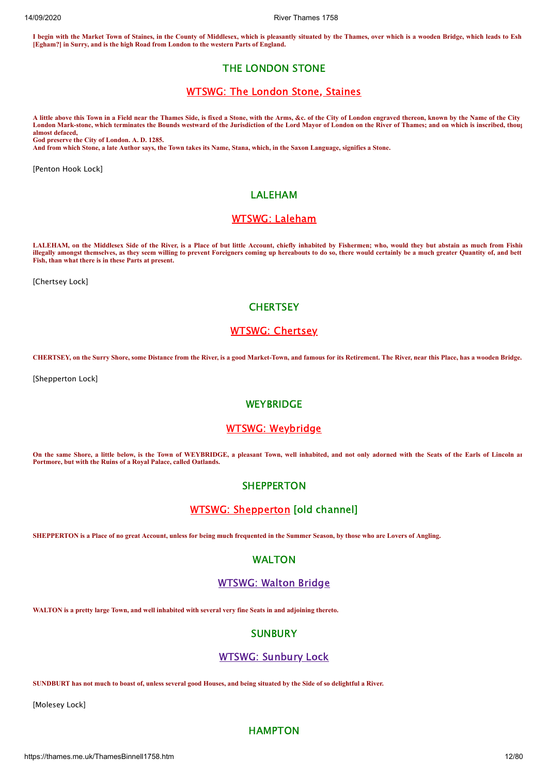**I begin with the Market Town of Staines, in the County of Middlesex, which is pleasantly situated by the Thames, over which is a wooden Bridge, which leads to Esh [Egham?] in Surry, and is the high Road from London to the western Parts of England.**

# THE LONDON STONE

# [WTSWG:](https://thames.me.uk/s00495.htm) The London Stone, Staines

**A little above this Town in a Field near the Thames Side, is fixed a Stone, with the Arms, &c. of the City of London engraved thereon, known by the Name of the City London Mark-stone, which terminates the Bounds westward of the Jurisdiction of the Lord Mayor of London on the River of Thames; and on which is inscribed, thoug almost defaced, God preserve the City of London. A. D. 1285.** 

**And from which Stone, a late Author says, the Town takes its Name, Stana, which, in the Saxon Language, signifies a Stone.**

[Penton Hook Lock]

# LALEHAM

# WTSWG: [Laleham](https://thames.me.uk/s00460.htm)

**LALEHAM, on the Middlesex Side of the River, is a Place of but little Account, chiefly inhabited by Fishermen; who, would they but abstain as much from Fishin illegally amongst themselves, as they seem willing to prevent Foreigners coming up hereabouts to do so, there would certainly be a much greater Quantity of, and bett Fish, than what there is in these Parts at present.**

[Chertsey Lock]

# **CHERTSEY**

# WTSWG: [Chertsey](https://thames.me.uk/s00430.htm)

**CHERTSEY, on the Surry Shore, some Distance from the River, is a good Market-Town, and famous for its Retirement. The River, near this Place, has a wooden Bridge.**

[Shepperton Lock]

# **WEYBRIDGE**

# WTSWG: [Weybridge](https://thames.me.uk/s00419.htm)

**On the same Shore, a little below, is the Town of WEYBRIDGE, a pleasant Town, well inhabited, and not only adorned with the Seats of the Earls of Lincoln an Portmore, but with the Ruins of a Royal Palace, called Oatlands.**

#### **SHEPPERTON**

# WTSWG: [Shepperton](https://thames.me.uk/s00412.htm) [old channel]

**SHEPPERTON is a Place of no great Account, unless for being much frequented in the Summer Season, by those who are Lovers of Angling.**

#### WALTON

#### [WTSWG:](https://thames.me.uk/s00400.htm) Walton Bridge

**WALTON is a pretty large Town, and well inhabited with several very fine Seats in and adjoining thereto.**

# **SUNBURY**

#### WTSWG: [Sunbury](https://thames.me.uk/s00390.htm) Lock

**SUNDBURT has not much to boast of, unless several good Houses, and being situated by the Side of so delightful a River.**

[Molesey Lock]

# **HAMPTON**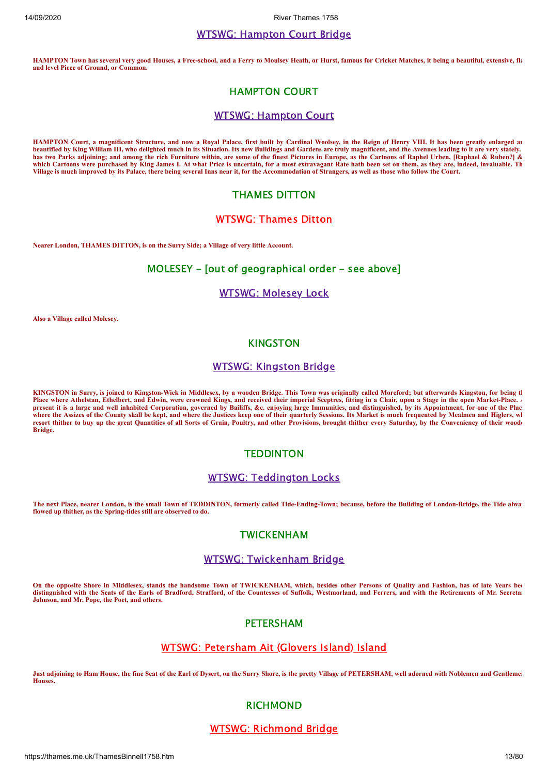#### WTSWG: [Hampton](https://thames.me.uk/s00370.htm) Court Bridge

**HAMPTON Town has several very good Houses, a Free-school, and a Ferry to Moulsey Heath, or Hurst, famous for Cricket Matches, it being a beautiful, extensive, fla and level Piece of Ground, or Common.**

# HAMPTON COURT

#### WTSWG: [Hampton](https://thames.me.uk/s00368.htm) Court

**HAMPTON Court, a magnificent Structure, and now a Royal Palace, first built by Cardinal Woolsey, in the Reign of Henry VIII. It has been greatly enlarged an beautified by King William III, who delighted much in its Situation. Its new Buildings and Gardens are truly magnificent, and the Avenues leading to it are very stately. has two Parks adjoining; and among the rich Furniture within, are some of the finest Pictures in Europe, as the Cartoons of Raphel Urben, [Raphael & Ruben?] & which Cartoons were purchased by King James I. At what Price is uncertain, for a most extravagant Rate hath been set on them, as they are, indeed, invaluable. Th Village is much improved by its Palace, there being several Inns near it, for the Accommodation of Strangers, as well as those who follow the Court.**

# THAMES DITTON

# [WTSWG:](https://thames.me.uk/s00366.htm) Thames Ditton

**Nearer London, THAMES DITTON, is on the Surry Side; a Village of very little Account.**

## MOLESEY - [out of geographical order - see above]

#### WTSWG: [Molesey](https://thames.me.uk/s00380.htm) Lock

**Also a Village called Molesey.**

#### KINGSTON

#### WTSWG: [Kingston](https://thames.me.uk/s00350.htm) Bridge

**KINGSTON in Surry, is joined to Kingston-Wick in Middlesex, by a wooden Bridge. This Town was originally called Moreford; but afterwards Kingston, for being th** Place where Athelstan, Ethelbert, and Edwin, were crowned Kings, and received their imperial Sceptres, fitting in a Chair, upon a Stage in the open Market-Place. A **present it is a large and well inhabited Corporation, governed by Bailiffs, &c. enjoying large Immunities, and distinguished, by its Appointment, for one of the Plac where the Assizes of the County shall be kept, and where the Justices keep one of their quarterly Sessions. Its Market is much frequented by Mealmen and Higlers, wh resort thither to buy up the great Quantities of all Sorts of Grain, Poultry, and other Provisions, brought thither every Saturday, by the Conveniency of their woode Bridge.**

#### **TEDDINTON**

#### WTSWG: [Teddington](https://thames.me.uk/s00330.htm) Locks

**The next Place, nearer London, is the small Town of TEDDINTON, formerly called Tide-Ending-Town; because, before the Building of London-Bridge, the Tide alway flowed up thither, as the Spring-tides still are observed to do.**

#### TWICKENHAM

# WTSWG: [Twickenham](https://thames.me.uk/s00300.htm) Bridge

**On the opposite Shore in Middlesex, stands the handsome Town of TWICKENHAM, which, besides other Persons of Quality and Fashion, has of late Years bee distinguished with the Seats of the Earls of Bradford, Strafford, of the Countesses of Suffolk, Westmorland, and Ferrers, and with the Retirements of Mr. Secretar Johnson, and Mr. Pope, the Poet, and others.**

# PETERSHAM

# WTSWG: [Petersham](https://thames.me.uk/s00322.htm) Ait (Glovers Island) Island

**Just adjoining to Ham House, the fine Seat of the Earl of Dysert, on the Surry Shore, is the pretty Village of PETERSHAM, well adorned with Noblemen and Gentlemen Houses.**

#### **RICHMOND**

#### WTSWG: [Richmond](https://thames.me.uk/s00320.htm) Bridge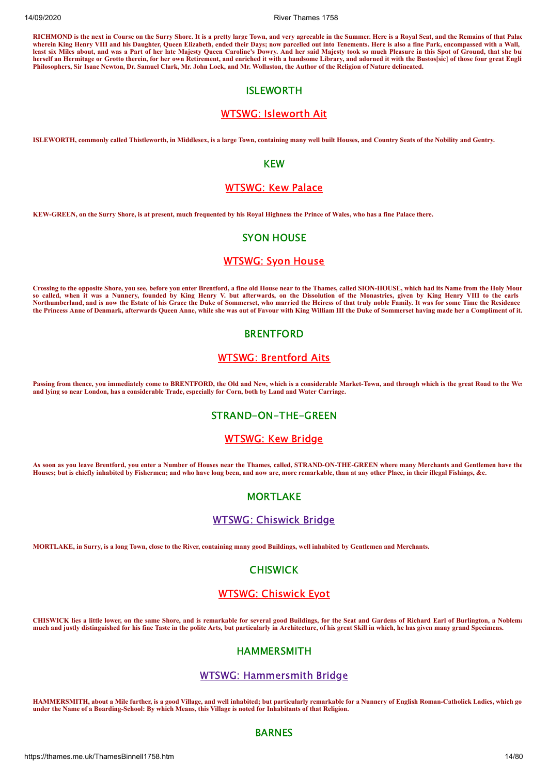**RICHMOND is the next in Course on the Surry Shore. It is a pretty large Town, and very agreeable in the Summer. Here is a Royal Seat, and the Remains of that Palac wherein King Henry VIII and his Daughter, Queen Elizabeth, ended their Days; now parcelled out into Tenements. Here is also a fine Park, encompassed with a Wall, least six Miles about, and was a Part of her late Majesty Queen Caroline's Dowry. And her said Majesty took so much Pleasure in this Spot of Ground, that she bui** herself an Hermitage or Grotto therein, for her own Retirement, and enriched it with a handsome Library, and adorned it with the Bustos[sic] of those four great Englis **Philosophers, Sir Isaac Newton, Dr. Samuel Clark, Mr. John Lock, and Mr. Wollaston, the Author of the Religion of Nature delineated.**

# ISLEWORTH

# WTSWG: [Isleworth](https://thames.me.uk/s00286.htm) Ait

**ISLEWORTH, commonly called Thistleworth, in Middlesex, is a large Town, containing many well built Houses, and Country Seats of the Nobility and Gentry.**

#### KEW

# [WTSWG:](https://thames.me.uk/s00282a.htm) Kew Palace

**KEW-GREEN, on the Surry Shore, is at present, much frequented by his Royal Highness the Prince of Wales, who has a fine Palace there.**

# SYON HOUSE

# [WTSWG:](https://thames.me.uk/s00285.htm) Syon House

**Crossing to the opposite Shore, you see, before you enter Brentford, a fine old House near to the Thames, called SION-HOUSE, which had its Name from the Holy Moun so called, when it was a Nunnery, founded by King Henry V. but afterwards, on the Dissolution of the Monastries, given by King Henry VIII to the earls Northumberland, and is now the Estate of his Grace the Duke of Sommerset, who married the Heiress of that truly noble Family. It was for some Time the Residence the Princess Anne of Denmark, afterwards Queen Anne, while she was out of Favour with King William III the Duke of Sommerset having made her a Compliment of it.**

#### **BRENTFORD**

# WTSWG: [Brentford](https://thames.me.uk/s00281.htm) Aits

**Passing from thence, you immediately come to BRENTFORD, the Old and New, which is a considerable Market-Town, and through which is the great Road to the Wes and lying so near London, has a considerable Trade, especially for Corn, both by Land and Water Carriage.**

#### STRAND-ON-THE-GREEN

## [WTSWG:](https://thames.me.uk/s00280.htm) Kew Bridge

**As soon as you leave Brentford, you enter a Number of Houses near the Thames, called, STRAND-ON-THE-GREEN where many Merchants and Gentlemen have the Houses; but is chiefly inhabited by Fishermen; and who have long been, and now are, more remarkable, than at any other Place, in their illegal Fishings, &c.**

# **MORTLAKE**

#### WTSWG: [Chiswick](https://thames.me.uk/s00260.htm) Bridge

**MORTLAKE, in Surry, is a long Town, close to the River, containing many good Buildings, well inhabited by Gentlemen and Merchants.**

# CHISWICK

#### WTSWG: [Chiswick](https://thames.me.uk/s00241.htm) Eyot

**CHISWICK lies a little lower, on the same Shore, and is remarkable for several good Buildings, for the Seat and Gardens of Richard Earl of Burlington, a Noblema much and justly distinguished for his fine Taste in the polite Arts, but particularly in Architecture, of his great Skill in which, he has given many grand Specimens.**

# HAMMERSMITH

# WTSWG: [Hammersmith](https://thames.me.uk/s00240.htm) Bridge

**HAMMERSMITH, about a Mile further, is a good Village, and well inhabited; but particularly remarkable for a Nunnery of English Roman-Catholick Ladies, which go under the Name of a Boarding-School: By which Means, this Village is noted for Inhabitants of that Religion.**

#### BARNES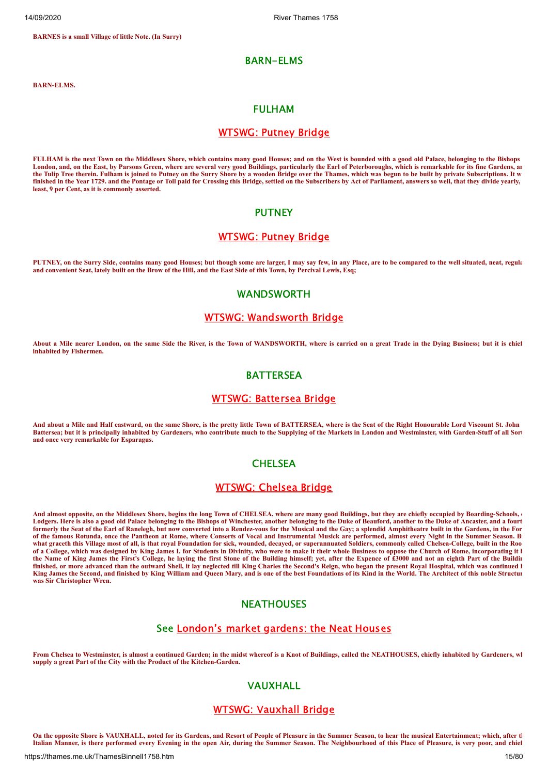**BARNES is a small Village of little Note. (In Surry)**

#### BARN-ELMS

**BARN-ELMS.**

#### FULHAM

#### [WTSWG:](https://thames.me.uk/s00230.htm) Putney Bridge

**FULHAM is the next Town on the Middlesex Shore, which contains many good Houses; and on the West is bounded with a good old Palace, belonging to the Bishops**  London, and, on the East, by Parsons Green, where are several very good Buildings, particularly the Earl of Peterboroughs, which is remarkable for its fine Gardens, an **the Tulip Tree therein. Fulham is joined to Putney on the Surry Shore by a wooden Bridge over the Thames, which was begun to be built by private Subscriptions. It w finished in the Year 1729. and the Pontage or Toll paid for Crossing this Bridge, settled on the Subscribers by Act of Parliament, answers so well, that they divide yearly, least, 9 per Cent, as it is commonly asserted.**

#### **PUTNEY**

# [WTSWG:](https://thames.me.uk/s00230.htm) Putney Bridge

**PUTNEY, on the Surry Side, contains many good Houses; but though some are larger, I may say few, in any Place, are to be compared to the well situated, neat, regula and convenient Seat, lately built on the Brow of the Hill, and the East Side of this Town, by Percival Lewis, Esq;**

#### WANDSWORTH

# WTSWG: [Wandsworth](https://thames.me.uk/s00210.htm) Bridge

**About a Mile nearer London, on the same Side the River, is the Town of WANDSWORTH, where is carried on a great Trade in the Dying Business; but it is chief inhabited by Fishermen.**

# **BATTFRSFA**

# WTSWG: [Battersea](https://thames.me.uk/s00190.htm) Bridge

**And about a Mile and Half eastward, on the same Shore, is the pretty little Town of BATTERSEA, where is the Seat of the Right Honourable Lord Viscount St. John Battersea; but it is principally inhabited by Gardeners, who contribute much to the Supplying of the Markets in London and Westminster, with Garden-Stuff of all Sort and once very remarkable for Esparagus.**

#### **CHELSEA**

#### [WTSWG:](https://thames.me.uk/s00170.htm) Chelsea Bridge

**And almost opposite, on the Middlesex Shore, begins the long Town of CHELSEA, where are many good Buildings, but they are chiefly occupied by Boarding-Schools, o Lodgers. Here is also a good old Palace belonging to the Bishops of Winchester, another belonging to the Duke of Beauford, another to the Duke of Ancaster, and a fourt formerly the Seat of the Earl of Ranelegh, but now converted into a Rendez-vous for the Musical and the Gay; a splendid Amphitheatre built in the Gardens, in the For of the famous Rotunda, once the Pantheon at Rome, where Conserts of Vocal and Instrumental Musick are performed, almost every Night in the Summer Season. Bu what graceth this Village most of all, is that royal Foundation for sick, wounded, decayed, or superannuated Soldiers, commonly called Chelsea-College, built in the Roo of a College, which was designed by King James I. for Students in Divinity, who were to make it their whole Business to oppose the Church of Rome, incorporating it b the Name of King James the First's College, he laying the first Stone of the Building himself; yet, after the Expence of £3000 and not an eighth Part of the Buildin finished, or more advanced than the outward Shell, it lay neglected till King Charles the Second's Reign, who began the present Royal Hospital, which was continued b King James the Second, and finished by King William and Queen Mary, and is one of the best Foundations of its Kind in the World. The Architect of this noble Structur was Sir Christopher Wren.**

#### **NEATHOUSES**

# See [London's](https://lostcookbook.wordpress.com/2013/10/25/neat-houses/) market gardens: the Neat Houses

**From Chelsea to Westminster, is almost a continued Garden; in the midst whereof is a Knot of Buildings, called the NEATHOUSES, chiefly inhabited by Gardeners, wh supply a great Part of the City with the Product of the Kitchen-Garden.**

# VAUXHALL

# WTSWG: [Vauxhall](https://thames.me.uk/s00150.htm) Bridge

**On the opposite Shore is VAUXHALL, noted for its Gardens, and Resort of People of Pleasure in the Summer Season, to hear the musical Entertainment; which, after th Italian Manner, is there performed every Evening in the open Air, during the Summer Season. The Neighbourhood of this Place of Pleasure, is very poor, and chief**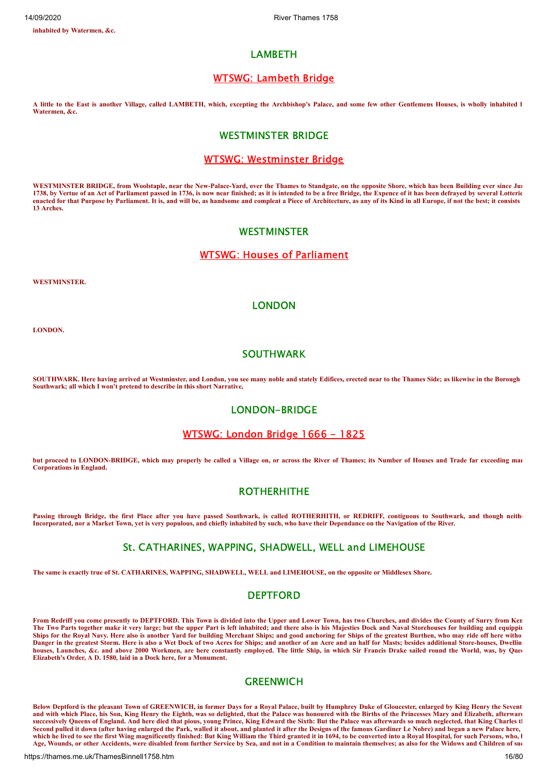**inhabited by Watermen, &c.**

## LAMBETH

# WTSWG: [Lambeth](https://thames.me.uk/s00140.htm) Bridge

**A little to the East is another Village, called LAMBETH, which, excepting the Archbishop's Palace, and some few other Gentlemens Houses, is wholly inhabited b Watermen, &c.**

# WESTMINSTER BRIDGE

#### WTSWG: [Westminster](https://thames.me.uk/s00130.htm) Bridge

**WESTMINSTER BRIDGE, from Woolstaple, near the New-Palace-Yard, over the Thames to Standgate, on the opposite Shore, which has been Building ever since Jun 1738, by Vertue of an Act of Parliament passed in 1736, is now near finished; as it is intended to be a free Bridge, the Expence of it has been defrayed by several Lotterie enacted for that Purpose by Parliament. It is, and will be, as handsome and compleat a Piece of Architecture, as any of its Kind in all Europe, if not the best; it consists 13 Arches.**

#### **WESTMINSTER**

#### WTSWG: Houses of [Parliament](https://thames.me.uk/s00135.htm)

**WESTMINSTER.**

# LONDON

**LONDON.**

# SOUTHWARK

**SOUTHWARK. Here having arrived at Westminster, and London, you see many noble and stately Edifices, erected near to the Thames Side; as likewise in the Borough Southwark; all which I won't pretend to describe in this short Narrative,**

# LONDON-BRIDGE

# [WTSWG:](https://thames.me.uk/s00049c.htm) London Bridge 1666 - 1825

**but proceed to LONDON-BRIDGE, which may properly be called a Village on, or across the River of Thames; its Number of Houses and Trade far exceeding man Corporations in England.**

# **ROTHERHITHE**

Passing through Bridge, the first Place after you have passed Southwark, is called ROTHERHITH, or REDRIFF, contiguous to Southwark, and though neither **Incorporated, nor a Market Town, yet is very populous, and chiefly inhabited by such, who have their Dependance on the Navigation of the River.**

# St. CATHARINES, WAPPING, SHADWELL, WELL and LIMEHOUSE

**The same is exactly true of St. CATHARINES, WAPPING, SHADWELL, WELL and LIMEHOUSE, on the opposite or Middlesex Shore.**

# DEPTFORD

**From Redriff you come presently to DEPTFORD. This Town is divided into the Upper and Lower Town, has two Churches, and divides the County of Surry from Ken** The Two Parts together make it very large; but the upper Part is left inhabited; and there also is his Majesties Dock and Naval Storehouses for building and equippin **Ships for the Royal Navy. Here also is another Yard for building Merchant Ships; and good anchoring for Ships of the greatest Burthen, who may ride off here witho Danger in the greatest Storm. Here is also a Wet Dock of two Acres for Ships; and another of an Acre and an half for Masts; besides additional Store-houses, Dwellin houses, Launches, &c. and above 2000 Workmen, are here constantly employed. The little Ship, in which Sir Francis Drake sailed round the World, was, by Quee Elizabeth's Order, A D. 1580, laid in a Dock here, for a Monument.**

# **GREENWICH**

**Below Deptford is the pleasant Town of GREENWICH, in former Days for a Royal Palace, built by Humphrey Duke of Gloucester, enlarged by King Henry the Sevent** and with which Place, his Son, King Henry the Eighth, was so delighted, that the Palace was honoured with the Births of the Princesses Mary and Elizabeth, afterward **successively Queens of England. And here died that pious, young Prince, King Edward the Sixth: But the Palace was afterwards so much neglected, that King Charles th** Second pulled it down (after having enlarged the Park, walled it about, and planted it after the Designs of the famous Gardiner Le Nobre) and began a new Palace here, which he lived to see the first Wing magnificently finished: But King William the Third granted it in 1694, to be converted into a Royal Hospital, for such Persons, who, b **Age, Wounds, or other Accidents, were disabled from further Service by Sea, and not in a Condition to maintain themselves; as also for the Widows and Children of suc**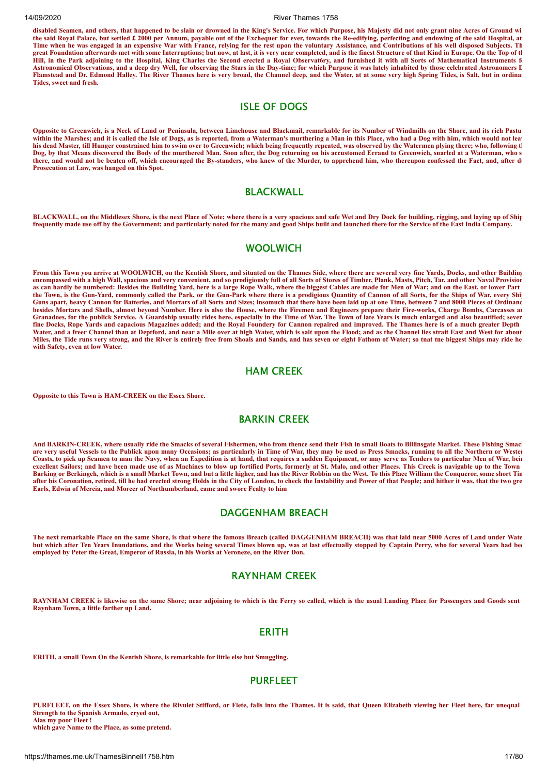**disabled Seamen, and others, that happened to be slain or drowned in the King's Service. For which Purpose, his Majesty did not only grant nine Acres of Ground wit the said Royal Palace, but settled £ 2000 per Annum, payable out of the Exchequer for ever, towards the Re-edifying, perfecting and endowing of the said Hospital, at Time when he was engaged in an expensive War with France, relying for the rest upon the voluntary Assistance, and Contributions of his well disposed Subjects. Th great Foundation afterwards met with some Interruptions; but now, at last, it is very near completed, and is the finest Structure of that Kind in Europe. On the Top of th Hill, in the Park adjoining to the Hospital, King Charles the Second erected a Royal Observat6ry, and furnished it with all Sorts of Mathematical Instruments fo Astronomical Observations, and a deep dry Well, for observing the Stars in the Day-time; for which Purpose it was lately inhabited by those celebrated Astronomers D Flamstead and Dr. Edmond Halley. The River Thames here is very broad, the Channel deep, and the Water, at at some very high Spring Tides, is Salt, but in ordinar Tides, sweet and fresh.**

# ISLE OF DOGS

**Opposite to Greenwich, is a Neck of Land or Peninsula, between Limehouse and Blackmail, remarkable for its Number of Windmills on the Shore, and its rich Pastu within the Marshes; and it is called the Isle of Dogs, as is reported, from a Waterman's murthering a Man in this Place, who had a Dog with him, which would not leav his dead Master, till Hunger constrained him to swim over to Greenwich; which being frequently repeated, was observed by the Watermen plying there; who, following th Dog, by that Means discovered the Body of the murthered Man. Soon after, the Dog returning on his accustomed Errand to Greenwich, snarled at a Waterman, who s there, and would not be beaten off, which encouraged the By-standers, who knew of the Murder, to apprehend him, who thereupon confessed the Fact, and, after du Prosecution at Law, was hanged on this Spot.**

# BLACKWALL

**BLACKWALL, on the Middlesex Shore, is the next Place of Note; where there is a very spacious and safe Wet and Dry Dock for building, rigging, and laying up of Ship frequently made use off by the Government; and particularly noted for the many and good Ships built and launched there for the Service of the East India Company.**

# WOOL WICH

**From this Town you arrive at WOOLWICH, on the Kentish Shore, and situated on the Thames Side, where there are several very fine Yards, Docks, and other Building encompassed with a high Wall, spacious and very convenient, and so prodigiously full of all Sorts of Stores of Timber, Plank, Masts, Pitch, Tar, and other Naval Provision as can hardly be numbered: Besides the Building Yard, here is a large Rope Walk, where the biggest Cables are made for Men of War; and on the East, or lower Part the Town, is the Gun-Yard, commonly called the Park, or the Gun-Park where there is a prodigious Quantity of Cannon of all Sorts, for the Ships of War, every Ship Guns apart, heavy Cannon for Batteries, and Mortars of all Sorts and Sizes; insomuch that there have been laid up at one Time, between 7 and 8000 Pieces of Ordinanc besides Mortars and Shells, almost beyond Number. Here is also the House, where the Firemen and Engineers prepare their Fire-works, Charge Bombs, Carcasses an Granadoes, for the publick Service. A Guardship usually rides here, especially in the Time of War. The Town of late Years is much enlarged and also beautified; sever fine Docks, Rope Yards and capacious Magazines added; and the Royal Foundery for Cannon repaired and improved. The Thames here is of a much greater Depth Water, and a freer Channel than at Deptford, and near a Mile over at high Water, which is salt upon the Flood; and as the Channel lies strait East and West for about Miles, the Tide runs very strong, and the River is entirely free from Shoals and Sands, and has seven or eight Fathom of Water; so tnat tne biggest Ships may ride he with Safety, even at low Water.**

#### HAM CREEK

**Opposite to this Town is HAM-CREEK on the Essex Shore.**

# BARKIN CREEK

**And BARKIN-CREEK, where usually ride the Smacks of several Fishermen, who from thence send their Fish in small Boats to Billinsgate Market. These Fishing Smack are very useful Vessels to the Publick upon many Occasions; as particularly in Time of War, they may be used as Press Smacks, running to all the Northern or Wester Coasts, to pick up Seamen to man the Navy, when an Expedition is at hand, that requires a sudden Equipment, or may serve as Tenders to particular Men of War, bein** excellent Sailors; and have been made use of as Machines to blow up fortified Ports, formerly at St. Malo, and other Places. This Creek is navigable up to the Town **Barking or Berkingeh, which is a small Market Town, and but a little higher, and has the River Robbin on the West. To this Place William the Conqueror, some short Tim after his Coronation, retired, till he had erected strong Holds in the City of London, to check the Instability and Power of that People; and hither it was, that the two gre Earls, Edwin of Mercia, and Morcer of Northumberland, came and swore Fealty to him**

# DAGGENHAM BREACH

**The next remarkable Place on the same Shore, is that where the famous Breach (called DAGGENHAM BREACH) was that laid near 5000 Acres of Land under Wate but which after Ten Years Inundations, and the Works being several Times blown up, was at last effectually stopped by Captain Perry, who for several Years had bee employed by Peter the Great, Emperor of Russia, in his Works at Veroneze, on the River Don.**

#### RAYNHAM CREEK

RAYNHAM CREEK is likewise on the same Shore; near adjoining to which is the Ferry so called, which is the usual Landing Place for Passengers and Goods sent **Raynham Town, a little farther up Land.**

#### ERITH

**ERITH, a small Town On the Kentish Shore, is remarkable for little else but Smuggling.**

# PURFLEET

**PURFLEET, on the Essex Shore, is where the Rivulet Stifford, or Flete, falls into the Thames. It is said, that Queen Elizabeth viewing her Fleet here, far unequal Strength to the Spanish Armado, cryed out, Alas my poor Fleet !**

**which gave Name to the Place, as some pretend.**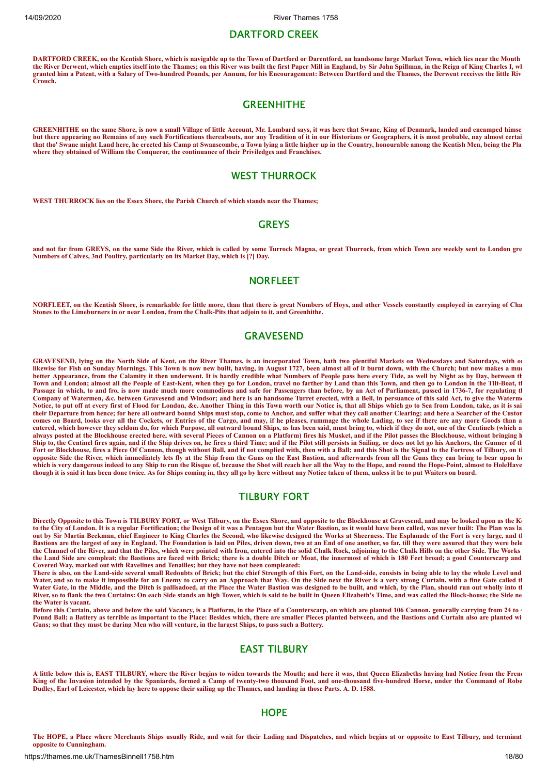#### DARTFORD CREEK

**DARTFORD CREEK, on the Kentish Shore, which is navigable up to the Town of Dartford or Darentford, an handsome large Market Town, which lies near the Mouth the River Derwent, which empties itself into the Thames; on this River was built the first Paper Mill in England, by Sir John Spillman, in the Reign of King Charles I, wh granted him a Patent, with a Salary of Two-hundred Pounds, per Annum, for his Encouragement: Between Dartford and the Thames, the Derwent receives the little Riv Crouch.**

#### **GREENHITHE**

**GREENHITHE on the same Shore, is now a small Village of little Account, Mr. Lombard says, it was here that Swane, King of Denmark, landed and encamped himsel but there appearing no Remains of any such Fortifications thereabouts, nor any Tradition of it in our Historians or Geographers, it is most probable, nay almost certai that tho' Swane might Land here, he erected his Camp at Swanscombe, a Town lying a little higher up in the Country, honourable among the Kentish Men, being the Pla where they obtained of William the Conqueror, the continuance of their Priviledges and Franchises.**

# WEST THURROCK

**WEST THURROCK lies on the Essex Shore, the Parish Church of which stands near the Thames;**

#### **GREYS**

**and not far from GREYS, on the same Side the River, which is called by some Turrock Magna, or great Thurrock, from which Town are weekly sent to London gre Numbers of Calves, 3nd Poultry, particularly on its Market Day, which is [?] Day.**

# **NORFLEET**

**NORFLEET, on the Kentish Shore, is remarkable for little more, than that there is great Numbers of Hoys, and other Vessels constantly employed in carrying of Cha Stones to the Limeburners in or near London, from the Chalk-Pits that adjoin to it, and Greenhithe.**

#### **GRAVESEND**

**GRAVESEND, lying on the North Side of Kent, on the River Thames, is an incorporated Town, hath two plentiful Markets on Wednesdays and Saturdays, with on likewise for Fish on Sunday Mornings. This Town is now new built, having, in August 1727, been almost all of it burnt down, with the Church; but now makes a muc better Appearance, from the Calamity it then underwent. It is hardly credible what Numbers of People pass here every Tide, as well by Night as by Day, between th Town and London; almost all the People of East-Kent, when they go for London, travel no farther by Land than this Town, and then go to London in the Tilt-Boat, th Passage in which, to and fro, is now made much more commodious and safe for Passengers than before, by an Act of Parliament, passed in 1736-7, for regulating th Company of Watermen, &c. between Gravesend and Windsor; and here is an handsome Turret erected, with a Bell, in persuance of this said Act, to give the Waterme Notice, to put off at every first of Flood for London, &c. Another Thing in this Town worth our Notice is, that all Ships which go to Sea from London, take, as it is sai their Departure from hence; for here all outward bound Ships must stop, come to Anchor, and suffer what they call another Clearing; and here a Searcher of the Custom comes on Board, looks over all the Cockets, or Entries of the Cargo, and may, if he pleases, rummage the whole Lading, to see if there are any more Goods than a entered, which however they seldom do, for which Purpose, all outward bound Ships, as has been said, must bring to, which if they do not, one of the Centinels (which a always posted at the Blockhouse erected here, with several Pieces of Cannon on a Platform) fires his Musket, and if the Pilot passes the Blockhouse, without bringing h Ship to, the Centinel fires again, and if the Ship drives on, he fires a third Time; and if the Pilot still persists in Sailing, or does not let go his Anchors, the Gunner of th** Fort or Blockhouse, fires a Piece Of Cannon, though without Ball, and if not complied with, then with a Ball; and this Shot is the Signal to the Fortress of Tilbury, on the Shot is the Signal to the Fortress of Tilbury, on **opposite Side the River, which immediately lets fly at the Ship from the Guns on the East Bastion, and afterwards from all the Guns they can bring to bear upon he which is very dangerous indeed to any Ship to run the Risque of, because the Shot will reach her all the Way to the Hope, and round the Hope-Point, almost to HoleHave though it is said it has been done twice. As for Ships coming in, they all go by here without any Notice taken of them, unless it be to put Waiters on board.**

#### TILBURY FORT

**Directly Opposite to this Town is TILBURY FORT, or West Tilbury, on the Essex Shore, and opposite to the Blockhouse at Gravesend, and may be looked upon as the Ke to the City of London. It is a regular Fortification; the Design of it was a Pentagon but the Water Bastion, as it would have been called, was never built: The Plan was la out by Sir Martin Beckman, chief Engineer to King Charles the Second, who likewise designed the Works at Sheerness. The Esplanade of the Fort is very large, and th Bastions are the largest of any in England. The Foundation is laid on Piles, driven down, two at an End of one another, so far, till they were assured that they were belo the Channel of the River, and that the Piles, which were pointed with Iron, entered into the solid Chalk Rock, adjoining to the Chalk Hills on the other Side. The Works the Land Side are compleat; the Bastions are faced with Brick; there is a double Ditch or Moat, the innermost of which is 180 Feet broad; a good Counterscarp and Covered Way, marked out with Ravelines and Tenailles; but they have not been compleated:**

**There is also, on the Land-side several small Redoubts of Brick; but the chief Strength of this Fort, on the Land-side, consists in being able to lay the whole Level und Water, and so to make it impossible for an Enemy to carry on an Approach that Way. On the Side next the River is a very strong Curtain, with a fine Gate called th Water Gate, in the Middle, and the Ditch is pallisadoed, at the Place the Water Bastion was designed to be built, and which, by the Plan, should run out wholly into th River, so to flank the two Curtains: On each Side stands an high Tower, which is said to be built in Queen Elizabeth's Time, and was called the Block-house; the Side ne the Water is vacant.**

Before this Curtain, above and below the said Vacancy, is a Platform, in the Place of a Counterscarp, on which are planted 106 Cannon, generally carrying from 24 to 4 Pound Ball; a Battery as terrible as important to the Place: Besides which, there are smaller Pieces planted between, and the Bastions and Curtain also are planted with **Guns; so that they must be daring Men who will venture, in the largest Ships, to pass such a Battery.**

# EAST TILBURY

**A little below this is, EAST TILBURY, where the River begins to widen towards the Mouth; and here it was, that Queen Elizabeths having had Notice from the Frenc King of the Invasion intended by the Spaniards, formed a Camp of twenty-two thousand Foot, and one-thousand five-hundred Horse, under the Command of Robe Dudley, Earl of Leicester, which lay here to oppose their sailing up the Thames, and landing in those Parts. A. D. 1588.**

#### **HOPF**

**The HOPE, a Place where Merchants Ships usually Ride, and wait for their Lading and Dispatches, and which begins at or opposite to East Tilbury, and terminat opposite to Cunningham.**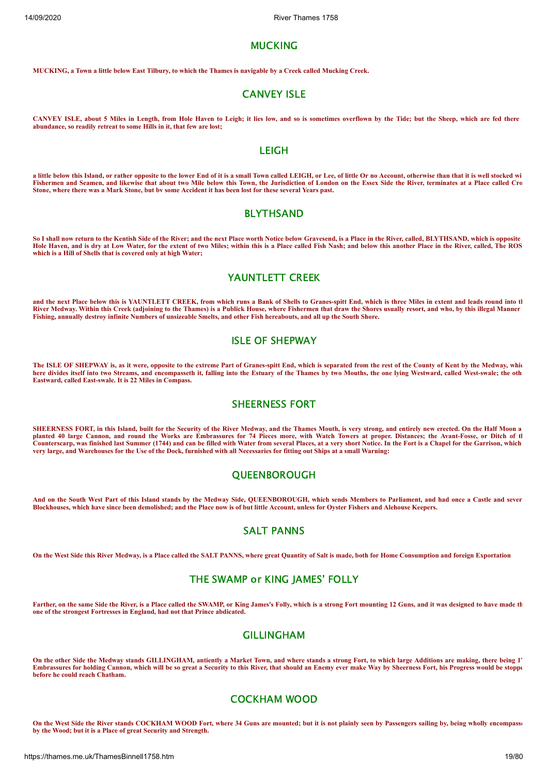#### **MUCKING**

**MUCKING, a Town a little below East Tilbury, to which the Thames is navigable by a Creek called Mucking Creek.**

#### CANVEY ISLE

**CANVEY ISLE, about 5 Miles in Length, from Hole Haven to Leigh; it lies low, and so is sometimes overflown by the Tide; but the Sheep, which are fed there abundance, so readily retreat to some Hills in it, that few are lost;**

# LEIGH

**a little below this Island, or rather opposite to the lower End of it is a small Town called LEIGH, or Lee, of little Or no Account, otherwise than that it is well stocked wi Fishermen and Seamen, and likewise that about two Mile below this Town, the Jurisdiction of London on the Essex Side the River, terminates at a Place called Cro Stone, where there was a Mark Stone, but bv some Accident it has been lost for these several Years past.**

#### BLYTHSAND

**So I shall now return to the Kentish Side of the River; and the next Place worth Notice below Gravesend, is a Place in the River, called, BLYTHSAND, which is opposite Hole Haven, and is dry at Low Water, for the extent of two Miles; within this is a Place called Fish Nash; and below this another Place in the River, called, The ROS which is a Hill of Shells that is covered only at high Water;**

# YAUNTLETT CREEK

**and the next Place below this is YAUNTLETT CREEK, from which runs a Bank of Shells to Granes-spitt End, which is three Miles in extent and leads round into th River Medway. Within this Creek (adjoining to the Thames) is a Publick House, where Fishermen that draw the Shores usually resort, and who, by this illegal Manner Fishing, annually destroy infinite Numbers of unsizeable Smelts, and other Fish hereabouts, and all up the South Shore.**

# ISLE OF SHEPWAY

**The ISLE OF SHEPWAY is, as it were, opposite to the extreme Part of Granes-spitt End, which is separated from the rest of the County of Kent by the Medway, whic here divides itself into two Streams, and encompasseth it, falling into the Estuary of the Thames by two Mouths, the one lying Westward, called West-swale; the oth Eastward, called East-swale. It is 22 Miles in Compass.**

#### SHEERNESS FORT

**SHEERNESS FORT, in this Island, built for the Security of the River Medway, and the Thames Mouth, is very strong, and entirely new erected. On the Half Moon a planted 40 large Cannon, and round the Works are Embrassures for 74 Pieces more, with Watch Towers at proper. Distances; the Avant-Fosse, or Ditch of th Counterscarp, was finished last Summer (1744) and can be filled with Water from several Places, at a very short Notice. In the Fort is a Chapel for the Garrison, which very large, and Warehouses for the Use of the Dock, furnished with all Necessaries for fitting out Ships at a small Warning:**

#### **OUEENBOROUGH**

**And on the South West Part of this Island stands by the Medway Side, QUEENBOROUGH, which sends Members to Parliament, and had once a Castle and sever Blockhouses, which have since been demolished; and the Place now is of but little Account, unless for Oyster Fishers and Alehouse Keepers.**

# SALT PANNS

**On the West Side this River Medway, is a Place called the SALT PANNS, where great Quantity of Salt is made, both for Home Consumption and foreign Exportation**

# THE SWAMP or KING JAMES' FOLLY

**Farther, on the same Side the River, is a Place called the SWAMP, or King James's Folly, which is a strong Fort mounting 12 Guns, and it was designed to have made th one of the strongest Fortresses in England, had not that Prince abdicated.**

#### GILLINGHAM

**On the other Side the Medway stands GILLINGHAM, antiently a Market Town, and where stands a strong Fort, to which large Additions are making, there being 17 Embrassures for holding Cannon, which will be so great a Security to this River, that should an Enemy ever make Way by Sheerness Fort, his Progress would be stoppe before he could reach Chatham.**

# COCKHAM WOOD

**On the West Side the River stands COCKHAM WOOD Fort, where 34 Guns are mounted; but it is not plainly seen by Passengers sailing by, being wholly encompasse by the Wood; but it is a Place of great Security and Strength.**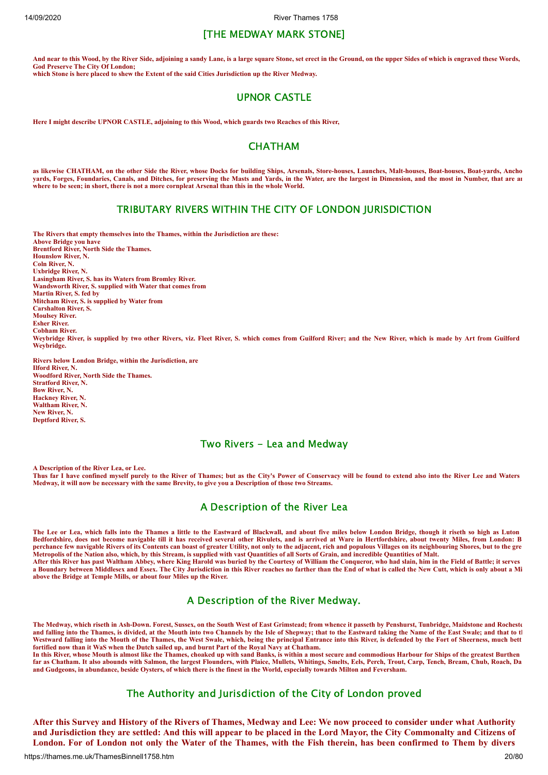# [THE MEDWAY MARK STONE]

**And near to this Wood, by the River Side, adjoining a sandy Lane, is a large square Stone, set erect in the Ground, on the upper Sides of which is engraved these Words, God Preserve The City Of London; which Stone is here placed to shew the Extent of the said Cities Jurisdiction up the River Medway.**

# UPNOR CASTLE

**Here I might describe UPNOR CASTLE, adjoining to this Wood, which guards two Reaches of this River,**

#### **CHATHAM**

**as likewise CHATHAM, on the other Side the River, whose Docks for building Ships, Arsenals, Store-houses, Launches, Malt-houses, Boat-houses, Boat-yards, Ancho yards, Forges, Foundaries, Canals, and Ditches, for preserving the Masts and Yards, in the Water, are the largest in Dimension, and the most in Number, that are an where to be seen; in short, there is not a more cornpleat Arsenal than this in the whole World.**

# TRIBUTARY RIVERS WITHIN THE CITY OF LONDON JURISDICTION

**The Rivers that empty themselves into the Thames, within the Jurisdiction are these: Above Bridge you have Brentford River, North Side the Thames. Hounslow River, N. Coln River, N. Uxbridge River, N. Lasingham River, S. has its Waters from Bromley River. Wandsworth River, S. supplied with Water that comes from Martin River, S. fed by Mitcham River, S. is supplied by Water from Carshalton River, S. Moulsey River. Esher River. Cobham River.** Weybridge River, is supplied by two other Rivers, viz. Fleet River, S. which comes from Guilford River; and the New River, which is made by Art from Guilford **Weybridge.**

**Rivers below London Bridge, within the Jurisdiction, are Ilford River, N. Woodford River, North Side the Thames. Stratford River, N. Bow River, N. Hackney River, N. Waltham River, N. New River, N. Deptford River, S.**

#### Two Rivers - Lea and Medway

**A Description of the River Lea, or Lee. Thus far I have confined myself purely to the River of Thames; but as the City's Power of Conservacy will be found to extend also into the River Lee and Waters Medway, it will now be necessary with the same Brevity, to give you a Description of those two Streams.**

# A Description of the River Lea

**The Lee or Lea, which falls into the Thames a little to the Eastward of Blackwall, and about five miles below London Bridge, though it riseth so high as Luton Bedfordshire, does not become navigable till it has received several other Rivulets, and is arrived at Ware in Hertfordshire, about twenty Miles, from London: B perchance few navigable Rivers of its Contents can boast of greater Utility, not only to the adjacent, rich and populous Villages on its neighbouring Shores, but to the gre Metropolis of the Nation also, which, by this Stream, is supplied with vast Quantities of all Sorts of Grain, and incredible Quantities of Malt. After this River has past Waltham Abbey, where King Harold was buried by the Courtesy of William the Conqueror, who had slain, him in the Field of Battle; it serves a Boundary between Middlesex and Essex. The City Jurisdiction in this River reaches no farther than the End of what is called the New Cutt, which is only about a Mi above the Bridge at Temple Mills, or about four Miles up the River.**

# A Description of the River Medway.

**The Medway, which riseth in Ash-Down. Forest, Sussex, on the South West of East Grimstead; from whence it passeth by Penshurst, Tunbridge, Maidstone and Rocheste and falling into the Thames, is divided, at the Mouth into two Channels by the Isle of Shepway; that to the Eastward taking the Name of the East Swale; and that to th Westward falling into the Mouth of the Thames, the West Swale, which, being the principal Entrance into this River, is defended by the Fort of Sheerness, much bett fortified now than it WaS when the Dutch sailed up, and burnt Part of the Royal Navy at Chatham.**

**In this River, whose Mouth is almost like the Thames, choaked up with sand Banks, is within a most secure and commodious Harbour for Ships of the greatest Burthen far as Chatham. It also abounds with Salmon, the largest Flounders, with Plaice, Mullets, Whitings, Smelts, Eels, Perch, Trout, Carp, Tench, Bream, Chub, Roach, Da and Gudgeons, in abundance, beside Oysters, of which there is the finest in the World, especially towards Milton and Feversham.**

# The Authority and Jurisdiction of the City of London proved

After this Survey and History of the Rivers of Thames, Medway and Lee: We now proceed to consider under what Authority and Jurisdiction they are settled: And this will appear to be placed in the Lord Mayor, the City Commonalty and Citizens of London. For of London not only the Water of the Thames, with the Fish therein, has been confirmed to Them by divers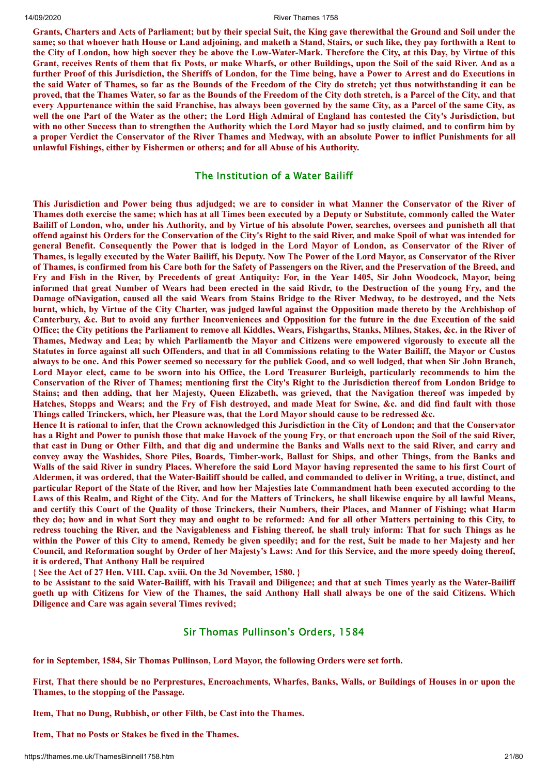Grants, Charters and Acts of Parliament; but by their special Suit, the King gave therewithal the Ground and Soil under the same; so that whoever hath House or Land adjoining, and maketh a Stand, Stairs, or such like, they pay forthwith a Rent to the City of London, how high soever they be above the Low-Water-Mark. Therefore the City, at this Day, by Virtue of this Grant, receives Rents of them that fix Posts, or make Wharfs, or other Buildings, upon the Soil of the said River. And as a further Proof of this Jurisdiction, the Sheriffs of London, for the Time being, have a Power to Arrest and do Executions in the said Water of Thames, so far as the Bounds of the Freedom of the City do stretch; yet thus notwithstanding it can be proved, that the Thames Water, so far as the Bounds of the Freedom of the City doth stretch, is a Parcel of the City, and that every Appurtenance within the said Franchise, has always been governed by the same City, as a Parcel of the same City, as well the one Part of the Water as the other; the Lord High Admiral of England has contested the City's Jurisdiction, but with no other Success than to strengthen the Authority which the Lord Mayor had so justly claimed, and to confirm him by a proper Verdict the Conservator of the River Thames and Medway, with an absolute Power to inflict Punishments for all **unlawful Fishings, either by Fishermen or others; and for all Abuse of his Authority.**

# The Institution of a Water Bailiff

This Jurisdiction and Power being thus adjudged; we are to consider in what Manner the Conservator of the River of Thames doth exercise the same; which has at all Times been executed by a Deputy or Substitute, commonly called the Water Bailiff of London, who, under his Authority, and by Virtue of his absolute Power, searches, oversees and punisheth all that offend against his Orders for the Conservation of the City's Right to the said River, and make Spoil of what was intended for general Benefit. Consequently the Power that is lodged in the Lord Mayor of London, as Conservator of the River of Thames, is legally executed by the Water Bailiff, his Deputy. Now The Power of the Lord Mayor, as Conservator of the River of Thames, is confirmed from his Care both for the Safety of Passengers on the River, and the Preservation of the Breed, and Fry and Fish in the River, by Precedents of great Antiquity: For, in the Year 1405, Sir John Woodcock, Mayor, being informed that great Number of Wears had been erected in the said Rivdr, to the Destruction of the young Fry, and the Damage of Navigation, caused all the said Wears from Stains Bridge to the River Medway, to be destroyed, and the Nets burnt, which, by Virtue of the City Charter, was judged lawful against the Opposition made thereto by the Archbishop of Canterbury, &c. But to avoid any further Inconveniences and Opposition for the future in the due Execution of the said Office; the City petitions the Parliament to remove all Kiddles, Wears, Fishgarths, Stanks, Milnes, Stakes, &c. in the River of Thames, Medway and Lea; by which Parliamentb the Mayor and Citizens were empowered vigorously to execute all the Statutes in force against all such Offenders, and that in all Commissions relating to the Water Bailiff, the Mayor or Custos always to be one. And this Power seemed so necessary for the publick Good, and so well lodged, that when Sir John Branch, Lord Mayor elect, came to be sworn into his Office, the Lord Treasurer Burleigh, particularly recommends to him the Conservation of the River of Thames; mentioning first the City's Right to the Jurisdiction thereof from London Bridge to Stains; and then adding, that her Majesty, Queen Elizabeth, was grieved, that the Navigation thereof was impeded by Hatches, Stopps and Wears; and the Fry of Fish destroved, and made Meat for Swine, &c. and did find fault with those **Things called Trinckers, which, her Pleasure was, that the Lord Mayor should cause to be redressed &c.**

Hence It is rational to infer, that the Crown acknowledged this Jurisdiction in the City of London; and that the Conservator has a Right and Power to punish those that make Havock of the young Fry, or that encroach upon the Soil of the said River, that cast in Dung or Other Filth, and that dig and undermine the Banks and Walls next to the said River, and carry and convey away the Washides, Shore Piles, Boards, Timber-work, Ballast for Ships, and other Things, from the Banks and Walls of the said River in sundry Places. Wherefore the said Lord Mayor having represented the same to his first Court of Aldermen, it was ordered, that the Water-Bailiff should be called, and commanded to deliver in Writing, a true, distinct, and particular Report of the State of the River, and how her Majesties late Commandment hath been executed according to the Laws of this Realm, and Right of the City. And for the Matters of Trinckers, he shall likewise enquire by all lawful Means, and certify this Court of the Ouality of those Trinckers, their Numbers, their Places, and Manner of Fishing; what Harm they do; how and in what Sort they may and ought to be reformed: And for all other Matters pertaining to this City, to redress touching the River, and the Navigableness and Fishing thereof, he shall truly inform: That for such Things as he within the Power of this City to amend, Remedy be given speedily; and for the rest, Suit be made to her Majesty and her Council, and Reformation sought by Order of her Majesty's Laws: And for this Service, and the more speedy doing thereof, **it is ordered, That Anthony Hall be required**

**{ See the Act of 27 Hen. VIII. Cap. xviii. On the 3d November, 1580. }**

to be Assistant to the said Water-Bailiff, with his Travail and Diligence; and that at such Times yearly as the Water-Bailiff goeth up with Citizens for View of the Thames, the said Anthony Hall shall always be one of the said Citizens. Which **Diligence and Care was again several Times revived;**

#### Sir Thomas Pullinson's Orders, 1584

**for in September, 1584, Sir Thomas Pullinson, Lord Mayor, the following Orders were set forth.**

First, That there should be no Perprestures, Encroachments, Wharfes, Banks, Walls, or Buildings of Houses in or upon the **Thames, to the stopping of the Passage.**

**Item, That no Dung, Rubbish, or other Filth, be Cast into the Thames.**

**Item, That no Posts or Stakes be fixed in the Thames.**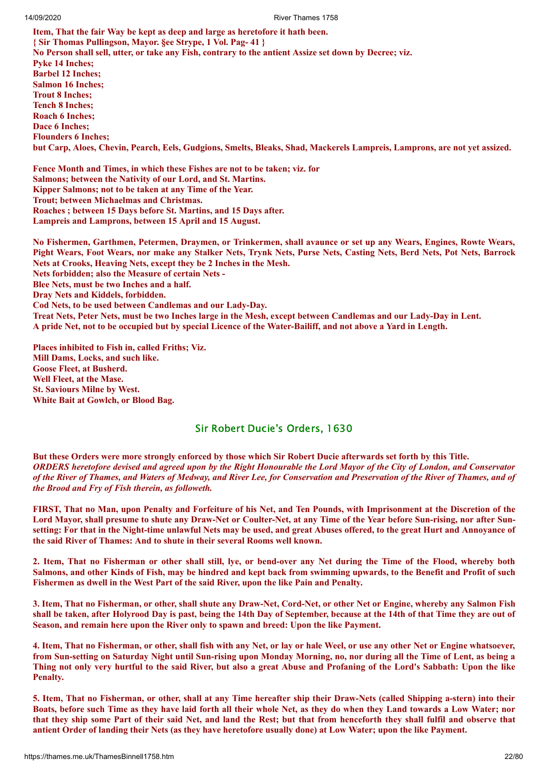**Item, That the fair Way be kept as deep and large as heretofore it hath been. { Sir Thomas Pullingson, Mayor. §ee Strype, 1 Vol. Pag- 41 }** No Person shall sell, utter, or take any Fish, contrary to the antient Assize set down by Decree; viz. **Pyke 14 Inches; Barbel 12 Inches; Salmon 16 Inches; Trout 8 Inches; Tench 8 Inches; Roach 6 Inches; Dace 6 Inches; Flounders 6 Inches;** but Carp, Aloes, Chevin, Pearch, Eels, Gudgions, Smelts, Bleaks, Shad, Mackerels Lampreis, Lamprons, are not yet assized.

**Fence Month and Times, in which these Fishes are not to be taken; viz. for Salmons; between the Nativity of our Lord, and St. Martins. Kipper Salmons; not to be taken at any Time of the Year. Trout; between Michaelmas and Christmas. Roaches ; between 15 Days before St. Martins, and 15 Days after. Lampreis and Lamprons, between 15 April and 15 August.**

No Fishermen, Garthmen, Petermen, Draymen, or Trinkermen, shall avaunce or set up any Wears, Engines, Rowte Wears, Pight Wears, Foot Wears, nor make any Stalker Nets, Trynk Nets, Purse Nets, Casting Nets, Berd Nets, Pot Nets, Barrock **Nets at Crooks, Heaving Nets, except they be 2 Inches in the Mesh. Nets forbidden; also the Measure of certain Nets - Blee Nets, must be two Inches and a half. Dray Nets and Kiddels, forbidden. Cod Nets, to be used between Candlemas and our Lady-Day.** Treat Nets, Peter Nets, must be two Inches large in the Mesh, except between Candlemas and our Lady-Day in Lent. A pride Net, not to be occupied but by special Licence of the Water-Bailiff, and not above a Yard in Length.

**Places inhibited to Fish in, called Friths; Viz. Mill Dams, Locks, and such like. Goose Fleet, at Busherd. Well Fleet, at the Mase. St. Saviours Milne by West. White Bait at Gowlch, or Blood Bag.**

# Sir Robert Ducie's Orders, 1630

But these Orders were more strongly enforced by those which Sir Robert Ducie afterwards set forth by this Title. **ORDERS** heretofore devised and agreed upon by the Right Honourable the Lord Mayor of the City of London, and Conservator of the River of Thames, and Waters of Medway, and River Lee, for Conservation and Preservation of the River of Thames, and of *the Brood and Fry of Fish therein, as followeth.*

FIRST, That no Man, upon Penalty and Forfeiture of his Net, and Ten Pounds, with Imprisonment at the Discretion of the Lord Mayor, shall presume to shute any Draw-Net or Coulter-Net, at any Time of the Year before Sun-rising, nor after Sunsetting: For that in the Night-time unlawful Nets may be used, and great Abuses offered, to the great Hurt and Annovance of **the said River of Thames: And to shute in their several Rooms well known.**

2. Item, That no Fisherman or other shall still, lye, or bend-over any Net during the Time of the Flood, whereby both Salmons, and other Kinds of Fish, may be hindred and kept back from swimming upwards, to the Benefit and Profit of such **Fishermen as dwell in the West Part of the said River, upon the like Pain and Penalty.**

3. Item, That no Fisherman, or other, shall shute any Draw-Net, Cord-Net, or other Net or Engine, whereby any Salmon Fish shall be taken, after Holyrood Day is past, being the 14th Day of September, because at the 14th of that Time they are out of **Season, and remain here upon the River only to spawn and breed: Upon the like Payment.**

4. Item, That no Fisherman, or other, shall fish with any Net, or lay or hale Weel, or use any other Net or Engine whatsoever, from Sun-setting on Saturday Night until Sun-rising upon Monday Morning, no, nor during all the Time of Lent, as being a Thing not only very hurtful to the said River, but also a great Abuse and Profaning of the Lord's Sabbath: Upon the like **Penalty.**

5. Item, That no Fisherman, or other, shall at any Time hereafter ship their Draw-Nets (called Shipping a-stern) into their Boats, before such Time as they have laid forth all their whole Net, as they do when they Land towards a Low Water; nor that they ship some Part of their said Net, and land the Rest; but that from henceforth they shall fulfil and observe that antient Order of landing their Nets (as they have heretofore usually done) at Low Water; upon the like Payment.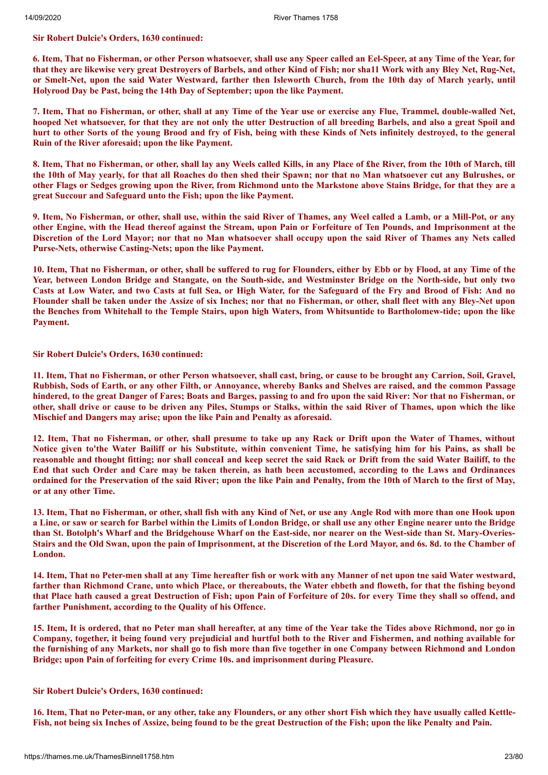**Sir Robert Dulcie's Orders, 1630 continued:**

6. Item, That no Fisherman, or other Person whatsoever, shall use any Speer called an Eel-Speer, at any Time of the Year, for that they are likewise very great Destrovers of Barbels, and other Kind of Fish; nor shall Work with any Bley Net, Rug-Net, or Smelt-Net, upon the said Water Westward, farther then Isleworth Church, from the 10th day of March yearly, until **Holyrood Day be Past, being the 14th Day of September; upon the like Payment.**

7. Item, That no Fisherman, or other, shall at any Time of the Year use or exercise any Flue, Trammel, double-walled Net, hooped Net whatsoever, for that they are not only the utter Destruction of all breeding Barbels, and also a great Spoil and hurt to other Sorts of the young Brood and fry of Fish, being with these Kinds of Nets infinitely destroyed, to the general **Ruin of the River aforesaid; upon the like Payment.**

8. Item, That no Fisherman, or other, shall lay any Weels called Kills, in any Place of the River, from the 10th of March, till the 10th of May yearly, for that all Roaches do then shed their Spawn; nor that no Man whatsoever cut any Bulrushes, or other Flags or Sedges growing upon the River, from Richmond unto the Markstone above Stains Bridge, for that they are a **great Succour and Safeguard unto the Fish; upon the like Payment.**

9. Item, No Fisherman, or other, shall use, within the said River of Thames, any Weel called a Lamb, or a Mill-Pot, or any other Engine, with the Head thereof against the Stream, upon Pain or Forfeiture of Ten Pounds, and Imprisonment at the Discretion of the Lord Mayor; nor that no Man whatsoever shall occupy upon the said River of Thames any Nets called **Purse-Nets, otherwise Casting-Nets; upon the like Payment.**

10. Item, That no Fisherman, or other, shall be suffered to rug for Flounders, either by Ebb or by Flood, at any Time of the Year, between London Bridge and Stangate, on the South-side, and Westminster Bridge on the North-side, but only two Casts at Low Water, and two Casts at full Sea, or High Water, for the Safeguard of the Fry and Brood of Fish: And no Flounder shall be taken under the Assize of six Inches; nor that no Fisherman, or other, shall fleet with any Bley-Net upon the Benches from Whitehall to the Temple Stairs, upon high Waters, from Whitsuntide to Bartholomew-tide; upon the like **Payment.**

**Sir Robert Dulcie's Orders, 1630 continued:**

11. Item, That no Fisherman, or other Person whatsoever, shall cast, bring, or cause to be brought any Carrion, Soil, Gravel, Rubbish, Sods of Earth, or any other Filth, or Annoyance, whereby Banks and Shelves are raised, and the common Passage hindered, to the great Danger of Fares; Boats and Barges, passing to and fro upon the said River: Nor that no Fisherman, or other, shall drive or cause to be driven any Piles, Stumps or Stalks, within the said River of Thames, upon which the like **Mischief and Dangers may arise; upon the like Pain and Penalty as aforesaid.**

12. Item, That no Fisherman, or other, shall presume to take up any Rack or Drift upon the Water of Thames, without Notice given to'the Water Bailiff or his Substitute, within convenient Time, he satisfying him for his Pains, as shall be reasonable and thought fitting; nor shall conceal and keep secret the said Rack or Drift from the said Water Bailiff, to the End that such Order and Care may be taken therein, as hath been accustomed, according to the Laws and Ordinances ordained for the Preservation of the said River; upon the like Pain and Penalty, from the 10th of March to the first of May, **or at any other Time.**

13. Item, That no Fisherman, or other, shall fish with any Kind of Net, or use any Angle Rod with more than one Hook upon a Line, or saw or search for Barbel within the Limits of London Bridge, or shall use any other Engine nearer unto the Bridge than St. Botolph's Wharf and the Bridgehouse Wharf on the East-side, nor nearer on the West-side than St. Mary-Overies-Stairs and the Old Swan, upon the pain of Imprisonment, at the Discretion of the Lord Mayor, and 6s. 8d. to the Chamber of **London.**

14. Item, That no Peter-men shall at any Time hereafter fish or work with any Manner of net upon tne said Water westward, farther than Richmond Crane, unto which Place, or thereabouts, the Water ebbeth and floweth, for that the fishing beyond that Place hath caused a great Destruction of Fish; upon Pain of Forfeiture of 20s. for every Time they shall so offend, and **farther Punishment, according to the Quality of his Offence.**

15. Item, It is ordered, that no Peter man shall hereafter, at any time of the Year take the Tides above Richmond, nor go in Company, together, it being found very prejudicial and hurtful both to the River and Fishermen, and nothing available for the furnishing of any Markets, nor shall go to fish more than five together in one Company between Richmond and London **Bridge; upon Pain of forfeiting for every Crime 10s. and imprisonment during Pleasure.**

**Sir Robert Dulcie's Orders, 1630 continued:**

16. Item, That no Peter-man, or any other, take any Flounders, or any other short Fish which they have usually called Kettle-Fish, not being six Inches of Assize, being found to be the great Destruction of the Fish; upon the like Penalty and Pain.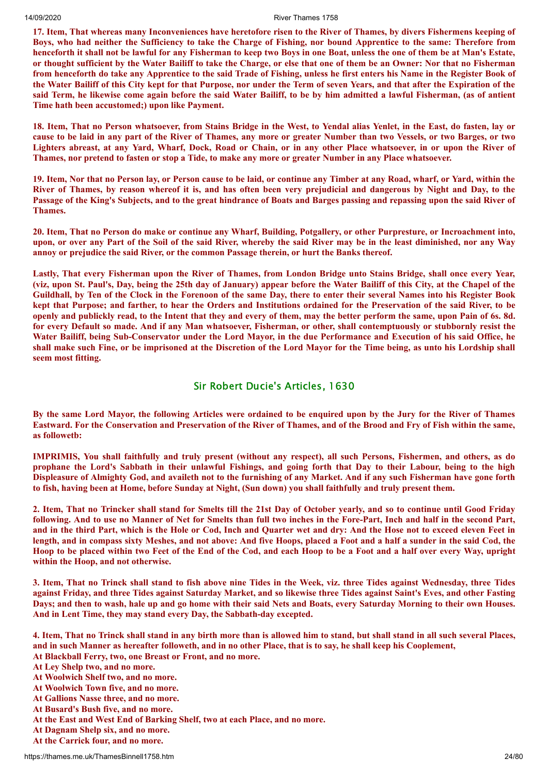17. Item, That whereas many Inconveniences have heretofore risen to the River of Thames, by divers Fishermens keeping of Boys, who had neither the Sufficiency to take the Charge of Fishing, nor bound Apprentice to the same: Therefore from henceforth it shall not be lawful for any Fisherman to keep two Boys in one Boat, unless the one of them be at Man's Estate, or thought sufficient by the Water Bailiff to take the Charge, or else that one of them be an Owner: Nor that no Fisherman from henceforth do take any Apprentice to the said Trade of Fishing, unless he first enters his Name in the Register Book of the Water Bailiff of this City kept for that Purpose, nor under the Term of seven Years, and that after the Expiration of the said Term, he likewise come again before the said Water Bailiff, to be by him admitted a lawful Fisherman, (as of antient **Time hath been accustomed;) upon like Payment.**

18. Item, That no Person whatsoever, from Stains Bridge in the West, to Yendal alias Yenlet, in the East, do fasten, lay or cause to be laid in any part of the River of Thames, any more or greater Number than two Vessels, or two Barges, or two Lighters abreast, at any Yard, Wharf, Dock, Road or Chain, or in any other Place whatsoever, in or upon the River of Thames, nor pretend to fasten or stop a Tide, to make any more or greater Number in any Place whatsoever.

19. Item, Nor that no Person lay, or Person cause to be laid, or continue any Timber at any Road, wharf, or Yard, within the River of Thames, by reason whereof it is, and has often been very prejudicial and dangerous by Night and Day, to the Passage of the King's Subjects, and to the great hindrance of Boats and Barges passing and repassing upon the said River of **Thames.**

20. Item, That no Person do make or continue any Wharf, Building, Potgallery, or other Purpresture, or Incroachment into, upon, or over any Part of the Soil of the said River, whereby the said River may be in the least diminished, nor any Way **annoy or prejudice the said River, or the common Passage therein, or hurt the Banks thereof.**

Lastly, That every Fisherman upon the River of Thames, from London Bridge unto Stains Bridge, shall once every Year, (viz, upon St. Paul's, Day, being the 25th day of January) appear before the Water Bailiff of this City, at the Chapel of the Guildhall, by Ten of the Clock in the Forenoon of the same Day, there to enter their several Names into his Register Book kept that Purpose; and farther, to hear the Orders and Institutions ordained for the Preservation of the said River, to be openly and publickly read, to the Intent that they and every of them, may the better perform the same, upon Pain of 6s. 8d. for every Default so made. And if any Man whatsoever, Fisherman, or other, shall contemptuously or stubbornly resist the Water Bailiff, being Sub-Conservator under the Lord Mayor, in the due Performance and Execution of his said Office, he shall make such Fine, or be imprisoned at the Discretion of the Lord Mayor for the Time being, as unto his Lordship shall **seem most fitting.**

# Sir Robert Ducie's Articles, 1630

By the same Lord Mayor, the following Articles were ordained to be enquired upon by the Jury for the River of Thames Eastward. For the Conservation and Preservation of the River of Thames, and of the Brood and Fry of Fish within the same, **as followetb:**

IMPRIMIS, You shall faithfully and truly present (without any respect), all such Persons, Fishermen, and others, as do prophane the Lord's Sabbath in their unlawful Fishings, and going forth that Day to their Labour, being to the high Displeasure of Almighty God, and availeth not to the furnishing of any Market. And if any such Fisherman have gone forth to fish, having been at Home, before Sunday at Night, (Sun down) you shall faithfully and truly present them.

2. Item, That no Trincker shall stand for Smelts till the 21st Day of October yearly, and so to continue until Good Friday following. And to use no Manner of Net for Smelts than full two inches in the Fore-Part, Inch and half in the second Part, and in the third Part, which is the Hole or Cod. Inch and Ouarter wet and dry: And the Hose not to exceed eleven Feet in length, and in compass sixty Meshes, and not above: And five Hoops, placed a Foot and a half a sunder in the said Cod, the Hoop to be placed within two Feet of the End of the Cod, and each Hoop to be a Foot and a half over every Way, upright **within the Hoop, and not otherwise.**

3. Item, That no Trinck shall stand to fish above nine Tides in the Week, viz. three Tides against Wednesday, three Tides against Friday, and three Tides against Saturday Market, and so likewise three Tides against Saint's Eves, and other Fasting Days; and then to wash, hale up and go home with their said Nets and Boats, every Saturday Morning to their own Houses. **And in Lent Time, they may stand every Day, the Sabbath-day excepted.**

4. Item, That no Trinck shall stand in any birth more than is allowed him to stand, but shall stand in all such several Places, and in such Manner as hereafter followeth, and in no other Place, that is to say, he shall keep his Cooplement, **At Blackball Ferry, two, one Breast or Front, and no more.**

**At Ley Shelp two, and no more.**

- **At Woolwich Shelf two, and no more.**
- **At Woolwich Town five, and no more.**
- **At Gallions Nasse three, and no more.**
- **At Busard's Bush five, and no more.**
- **At the East and West End of Barking Shelf, two at each Place, and no more.**
- **At Dagnam Shelp six, and no more.**
- **At the Carrick four, and no more.**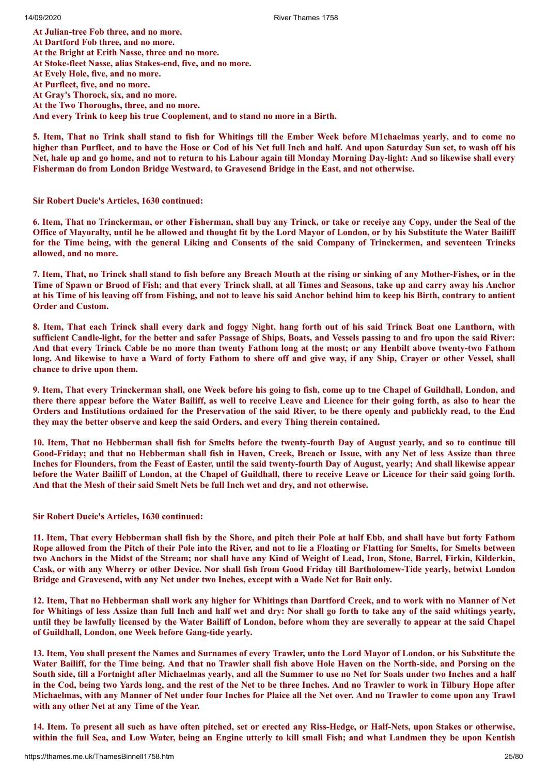**At Julian-tree Fob three, and no more. At Dartford Fob three, and no more. At the Bright at Erith Nasse, three and no more. At Stoke-fleet Nasse, alias Stakes-end, five, and no more. At Evely Hole, five, and no more. At Purfleet, five, and no more. At Gray's Thorock, six, and no more. At the Two Thoroughs, three, and no more. And every Trink to keep his true Cooplement, and to stand no more in a Birth.**

5. Item, That no Trink shall stand to fish for Whitings till the Ember Week before M1chaelmas vearly, and to come no higher than Purfleet, and to have the Hose or Cod of his Net full Inch and half. And upon Saturday Sun set, to wash off his Net, hale up and go home, and not to return to his Labour again till Monday Morning Day-light: And so likewise shall every **Fisherman do from London Bridge Westward, to Gravesend Bridge in the East, and not otherwise.**

**Sir Robert Ducie's Articles, 1630 continued:**

6. Item, That no Trinckerman, or other Fisherman, shall buy any Trinck, or take or receive any Copy, under the Seal of the Office of Mayoralty, until he be allowed and thought fit by the Lord Mayor of London, or by his Substitute the Water Bailiff for the Time being, with the general Liking and Consents of the said Company of Trinckermen, and seventeen Trincks **allowed, and no more.**

7. Item, That, no Trinck shall stand to fish before any Breach Mouth at the rising or sinking of any Mother-Fishes, or in the Time of Spawn or Brood of Fish; and that every Trinck shall, at all Times and Seasons, take up and carry away his Anchor at his Time of his leaving off from Fishing, and not to leave his said Anchor behind him to keep his Birth, contrary to antient **Order and Custom.**

8. Item, That each Trinck shall every dark and foggy Night, hang forth out of his said Trinck Boat one Lanthorn, with sufficient Candle-light, for the better and safer Passage of Ships, Boats, and Vessels passing to and fro upon the said River: And that every Trinck Cable be no more than twenty Fathom long at the most; or any Henbilt above twenty-two Fathom long. And likewise to have a Ward of forty Fathom to shere off and give way, if any Ship, Craver or other Vessel, shall **chance to drive upon them.**

9. Item, That every Trinckerman shall, one Week before his going to fish, come up to the Chapel of Guildhall, London, and there there appear before the Water Bailiff, as well to receive Leave and Licence for their going forth, as also to hear the Orders and Institutions ordained for the Preservation of the said River, to be there openly and publickly read, to the End **they may the better observe and keep the said Orders, and every Thing therein contained.**

10. Item, That no Hebberman shall fish for Smelts before the twenty-fourth Day of August yearly, and so to continue till Good-Friday; and that no Hebberman shall fish in Haven, Creek, Breach or Issue, with any Net of less Assize than three Inches for Flounders, from the Feast of Easter, until the said twenty-fourth Day of August, yearly; And shall likewise appear before the Water Bailiff of London, at the Chapel of Guildhall, there to receive Leave or Licence for their said going forth. **And that the Mesh of their said Smelt Nets be full Inch wet and dry, and not otherwise.**

**Sir Robert Ducie's Articles, 1630 continued:**

11. Item, That every Hebberman shall fish by the Shore, and pitch their Pole at half Ebb, and shall have but forty Fathom Rope allowed from the Pitch of their Pole into the River, and not to lie a Floating or Flatting for Smelts, for Smelts between two Anchors in the Midst of the Stream; nor shall have any Kind of Weight of Lead, Iron, Stone, Barrel, Firkin, Kilderkin, Cask, or with any Wherry or other Device. Nor shall fish from Good Friday till Bartholomew-Tide yearly, betwixt London **Bridge and Gravesend, with any Net under two Inches, except with a Wade Net for Bait only.**

12. Item, That no Hebberman shall work any higher for Whitings than Dartford Creek, and to work with no Manner of Net for Whitings of less Assize than full Inch and half wet and dry: Nor shall go forth to take any of the said whitings yearly, until they be lawfully licensed by the Water Bailiff of London, before whom they are severally to appear at the said Chapel **of Guildhall, London, one Week before Gang-tide yearly.**

13. Item, You shall present the Names and Surnames of every Trawler, unto the Lord Mayor of London, or his Substitute the Water Bailiff, for the Time being. And that no Trawler shall fish above Hole Haven on the North-side, and Porsing on the South side, till a Fortnight after Michaelmas yearly, and all the Summer to use no Net for Soals under two Inches and a half in the Cod, being two Yards long, and the rest of the Net to be three Inches. And no Trawler to work in Tilbury Hope after Michaelmas, with any Manner of Net under four Inches for Plaice all the Net over. And no Trawler to come upon any Trawl **with any other Net at any Time of the Year.**

14. Item. To present all such as have often pitched, set or erected any Riss-Hedge, or Half-Nets, upon Stakes or otherwise, within the full Sea, and Low Water, being an Engine utterly to kill small Fish; and what Landmen they be upon Kentish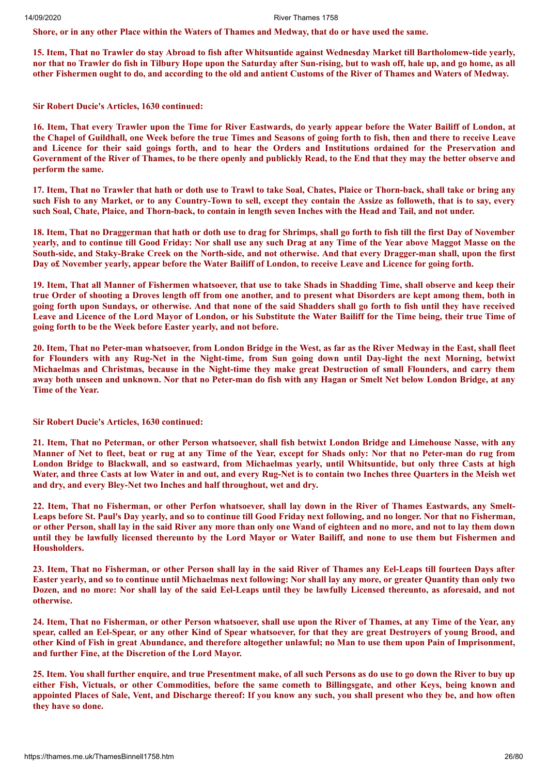Shore, or in any other Place within the Waters of Thames and Medway, that do or have used the same.

15. Item, That no Trawler do stay Abroad to fish after Whitsuntide against Wednesday Market till Bartholomew-tide yearly, nor that no Trawler do fish in Tilbury Hope upon the Saturday after Sun-rising, but to wash off, hale up, and go home, as all other Fishermen ought to do, and according to the old and antient Customs of the River of Thames and Waters of Medway.

**Sir Robert Ducie's Articles, 1630 continued:**

16. Item, That every Trawler upon the Time for River Eastwards, do vearly appear before the Water Bailiff of London, at the Chapel of Guildhall, one Week before the true Times and Seasons of going forth to fish, then and there to receive Leave and Licence for their said goings forth, and to hear the Orders and Institutions ordained for the Preservation and Government of the River of Thames, to be there openly and publickly Read, to the End that they may the better observe and **perform the same.**

17. Item, That no Trawler that hath or doth use to Trawl to take Soal, Chates, Plaice or Thorn-back, shall take or bring any such Fish to any Market, or to any Country-Town to sell, except they contain the Assize as followeth, that is to say, every such Soal, Chate, Plaice, and Thorn-back, to contain in length seven Inches with the Head and Tail, and not under.

18. Item, That no Draggerman that hath or doth use to drag for Shrimps, shall go forth to fish till the first Day of November vearly, and to continue till Good Friday: Nor shall use any such Drag at any Time of the Year above Maggot Masse on the South-side, and Staky-Brake Creek on the North-side, and not otherwise. And that every Dragger-man shall, upon the first Day of November yearly, appear before the Water Bailiff of London, to receive Leave and Licence for going forth.

19. Item, That all Manner of Fishermen whatsoever, that use to take Shads in Shadding Time, shall observe and keep their true Order of shooting a Droves length off from one another, and to present what Disorders are kept among them, both in going forth upon Sundays, or otherwise. And that none of the said Shadders shall go forth to fish until they have received Leave and Licence of the Lord Mayor of London, or his Substitute the Water Bailiff for the Time being, their true Time of **going forth to be the Week before Easter yearly, and not before.**

20. Item, That no Peter-man whatsoever, from London Bridge in the West, as far as the River Medway in the East, shall fleet for Flounders with any Rug-Net in the Night-time, from Sun going down until Day-light the next Morning, betwixt Michaelmas and Christmas, because in the Night-time they make great Destruction of small Flounders, and carry them away both unseen and unknown. Nor that no Peter-man do fish with any Hagan or Smelt Net below London Bridge, at any **Time of the Year.**

**Sir Robert Ducie's Articles, 1630 continued:**

21. Item, That no Peterman, or other Person whatsoever, shall fish betwixt London Bridge and Limehouse Nasse, with any Manner of Net to fleet, beat or rug at any Time of the Year, except for Shads only: Nor that no Peter-man do rug from London Bridge to Blackwall, and so eastward, from Michaelmas yearly, until Whitsuntide, but only three Casts at high Water, and three Casts at low Water in and out, and every Rug-Net is to contain two Inches three Quarters in the Meish wet **and dry, and every Bley-Net two Inches and half throughout, wet and dry.**

22. Item, That no Fisherman, or other Perfon whatsoever, shall lay down in the River of Thames Eastwards, any Smelt-Leaps before St. Paul's Day yearly, and so to continue till Good Friday next following, and no longer. Nor that no Fisherman, or other Person, shall lay in the said River any more than only one Wand of eighteen and no more, and not to lay them down until they be lawfully licensed thereunto by the Lord Mayor or Water Bailiff, and none to use them but Fishermen and **Housholders.**

23. Item, That no Fisherman, or other Person shall lay in the said River of Thames any Eel-Leaps till fourteen Days after Easter yearly, and so to continue until Michaelmas next following: Nor shall lay any more, or greater Quantity than only two Dozen, and no more: Nor shall lay of the said Eel-Leaps until they be lawfully Licensed thereunto, as aforesaid, and not **otherwise.**

24. Item, That no Fisherman, or other Person whatsoever, shall use upon the River of Thames, at any Time of the Year, any spear, called an Eel-Spear, or any other Kind of Spear whatsoever, for that they are great Destroyers of young Brood, and other Kind of Fish in great Abundance, and therefore altogether unlawful; no Man to use them upon Pain of Imprisonment, **and further Fine, at the Discretion of the Lord Mayor.**

25. Item. You shall further enquire, and true Presentment make, of all such Persons as do use to go down the River to buy up either Fish, Victuals, or other Commodities, before the same cometh to Billingsgate, and other Keys, being known and appointed Places of Sale, Vent, and Discharge thereof: If you know any such, you shall present who they be, and how often **they have so done.**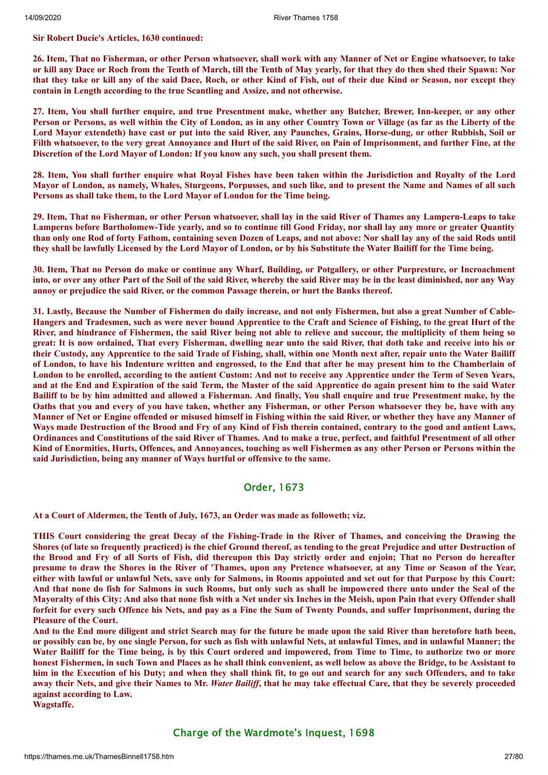#### **Sir Robert Ducie's Articles, 1630 continued:**

26. Item, That no Fisherman, or other Person whatsoever, shall work with any Manner of Net or Engine whatsoever, to take or kill any Dace or Roch from the Tenth of March, till the Tenth of May yearly, for that they do then shed their Spawn: Nor that they take or kill any of the said Dace. Roch, or other Kind of Fish, out of their due Kind or Season, nor except they **contain in Length according to the true Scantling and Assize, and not otherwise.**

27. Item, You shall further enquire, and true Presentment make, whether any Butcher, Brewer, Inn-keeper, or any other Person or Persons, as well within the City of London, as in any other Country Town or Village (as far as the Liberty of the Lord Mayor extendeth) have cast or put into the said River, any Paunches, Grains, Horse-dung, or other Rubbish, Soil or Filth whatsoever, to the very great Annoyance and Hurt of the said River, on Pain of Imprisonment, and further Fine, at the **Discretion of the Lord Mayor of London: If you know any such, you shall present them.**

28. Item, You shall further enquire what Royal Fishes have been taken within the Jurisdiction and Royalty of the Lord Mayor of London, as namely, Whales, Sturgeons, Porpusses, and such like, and to present the Name and Names of all such **Persons as shall take them, to the Lord Mayor of London for the Time being.**

29. Item, That no Fisherman, or other Person whatsoever, shall lay in the said River of Thames any Lampern-Leaps to take Lamperns before Bartholomew-Tide yearly, and so to continue till Good Friday, nor shall lay any more or greater Quantity than only one Rod of forty Fathom, containing seven Dozen of Leaps, and not above: Nor shall lay any of the said Rods until they shall be lawfully Licensed by the Lord Mayor of London, or by his Substitute the Water Bailiff for the Time being.

30. Item, That no Person do make or continue any Wharf, Building, or Potgallery, or other Purpresture, or Incroachment into, or over any other Part of the Soil of the said River, whereby the said River may be in the least diminished, nor any Way **annoy or prejudice the said River, or the common Passage therein, or hurt the Banks thereof.**

31. Lastly, Because the Number of Fishermen do daily increase, and not only Fishermen, but also a great Number of Cable-Hangers and Tradesmen, such as were never bound Apprentice to the Craft and Science of Fishing, to the great Hurt of the River, and hindrance of Fishermen, the said River being not able to relieve and succour, the multiplicity of them being so great: It is now ordained, That every Fisherman, dwelling near unto the said River, that doth take and receive into his or their Custody, any Apprentice to the said Trade of Fishing, shall, within one Month next after, repair unto the Water Bailiff of London, to have his Indenture written and engrossed, to the End that after he may present him to the Chamberlain of London to be enrolled, according to the antient Custom: And not to receive any Apprentice under the Term of Seven Years, and at the End and Expiration of the said Term, the Master of the said Apprentice do again present him to the said Water Bailiff to be by him admitted and allowed a Fisherman. And finally, You shall enquire and true Presentment make, by the Oaths that you and every of you have taken, whether any Fisherman, or other Person whatsoever they be, have with any Manner of Net or Engine offended or misused himself in Fishing within the said River, or whether they have any Manner of Ways made Destruction of the Brood and Fry of any Kind of Fish therein contained, contrary to the good and antient Laws, Ordinances and Constitutions of the said River of Thames. And to make a true, perfect, and faithful Presentment of all other Kind of Enormities, Hurts, Offences, and Annoyances, touching as well Fishermen as any other Person or Persons within the **said Jurisdiction, being any manner of Ways hurtful or offensive to the same.**

# Order, 1673

**At a Court of Aldermen, the Tenth of July, 1673, an Order was made as followeth; viz.**

THIS Court considering the great Decay of the Fishing-Trade in the River of Thames, and conceiving the Drawing the Shores (of late so frequently practiced) is the chief Ground thereof, as tending to the great Prejudice and utter Destruction of the Brood and Fry of all Sorts of Fish, did thereupon this Day strictly order and enjoin; That no Person do hereafter presume to draw the Shores in the River of 'Thames, upon any Pretence whatsoever, at any Time or Season of the Year, either with lawful or unlawful Nets, save only for Salmons, in Rooms appointed and set out for that Purpose by this Court: And that none do fish for Salmons in such Rooms, but only such as shall be impowered there unto under the Seal of the Mayoralty of this City: And also that none fish with a Net under six Inches in the Meish, upon Pain that every Offender shall forfeit for every such Offence his Nets, and pay as a Fine the Sum of Twenty Pounds, and suffer Imprisonment, during the **Pleasure of the Court.**

And to the End more diligent and strict Search may for the future be made upon the said River than heretofore hath been, or possibly can be, by one single Person, for such as fish with unlawful Nets, at unlawful Times, and in unlawful Manner; the Water Bailiff for the Time being, is by this Court ordered and impowered, from Time to Time, to authorize two or more honest Fishermen, in such Town and Places as he shall think convenient, as well below as above the Bridge, to be Assistant to him in the Execution of his Duty; and when they shall think fit, to go out and search for any such Offenders, and to take away their Nets, and give their Names to Mr. Water Bailiff, that he may take effectual Care, that they be severely proceeded **against according to Law.**

**Wagstaffe.**

# Charge of the Wardmote's Inquest, 1698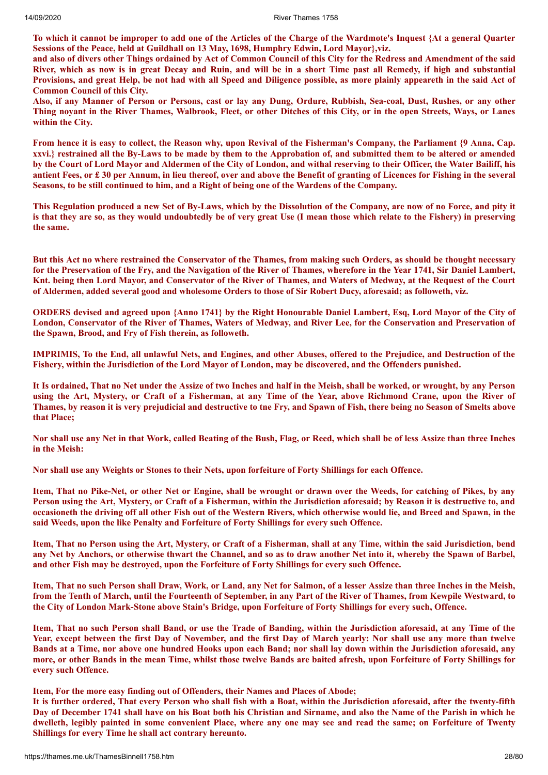To which it cannot be improper to add one of the Articles of the Charge of the Wardmote's Inquest {At a general Quarter **Sessions of the Peace, held at Guildhall on 13 May, 1698, Humphry Edwin, Lord Mayor},viz.**

and also of divers other Things ordained by Act of Common Council of this City for the Redress and Amendment of the said River, which as now is in great Decay and Ruin, and will be in a short Time past all Remedy, if high and substantial Provisions, and great Help, be not had with all Speed and Diligence possible, as more plainly appeareth in the said Act of **Common Council of this City.**

Also, if any Manner of Person or Persons, cast or lay any Dung, Ordure, Rubbish, Sea-coal, Dust, Rushes, or any other Thing noyant in the River Thames, Walbrook, Fleet, or other Ditches of this City, or in the open Streets, Ways, or Lanes **within the City.**

From hence it is easy to collect, the Reason why, upon Revival of the Fisherman's Company, the Parliament {9 Anna, Cap. xxvi.} restrained all the By-Laws to be made by them to the Approbation of, and submitted them to be altered or amended by the Court of Lord Mayor and Aldermen of the City of London, and withal reserving to their Officer, the Water Bailiff, his antient Fees, or £30 per Annum, in lieu thereof, over and above the Benefit of granting of Licences for Fishing in the several Seasons, to be still continued to him, and a Right of being one of the Wardens of the Company.

This Regulation produced a new Set of By-Laws, which by the Dissolution of the Company, are now of no Force, and pity it is that they are so, as they would undoubtedly be of very great Use (I mean those which relate to the Fishery) in preserving **the same.**

But this Act no where restrained the Conservator of the Thames, from making such Orders, as should be thought necessary for the Preservation of the Fry, and the Navigation of the River of Thames, wherefore in the Year 1741, Sir Daniel Lambert, Knt. being then Lord Mayor, and Conservator of the River of Thames, and Waters of Medway, at the Request of the Court of Aldermen, added several good and wholesome Orders to those of Sir Robert Ducy, aforesaid; as followeth, viz.

ORDERS devised and agreed upon {Anno 1741} by the Right Honourable Daniel Lambert, Esq, Lord Mayor of the City of London, Conservator of the River of Thames, Waters of Medway, and River Lee, for the Conservation and Preservation of **the Spawn, Brood, and Fry of Fish therein, as followeth.**

**IMPRIMIS, To the End, all unlawful Nets, and Engines, and other Abuses, offered to the Prejudice, and Destruction of the** Fishery, within the Jurisdiction of the Lord Mayor of London, may be discovered, and the Offenders punished.

It Is ordained, That no Net under the Assize of two Inches and half in the Meish, shall be worked, or wrought, by any Person using the Art, Mystery, or Craft of a Fisherman, at any Time of the Year, above Richmond Crane, upon the River of Thames, by reason it is very prejudicial and destructive to tne Fry, and Spawn of Fish, there being no Season of Smelts above **that Place;**

Nor shall use any Net in that Work, called Beating of the Bush, Flag, or Reed, which shall be of less Assize than three Inches **in the Meish:**

Nor shall use any Weights or Stones to their Nets, upon forfeiture of Forty Shillings for each Offence.

Item, That no Pike-Net, or other Net or Engine, shall be wrought or drawn over the Weeds, for catching of Pikes, by any Person using the Art, Mystery, or Craft of a Fisherman, within the Jurisdiction aforesaid; by Reason it is destructive to, and occasioneth the driving off all other Fish out of the Western Rivers, which otherwise would lie, and Breed and Spawn, in the **said Weeds, upon the like Penalty and Forfeiture of Forty Shillings for every such Offence.**

Item, That no Person using the Art, Mystery, or Craft of a Fisherman, shall at any Time, within the said Jurisdiction, bend any Net by Anchors, or otherwise thwart the Channel, and so as to draw another Net into it, whereby the Spawn of Barbel, **and other Fish may be destroyed, upon the Forfeiture of Forty Shillings for every such Offence.**

Item, That no such Person shall Draw, Work, or Land, any Net for Salmon, of a lesser Assize than three Inches in the Meish, from the Tenth of March, until the Fourteenth of September, in any Part of the River of Thames, from Kewpile Westward, to the City of London Mark-Stone above Stain's Bridge, upon Forfeiture of Forty Shillings for every such, Offence.

Item, That no such Person shall Band, or use the Trade of Banding, within the Jurisdiction aforesaid, at any Time of the Year, except between the first Day of November, and the first Day of March yearly: Nor shall use any more than twelve Bands at a Time, nor above one hundred Hooks upon each Band; nor shall lay down within the Jurisdiction aforesaid, any more, or other Bands in the mean Time, whilst those twelve Bands are baited afresh, upon Forfeiture of Forty Shillings for **every such Offence.**

**Item, For the more easy finding out of Offenders, their Names and Places of Abode;**

It is further ordered, That every Person who shall fish with a Boat, within the Jurisdiction aforesaid, after the twenty-fifth Day of December 1741 shall have on his Boat both his Christian and Sirname, and also the Name of the Parish in which he dwelleth, legibly painted in some convenient Place, where any one may see and read the same; on Forfeiture of Twenty **Shillings for every Time he shall act contrary hereunto.**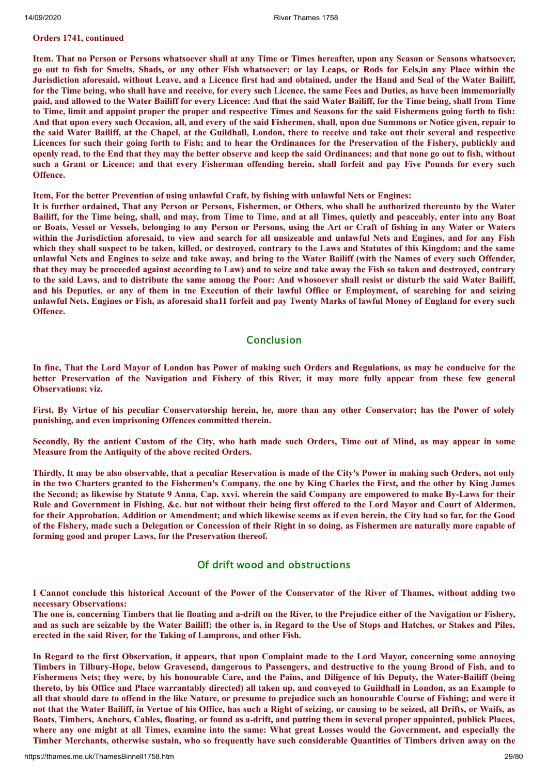#### **Orders 1741, continued**

Item. That no Person or Persons whatsoever shall at any Time or Times hereafter, upon any Season or Seasons whatsoever, go out to fish for Smelts, Shads, or any other Fish whatsoever; or lay Leaps, or Rods for Eels, in any Place within the Jurisdiction aforesaid, without Leave, and a Licence first had and obtained, under the Hand and Seal of the Water Bailiff, for the Time being, who shall have and receive, for every such Licence, the same Fees and Duties, as have been immemorially paid, and allowed to the Water Bailiff for every Licence: And that the said Water Bailiff, for the Time being, shall from Time to Time, limit and appoint proper the proper and respective Times and Seasons for the said Fishermens going forth to fish: And that upon every such Occasion, all, and every of the said Fishermen, shall, upon due Summons or Notice given, repair to the said Water Bailiff, at the Chapel, at the Guildhall, London, there to receive and take out their several and respective Licences for such their going forth to Fish; and to hear the Ordinances for the Preservation of the Fishery, publickly and openly read, to the End that they may the better observe and keep the said Ordinances; and that none go out to fish, without such a Grant or Licence; and that every Fisherman offending herein, shall forfeit and pay Five Pounds for every such **Offence.**

#### **Item, For the better Prevention of using unlawful Craft, by fishing with unlawful Nets or Engines:**

It is further ordained, That any Person or Persons, Fishermen, or Others, who shall be authorized thereunto by the Water Bailiff, for the Time being, shall, and may, from Time to Time, and at all Times, quietly and peaceably, enter into any Boat or Boats, Vessel or Vessels, belonging to any Person or Persons, using the Art or Craft of fishing in any Water or Waters within the Jurisdiction aforesaid, to view and search for all unsizeable and unlawful Nets and Engines, and for any Fish which they shall suspect to be taken, killed, or destroved, contrary to the Laws and Statutes of this Kingdom; and the same unlawful Nets and Engines to seize and take away, and bring to the Water Bailiff (with the Names of every such Offender, that they may be proceeded against according to Law) and to seize and take away the Fish so taken and destroyed, contrary to the said Laws, and to distribute the same among the Poor: And whosoever shall resist or disturb the said Water Bailiff, and his Deputies, or any of them in the Execution of their lawful Office or Employment, of searching for and seizing unlawful Nets, Engines or Fish, as aforesaid sha11 forfeit and pay Twenty Marks of lawful Money of England for every such **Offence.**

# Conclusion

In fine, That the Lord Mayor of London has Power of making such Orders and Regulations, as may be conducive for the better Preservation of the Navigation and Fishery of this River, it may more fully appear from these few general **Observations; viz.**

First, By Virtue of his peculiar Conservatorship herein, he, more than any other Conservator; has the Power of solely **punishing, and even imprisoning Offences committed therein.**

Secondly, By the antient Custom of the City, who hath made such Orders, Time out of Mind, as may appear in some **Measure from the Antiquity of the above recited Orders.**

Thirdly, It may be also observable, that a peculiar Reservation is made of the City's Power in making such Orders, not only in the two Charters granted to the Fishermen's Company, the one by King Charles the First, and the other by King James the Second; as likewise by Statute 9 Anna, Cap. xxvi. wherein the said Company are empowered to make By-Laws for their Rule and Government in Fishing, &c. but not without their being first offered to the Lord Mayor and Court of Aldermen, for their Approbation, Addition or Amendment; and which likewise seems as if even herein, the City had so far, for the Good of the Fishery, made such a Delegation or Concession of their Right in so doing, as Fishermen are naturally more capable of **forming good and proper Laws, for the Preservation thereof.**

# Of drift wood and obstructions

I Cannot conclude this historical Account of the Power of the Conservator of the River of Thames, without adding two **necessary Observations:**

The one is, concerning Timbers that lie floating and a-drift on the River, to the Prejudice either of the Navigation or Fishery, and as such are seizable by the Water Bailiff; the other is, in Regard to the Use of Stops and Hatches, or Stakes and Piles, **erected in the said River, for the Taking of Lamprons, and other Fish.**

In Regard to the first Observation, it appears, that upon Complaint made to the Lord Mayor, concerning some annoving Timbers in Tilbury-Hope, below Gravesend, dangerous to Passengers, and destructive to the young Brood of Fish, and to Fishermens Nets; they were, by his honourable Care, and the Pains, and Diligence of his Deputy, the Water-Bailiff (being thereto, by his Office and Place warrantably directed) all taken up, and conveyed to Guildhall in London, as an Example to all that should dare to offend in the like Nature, or presume to prejudice such an honourable Course of Fishing; and were it not that the Water Bailiff, in Vertue of his Office, has such a Right of seizing, or causing to be seized, all Drifts, or Waifs, as Boats, Timbers, Anchors, Cables, floating, or found as a-drift, and putting them in several proper appointed, publick Places, where any one might at all Times, examine into the same: What great Losses would the Government, and especially the Timber Merchants, otherwise sustain, who so frequently have such considerable Quantities of Timbers driven away on the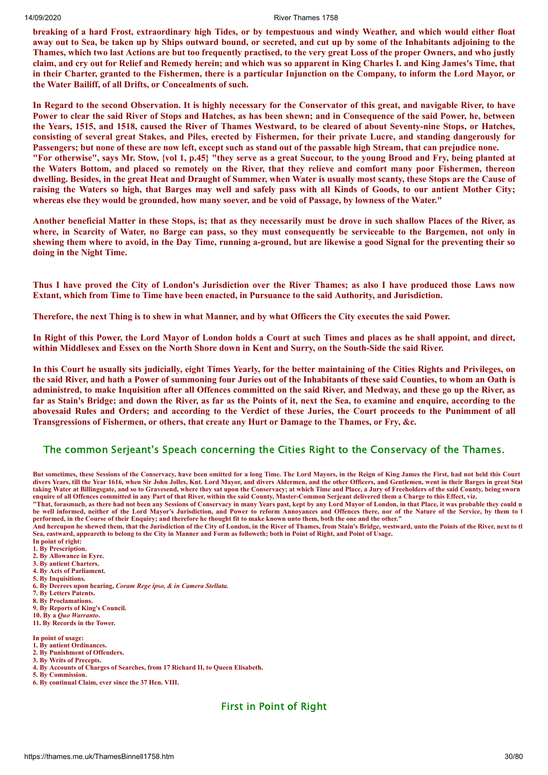breaking of a hard Frost, extraordinary high Tides, or by tempestuous and windy Weather, and which would either float away out to Sea, be taken up by Ships outward bound, or secreted, and cut up by some of the Inhabitants adjoining to the Thames, which two last Actions are but too frequently practised, to the very great Loss of the proper Owners, and who justly claim, and cry out for Relief and Remedy herein; and which was so apparent in King Charles I. and King James's Time, that in their Charter, granted to the Fishermen, there is a particular Injunction on the Company, to inform the Lord Mayor, or **the Water Bailiff, of all Drifts, or Concealments of such.**

In Regard to the second Observation. It is highly necessary for the Conservator of this great, and navigable River, to have Power to clear the said River of Stops and Hatches, as has been shewn; and in Consequence of the said Power, he, between the Years, 1515, and 1518, caused the River of Thames Westward, to be cleared of about Seventy-nine Stops, or Hatches, consisting of several great Stakes, and Piles, erected by Fishermen, for their private Lucre, and standing dangerously for Passengers; but none of these are now left, except such as stand out of the passable high Stream, that can prejudice none. "For otherwise", says Mr. Stow, {vol 1, p.45} "they serve as a great Succour, to the young Brood and Fry, being planted at the Waters Bottom, and placed so remotely on the River, that they relieve and comfort many poor Fishermen, thereon dwelling. Besides, in the great Heat and Draught of Summer, when Water is usually most scanty, these Stops are the Cause of raising the Waters so high, that Barges may well and safely pass with all Kinds of Goods, to our antient Mother City; whereas else they would be grounded, how many soever, and be void of Passage, by lowness of the Water."

Another beneficial Matter in these Stops, is; that as they necessarily must be drove in such shallow Places of the River, as where, in Scarcity of Water, no Barge can pass, so they must consequently be serviceable to the Bargemen, not only in shewing them where to avoid, in the Day Time, running a-ground, but are likewise a good Signal for the preventing their so **doing in the Night Time.**

Thus I have proved the City of London's Jurisdiction over the River Thames; as also I have produced those Laws now **Extant, which from Time to Time have been enacted, in Pursuance to the said Authority, and Jurisdiction.**

Therefore, the next Thing is to shew in what Manner, and by what Officers the City executes the said Power.

In Right of this Power, the Lord Mayor of London holds a Court at such Times and places as he shall appoint, and direct, within Middlesex and Essex on the North Shore down in Kent and Surry, on the South-Side the said River.

In this Court he usually sits judicially, eight Times Yearly, for the better maintaining of the Cities Rights and Privileges, on the said River, and hath a Power of summoning four Juries out of the Inhabitants of these said Counties, to whom an Oath is administred, to make Inquisition after all Offences committed on the said River, and Medway, and these go up the River, as far as Stain's Bridge; and down the River, as far as the Points of it, next the Sea, to examine and enquire, according to the abovesaid Rules and Orders; and according to the Verdict of these Juries, the Court proceeds to the Punimment of all **Transgressions of Fishermen, or others, that create any Hurt or Damage to the Thames, or Fry, &c.**

#### The common Serjeant's Speach concerning the Cities Right to the Conservacy of the Thames.

**But sometimes, these Sessions of the Conservacy, have been omitted for a long Time. The Lord Mayors, in the Reign of King James the First, had not held this Court divers Years, till the Year 1616, when Sir John Jolles, Knt. Lord Mayor, and divers Aldermen, and the other Officers, and Gentlemen, went in their Barges in great Stat taking Water at Billingsgate, and so to Gravesend, where they sat upon the Conservacy; at which Time and Place, a Jury of Freeholders of the said County, being sworn enquire of all Offences committed in any Part of that River, within the said County, Master-Common Serjeant delivered them a Charge to this Effect, viz.**

**"That, forasmuch, as there had not been any Sessions of Conservacy in many Years past, kept by any Lord Mayor of London, in that Place, it was probable they could n be well informed, neither of the Lord Mayor's Jurisdiction, and Power to reform Annoyances and Offences there, nor of the Nature of the Service, by them to b performed, in the Course of their Enquiry; and therefore he thought fit to make known unto them, both the one and the other."**

**And hereupon he shewed them, that the Jurisdiction of the City of London, in the River of Thames, from Stain's Bridge, westward, unto the Points of the River, next to th Sea, eastward, appeareth to belong to the City in Manner and Form as followeth; both in Point of Right, and Point of Usage.**

- **In point of right: 1. By Prescription.**
- **2. By Allowance in Eyre.**
- **3. By antient Charters.**
- **4. By Acts of Parliament.**
- **5. By Inquisitions.**
- **6. By Decrees upon hearing,** *Coram Rege ipso, & in Camera Stellata.*
- **7. By Letters Patents.**
- **8. By Proclamations.**
- **9. By Reports of King's Council.**
- **10. By a** *Quo Warranto***. 11. By Records in the Tower.**
- **In point of usage:**
- **1. By antient Ordinances. 2. By Punishment of Offenders.**
- **3. By Writs of Precepts.**
- **4. By Accounts of Charges of Searches, from 17 Richard II, to Queen Elisabeth.**
- **5. By Commission.**
- **6. By continual Claim, ever since the 37 Hen. VIII.**

# First in Point of Right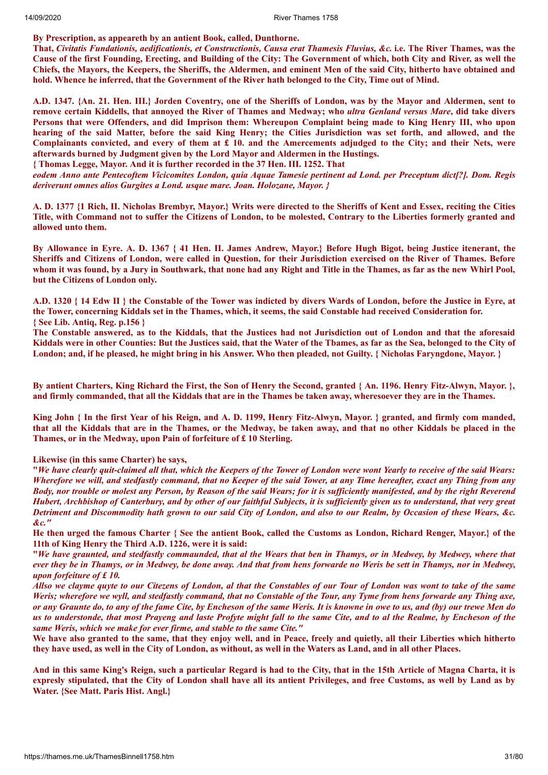**By Prescription, as appeareth by an antient Book, called, Dunthorne.**

That, Civitatis Fundationis, aedificationis, et Constructionis, Causa erat Thamesis Fluvius, &c. i.e. The River Thames, was the Cause of the first Founding, Erecting, and Building of the City: The Government of which, both City and River, as well the Chiefs, the Mayors, the Keepers, the Sheriffs, the Aldermen, and eminent Men of the said City, hitherto have obtained and hold. Whence he inferred, that the Government of the River hath belonged to the City. Time out of Mind.

A.D. 1347. {An. 21. Hen. III.} Jorden Coventry, one of the Sheriffs of London, was by the Mayor and Aldermen, sent to remove certain Kiddells, that annoved the River of Thames and Medway; who *ultra Genland versus Mare*, did take divers Persons that were Offenders, and did Imprison them: Whereupon Complaint being made to King Henry III, who upon hearing of the said Matter, before the said King Henry; the Cities Jurisdiction was set forth, and allowed, and the Complainants convicted, and every of them at  $\pounds$  10. and the Amercements adjudged to the City; and their Nets, were **afterwards burned by Judgment given by the Lord Mayor and Aldermen in the Hustings.**

**{ Thomas Legge, Mayor. And it is further recorded in the 37 Hen. III. 1252. That**

eodem Anno ante Pentecoftem Vicicomites London, quia Aquae Tamesie pertinent ad Lond. per Preceptum dict[?]. Dom. Regis *deriverunt omnes alios Gurgites a Lond. usque mare. Joan. Holozane, Mayor. }*

A. D. 1377 {1 Rich, II. Nicholas Brembyr, Mayor.} Writs were directed to the Sheriffs of Kent and Essex, reciting the Cities Title, with Command not to suffer the Citizens of London, to be molested, Contrary to the Liberties formerly granted and **allowed unto them.**

By Allowance in Eyre. A. D. 1367 { 41 Hen. II. James Andrew, Mayor.} Before Hugh Bigot, being Justice itenerant, the Sheriffs and Citizens of London, were called in Question, for their Jurisdiction exercised on the River of Thames. Before whom it was found, by a Jury in Southwark, that none had any Right and Title in the Thames, as far as the new Whirl Pool, **but the Citizens of London only.**

A.D. 1320 { 14 Edw II } the Constable of the Tower was indicted by divers Wards of London, before the Justice in Eyre, at the Tower, concerning Kiddals set in the Thames, which, it seems, the said Constable had received Consideration for. **{ See Lib. Antiq, Reg. p.156 }**

The Constable answered, as to the Kiddals, that the Justices had not Jurisdiction out of London and that the aforesaid Kiddals were in other Counties: But the Justices said, that the Water of the Tbames, as far as the Sea, belonged to the City of London; and, if he pleased, he might bring in his Answer. Who then pleaded, not Guilty. { Nicholas Faryngdone, Mayor. }

By antient Charters, King Richard the First, the Son of Henry the Second, granted { An. 1196. Henry Fitz-Alwyn, Mayor. }, and firmly commanded, that all the Kiddals that are in the Thames be taken away, wheresoever they are in the Thames.

King John { In the first Year of his Reign, and A. D. 1199, Henry Fitz-Alwyn, Mayor. } granted, and firmly com manded, that all the Kiddals that are in the Thames, or the Medway, be taken away, and that no other Kiddals be placed in the **Thames, or in the Medway, upon Pain of forfeiture of £ 10 Sterling.**

**Likewise (in this same Charter) he says,**

"We have clearly auit-claimed all that, which the Keepers of the Tower of London were wont Yearly to receive of the said Wears: Wherefore we will, and stedfastly command, that no Keeper of the said Tower, at any Time hereafter, exact any Thing from any Body, nor trouble or molest any Person, by Reason of the said Wears; for it is sufficiently manifested, and by the right Reverend Hubert, Archbishop of Canterbury, and by other of our faithful Subjects, it is sufficiently given us to understand, that very great Detriment and Discommodity hath grown to our said City of London, and also to our Realm, by Occasion of these Wears, &c. *&c."*

He then urged the famous Charter { See the antient Book, called the Customs as London, Richard Renger, Mayor.} of the **11th of King Henry the Third A.D. 1226, were it is said:**

"We have graunted, and stedfastly commaunded, that al the Wears that ben in Thamys, or in Medwey, by Medwey, where that ever they be in Thamys, or in Medwey, be done away. And that from hens forwarde no Weris be sett in Thamys, nor in Medwey, *upon forfeiture of £ 10.*

Allso we clayme quyte to our Citezens of London, al that the Constables of our Tour of London was wont to take of the same Weris; wherefore we wyll, and stedfastly command, that no Constable of the Tour, any Tyme from hens forwarde any Thing axe, or any Graunte do, to any of the fame Cite, by Encheson of the same Weris. It is knowne in owe to us, and (by) our trewe Men do us to understonde, that most Prayeng and laste Profyte might fall to the same Cite, and to al the Realme, by Encheson of the *same Weris, which we make for ever firme, and stable to the same Cite."*

We have also granted to the same, that they enjoy well, and in Peace, freely and quietly, all their Liberties which hitherto they have used, as well in the City of London, as without, as well in the Waters as Land, and in all other Places.

And in this same King's Reign, such a particular Regard is had to the City, that in the 15th Article of Magna Charta, it is expresly stipulated, that the City of London shall have all its antient Privileges, and free Customs, as well by Land as by **Water. {See Matt. Paris Hist. Angl.}**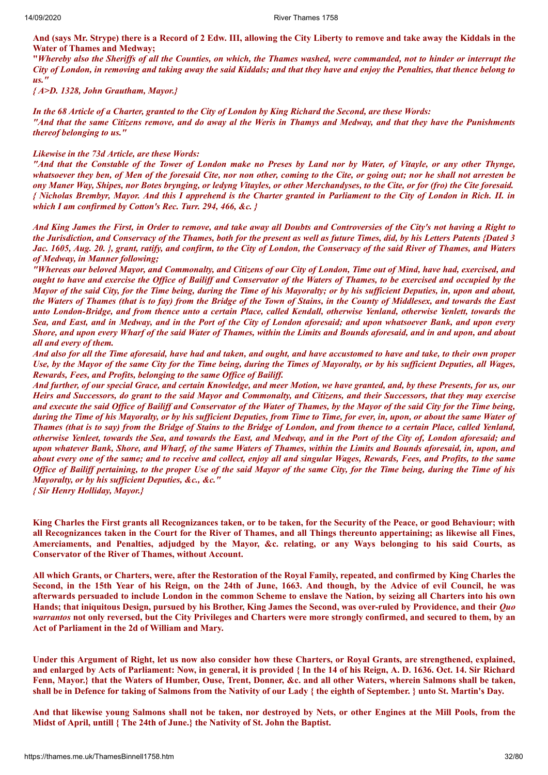And (says Mr. Strype) there is a Record of 2 Edw. III, allowing the City Liberty to remove and take away the Kiddals in the **Water of Thames and Medway;**

"Whereby also the Sheriffs of all the Counties, on which, the Thames washed, were commanded, not to hinder or interrupt the City of London, in removing and taking away the said Kiddals; and that they have and enjoy the Penalties, that thence belong to *us."*

*{ A>D. 1328, John Grautham, Mayor.}*

In the 68 Article of a Charter, granted to the City of London by King Richard the Second, are these Words: "And that the same Citizens remove, and do away al the Weris in Thamys and Medway, and that they have the Punishments *thereof belonging to us."*

#### *Likewise in the 73d Article, are these Words:*

"And that the Constable of the Tower of London make no Preses by Land nor by Water, of Vitayle, or any other Thynge, whatsoever they ben, of Men of the foresaid Cite, nor non other, coming to the Cite, or going out; nor he shall not arresten be ony Maner Way, Shipes, nor Botes brynging, or ledyng Vitayles, or other Merchandyses, to the Cite, or for (fro) the Cite foresaid. { Nicholas Brembyr, Mayor. And this I apprehend is the Charter granted in Parliament to the City of London in Rich. II. in *which I am confirmed by Cotton's Rec. Turr. 294, 466, &c. }*

And King James the First, in Order to remove, and take away all Doubts and Controversies of the City's not having a Right to the Jurisdiction, and Conservacy of the Thames, both for the present as well as future Times, did, by his Letters Patents {Dated 3 Jac. 1605, Aug. 20. }, grant, ratify, and confirm, to the City of London, the Conservacy of the said River of Thames, and Waters *of Medway, in Manner following;*

"Whereas our beloved Mayor, and Commonalty, and Citizens of our City of London, Time out of Mind, have had, exercised, and ought to have and exercise the Office of Bailiff and Conservator of the Waters of Thames, to be exercised and occupied by the Mayor of the said City, for the Time being, during the Time of his Mayoralty; or by his sufficient Deputies, in, upon and about, the Waters of Thames (that is to fay) from the Bridge of the Town of Stains, in the County of Middlesex, and towards the East unto London-Bridge, and from thence unto a certain Place, called Kendall, otherwise Yenland, otherwise Yenlett, towards the Sea, and East, and in Medway, and in the Port of the City of London aforesaid; and upon whatsoever Bank, and upon every Shore, and upon every Wharf of the said Water of Thames, within the Limits and Bounds aforesaid, and in and upon, and about *all and every of them.*

And also for all the Time aforesaid, have had and taken, and ought, and have accustomed to have and take, to their own proper Use, by the Mayor of the same City for the Time being, during the Times of Mayoralty, or by his sufficient Deputies, all Wages, *Rewards, Fees, and Profits, belonging to the same Of ice of Bailif .*

And further, of our special Grace, and certain Knowledge, and meer Motion, we have granted, and, by these Presents, for us, our Heirs and Successors, do grant to the said Mayor and Commonalty, and Citizens, and their Successors, that they may exercise and execute the said Office of Bailiff and Conservator of the Water of Thames, by the Mayor of the said City for the Time being, during the Time of his Mayoralty, or by his sufficient Deputies, from Time to Time, for ever, in, upon, or about the same Water of Thames (that is to say) from the Bridge of Stains to the Bridge of London, and from thence to a certain Place, called Yenland, otherwise Yenleet, towards the Sea, and towards the East, and Medway, and in the Port of the City of, London aforesaid; and upon whatever Bank, Shore, and Wharf, of the same Waters of Thames, within the Limits and Bounds aforesaid, in, upon, and about every one of the same; and to receive and collect, enjoy all and singular Wages, Rewards, Fees, and Profits, to the same Office of Bailiff pertaining, to the proper Use of the said Mayor of the same City, for the Time being, during the Time of his *Mayoralty, or by his suf icient Deputies, &c., &c."*

*{ Sir Henry Holliday, Mayor.}*

King Charles the First grants all Recognizances taken, or to be taken, for the Security of the Peace, or good Behaviour; with all Recognizances taken in the Court for the River of Thames, and all Things thereunto appertaining; as likewise all Fines, Amerciaments, and Penalties, adjudged by the Mayor, &c. relating, or any Ways belonging to his said Courts, as **Conservator of the River of Thames, without Account.**

All which Grants, or Charters, were, after the Restoration of the Royal Family, repeated, and confirmed by King Charles the Second, in the 15th Year of his Reign, on the 24th of June, 1663. And though, by the Advice of evil Council, he was afterwards persuaded to include London in the common Scheme to enslave the Nation, by seizing all Charters into his own Hands; that iniquitous Design, pursued by his Brother, King James the Second, was over-ruled by Providence, and their *Quo* warrantos not only reversed, but the City Privileges and Charters were more strongly confirmed, and secured to them, by an **Act of Parliament in the 2d of William and Mary.**

Under this Argument of Right, let us now also consider how these Charters, or Royal Grants, are strengthened, explained, and enlarged by Acts of Parliament: Now, in general, it is provided { In the 14 of his Reign, A. D. 1636. Oct. 14. Sir Richard Fenn, Mayor.} that the Waters of Humber, Ouse, Trent, Donner, &c. and all other Waters, wherein Salmons shall be taken, shall be in Defence for taking of Salmons from the Nativity of our Lady { the eighth of September. } unto St. Martin's Day.

And that likewise young Salmons shall not be taken, nor destroved by Nets, or other Engines at the Mill Pools, from the **Midst of April, untill { The 24th of June.} the Nativity of St. John the Baptist.**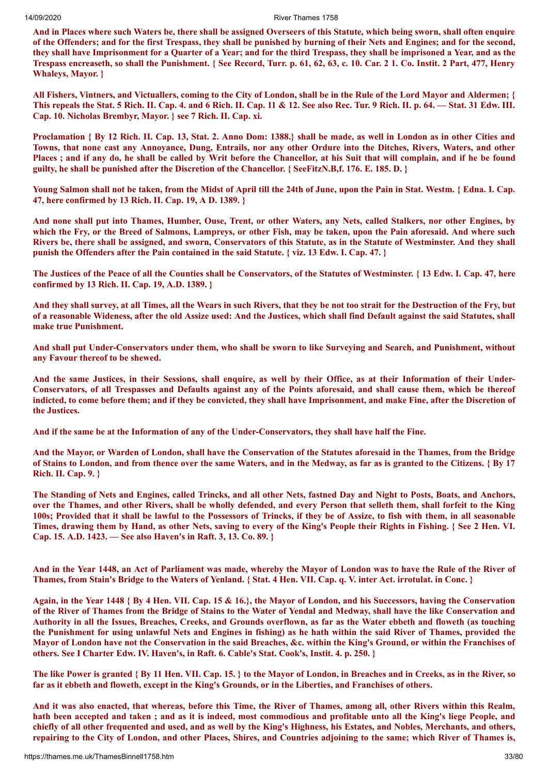And in Places where such Waters be, there shall be assigned Overseers of this Statute, which being sworn, shall often enquire of the Offenders; and for the first Trespass, they shall be punished by burning of their Nets and Engines; and for the second, they shall have Imprisonment for a Quarter of a Year; and for the third Trespass, they shall be imprisoned a Year, and as the Trespass encreaseth, so shall the Punishment. { See Record, Turr. p. 61, 62, 63, c. 10. Car. 2 1. Co. Instit. 2 Part, 477, Henry **Whaleys, Mayor. }**

All Fishers, Vintners, and Victuallers, coming to the City of London, shall be in the Rule of the Lord Mayor and Aldermen; { This repeals the Stat. 5 Rich. II. Cap. 4. and 6 Rich. II. Cap. 11 & 12. See also Rec. Tur. 9 Rich. II. p. 64. — Stat. 31 Edw. III. **Cap. 10. Nicholas Brembyr, Mayor. } see 7 Rich. II. Cap. xi.**

Proclamation { By 12 Rich, II, Cap. 13, Stat. 2. Anno Dom: 1388.} shall be made, as well in London as in other Cities and Towns, that none cast any Annovance, Dung, Entrails, nor any other Ordure into the Ditches, Rivers, Waters, and other Places ; and if any do, he shall be called by Writ before the Chancellor, at his Suit that will complain, and if he be found guilty, he shall be punished after the Discretion of the Chancellor. { See FitzN, B, f. 176, E. 185, D. }

Young Salmon shall not be taken, from the Midst of April till the 24th of June, upon the Pain in Stat. Westm. { Edna. I. Cap. **47, here confirmed by 13 Rich. II. Cap. 19, A D. 1389. }**

And none shall put into Thames, Humber, Ouse, Trent, or other Waters, any Nets, called Stalkers, nor other Engines, by which the Fry, or the Breed of Salmons, Lampreys, or other Fish, may be taken, upon the Pain aforesaid. And where such Rivers be, there shall be assigned, and sworn, Conservators of this Statute, as in the Statute of Westminster. And they shall punish the Offenders after the Pain contained in the said Statute. { viz. 13 Edw. I. Cap. 47. }

The Justices of the Peace of all the Counties shall be Conservators, of the Statutes of Westminster. {13 Edw. I. Cap. 47, here **confirmed by 13 Rich. II. Cap. 19, A.D. 1389. }**

And they shall survey, at all Times, all the Wears in such Rivers, that they be not too strait for the Destruction of the Fry, but of a reasonable Wideness, after the old Assize used: And the Justices, which shall find Default against the said Statutes, shall **make true Punishment.**

And shall put Under-Conservators under them, who shall be sworn to like Surveying and Search, and Punishment, without **any Favour thereof to be shewed.**

And the same Justices, in their Sessions, shall enquire, as well by their Office, as at their Information of their Under-Conservators, of all Trespasses and Defaults against any of the Points aforesaid, and shall cause them, which be thereof indicted, to come before them; and if they be convicted, they shall have Imprisonment, and make Fine, after the Discretion of **the Justices.**

And if the same be at the Information of any of the Under-Conservators, they shall have half the Fine.

And the Mayor, or Warden of London, shall have the Conservation of the Statutes aforesaid in the Thames, from the Bridge of Stains to London, and from thence over the same Waters, and in the Medway, as far as is granted to the Citizens. { By 17 **Rich. II. Cap. 9. }**

The Standing of Nets and Engines, called Trincks, and all other Nets, fastned Day and Night to Posts, Boats, and Anchors, over the Thames, and other Rivers, shall be wholly defended, and every Person that selleth them, shall forfeit to the King 100s; Provided that it shall be lawful to the Possessors of Trincks, if they be of Assize, to fish with them, in all seasonable Times, drawing them by Hand, as other Nets, saving to every of the King's People their Rights in Fishing. { See 2 Hen. VI. **Cap. 15. A.D. 1423. — See also Haven's in Raft. 3, 13. Co. 89. }**

And in the Year 1448, an Act of Parliament was made, whereby the Mayor of London was to have the Rule of the River of Thames, from Stain's Bridge to the Waters of Yenland. { Stat. 4 Hen. VII. Cap. q. V. inter Act. irrotulat. in Conc. }

Again, in the Year 1448 { By 4 Hen. VII. Cap. 15 & 16.}, the Mayor of London, and his Successors, having the Conservation of the River of Thames from the Bridge of Stains to the Water of Yendal and Medway, shall have the like Conservation and Authority in all the Issues, Breaches, Creeks, and Grounds overflown, as far as the Water ebbeth and floweth (as touching the Punishment for using unlawful Nets and Engines in fishing) as he hath within the said River of Thames, provided the Mayor of London have not the Conservation in the said Breaches, &c. within the King's Ground, or within the Franchises of **others. See I Charter Edw. IV. Haven's, in Raft. 6. Cable's Stat. Cook's, Instit. 4. p. 250. }**

The like Power is granted { By 11 Hen, VII, Cap. 15, } to the Mayor of London, in Breaches and in Creeks, as in the River, so far as it ebbeth and floweth, except in the King's Grounds, or in the Liberties, and Franchises of others.

And it was also enacted, that whereas, before this Time, the River of Thames, among all, other Rivers within this Realm, hath been accepted and taken; and as it is indeed, most commodious and profitable unto all the King's liege People, and chiefly of all other frequented and used, and as well by the King's Highness, his Estates, and Nobles, Merchants, and others, repairing to the City of London, and other Places, Shires, and Countries adjoining to the same; which River of Thames is,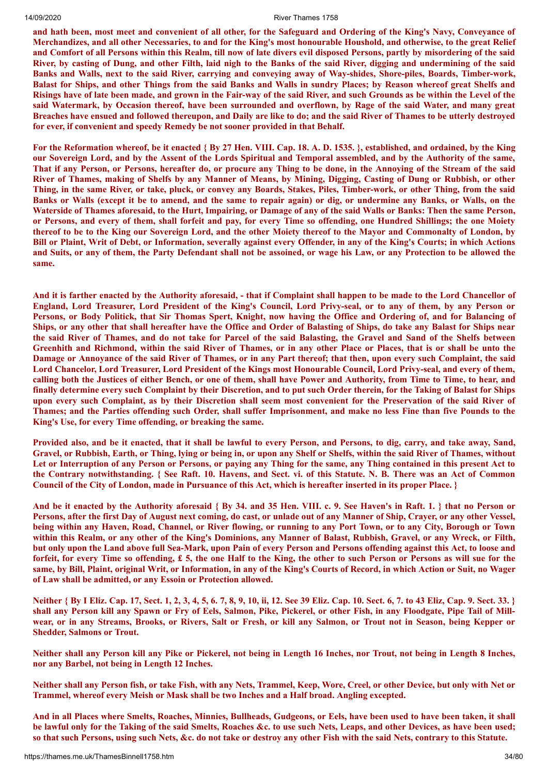and hath been, most meet and convenient of all other, for the Safeguard and Ordering of the King's Navy, Conveyance of Merchandizes, and all other Necessaries, to and for the King's most honourable Houshold, and otherwise, to the great Relief and Comfort of all Persons within this Realm, till now of late divers evil disposed Persons, partly by misordering of the said River, by casting of Dung, and other Filth, laid nigh to the Banks of the said River, digging and undermining of the said Banks and Walls, next to the said River, carrying and conveying away of Way-shides, Shore-piles, Boards, Timber-work, Balast for Ships, and other Things from the said Banks and Walls in sundry Places; by Reason whereof great Shelfs and Risings have of late been made, and grown in the Fair-way of the said River, and such Grounds as be within the Level of the said Watermark, by Occasion thereof, have been surrounded and overflown, by Rage of the said Water, and many great Breaches have ensued and followed thereupon, and Daily are like to do; and the said River of Thames to be utterly destroyed **for ever, if convenient and speedy Remedy be not sooner provided in that Behalf.**

For the Reformation whereof, be it enacted { By 27 Hen. VIII. Cap. 18. A. D. 1535. }, established, and ordained, by the King our Sovereign Lord, and by the Assent of the Lords Spiritual and Temporal assembled, and by the Authority of the same, That if any Person, or Persons, hereafter do, or procure any Thing to be done, in the Annoying of the Stream of the said River of Thames, making of Shelfs by any Manner of Means, by Mining, Digging, Casting of Dung or Rubbish, or other Thing, in the same River, or take, pluck, or convey any Boards, Stakes, Piles, Timber-work, or other Thing, from the said Banks or Walls (except it be to amend, and the same to repair again) or dig, or undermine any Banks, or Walls, on the Waterside of Thames aforesaid, to the Hurt, Impairing, or Damage of any of the said Walls or Banks: Then the same Person, or Persons, and every of them, shall forfeit and pay, for every Time so offending, one Hundred Shillings; the one Moiety thereof to be to the King our Sovereign Lord, and the other Moiety thereof to the Mayor and Commonalty of London, by Bill or Plaint, Writ of Debt, or Information, severally against every Offender, in any of the King's Courts; in which Actions and Suits, or any of them, the Party Defendant shall not be assoined, or wage his Law, or any Protection to be allowed the **same.**

And it is farther enacted by the Authority aforesaid, - that if Complaint shall happen to be made to the Lord Chancellor of England, Lord Treasurer, Lord President of the King's Council, Lord Privy-seal, or to any of them, by any Person or Persons, or Body Politick, that Sir Thomas Spert, Knight, now having the Office and Ordering of, and for Balancing of Ships, or any other that shall hereafter have the Office and Order of Balasting of Ships, do take any Balast for Ships near the said River of Thames, and do not take for Parcel of the said Balasting, the Gravel and Sand of the Shelfs between Greenhith and Richmond, within the said River of Thames, or in any other Place or Places, that is or shall be unto the Damage or Annovance of the said River of Thames, or in any Part thereof; that then, upon every such Complaint, the said Lord Chancelor, Lord Treasurer, Lord President of the Kings most Honourable Council, Lord Privy-seal, and every of them, calling both the Justices of either Bench, or one of them, shall have Power and Authority, from Time to Time, to hear, and finally determine every such Complaint by their Discretion, and to put such Order therein, for the Taking of Balast for Ships upon every such Complaint, as by their Discretion shall seem most convenient for the Preservation of the said River of Thames; and the Parties offending such Order, shall suffer Imprisonment, and make no less Fine than five Pounds to the **King's Use, for every Time offending, or breaking the same.**

Provided also, and be it enacted, that it shall be lawful to every Person, and Persons, to dig, carry, and take away, Sand, Gravel, or Rubbish, Earth, or Thing, lying or being in, or upon any Shelf or Shelfs, within the said River of Thames, without Let or Interruption of any Person or Persons, or paying any Thing for the same, any Thing contained in this present Act to the Contrary notwithstanding. { See Raft. 10. Havens, and Sect. vi. of this Statute. N. B. There was an Act of Common Council of the City of London, made in Pursuance of this Act, which is hereafter inserted in its proper Place. }

And be it enacted by the Authority aforesaid { By 34, and 35 Hen, VIII, c. 9. See Haven's in Raft, 1, } that no Person or Persons, after the first Day of August next coming, do cast, or unlade out of any Manner of Ship, Crayer, or any other Vessel, being within any Haven, Road, Channel, or River flowing, or running to any Port Town, or to any City, Borough or Town within this Realm, or any other of the King's Dominions, any Manner of Balast, Rubbish, Gravel, or any Wreck, or Filth, but only upon the Land above full Sea-Mark, upon Pain of every Person and Persons offending against this Act, to loose and forfeit, for every Time so offending, £ 5, the one Half to the King, the other to such Person or Persons as will sue for the same, by Bill, Plaint, original Writ, or Information, in any of the King's Courts of Record, in which Action or Suit, no Wager **of Law shall be admitted, or any Essoin or Protection allowed.**

Neither { By I Eliz. Cap. 17, Sect. 1, 2, 3, 4, 5, 6. 7, 8, 9, 10, ii, 12. See 39 Eliz. Cap. 10. Sect. 6, 7. to 43 Eliz, Cap. 9. Sect. 33. } shall any Person kill any Spawn or Fry of Eels, Salmon, Pike, Pickerel, or other Fish, in any Floodgate, Pipe Tail of Millwear, or in any Streams, Brooks, or Rivers, Salt or Fresh, or kill any Salmon, or Trout not in Season, being Kepper or **Shedder, Salmons or Trout.**

Neither shall any Person kill any Pike or Pickerel, not being in Length 16 Inches, nor Trout, not being in Length 8 Inches, **nor any Barbel, not being in Length 12 Inches.**

Neither shall any Person fish, or take Fish, with any Nets, Trammel, Keep, Wore, Creel, or other Device, but only with Net or **Trammel, whereof every Meish or Mask shall be two Inches and a Half broad. Angling excepted.**

And in all Places where Smelts, Roaches, Minnies, Bullheads, Gudgeons, or Eels, have been used to have been taken, it shall be lawful only for the Taking of the said Smelts, Roaches &c. to use such Nets, Leaps, and other Devices, as have been used; so that such Persons, using such Nets, &c. do not take or destroy any other Fish with the said Nets, contrary to this Statute.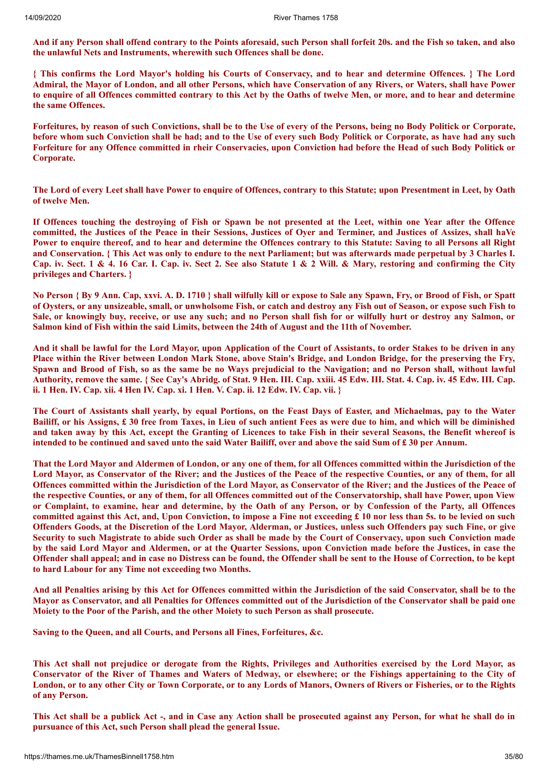And if any Person shall offend contrary to the Points aforesaid, such Person shall forfeit 20s. and the Fish so taken, and also **the unlawful Nets and Instruments, wherewith such Offences shall be done.**

{ This confirms the Lord Mayor's holding his Courts of Conservacy, and to hear and determine Offences. } The Lord Admiral, the Mayor of London, and all other Persons, which have Conservation of any Rivers, or Waters, shall have Power to enquire of all Offences committed contrary to this Act by the Oaths of twelve Men, or more, and to hear and determine **the same Offences.**

Forfeitures, by reason of such Convictions, shall be to the Use of every of the Persons, being no Body Politick or Corporate, before whom such Conviction shall be had; and to the Use of every such Body Politick or Corporate, as have had any such Forfeiture for any Offence committed in rheir Conservacies, upon Conviction had before the Head of such Body Politick or **Corporate.**

The Lord of every Leet shall have Power to enquire of Offences, contrary to this Statute; upon Presentment in Leet, by Oath **of twelve Men.**

If Offences touching the destroying of Fish or Spawn be not presented at the Leet, within one Year after the Offence committed, the Justices of the Peace in their Sessions, Justices of Over and Terminer, and Justices of Assizes, shall haVe Power to enquire thereof, and to hear and determine the Offences contrary to this Statute: Saving to all Persons all Right and Conservation. { This Act was only to endure to the next Parliament: but was afterwards made perpetual by 3 Charles I. Cap. iv. Sect. 1 & 4. 16 Car. I. Cap. iv. Sect 2. See also Statute 1 & 2 Will. & Mary, restoring and confirming the City **privileges and Charters. }**

No Person { By 9 Ann. Cap, xxvi. A. D. 1710 } shall wilfully kill or expose to Sale any Spawn, Fry, or Brood of Fish, or Spatt of Oysters, or any unsizeable, small, or unwholsome Fish, or catch and destroy any Fish out of Season, or expose such Fish to Sale, or knowingly buy, receive, or use any such; and no Person shall fish for or wilfully hurt or destroy any Salmon, or **Salmon kind of Fish within the said Limits, between the 24th of August and the 11th of November.**

And it shall be lawful for the Lord Mayor, upon Application of the Court of Assistants, to order Stakes to be driven in any Place within the River between London Mark Stone, above Stain's Bridge, and London Bridge, for the preserving the Fry, Spawn and Brood of Fish, so as the same be no Ways prejudicial to the Navigation; and no Person shall, without lawful Authority, remove the same. { See Cay's Abridg. of Stat. 9 Hen. III. Cap. xxiii. 45 Edw. III. Stat. 4. Cap. iv. 45 Edw. III. Cap. ii. 1 Hen. IV. Cap. xii. 4 Hen IV. Cap. xi. 1 Hen. V. Cap. ii. 12 Edw. IV. Cap. vii. }

The Court of Assistants shall yearly, by equal Portions, on the Feast Days of Easter, and Michaelmas, pay to the Water Bailiff, or his Assigns, £ 30 free from Taxes, in Lieu of such antient Fees as were due to him, and which will be diminished and taken away by this Act, except the Granting of Licences to take Fish in their several Seasons, the Benefit whereof is intended to be continued and saved unto the said Water Bailiff, over and above the said Sum of £30 per Annum.

That the Lord Mayor and Aldermen of London, or any one of them, for all Offences committed within the Jurisdiction of the Lord Mayor, as Conservator of the River; and the Justices of the Peace of the respective Counties, or any of them, for all Offences committed within the Jurisdiction of the Lord Mayor, as Conservator of the River; and the Justices of the Peace of the respective Counties, or any of them, for all Offences committed out of the Conservatorship, shall have Power, upon View or Complaint, to examine, hear and determine, by the Oath of any Person, or by Confession of the Party, all Offences committed against this Act, and, Upon Conviction, to impose a Fine not exceeding  $\pounds$  10 nor less than 5s, to be levied on such Offenders Goods, at the Discretion of the Lord Mayor, Alderman, or Justices, unless such Offenders pay such Fine, or give Security to such Magistrate to abide such Order as shall be made by the Court of Conservacy, upon such Conviction made by the said Lord Mayor and Aldermen, or at the Quarter Sessions, upon Conviction made before the Justices, in case the Offender shall appeal; and in case no Distress can be found, the Offender shall be sent to the House of Correction, to be kept **to hard Labour for any Time not exceeding two Months.**

And all Penalties arising by this Act for Offences committed within the Jurisdiction of the said Conservator, shall be to the Mayor as Conservator, and all Penalties for Offences committed out of the Jurisdiction of the Conservator shall be paid one **Moiety to the Poor of the Parish, and the other Moiety to such Person as shall prosecute.**

**Saving to the Queen, and all Courts, and Persons all Fines, Forfeitures, &c.**

This Act shall not prejudice or derogate from the Rights, Privileges and Authorities exercised by the Lord Mayor, as Conservator of the River of Thames and Waters of Medway, or elsewhere: or the Fishings appertaining to the City of London, or to any other City or Town Corporate, or to any Lords of Manors, Owners of Rivers or Fisheries, or to the Rights **of any Person.**

This Act shall be a publick Act -, and in Case any Action shall be prosecuted against any Person, for what he shall do in **pursuance of this Act, such Person shall plead the general Issue.**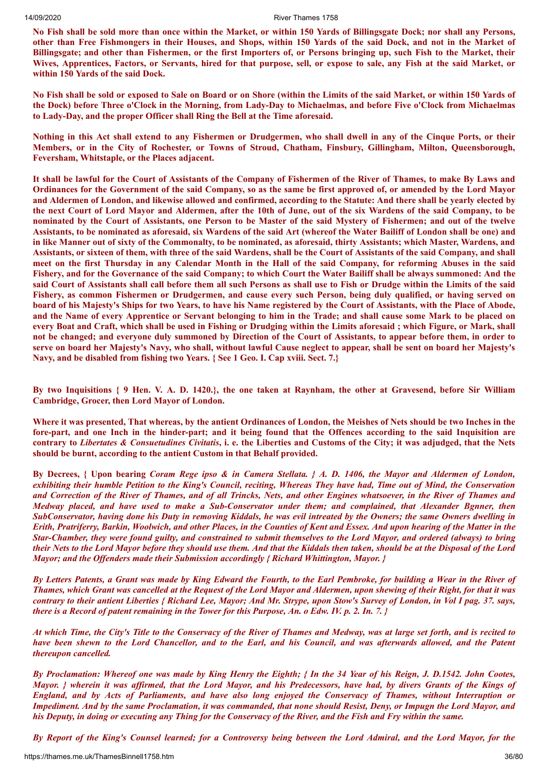No Fish shall be sold more than once within the Market, or within 150 Yards of Billingsgate Dock; nor shall any Persons, other than Free Fishmongers in their Houses, and Shops, within 150 Yards of the said Dock, and not in the Market of Billingsgate; and other than Fishermen, or the first Importers of, or Persons bringing up, such Fish to the Market, their Wives, Apprentices, Factors, or Servants, hired for that purpose, sell, or expose to sale, any Fish at the said Market, or **within 150 Yards of the said Dock.**

No Fish shall be sold or exposed to Sale on Board or on Shore (within the Limits of the said Market, or within 150 Yards of the Dock) before Three o'Clock in the Morning, from Lady-Day to Michaelmas, and before Five o'Clock from Michaelmas **to Lady-Day, and the proper Officer shall Ring the Bell at the Time aforesaid.**

Nothing in this Act shall extend to any Fishermen or Drudgermen, who shall dwell in any of the Cinque Ports, or their **Members, or in the City of Rochester, or Towns of Stroud, Chatham, Finsbury, Gillingham, Milton, Queensborough, Feversham, Whitstaple, or the Places adjacent.**

It shall be lawful for the Court of Assistants of the Company of Fishermen of the River of Thames, to make By Laws and Ordinances for the Government of the said Company, so as the same be first approved of, or amended by the Lord Mayor and Aldermen of London, and likewise allowed and confirmed, according to the Statute: And there shall be yearly elected by the next Court of Lord Mayor and Aldermen, after the 10th of June, out of the six Wardens of the said Company, to be nominated by the Court of Assistants, one Person to be Master of the said Mystery of Fishermen; and out of the twelve Assistants, to be nominated as aforesaid, six Wardens of the said Art (whereof the Water Bailiff of London shall be one) and in like Manner out of sixty of the Commonalty, to be nominated, as aforesaid, thirty Assistants; which Master, Wardens, and Assistants, or sixteen of them, with three of the said Wardens, shall be the Court of Assistants of the said Company, and shall meet on the first Thursday in any Calendar Month in the Hall of the said Company, for reforming Abuses in the said Fishery, and for the Governance of the said Company; to which Court the Water Bailiff shall be always summoned: And the said Court of Assistants shall call before them all such Persons as shall use to Fish or Drudge within the Limits of the said Fishery, as common Fishermen or Drudgermen, and cause every such Person, being duly qualified, or having served on board of his Majesty's Ships for two Years, to have his Name registered by the Court of Assistants, with the Place of Abode, and the Name of every Apprentice or Servant belonging to him in the Trade; and shall cause some Mark to be placed on every Boat and Craft, which shall be used in Fishing or Drudging within the Limits aforesaid; which Figure, or Mark, shall not be changed; and everyone duly summoned by Direction of the Court of Assistants, to appear before them, in order to serve on board her Majesty's Navy, who shall, without lawful Cause neglect to appear, shall be sent on board her Majesty's **Navy, and be disabled from fishing two Years. { See 1 Geo. I. Cap xviii. Sect. 7.}**

By two Inquisitions { 9 Hen. V. A. D. 1420.}, the one taken at Raynham, the other at Gravesend, before Sir William **Cambridge, Grocer, then Lord Mayor of London.**

Where it was presented. That whereas, by the antient Ordinances of London, the Meishes of Nets should be two Inches in the fore-part, and one Inch in the hinder-part; and it being found that the Offences according to the said Inquisition are contrary to Libertates & Consuetudines Civitatis, i. e. the Liberties and Customs of the City; it was adjudged, that the Nets **should be burnt, according to the antient Custom in that Behalf provided.**

By Decrees, { Upon bearing Coram Rege ipso & in Camera Stellata. } A. D. 1406, the Mayor and Aldermen of London, exhibiting their humble Petition to the King's Council, reciting, Whereas They have had, Time out of Mind, the Conservation and Correction of the River of Thames, and of all Trincks, Nets, and other Engines whatsoever, in the River of Thames and Medway placed, and have used to make a Sub-Conservator under them; and complained, that Alexander Bgnner, then SubConservator, having done his Duty in removing Kiddals, he was evil intreated by the Owners; the same Owners dwelling in Erith, Pratriferry, Barkin, Woolwich, and other Places, in the Counties of Kent and Essex. And upon hearing of the Matter in the Star-Chamber, they were found guilty, and constrained to submit themselves to the Lord Mayor, and ordered (always) to bring their Nets to the Lord Mayor before they should use them. And that the Kiddals then taken, should be at the Disposal of the Lord *Mayor; and the Of enders made their Submission accordingly { Richard Whittington, Mayor. }*

By Letters Patents, a Grant was made by King Edward the Fourth, to the Earl Pembroke, for building a Wear in the River of Thames, which Grant was cancelled at the Request of the Lord Mayor and Aldermen, upon shewing of their Right, for that it was contrary to their antient Liberties { Richard Lee, Mayor; And Mr. Strype, upon Stow's Survey of London, in Vol I pag. 37. says, there is a Record of patent remaining in the Tower for this Purpose, An. o Edw. IV. p. 2. In. 7. }

At which Time, the City's Title to the Conservacy of the River of Thames and Medway, was at large set forth, and is recited to have been shewn to the Lord Chancellor, and to the Earl, and his Council, and was afterwards allowed, and the Patent *thereupon cancelled.*

By Proclamation: Whereof one was made by King Henry the Eighth; { In the 34 Year of his Reign, J. D.1542. John Cootes, Mayor. *{ wherein it was affirmed, that the Lord Mayor, and his Predecessors, have had, by divers Grants of the Kings of* England, and by Acts of Parliaments, and have also long enjoyed the Conservacy of Thames, without Interruption or Impediment, And by the same Proclamation, it was commanded, that none should Resist, Deny, or Impugn the Lord Mayor, and his Deputy, in doing or executing any Thing for the Conservacy of the River, and the Fish and Fry within the same.

By Report of the King's Counsel learned; for a Controversy being between the Lord Admiral, and the Lord Mayor, for the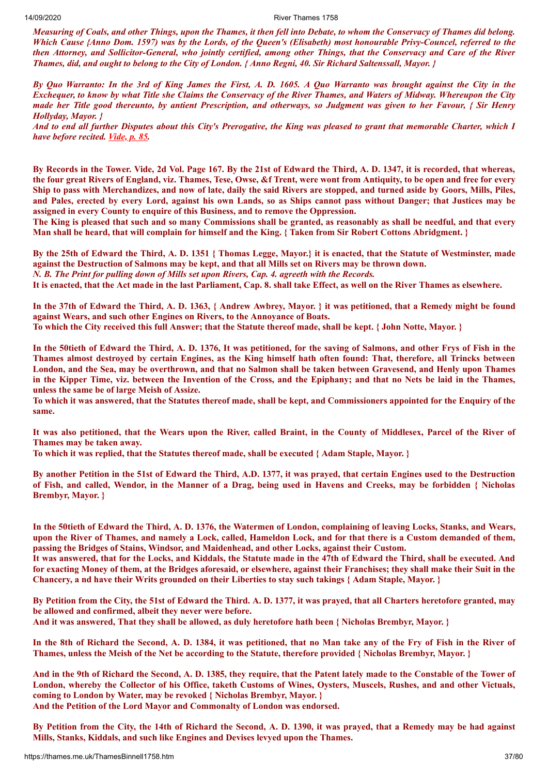Measuring of Coals, and other Things, upon the Thames, it then fell into Debate, to whom the Conservacy of Thames did belong. Which Cause {Anno Dom. 1597) was by the Lords, of the Queen's (Elisabeth) most honourable Privy-Councel, referred to the then Attorney, and Sollicitor-General, who jointly certified, among other Things, that the Conservacy and Care of the River Thames, did, and ought to belong to the City of London. { Anno Regni, 40. Sir Richard Saltenssall, Mayor. }

By Quo Warranto: In the 3rd of King James the First, A. D. 1605. A Quo Warranto was brought against the City in the Exchequer, to know by what Title she Claims the Conservacy of the River Thames, and Waters of Midway. Whereupon the City made her Title good thereunto, by antient Prescription, and otherways, so Judgment was given to her Favour, { Sir Henry *Hollyday, Mayor. }*

And to end all further Disputes about this City's Prerogative, the King was pleased to grant that memorable Charter, which I *have before recited. [Vide,](#page-27-0) p. 85.*

By Records in the Tower. Vide, 2d Vol. Page 167. By the 21st of Edward the Third, A. D. 1347, it is recorded, that whereas, the four great Rivers of England, viz. Thames, Tese, Owse, &f Trent, were wont from Antiquity, to be open and free for every Ship to pass with Merchandizes, and now of late, daily the said Rivers are stopped, and turned aside by Goors, Mills, Piles, and Pales, erected by every Lord, against his own Lands, so as Ships cannot pass without Danger; that Justices may be **assigned in every County to enquire of this Business, and to remove the Oppression.**

The King is pleased that such and so many Commissions shall be granted, as reasonably as shall be needful, and that every Man shall be heard, that will complain for himself and the King. { Taken from Sir Robert Cottons Abridgment. }

By the 25th of Edward the Third, A. D. 1351 { Thomas Legge, Mayor.} it is enacted, that the Statute of Westminster, made against the Destruction of Salmons may be kept, and that all Mills set on Rivers may be thrown down.

*N. B. The Print for pulling down of Mills set upon Rivers, Cap. 4. agreeth with the Records.*

It is enacted, that the Act made in the last Parliament, Cap. 8. shall take Effect, as well on the River Thames as elsewhere.

In the 37th of Edward the Third, A. D. 1363, { Andrew Awbrey, Mayor. } it was petitioned, that a Remedy might be found **against Wears, and such other Engines on Rivers, to the Annoyance of Boats.** To which the City received this full Answer; that the Statute thereof made, shall be kept. { John Notte, Mayor. }

In the 50tieth of Edward the Third, A. D. 1376, It was petitioned, for the saving of Salmons, and other Frys of Fish in the Thames almost destroved by certain Engines, as the King himself hath often found: That, therefore, all Trincks between London, and the Sea, may be overthrown, and that no Salmon shall be taken between Gravesend, and Henly upon Thames in the Kipper Time, viz. between the Invention of the Cross, and the Epiphany; and that no Nets be laid in the Thames, **unless the same be of large Meish of Assize.**

To which it was answered, that the Statutes thereof made, shall be kept, and Commissioners appointed for the Enquiry of the **same.**

It was also petitioned, that the Wears upon the River, called Braint, in the County of Middlesex, Parcel of the River of **Thames may be taken away.**

**To which it was replied, that the Statutes thereof made, shall be executed { Adam Staple, Mayor. }**

By another Petition in the 51st of Edward the Third, A.D. 1377, it was prayed, that certain Engines used to the Destruction of Fish, and called, Wendor, in the Manner of a Drag, being used in Havens and Creeks, may be forbidden { Nicholas **Brembyr, Mayor. }**

In the 50tieth of Edward the Third, A. D. 1376, the Watermen of London, complaining of leaving Locks, Stanks, and Wears, upon the River of Thames, and namely a Lock, called, Hameldon Lock, and for that there is a Custom demanded of them, **passing the Bridges of Stains, Windsor, and Maidenhead, and other Locks, against their Custom.**

It was answered, that for the Locks, and Kiddals, the Statute made in the 47th of Edward the Third, shall be executed. And for exacting Money of them, at the Bridges aforesaid, or elsewhere, against their Franchises; they shall make their Suit in the Chancery, a nd have their Writs grounded on their Liberties to stay such takings { Adam Staple, Mayor. }

By Petition from the City, the 51st of Edward the Third. A. D. 1377, it was prayed, that all Charters heretofore granted, may **be allowed and confirmed, albeit they never were before.**

And it was answered, That they shall be allowed, as duly heretofore hath been { Nicholas Brembyr, Mayor, }

In the 8th of Richard the Second, A. D. 1384, it was petitioned, that no Man take any of the Fry of Fish in the River of Thames, unless the Meish of the Net be according to the Statute, therefore provided { Nicholas Brembyr, Mayor. }

And in the 9th of Richard the Second, A. D. 1385, they require, that the Patent lately made to the Constable of the Tower of London, whereby the Collector of his Office, taketh Customs of Wines, Oysters, Muscels, Rushes, and and other Victuals, **coming to London by Water, may be revoked { Nicholas Brembyr, Mayor. } And the Petition of the Lord Mayor and Commonalty of London was endorsed.**

By Petition from the City, the 14th of Richard the Second, A. D. 1390, it was prayed, that a Remedy may be had against **Mills, Stanks, Kiddals, and such like Engines and Devises levyed upon the Thames.**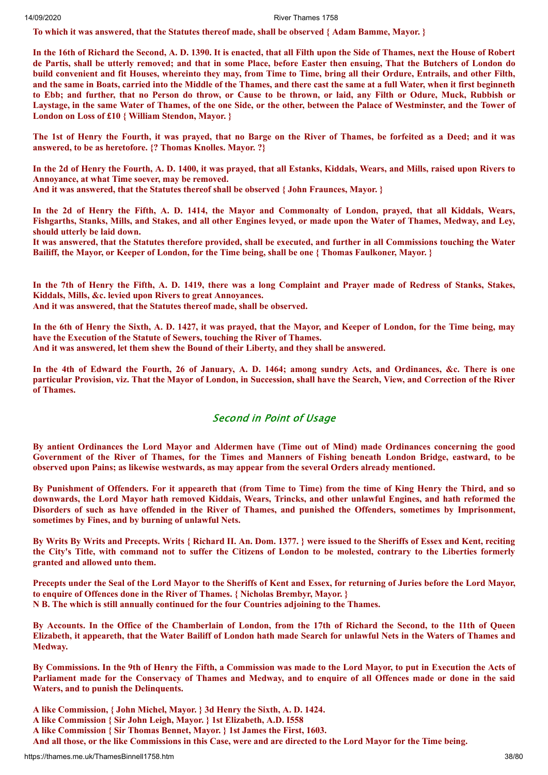**To which it was answered, that the Statutes thereof made, shall be observed { Adam Bamme, Mayor. }**

In the 16th of Richard the Second, A. D. 1390. It is enacted, that all Filth upon the Side of Thames, next the House of Robert de Partis, shall be utterly removed; and that in some Place, before Easter then ensuing, That the Butchers of London do build convenient and fit Houses, whereinto they may, from Time to Time, bring all their Ordure, Entrails, and other Filth, and the same in Boats, carried into the Middle of the Thames, and there cast the same at a full Water, when it first beginneth to Ebb; and further, that no Person do throw, or Cause to be thrown, or laid, any Filth or Odure, Muck, Rubbish or Laystage, in the same Water of Thames, of the one Side, or the other, between the Palace of Westminster, and the Tower of **London on Loss of £10 { William Stendon, Mayor. }**

The 1st of Henry the Fourth, it was prayed, that no Barge on the River of Thames, be forfeited as a Deed; and it was **answered, to be as heretofore. {? Thomas Knolles. Mayor. ?}**

In the 2d of Henry the Fourth, A. D. 1400, it was prayed, that all Estanks, Kiddals, Wears, and Mills, raised upon Rivers to **Annoyance, at what Time soever, may be removed.**

**And it was answered, that the Statutes thereof shall be observed { John Fraunces, Mayor. }**

In the 2d of Henry the Fifth, A. D. 1414, the Mayor and Commonalty of London, prayed, that all Kiddals, Wears, Fishgarths, Stanks, Mills, and Stakes, and all other Engines levyed, or made upon the Water of Thames, Medway, and Ley, **should utterly be laid down.**

It was answered, that the Statutes therefore provided, shall be executed, and further in all Commissions touching the Water Bailiff, the Mayor, or Keeper of London, for the Time being, shall be one { Thomas Faulkoner, Mayor. }

In the 7th of Henry the Fifth, A. D. 1419, there was a long Complaint and Prayer made of Redress of Stanks, Stakes, **Kiddals, Mills, &c. levied upon Rivers to great Annoyances. And it was answered, that the Statutes thereof made, shall be observed.**

In the 6th of Henry the Sixth, A. D. 1427, it was prayed, that the Mayor, and Keeper of London, for the Time being, may **have the Execution of the Statute of Sewers, touching the River of Thames.**

**And it was answered, let them shew the Bound of their Liberty, and they shall be answered.**

In the 4th of Edward the Fourth, 26 of January, A. D. 1464; among sundry Acts, and Ordinances, &c. There is one particular Provision, viz. That the Mayor of London, in Succession, shall have the Search, View, and Correction of the River **of Thames.**

## Second in Point of Usage

By antient Ordinances the Lord Mayor and Aldermen have (Time out of Mind) made Ordinances concerning the good Government of the River of Thames, for the Times and Manners of Fishing beneath London Bridge, eastward, to be **observed upon Pains; as likewise westwards, as may appear from the several Orders already mentioned.**

By Punishment of Offenders. For it appeareth that (from Time to Time) from the time of King Henry the Third, and so downwards, the Lord Mayor hath removed Kiddais, Wears, Trincks, and other unlawful Engines, and hath reformed the Disorders of such as have offended in the River of Thames, and punished the Offenders, sometimes by Imprisonment, **sometimes by Fines, and by burning of unlawful Nets.**

By Writs By Writs and Precepts. Writs { Richard II. An. Dom. 1377. } were issued to the Sheriffs of Essex and Kent, reciting the City's Title, with command not to suffer the Citizens of London to be molested, contrary to the Liberties formerly **granted and allowed unto them.**

Precepts under the Seal of the Lord Mayor to the Sheriffs of Kent and Essex, for returning of Juries before the Lord Mayor, **to enquire of Offences done in the River of Thames. { Nicholas Brembyr, Mayor. } N B. The which is still annually continued for the four Countries adjoining to the Thames.**

By Accounts. In the Office of the Chamberlain of London, from the 17th of Richard the Second, to the 11th of Queen Elizabeth, it appeareth, that the Water Bailiff of London hath made Search for unlawful Nets in the Waters of Thames and **Medway.**

By Commissions. In the 9th of Henry the Fifth, a Commission was made to the Lord Mayor, to put in Execution the Acts of Parliament made for the Conservacy of Thames and Medway, and to enquire of all Offences made or done in the said **Waters, and to punish the Delinquents.**

- **A like Commission, { John Michel, Mayor. } 3d Henry the Sixth, A. D. 1424.**
- **A like Commission { Sir John Leigh, Mayor. } 1st Elizabeth, A.D. I558**
- **A like Commission { Sir Thomas Bennet, Mayor. } 1st James the First, 1603.**
- And all those, or the like Commissions in this Case, were and are directed to the Lord Mayor for the Time being.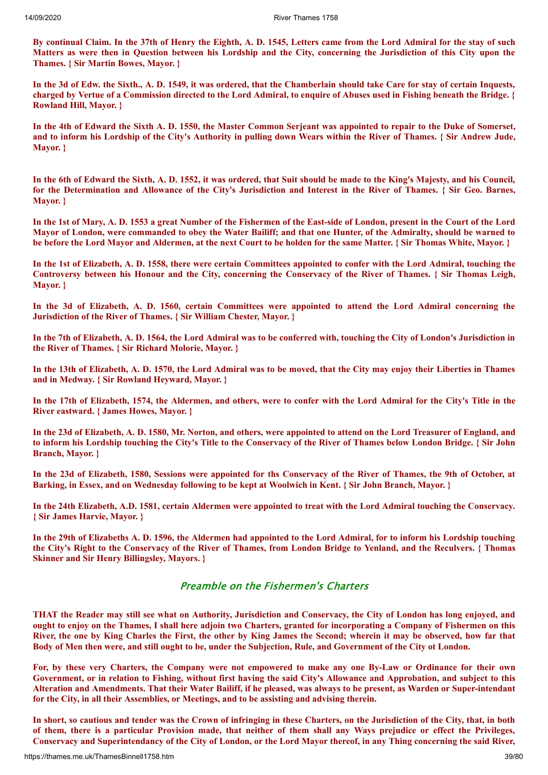By continual Claim. In the 37th of Henry the Eighth, A. D. 1545, Letters came from the Lord Admiral for the stay of such Matters as were then in Question between his Lordship and the City, concerning the Jurisdiction of this City upon the **Thames. { Sir Martin Bowes, Mayor. }**

In the 3d of Edw. the Sixth., A. D. 1549, it was ordered, that the Chamberlain should take Care for stay of certain Inquests, charged by Vertue of a Commission directed to the Lord Admiral, to enquire of Abuses used in Fishing beneath the Bridge. { **Rowland Hill, Mayor. }**

In the 4th of Edward the Sixth A. D. 1550, the Master Common Serjeant was appointed to repair to the Duke of Somerset, and to inform his Lordship of the City's Authority in pulling down Wears within the River of Thames. { Sir Andrew Jude, **Mayor. }**

In the 6th of Edward the Sixth, A. D. 1552, it was ordered, that Suit should be made to the King's Majesty, and his Council, for the Determination and Allowance of the City's Jurisdiction and Interest in the River of Thames. { Sir Geo. Barnes, **Mayor. }**

In the 1st of Mary, A. D. 1553 a great Number of the Fishermen of the East-side of London, present in the Court of the Lord Mayor of London, were commanded to obey the Water Bailiff; and that one Hunter, of the Admiralty, should be warned to be before the Lord Mayor and Aldermen, at the next Court to be holden for the same Matter. { Sir Thomas White, Mayor. }

In the 1st of Elizabeth, A. D. 1558, there were certain Committees appointed to confer with the Lord Admiral, touching the Controversy between his Honour and the City, concerning the Conservacy of the River of Thames. { Sir Thomas Leigh, **Mayor. }**

In the 3d of Elizabeth, A. D. 1560, certain Committees were appointed to attend the Lord Admiral concerning the **Jurisdiction of the River of Thames. { Sir William Chester, Mayor. }**

In the 7th of Elizabeth, A. D. 1564, the Lord Admiral was to be conferred with, touching the City of London's Jurisdiction in **the River of Thames. { Sir Richard Molorie, Mayor. }**

In the 13th of Elizabeth, A. D. 1570, the Lord Admiral was to be moved, that the City may enjoy their Liberties in Thames **and in Medway. { Sir Rowland Heyward, Mayor. }**

In the 17th of Elizabeth, 1574, the Aldermen, and others, were to confer with the Lord Admiral for the City's Title in the **River eastward. { James Howes, Mayor. }**

In the 23d of Elizabeth, A.D. 1580, Mr. Norton, and others, were appointed to attend on the Lord Treasurer of England, and to inform his Lordship touching the City's Title to the Conservacy of the River of Thames below London Bridge. { Sir John **Branch, Mayor. }**

In the 23d of Elizabeth, 1580, Sessions were appointed for ths Conservacy of the River of Thames, the 9th of October, at Barking, in Essex, and on Wednesday following to be kept at Woolwich in Kent. { Sir John Branch, Mayor. }

In the 24th Elizabeth, A.D. 1581, certain Aldermen were appointed to treat with the Lord Admiral touching the Conservacy. **{ Sir James Harvie, Mayor. }**

In the 29th of Elizabeths A. D. 1596, the Aldermen had appointed to the Lord Admiral, for to inform his Lordship touching the City's Right to the Conservacy of the River of Thames, from London Bridge to Yenland, and the Reculvers. { Thomas **Skinner and Sir Henry Billingsley, Mayors. }**

## Preamble on the Fishermen's Charters

THAT the Reader may still see what on Authority, Jurisdiction and Conservacy, the City of London has long enioved, and ought to enjoy on the Thames, I shall here adjoin two Charters, granted for incorporating a Company of Fishermen on this River, the one by King Charles the First, the other by King James the Second; wherein it may be observed, how far that Body of Men then were, and still ought to be, under the Subjection, Rule, and Government of the City ot London.

For, by these very Charters, the Company were not empowered to make any one By-Law or Ordinance for their own Government, or in relation to Fishing, without first having the said City's Allowance and Approbation, and subject to this Alteration and Amendments. That their Water Bailiff, if he pleased, was always to be present, as Warden or Super-intendant **for the City, in all their Assemblies, or Meetings, and to be assisting and advising therein.**

In short, so cautious and tender was the Crown of infringing in these Charters, on the Jurisdiction of the City, that, in both of them, there is a particular Provision made, that neither of them shall any Ways prejudice or effect the Privileges, Conservacy and Superintendancy of the City of London, or the Lord Mayor thereof, in any Thing concerning the said River.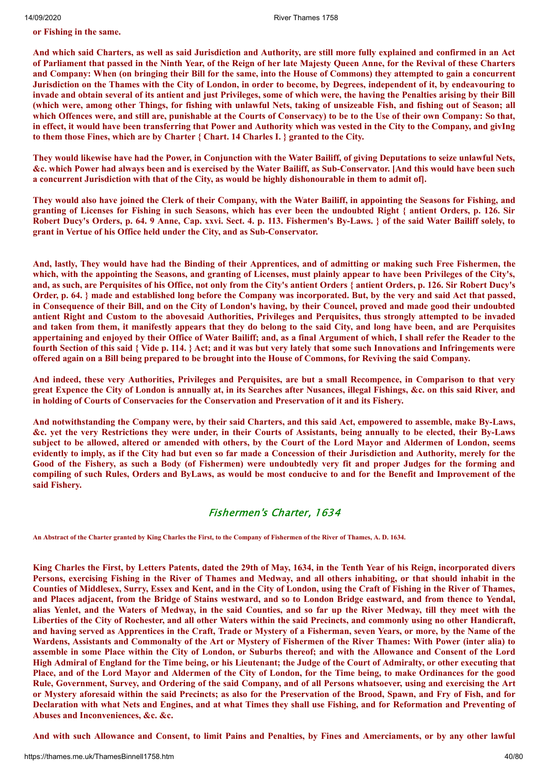**or Fishing in the same.**

And which said Charters, as well as said Jurisdiction and Authority, are still more fully explained and confirmed in an Act of Parliament that passed in the Ninth Year, of the Reign of her late Majesty Queen Anne, for the Revival of these Charters and Company: When (on bringing their Bill for the same, into the House of Commons) they attempted to gain a concurrent Jurisdiction on the Thames with the City of London, in order to become, by Degrees, independent of it, by endeavouring to invade and obtain several of its antient and just Privileges, some of which were, the having the Penalties arising by their Bill (which were, among other Things, for fishing with unlawful Nets, taking of unsizeable Fish, and fishing out of Season; all which Offences were, and still are, punishable at the Courts of Conservacy) to be to the Use of their own Company: So that, in effect, it would have been transferring that Power and Authority which was vested in the City to the Company, and givIng **to them those Fines, which are by Charter { Chart. 14 Charles I. } granted to the City.**

They would likewise have had the Power, in Conjunction with the Water Bailiff, of giving Deputations to seize unlawful Nets. &c. which Power had always been and is exercised by the Water Bailiff, as Sub-Conservator. [And this would have been such a concurrent Jurisdiction with that of the City, as would be highly dishonourable in them to admit of].

They would also have joined the Clerk of their Company, with the Water Bailiff, in appointing the Seasons for Fishing, and granting of Licenses for Fishing in such Seasons, which has ever been the undoubted Right { antient Orders, p. 126. Sir Robert Ducy's Orders, p. 64. 9 Anne, Cap. xxvi. Sect. 4. p. 113. Fishermen's By-Laws. 3 of the said Water Bailiff solely, to **grant in Vertue of his Office held under the City, and as Sub-Conservator.**

And, lastly, They would have had the Binding of their Apprentices, and of admitting or making such Free Fishermen, the which, with the appointing the Seasons, and granting of Licenses, must plainly appear to have been Privileges of the City's, and, as such, are Perquisites of his Office, not only from the City's antient Orders { antient Orders, p. 126. Sir Robert Ducy's Order, p. 64. } made and established long before the Company was incorporated. But, by the very and said Act that passed, in Consequence of their Bill, and on the City of London's having, by their Councel, proved and made good their undoubted antient Right and Custom to the abovesaid Authorities, Privileges and Perquisites, thus strongly attempted to be invaded and taken from them, it manifestly appears that they do belong to the said City, and long have been, and are Perquisites appertaining and enjoyed by their Office of Water Bailiff; and, as a final Argument of which, I shall refer the Reader to the fourth Section of this said { Vide p. 114. } Act; and it was but very lately that some such Innovations and Infringements were offered again on a Bill being prepared to be brought into the House of Commons, for Reviving the said Company.

And indeed, these very Authorities, Privileges and Perquisites, are but a small Recompence, in Comparison to that very great Expence the City of London is annually at, in its Searches after Nusances, illegal Fishings, &c. on this said River, and **in holding of Courts of Conservacies for the Conservation and Preservation of it and its Fishery.**

And notwithstanding the Company were, by their said Charters, and this said Act, empowered to assemble, make By-Laws, &c. yet the very Restrictions they were under, in their Courts of Assistants, being annually to be elected, their By-Laws subject to be allowed, altered or amended with others, by the Court of the Lord Mayor and Aldermen of London, seems evidently to imply, as if the City had but even so far made a Concession of their Jurisdiction and Authority, merely for the Good of the Fishery, as such a Body (of Fishermen) were undoubtedly very fit and proper Judges for the forming and compiling of such Rules, Orders and ByLaws, as would be most conducive to and for the Benefit and Improvement of the **said Fishery.**

## Fishermen's Charter, 1634

**An Abstract of the Charter granted by King Charles the First, to the Company of Fishermen of the River of Thames, A. D. 1634.**

King Charles the First, by Letters Patents, dated the 29th of May, 1634, in the Tenth Year of his Reign, incorporated divers Persons, exercising Fishing in the River of Thames and Medway, and all others inhabiting, or that should inhabit in the Counties of Middlesex, Surry, Essex and Kent, and in the City of London, using the Craft of Fishing in the River of Thames, and Places adjacent, from the Bridge of Stains westward, and so to London Bridge eastward, and from thence to Yendal, alias Yenlet, and the Waters of Medway, in the said Counties, and so far up the River Medway, till they meet with the Liberties of the City of Rochester, and all other Waters within the said Precincts, and commonly using no other Handicraft, and having served as Apprentices in the Craft, Trade or Mystery of a Fisherman, seven Years, or more, by the Name of the Wardens, Assistants and Commonalty of the Art or Mystery of Fishermen of the River Thames: With Power (inter alia) to assemble in some Place within the City of London, or Suburbs thereof; and with the Allowance and Consent of the Lord High Admiral of England for the Time being, or his Lieutenant; the Judge of the Court of Admiralty, or other executing that Place, and of the Lord Mayor and Aldermen of the City of London, for the Time being, to make Ordinances for the good Rule, Government, Survey, and Ordering of the said Company, and of all Persons whatsoever, using and exercising the Art or Mystery aforesaid within the said Precincts; as also for the Preservation of the Brood, Spawn, and Fry of Fish, and for Declaration with what Nets and Engines, and at what Times they shall use Fishing, and for Reformation and Preventing of **Abuses and Inconveniences, &c. &c.**

And with such Allowance and Consent, to limit Pains and Penalties, by Fines and Amerciaments, or by any other lawful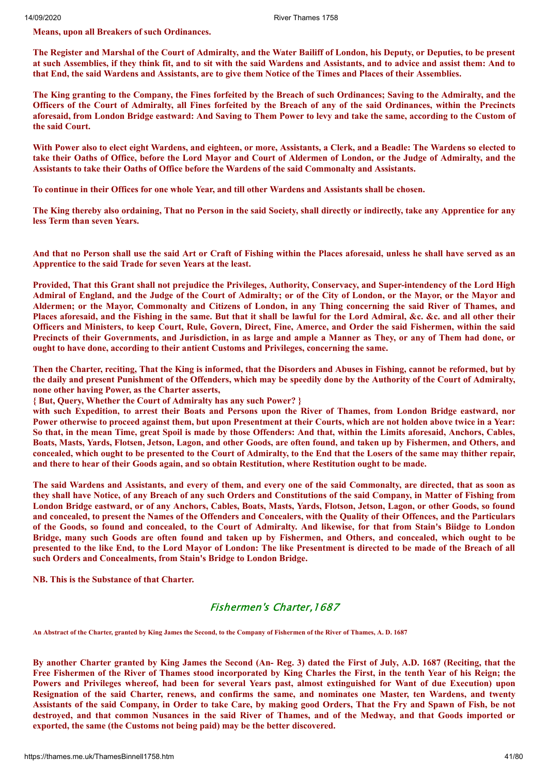**Means, upon all Breakers of such Ordinances.**

The Register and Marshal of the Court of Admiralty, and the Water Bailiff of London, his Deputy, or Deputies, to be present at such Assemblies, if they think fit, and to sit with the said Wardens and Assistants, and to advice and assist them: And to that End, the said Wardens and Assistants, are to give them Notice of the Times and Places of their Assemblies.

The King granting to the Company, the Fines forfeited by the Breach of such Ordinances; Saving to the Admiralty, and the Officers of the Court of Admiralty, all Fines forfeited by the Breach of any of the said Ordinances, within the Precincts aforesaid, from London Bridge eastward: And Saving to Them Power to levy and take the same, according to the Custom of **the said Court.**

With Power also to elect eight Wardens, and eighteen, or more, Assistants, a Clerk, and a Beadle: The Wardens so elected to take their Oaths of Office, before the Lord Mayor and Court of Aldermen of London, or the Judge of Admiralty, and the **Assistants to take their Oaths of Office before the Wardens of the said Commonalty and Assistants.**

To continue in their Offices for one whole Year, and till other Wardens and Assistants shall be chosen.

The King thereby also ordaining, That no Person in the said Society, shall directly or indirectly, take any Apprentice for any **less Term than seven Years.**

And that no Person shall use the said Art or Craft of Fishing within the Places aforesaid, unless he shall have served as an **Apprentice to the said Trade for seven Years at the least.**

Provided, That this Grant shall not prejudice the Privileges, Authority, Conservacy, and Super-intendency of the Lord High Admiral of England, and the Judge of the Court of Admiralty; or of the City of London, or the Mayor, or the Mayor and Aldermen; or the Mayor, Commonalty and Citizens of London, in any Thing concerning the said River of Thames, and Places aforesaid, and the Fishing in the same. But that it shall be lawful for the Lord Admiral, &c. &c. and all other their Officers and Ministers, to keep Court, Rule, Govern, Direct, Fine, Amerce, and Order the said Fishermen, within the said Precincts of their Governments, and Jurisdiction, in as large and ample a Manner as They, or any of Them had done, or **ought to have done, according to their antient Customs and Privileges, concerning the same.**

Then the Charter, reciting, That the King is informed, that the Disorders and Abuses in Fishing, cannot be reformed, but by the daily and present Punishment of the Offenders, which may be speedily done by the Authority of the Court of Admiralty, **none other having Power, as the Charter asserts,**

**{ But, Query, Whether the Court of Admiralty has any such Power? }**

with such Expedition, to arrest their Boats and Persons upon the River of Thames, from London Bridge eastward, nor Power otherwise to proceed against them, but upon Presentment at their Courts, which are not holden above twice in a Year: So that, in the mean Time, great Spoil is made by those Offenders: And that, within the Limits aforesaid, Anchors, Cables, Boats, Masts, Yards, Flotsen, Jetson, Lagon, and other Goods, are often found, and taken up by Fishermen, and Others, and concealed, which ought to be presented to the Court of Admiralty, to the End that the Losers of the same may thither repair, and there to hear of their Goods again, and so obtain Restitution, where Restitution ought to be made.

The said Wardens and Assistants, and every of them, and every one of the said Commonalty, are directed, that as soon as they shall have Notice, of any Breach of any such Orders and Constitutions of the said Company, in Matter of Fishing from London Bridge eastward, or of any Anchors, Cables, Boats, Masts, Yards, Flotson, Jetson, Lagon, or other Goods, so found and concealed, to present the Names of the Offenders and Concealers, with the Quality of their Offences, and the Particulars of the Goods, so found and concealed, to the Court of Admiralty. And likewise, for that from Stain's Biidge to London Bridge, many such Goods are often found and taken up by Fishermen, and Others, and concealed, which ought to be presented to the like End, to the Lord Mayor of London: The like Presentment is directed to be made of the Breach of all **such Orders and Concealments, from Stain's Bridge to London Bridge.**

**NB. This is the Substance of that Charter.**

## Fishermen's Charter,1687

**An Abstract of the Charter, granted by King James the Second, to the Company of Fishermen of the River of Thames, A. D. 1687**

By another Charter granted by King James the Second (An-Reg. 3) dated the First of July, A.D. 1687 (Reciting, that the Free Fishermen of the River of Thames stood incorporated by King Charles the First, in the tenth Year of his Reign; the Powers and Privileges whereof, had been for several Years past, almost extinguished for Want of due Execution) upon Resignation of the said Charter, renews, and confirms the same, and nominates one Master, ten Wardens, and twenty Assistants of the said Company, in Order to take Care, by making good Orders, That the Fry and Spawn of Fish, be not destroved, and that common Nusances in the said River of Thames, and of the Medway, and that Goods imported or **exported, the same (the Customs not being paid) may be the better discovered.**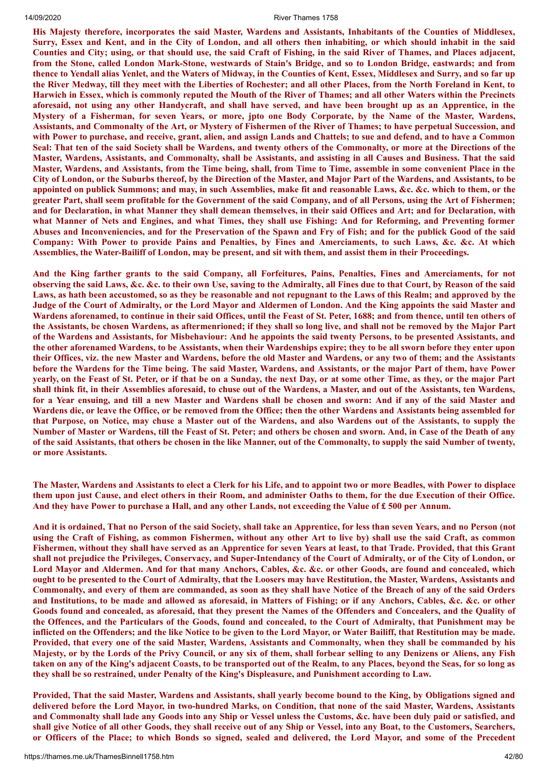His Majesty therefore, incorporates the said Master, Wardens and Assistants, Inhabitants of the Counties of Middlesex, Surry, Essex and Kent, and in the City of London, and all others then inhabiting, or which should inhabit in the said Counties and City; using, or that should use, the said Craft of Fishing, in the said River of Thames, and Places adjacent, from the Stone, called London Mark-Stone, westwards of Stain's Bridge, and so to London Bridge, eastwards; and from thence to Yendall alias Yenlet, and the Waters of Midway, in the Counties of Kent, Essex, Middlesex and Surry, and so far up the River Medway, till they meet with the Liberties of Rochester; and all other Places, from the North Foreland in Kent, to Harwich in Essex, which is commonly reputed the Mouth of the River of Thames; and all other Waters within the Precincts aforesaid, not using any other Handycraft, and shall have served, and have been brought up as an Apprentice, in the Mystery of a Fisherman, for seven Years, or more, jpto one Body Corporate, by the Name of the Master, Wardens, Assistants, and Commonalty of the Art, or Mystery of Fishermen of the River of Thames; to have perpetual Succession, and with Power to purchase, and receive, grant, alien, and assign Lands and Chattels; to sue and defend, and to have a Common Seal: That ten of the said Society shall be Wardens, and twenty others of the Commonalty, or more at the Directions of the Master, Wardens, Assistants, and Commonalty, shall be Assistants, and assisting in all Causes and Business. That the said Master, Wardens, and Assistants, from the Time being, shall, from Time to Time, assemble in some convenient Place in the City of London, or the Suburbs thereof, by the Direction of the Master, and Major Part of the Wardens, and Assistants, to be appointed on publick Summons; and may, in such Assemblies, make fit and reasonable Laws, &c. &c. which to them, or the greater Part, shall seem profitable for the Government of the said Company, and of all Persons, using the Art of Fishermen; and for Declaration, in what Manner they shall demean themselves, in their said Offices and Art; and for Declaration, with what Manner of Nets and Engines, and what Times, they shall use Fishing: And for Reforming, and Preventing former Abuses and Inconveniencies, and for the Preservation of the Spawn and Fry of Fish; and for the publick Good of the said Company: With Power to provide Pains and Penalties, by Fines and Amerciaments, to such Laws, &c. &c. At which Assemblies, the Water-Bailiff of London, may be present, and sit with them, and assist them in their Proceedings.

And the King farther grants to the said Company, all Forfeitures, Pains, Penalties, Fines and Amerciaments, for not observing the said Laws, &c. &c. to their own Use, saving to the Admiralty, all Fines due to that Court, by Reason of the said Laws, as hath been accustomed, so as they be reasonable and not repugnant to the Laws of this Realm; and approved by the Judge of the Court of Admiralty, or the Lord Mayor and Aldermen of London. And the King appoints the said Master and Wardens aforenamed, to continue in their said Offices, until the Feast of St. Peter, 1688; and from thence, until ten others of the Assistants, be chosen Wardens, as aftermenrioned; if they shall so long live, and shall not be removed by the Major Part of the Wardens and Assistants, for Misbehaviour: And he appoints the said twenty Persons, to be presented Assistants, and the other aforenamed Wardens, to be Assistants, when their Wardenships expire; they to be all sworn before they enter upon their Offices, viz. the new Master and Wardens, before the old Master and Wardens, or any two of them; and the Assistants before the Wardens for the Time being. The said Master, Wardens, and Assistants, or the major Part of them, have Power yearly, on the Feast of St. Peter, or if that be on a Sunday, the next Day, or at some other Time, as they, or the major Part shall think fit, in their Assemblies aforesaid, to chuse out of the Wardens, a Master, and out of the Assistants, ten Wardens, for a Year ensuing, and till a new Master and Wardens shall be chosen and sworn: And if any of the said Master and Wardens die, or leave the Office, or be removed from the Office; then the other Wardens and Assistants being assembled for that Purpose, on Notice, may chuse a Master out of the Wardens, and also Wardens out of the Assistants, to supply the Number of Master or Wardens, till the Feast of St. Peter; and others be chosen and sworn. And, in Case of the Death of any of the said Assistants, that others be chosen in the like Manner, out of the Commonalty, to supply the said Number of twenty, **or more Assistants.**

The Master, Wardens and Assistants to elect a Clerk for his Life, and to appoint two or more Beadles, with Power to displace them upon just Cause, and elect others in their Room, and administer Oaths to them, for the due Execution of their Office. And they have Power to purchase a Hall, and any other Lands, not exceeding the Value of £500 per Annum.

And it is ordained, That no Person of the said Society, shall take an Apprentice, for less than seven Years, and no Person (not using the Craft of Fishing, as common Fishermen, without any other Art to live by) shall use the said Craft, as common Fishermen, without they shall have served as an Apprentice for seven Years at least, to that Trade. Provided, that this Grant shall not prejudice the Privileges, Conservacy, and Super-Intendancy of the Court of Admiralty, or of the City of London, or Lord Mayor and Aldermen. And for that many Anchors, Cables, &c. &c. or other Goods, are found and concealed, which ought to be presented to the Court of Admiralty, that the Loosers may have Restitution, the Master, Wardens, Assistants and Commonalty, and every of them are commanded, as soon as they shall have Notice of the Breach of any of the said Orders and Institutions, to be made and allowed as aforesaid, in Matters of Fishing; or if any Anchors, Cables, &c. &c. or other Goods found and concealed, as aforesaid, that they present the Names of the Offenders and Concealers, and the Quality of the Offences, and the Particulars of the Goods, found and concealed, to the Court of Admiralty, that Punishment may be inflicted on the Offenders; and the like Notice to be given to the Lord Mayor, or Water Bailiff, that Restitution may be made. Provided, that every one of the said Master, Wardens, Assistants and Commonalty, when they shall be commanded by his Majesty, or by the Lords of the Privy Council, or any six of them, shall forbear selling to any Denizens or Aliens, any Fish taken on any of the King's adjacent Coasts, to be transported out of the Realm, to any Places, beyond the Seas, for so long as **they shall be so restrained, under Penalty of the King's Displeasure, and Punishment according to Law.**

Provided, That the said Master, Wardens and Assistants, shall yearly become bound to the King, by Obligations signed and delivered before the Lord Mayor, in two-hundred Marks, on Condition, that none of the said Master, Wardens, Assistants and Commonalty shall lade any Goods into any Ship or Vessel unless the Customs, &c. have been duly paid or satisfied, and shall give Notice of all other Goods, they shall receive out of any Ship or Vessel, into any Boat, to the Customers, Searchers, or Officers of the Place; to which Bonds so signed, sealed and delivered, the Lord Mayor, and some of the Precedent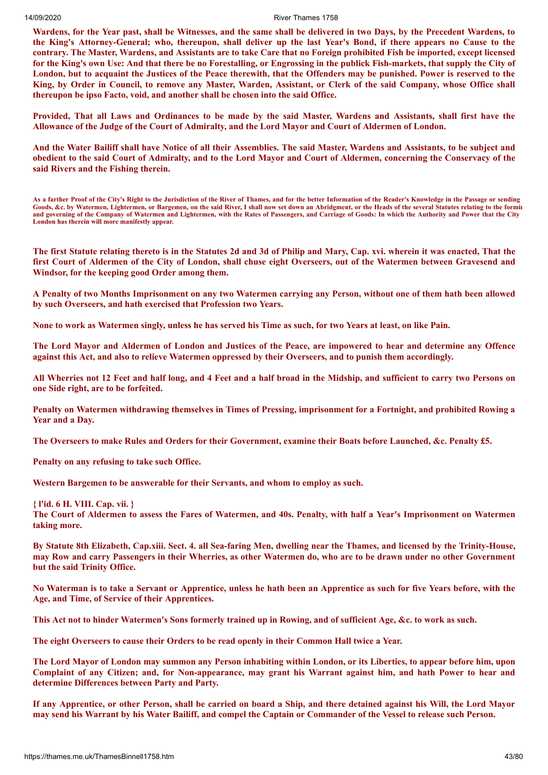Wardens, for the Year past, shall be Witnesses, and the same shall be delivered in two Days, by the Precedent Wardens, to the King's Attorney-General; who, thereupon, shall deliver up the last Year's Bond, if there appears no Cause to the contrary. The Master, Wardens, and Assistants are to take Care that no Foreign prohibited Fish be imported, except licensed for the King's own Use: And that there be no Forestalling, or Engrossing in the publick Fish-markets, that supply the City of London, but to acquaint the Justices of the Peace therewith, that the Offenders may be punished. Power is reserved to the King, by Order in Council, to remove any Master, Warden, Assistant, or Clerk of the said Company, whose Office shall **thereupon be ipso Facto, void, and another shall be chosen into the said Office.**

Provided, That all Laws and Ordinances to be made by the said Master, Wardens and Assistants, shall first have the Allowance of the Judge of the Court of Admiralty, and the Lord Mayor and Court of Aldermen of London.

And the Water Bailiff shall have Notice of all their Assemblies. The said Master, Wardens and Assistants, to be subject and obedient to the said Court of Admiralty, and to the Lord Mayor and Court of Aldermen, concerning the Conservacy of the **said Rivers and the Fishing therein.**

**As a farther Proof of the City's Right to the Jurisdiction of the River of Thames, and for the better Information of the Reader's Knowledge in the Passage or sending Goods, &c. by Watermen, Lightermen, or Bargemen, on the said River, I shall now set down an Abridgment, or the Heads of the several Statutes relating to the formin and governing of the Company of Watermen and Lightermen, with the Rates of Passengers, and Carriage of Goods: In which the Authority and Power that the City London has therein will more manifestly appear.**

The first Statute relating thereto is in the Statutes 2d and 3d of Philip and Mary, Cap. xvi. wherein it was enacted, That the first Court of Aldermen of the City of London, shall chuse eight Overseers, out of the Watermen between Gravesend and **Windsor, for the keeping good Order among them.**

A Penalty of two Months Imprisonment on any two Watermen carrying any Person, without one of them hath been allowed **by such Overseers, and hath exercised that Profession two Years.**

None to work as Watermen singly, unless he has served his Time as such, for two Years at least, on like Pain.

The Lord Mayor and Aldermen of London and Justices of the Peace, are impowered to hear and determine any Offence against this Act, and also to relieve Watermen oppressed by their Overseers, and to punish them accordingly.

All Wherries not 12 Feet and half long, and 4 Feet and a half broad in the Midship, and sufficient to carry two Persons on **one Side right, are to be forfeited.**

Penalty on Watermen withdrawing themselves in Times of Pressing, imprisonment for a Fortnight, and prohibited Rowing a **Year and a Day.**

The Overseers to make Rules and Orders for their Government, examine their Boats before Launched, &c. Penalty £5.

**Penalty on any refusing to take such Office.**

**Western Bargemen to be answerable for their Servants, and whom to employ as such.**

**{ l'id. 6 H. VIII. Cap. vii. }**

The Court of Aldermen to assess the Fares of Watermen, and 40s. Penalty, with half a Year's Imprisonment on Watermen **taking more.**

By Statute 8th Elizabeth, Cap.xiii. Sect. 4. all Sea-faring Men, dwelling near the Tbames, and licensed by the Trinity-House, may Row and carry Passengers in their Wherries, as other Watermen do, who are to be drawn under no other Government **but the said Trinity Office.**

No Waterman is to take a Servant or Apprentice, unless he hath been an Apprentice as such for five Years before, with the **Age, and Time, of Service of their Apprentices.**

This Act not to hinder Watermen's Sons formerly trained up in Rowing, and of sufficient Age, &c. to work as such.

**The eight Overseers to cause their Orders to be read openly in their Common Hall twice a Year.**

The Lord Mayor of London may summon any Person inhabiting within London, or its Liberties, to appear before him, upon Complaint of any Citizen; and, for Non-appearance, may grant his Warrant against him, and hath Power to hear and **determine Differences between Party and Party.**

If any Apprentice, or other Person, shall be carried on board a Ship, and there detained against his Will, the Lord Mayor may send his Warrant by his Water Bailiff, and compel the Captain or Commander of the Vessel to release such Person.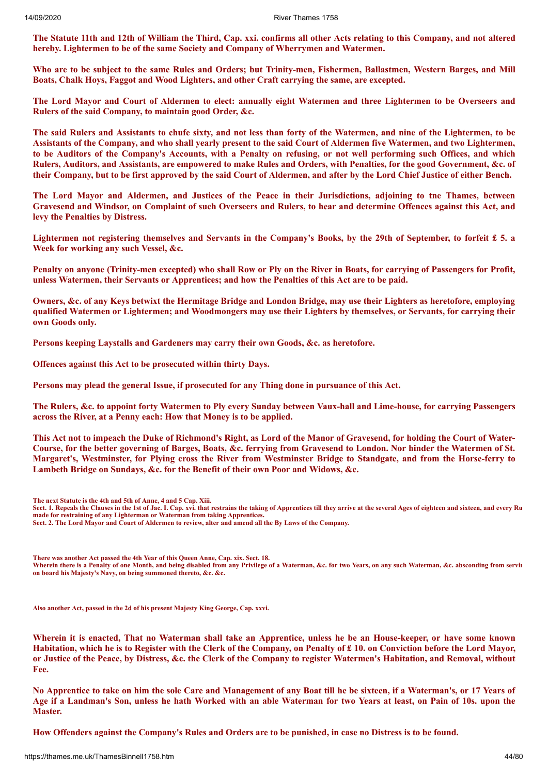The Statute 11th and 12th of William the Third, Cap. xxi. confirms all other Acts relating to this Company, and not altered **hereby. Lightermen to be of the same Society and Company of Wherrymen and Watermen.**

Who are to be subject to the same Rules and Orders; but Trinity-men, Fishermen, Ballastmen, Western Barges, and Mill **Boats, Chalk Hoys, Faggot and Wood Lighters, and other Craft carrying the same, are excepted.**

The Lord Mayor and Court of Aldermen to elect: annually eight Watermen and three Lightermen to be Overseers and **Rulers of the said Company, to maintain good Order, &c.**

The said Rulers and Assistants to chufe sixty, and not less than forty of the Watermen, and nine of the Lightermen, to be Assistants of the Company, and who shall yearly present to the said Court of Aldermen five Watermen, and two Lightermen, to be Auditors of the Company's Accounts, with a Penalty on refusing, or not well performing such Offices, and which Rulers, Auditors, and Assistants, are empowered to make Rules and Orders, with Penalties, for the good Government, &c. of their Company, but to be first approved by the said Court of Aldermen, and after by the Lord Chief Justice of either Bench.

The Lord Mayor and Aldermen, and Justices of the Peace in their Jurisdictions, adjoining to tne Thames, between Gravesend and Windsor, on Complaint of such Overseers and Rulers, to hear and determine Offences against this Act, and **levy the Penalties by Distress.**

Lightermen not registering themselves and Servants in the Company's Books, by the 29th of September, to forfeit  $\pounds$  5. a **Week for working any such Vessel, &c.**

Penalty on anyone (Trinity-men excepted) who shall Row or Ply on the River in Boats, for carrying of Passengers for Profit, **unless Watermen, their Servants or Apprentices; and how the Penalties of this Act are to be paid.**

Owners, &c. of any Keys betwixt the Hermitage Bridge and London Bridge, may use their Lighters as heretofore, employing qualified Watermen or Lightermen; and Woodmongers may use their Lighters by themselves, or Servants, for carrying their **own Goods only.**

**Persons keeping Laystalls and Gardeners may carry their own Goods, &c. as heretofore.**

**Offences against this Act to be prosecuted within thirty Days.**

**Persons may plead the general Issue, if prosecuted for any Thing done in pursuance of this Act.**

The Rulers, &c. to appoint forty Watermen to Ply every Sunday between Vaux-hall and Lime-house, for carrying Passengers **across the River, at a Penny each: How that Money is to be applied.**

This Act not to impeach the Duke of Richmond's Right, as Lord of the Manor of Gravesend, for holding the Court of Water-Course, for the better governing of Barges, Boats, &c. ferrying from Gravesend to London. Nor hinder the Watermen of St. Margaret's, Westminster, for Plying cross the River from Westminster Bridge to Standgate, and from the Horse-ferry to **Lambeth Bridge on Sundays, &c. for the Benefit of their own Poor and Widows, &c.**

**The next Statute is the 4th and 5th of Anne, 4 and 5 Cap. Xiii.**

**Sect. 1. Repeals the Clauses in the 1st of Jac. I. Cap. xvi. that restrains the taking of Apprentices till they arrive at the several Ages of eighteen and sixteen, and every Ru made for restraining of any Lighterman or Waterman from taking Apprentices.**

**Sect. 2. The Lord Mayor and Court of Aldermen to review, alter and amend all the By Laws of the Company.**

**There was another Act passed the 4th Year of this Queen Anne, Cap. xix. Sect. 18. Wherein there is a Penalty of one Month, and being disabled from any Privilege of a Waterman, &c. for two Years, on any such Waterman, &c. absconding from servin on board his Majesty's Navy, on being summoned thereto, &c. &c.**

**Also another Act, passed in the 2d of his present Majesty King George, Cap. xxvi.**

Wherein it is enacted, That no Waterman shall take an Apprentice, unless he be an House-keeper, or have some known Habitation, which he is to Register with the Clerk of the Company, on Penalty of £10. on Conviction before the Lord Mayor, or Justice of the Peace, by Distress, &c. the Clerk of the Company to register Watermen's Habitation, and Removal, without **Fee.**

No Apprentice to take on him the sole Care and Management of any Boat till he be sixteen, if a Waterman's, or 17 Years of Age if a Landman's Son, unless he hath Worked with an able Waterman for two Years at least, on Pain of 10s. upon the **Master.**

How Offenders against the Company's Rules and Orders are to be punished, in case no Distress is to be found.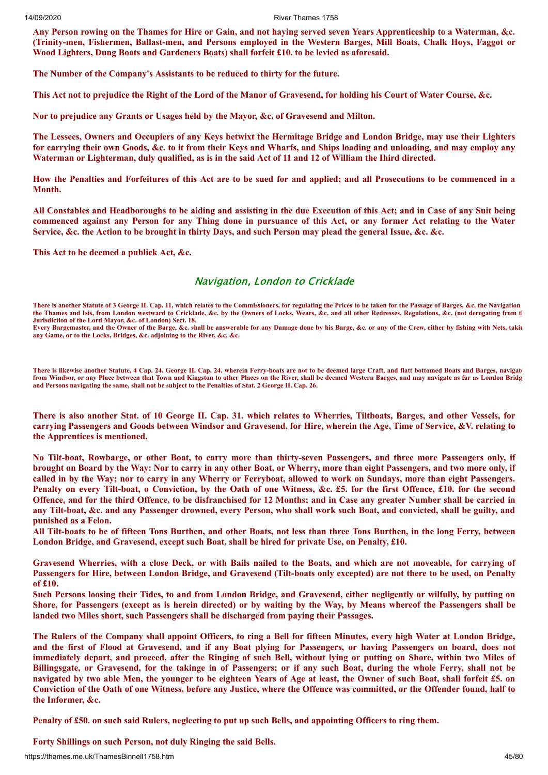Any Person rowing on the Thames for Hire or Gain, and not having served seven Years Apprenticeship to a Waterman, &c. (Trinity-men, Fishermen, Ballast-men, and Persons employed in the Western Barges, Mill Boats, Chalk Hoys, Faggot or **Wood Lighters, Dung Boats and Gardeners Boats) shall forfeit £10. to be levied as aforesaid.**

**The Number of the Company's Assistants to be reduced to thirty for the future.**

This Act not to prejudice the Right of the Lord of the Manor of Gravesend, for holding his Court of Water Course, &c.

**Nor to prejudice any Grants or Usages held by the Mayor, &c. of Gravesend and Milton.**

The Lessees, Owners and Occupiers of any Keys betwixt the Hermitage Bridge and London Bridge, may use their Lighters for carrying their own Goods, &c. to it from their Keys and Wharfs, and Ships loading and unloading, and may employ any Waterman or Lighterman, duly qualified, as is in the said Act of 11 and 12 of William the Ihird directed.

How the Penalties and Forfeitures of this Act are to be sued for and applied; and all Prosecutions to be commenced in a **Month.**

All Constables and Headboroughs to be aiding and assisting in the due Execution of this Act; and in Case of any Suit being commenced against any Person for any Thing done in pursuance of this Act, or any former Act relating to the Water Service, &c. the Action to be brought in thirty Days, and such Person may plead the general Issue, &c. &c.

**This Act to be deemed a publick Act, &c.**

#### Navigation, London to Cricklade

**There is another Statute of 3 George II. Cap. 11, which relates to the Commissioners, for regulating the Prices to be taken for the Passage of Barges, &c. the Navigation**  the Thames and Isis, from London westward to Cricklade, &c. by the Owners of Locks, Wears, &c. and all other Redresses, Regulations, &c. (not derogating from the **Jurisdiction of the Lord Mayor, &c. of London) Sect. 18. Every Bargemaster, and the Owner of the Barge, &c. shall be answerable for any Damage done by his Barge, &c. or any of the Crew, either by fishing with Nets, takin**

**any Game, or to the Locks, Bridges, &c. adjoining to the River, &c. &c.**

**There is likewise another Statute, 4 Cap. 24. George II. Cap. 24. wherein Ferry-boats are not to be deemed large Craft, and flatt bottomed Boats and Barges, navigate from Windsor, or any Place between that Town and Kingston to other Places on the River, shall be deemed Western Barges, and may navigate as far as London Bridg and Persons navigating the same, shall not be subject to the Penalties of Stat. 2 George II. Cap. 26.**

There is also another Stat. of 10 George II. Cap. 31. which relates to Wherries, Tiltboats, Barges, and other Vessels, for carrying Passengers and Goods between Windsor and Gravesend, for Hire, wherein the Age, Time of Service, &V. relating to **the Apprentices is mentioned.**

No Tilt-boat, Rowbarge, or other Boat, to carry more than thirty-seven Passengers, and three more Passengers only, if brought on Board by the Way: Nor to carry in any other Boat, or Wherry, more than eight Passengers, and two more only, if called in by the Way; nor to carry in any Wherry or Ferryboat, allowed to work on Sundays, more than eight Passengers. Penalty on every Tilt-boat, o Conviction, by the Oath of one Witness, &c. £5. for the first Offence, £10. for the second Offence, and for the third Offence, to be disfranchised for 12 Months; and in Case any greater Number shall be carried in any Tilt-boat, &c. and any Passenger drowned, every Person, who shall work such Boat, and convicted, shall be guilty, and **punished as a Felon.**

All Tilt-boats to be of fifteen Tons Burthen, and other Boats, not less than three Tons Burthen, in the long Ferry, between **London Bridge, and Gravesend, except such Boat, shall be hired for private Use, on Penalty, £10.**

Gravesend Wherries, with a close Deck, or with Bails nailed to the Boats, and which are not moveable, for carrving of Passengers for Hire, between London Bridge, and Gravesend (Tilt-boats only excepted) are not there to be used, on Penalty **of £10.**

Such Persons loosing their Tides, to and from London Bridge, and Gravesend, either negligently or wilfully, by putting on Shore, for Passengers (except as is herein directed) or by waiting by the Way, by Means whereof the Passengers shall be **landed two Miles short, such Passengers shall be discharged from paying their Passages.**

The Rulers of the Company shall appoint Officers, to ring a Bell for fifteen Minutes, every high Water at London Bridge, and the first of Flood at Gravesend, and if any Boat plying for Passengers, or having Passengers on board, does not immediately depart, and proceed, after the Ringing of such Bell, without lying or putting on Shore, within two Miles of Billingsgate, or Gravesend, for the takinge in of Passengers; or if any such Boat, during the whole Ferry, shall not be navigated by two able Men, the younger to be eighteen Years of Age at least, the Owner of such Boat, shall forfeit £5. on Conviction of the Oath of one Witness, before any Justice, where the Offence was committed, or the Offender found, half to **the Informer, &c.**

Penalty of £50, on such said Rulers, neglecting to put up such Bells, and appointing Officers to ring them.

**Forty Shillings on such Person, not duly Ringing the said Bells.**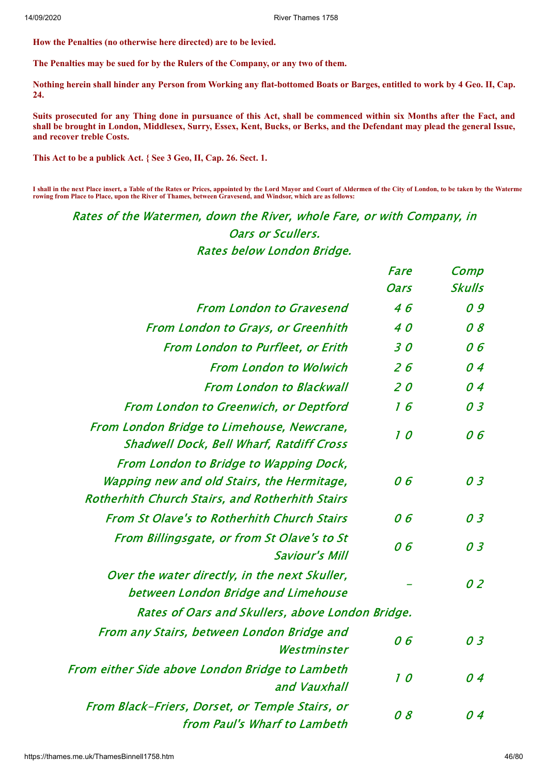**How the Penalties (no otherwise here directed) are to be levied.**

**The Penalties may be sued for by the Rulers of the Company, or any two of them.**

Nothing herein shall hinder any Person from Working any flat-bottomed Boats or Barges, entitled to work by 4 Geo. II, Cap. **24.**

Suits prosecuted for any Thing done in pursuance of this Act, shall be commenced within six Months after the Fact, and shall be brought in London, Middlesex, Surry, Essex, Kent, Bucks, or Berks, and the Defendant may plead the general Issue, **and recover treble Costs.**

**This Act to be a publick Act. { See 3 Geo, II, Cap. 26. Sect. 1.**

**I shall in the next Place insert, a Table of the Rates or Prices, appointed by the Lord Mayor and Court of Aldermen of the City of London, to be taken by the Waterme rowing from Place to Place, upon the River of Thames, between Gravesend, and Windsor, which are as follows:**

Rates of the Watermen, down the River, whole Fare, or with Company, in Oars or Scullers. Rates below London Bridge.

|                                                                                                                                                | Fare        | Comp          |
|------------------------------------------------------------------------------------------------------------------------------------------------|-------------|---------------|
|                                                                                                                                                | <b>Oars</b> | <b>Skulls</b> |
| <b>From London to Gravesend</b>                                                                                                                | 46          | 09            |
| <b>From London to Grays, or Greenhith</b>                                                                                                      | 40          | 08            |
| <b>From London to Purfleet, or Erith</b>                                                                                                       | 30          | 06            |
| <b>From London to Wolwich</b>                                                                                                                  | 26          | 04            |
| <b>From London to Blackwall</b>                                                                                                                | 20          | 04            |
| <b>From London to Greenwich, or Deptford</b>                                                                                                   | 16          | 03            |
| From London Bridge to Limehouse, Newcrane,<br><b>Shadwell Dock, Bell Wharf, Ratdiff Cross</b>                                                  | 10          | 06            |
| From London to Bridge to Wapping Dock,<br>Wapping new and old Stairs, the Hermitage,<br><b>Rotherhith Church Stairs, and Rotherhith Stairs</b> | 06          | 03            |
| <b>From St Olave's to Rotherhith Church Stairs</b>                                                                                             | 06          | 03            |
| From Billingsgate, or from St Olave's to St<br><b>Saviour's Mill</b>                                                                           | 06          | 03            |
| Over the water directly, in the next Skuller,<br>between London Bridge and Limehouse                                                           |             | 02            |
| Rates of Oars and Skullers, above London Bridge.                                                                                               |             |               |
| From any Stairs, between London Bridge and<br>Westminster                                                                                      | 06          | 03            |
| From either Side above London Bridge to Lambeth<br>and Vauxhall                                                                                | 10          | 04            |
| From Black-Friers, Dorset, or Temple Stairs, or<br>from Paul's Wharf to Lambeth                                                                | 08          | በ 4           |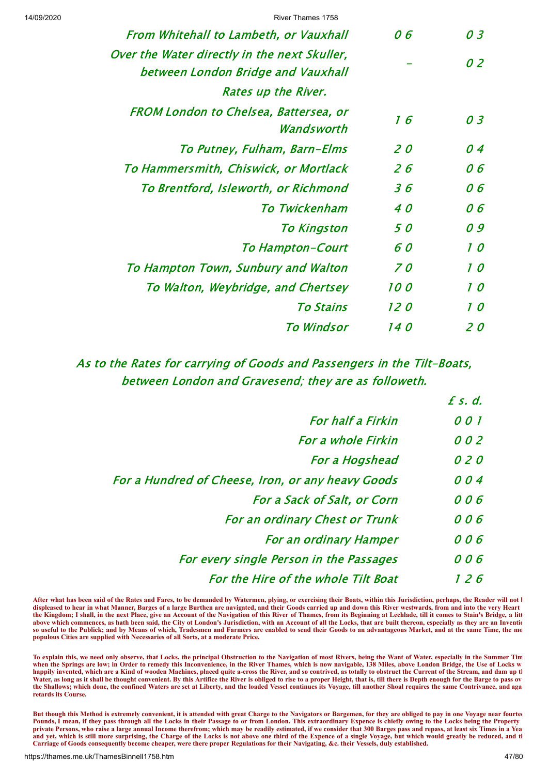| From Whitehall to Lambeth, or Vauxhall                                             |                              | 06          | 03  |
|------------------------------------------------------------------------------------|------------------------------|-------------|-----|
| Over the Water directly in the next Skuller,<br>between London Bridge and Vauxhall |                              |             | 02  |
|                                                                                    | Rates up the River.          |             |     |
| FROM London to Chelsea, Battersea, or                                              | Wandsworth                   | 16          | 03  |
|                                                                                    | To Putney, Fulham, Barn–Elms | 20          | 04  |
| To Hammersmith, Chiswick, or Mortlack                                              |                              | 26          | 06  |
| To Brentford, Isleworth, or Richmond                                               |                              | 36          | 06  |
|                                                                                    | To Twickenham                | 40          | 06  |
|                                                                                    | <b>To Kingston</b>           | 5 O         | 09  |
|                                                                                    | <b>To Hampton-Court</b>      | 6 O         | 10  |
| To Hampton Town, Sunbury and Walton                                                |                              | <i>70</i>   | 10  |
| To Walton, Weybridge, and Chertsey                                                 |                              | <i>100</i>  | 10  |
|                                                                                    | <i>To Stains</i>             | <i>12 0</i> | 10  |
|                                                                                    | To Windsor                   | <i>140</i>  | 2 O |

# As to the Rates for carrying of Goods and Passengers in the Tilt-Boats, between London and Gravesend; they are as followeth.

 $f \in d$ 

| <b>For half a Firkin</b>                          | 001 |
|---------------------------------------------------|-----|
| <b>For a whole Firkin</b>                         | 002 |
| For a Hogshead                                    | 020 |
| For a Hundred of Cheese, Iron, or any heavy Goods | 004 |
| For a Sack of Salt, or Corn                       | 006 |
| <b>For an ordinary Chest or Trunk</b>             | 006 |
| <b>For an ordinary Hamper</b>                     | 006 |
| For every single Person in the Passages           | 006 |
| For the Hire of the whole Tilt Boat               | 126 |

After what has been said of the Rates and Fares, to be demanded by Watermen, plying, or exercising their Boats, within this Jurisdiction, perhaps, the Reader will not l **displeased to hear in what Manner, Barges of a large Burthen are navigated, and their Goods carried up and down this River westwards, from and into the very Heart the Kingdom; I shall, in the next Place, give an Account of the Navigation of this River of Thames, from its Beginning at Lechlade, till it comes to Stain's Bridge, a litt above which commences, as hath been said, the City ot London's Jurisdiction, with an Account of all the Locks, that are built thereon, especially as they are an Inventio so useful to the Publick; and by Means of which, Tradesmen and Farmers are enabled to send their Goods to an advantageous Market, and at the same Time, the mo populous Cities are supplied with Necessaries of all Sorts, at a moderate Price.**

**To explain this, we need only observe, that Locks, the principal Obstruction to the Navigation of most Rivers, being the Want of Water, especially in the Summer Tim when the Springs are low; in Order to remedy this Inconvenience, in the River Thames, which is now navigable, 138 Miles, above London Bridge, the Use of Locks w** happily invented, which are a Kind of wooden Machines, placed quite a-cross the River, and so contrived, as totally to obstruct the Current of the Stream, and dam up the stream and dam up the stream, and the stream, and th **Water, as long as it shall be thought convenient. By this Artifice the River is obliged to rise to a proper Height, that is, till there is Depth enough for the Barge to pass ov the Shallows; which done, the confined Waters are set at Liberty, and the loaded Vessel continues its Voyage, till another Shoal requires the same Contrivance, and aga retards its Course.**

**But though this Method is extremely convenient, it is attended with great Charge to the Navigators or Bargemen, for they are obliged to pay in one Voyage near fourtee Pounds, I mean, if they pass through all the Locks in their Passage to or from London. This extraordinary Expence is chiefly owing to the Locks being the Property private Persons, who raise a large annual Income therefrom; which may be readily estimated, if we consider that 300 Barges pass and repass, at least six Times in a Yea and yet, which is still more surprising, the Charge of the Locks is not above one third of the Expence of a single Voyage, but which would greatly be reduced, and th Carriage of Goods consequently become cheaper, were there proper Regulations for their Navigating, &c. their Vessels, duly established.**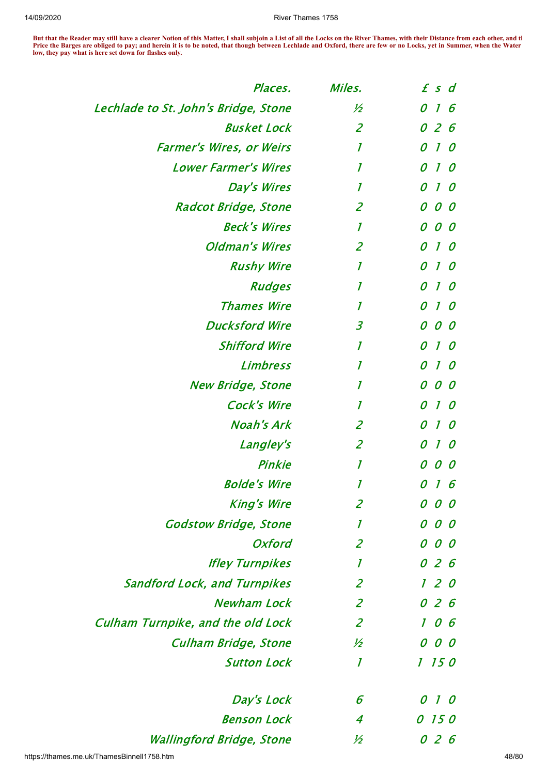**But that the Reader may still have a clearer Notion of this Matter, I shall subjoin a List of all the Locks on the River Thames, with their Distance from each other, and th Price the Barges are obliged to pay; and herein it is to be noted, that though between Lechlade and Oxford, there are few or no Locks, yet in Summer, when the Water low, they pay what is here set down for flashes only.**

| Places.                                  | Miles.           | $f$ s d                                   |
|------------------------------------------|------------------|-------------------------------------------|
| Lechlade to St. John's Bridge, Stone     | ½                | $\boldsymbol{I}$<br>0<br>6                |
| <b>Busket Lock</b>                       | $\overline{2}$   | 0 2 6                                     |
| <b>Farmer's Wires, or Weirs</b>          | 1                | $\mathcal{I}$<br>0<br>0                   |
| <b>Lower Farmer's Wires</b>              | 1                | $\boldsymbol{I}$<br>0<br>$\boldsymbol{O}$ |
| Day's Wires                              | $\mathcal I$     | 0<br>$\boldsymbol{I}$<br>0                |
| <b>Radcot Bridge, Stone</b>              | $\overline{2}$   | 0<br>0<br>0                               |
| <b>Beck's Wires</b>                      | $\boldsymbol{l}$ | $\mathcal{O}$<br>00                       |
| <b>Oldman's Wires</b>                    | $\overline{2}$   | 0<br>$1\,$ O                              |
| <b>Rushy Wire</b>                        | 1                | 0<br>$\boldsymbol{I}$<br>0                |
| <b>Rudges</b>                            | $\overline{I}$   | $\boldsymbol{l}$<br>0<br>0                |
| <b>Thames Wire</b>                       | $\mathcal I$     | $\boldsymbol{l}$<br>$\boldsymbol{o}$<br>0 |
| <b>Ducksford Wire</b>                    | $\overline{3}$   | 0<br>$\mathcal{O}$<br>$\bm{o}$            |
| <b>Shifford Wire</b>                     | $\overline{I}$   | 0<br>$\mathcal{I}$<br>0                   |
| <b>Limbress</b>                          | 1                | 0<br>$\boldsymbol{I}$<br>0                |
| <b>New Bridge, Stone</b>                 | $\mathcal I$     | 0<br>0<br>$\bm{o}$                        |
| <b>Cock's Wire</b>                       | 1                | $\boldsymbol{I}$<br>0<br>0                |
| <b>Noah's Ark</b>                        | $\overline{2}$   | $\boldsymbol{o}$<br>$\boldsymbol{l}$<br>0 |
| Langley's                                | $\overline{2}$   | 0<br>$\boldsymbol{l}$<br>0                |
| Pinkie                                   | 1                | 0<br>$\boldsymbol{\varrho}$               |
| <b>Bolde's Wire</b>                      | 1                | 6<br>1                                    |
| <b>King's Wire</b>                       | $\overline{2}$   | 00<br>0                                   |
| <b>Godstow Bridge, Stone</b>             | $\mathcal I$     | 000                                       |
| Oxford                                   | $\overline{2}$   | 000                                       |
| <b>Ifley Turnpikes</b>                   | 1                | 026                                       |
| <b>Sandford Lock, and Turnpikes</b>      | $\overline{2}$   | 120                                       |
| <b>Newham Lock</b>                       | $\overline{2}$   | 026                                       |
| <b>Culham Turnpike, and the old Lock</b> | $\overline{2}$   | 06<br>$\mathcal{I}$                       |
| <b>Culham Bridge, Stone</b>              | 1⁄2              | 000                                       |
| <b>Sutton Lock</b>                       | $\boldsymbol{l}$ | 1 150                                     |
| Day's Lock                               | 6                | 1<br>$\boldsymbol{o}$                     |
| <b>Benson Lock</b>                       | $\boldsymbol{4}$ | 0 15 0                                    |
| <b>Wallingford Bridge, Stone</b>         | ½                | 026                                       |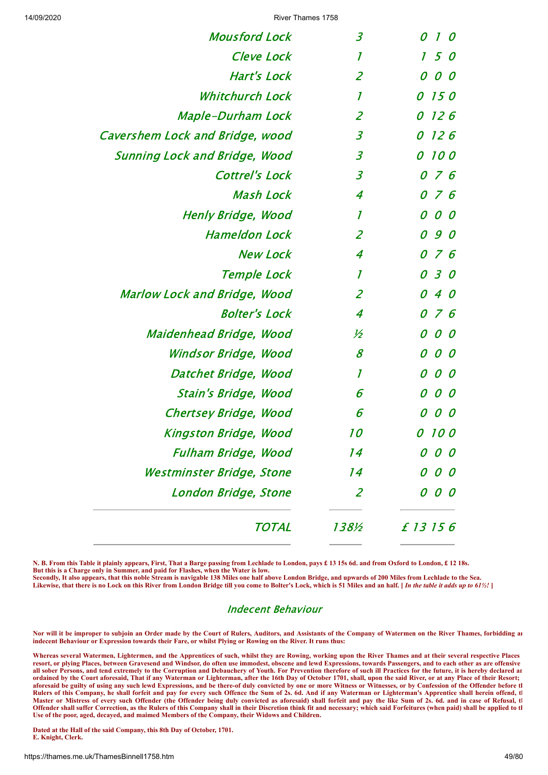| <b>Mousford Lock</b>                 | $\overline{\mathcal{S}}$ | 0<br>$\mathcal{I}$<br>$\mathcal O$ |
|--------------------------------------|--------------------------|------------------------------------|
| <b>Cleve Lock</b>                    | $\mathcal I$             | 50<br>$\mathcal{I}$                |
| <b>Hart's Lock</b>                   | $\overline{2}$           | 0<br>00                            |
| <b>Whitchurch Lock</b>               | $\boldsymbol{I}$         | <i>150</i><br>0                    |
| <b>Maple-Durham Lock</b>             | $\overline{2}$           | 0<br>126                           |
| Cavershem Lock and Bridge, wood      | $\overline{3}$           | 126<br>0                           |
| <b>Sunning Lock and Bridge, Wood</b> | $\overline{\mathcal{Z}}$ | $\mathcal{O}$<br><i>100</i>        |
| <b>Cottrel's Lock</b>                | $\overline{3}$           | 0 7 6                              |
| <b>Mash Lock</b>                     | $\overline{4}$           | 076                                |
| Henly Bridge, Wood                   | $\boldsymbol{l}$         | 0<br>O 0                           |
| <b>Hameldon Lock</b>                 | $\overline{2}$           | 090                                |
| <b>New Lock</b>                      | $\boldsymbol{4}$         | 076                                |
| Temple Lock                          | $\overline{I}$           | 0 3 0                              |
| Marlow Lock and Bridge, Wood         | $\overline{2}$           | 40<br>$\mathcal{O}$                |
| <b>Bolter's Lock</b>                 | $\overline{4}$           | 0 7 6                              |
| Maidenhead Bridge, Wood              | ½                        | $0\,$ $0$<br>0                     |
| Windsor Bridge, Wood                 | 8                        | 0<br>00                            |
| Datchet Bridge, Wood                 | $\mathcal I$             | 0<br>0<br>0                        |
| Stain's Bridge, Wood                 | 6                        | 0<br>0<br>0                        |
| Chertsey Bridge, Wood                | 6                        | 0<br>00                            |
| Kingston Bridge, Wood                | <i>10</i>                | 0<br><i>100</i>                    |
| <b>Fulham Bridge, Wood</b>           | 14                       |                                    |
| Westminster Bridge, Stone            | 14                       | 0                                  |
| London Bridge, Stone                 | $\overline{2}$           | 0<br>0                             |
| TOTAL                                | 138½                     | £ 13 15 6                          |

**N. B. From this Table it plainly appears, First, That a Barge passing from Lechlade to London, pays £ 13 15s 6d. and from Oxford to London, £ 12 18s. But this is a Charge only in Summer, and paid for Flashes, when the Water is low. Secondly, It also appears, that this noble Stream is navigable 138 Miles one half above London Bridge, and upwards of 200 Miles from Lechlade to the Sea.**

Likewise, that there is no Lock on this River from London Bridge till you come to Bolter's Lock, which is 51 Miles and an half. [*In the table it adds up to 61<sup>1</sup>/*: *]* 

#### Indecent Behaviour

**Nor will it be improper to subjoin an Order made by the Court of Rulers, Auditors, and Assistants of the Company of Watermen on the River Thames, forbidding an indecent Behaviour or Expression towards their Fare, or whilst Plying or Rowing on the River. It runs thus:**

**Whereas several Watermen, Lightermen, and the Apprentices of such, whilst they are Rowing, working upon the River Thames and at their several respective Places resort, or plying Places, between Gravesend and Windsor, do often use immodest, obscene and lewd Expressions, towards Passengers, and to each other as are offensive all sober Persons, and tend extremely to the Corruption and Debauchery of Youth. For Prevention therefore of such ill Practices for the future, it is hereby declared an ordained by the Court aforesaid, That if any Waterman or Lighterman, after the 16th Day of October 1701, shall, upon the said River, or at any Place of their Resort; aforesaid be guilty of using any such lewd Expressions, and be there-of duly convicted by one or more Witness or Witnesses, or by Confession of the Offender before th Rulers of this Company, he shall forfeit and pay for every such Offence the Sum of 2s. 6d. And if any Waterman or Lighterman's Apprentice shall herein offend, th Master or Mistress of every such Offender (the Offender being duly convicted as aforesaid) shall forfeit and pay the like Sum of 2s. 6d. and in case of Refusal, th Offender shall suffer Correction, as the Rulers of this Company shall in their Discretion think fit and necessary; which said Forfeitures (when paid) shall be applied to th Use of the poor, aged, decayed, and maimed Members of the Company, their Widows and Children.**

**Dated at the Hall of the said Company, this 8th Day of October, 1701. E. Knight, Clerk.**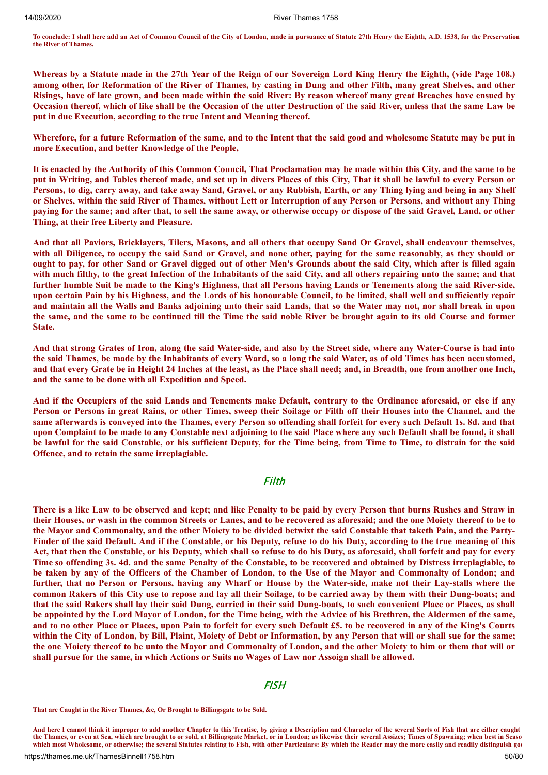**To conclude: I shall here add an Act of Common Council of the City of London, made in pursuance of Statute 27th Henry the Eighth, A.D. 1538, for the Preservation the River of Thames.**

Whereas by a Statute made in the 27th Year of the Reign of our Sovereign Lord King Henry the Eighth, (vide Page 108.) among other, for Reformation of the River of Thames, by casting in Dung and other Filth, many great Shelves, and other Risings, have of late grown, and been made within the said River: By reason whereof many great Breaches have ensued by Occasion thereof, which of like shall be the Occasion of the utter Destruction of the said River, unless that the same Law be **put in due Execution, according to the true Intent and Meaning thereof.**

Wherefore, for a future Reformation of the same, and to the Intent that the said good and wholesome Statute may be put in **more Execution, and better Knowledge of the People,**

It is enacted by the Authority of this Common Council, That Proclamation may be made within this City, and the same to be put in Writing, and Tables thereof made, and set up in divers Places of this City, That it shall be lawful to every Person or Persons, to dig, carry away, and take away Sand, Gravel, or any Rubbish, Earth, or any Thing lying and being in any Shelf or Shelves, within the said River of Thames, without Lett or Interruption of any Person or Persons, and without any Thing paying for the same; and after that, to sell the same away, or otherwise occupy or dispose of the said Gravel, Land, or other **Thing, at their free Liberty and Pleasure.**

And that all Paviors, Bricklavers, Tilers, Masons, and all others that occupy Sand Or Gravel, shall endeavour themselves, with all Diligence, to occupy the said Sand or Gravel, and none other, paying for the same reasonably, as they should or ought to pay, for other Sand or Gravel digged out of other Men's Grounds about the said City, which after is filled again with much filthy, to the great Infection of the Inhabitants of the said City, and all others repairing unto the same; and that further humble Suit be made to the King's Highness, that all Persons having Lands or Tenements along the said River-side, upon certain Pain by his Highness, and the Lords of his honourable Council, to be limited, shall well and sufficiently repair and maintain all the Walls and Banks adjoining unto their said Lands, that so the Water may not, nor shall break in upon the same, and the same to be continued till the Time the said noble River be brought again to its old Course and former **State.**

And that strong Grates of Iron, along the said Water-side, and also by the Street side, where any Water-Course is had into the said Thames, be made by the Inhabitants of every Ward, so a long the said Water, as of old Times has been accustomed, and that every Grate be in Height 24 Inches at the least, as the Place shall need; and, in Breadth, one from another one Inch, **and the same to be done with all Expedition and Speed.**

And if the Occupiers of the said Lands and Tenements make Default, contrary to the Ordinance aforesaid, or else if any Person or Persons in great Rains, or other Times, sweep their Soilage or Filth off their Houses into the Channel, and the same afterwards is conveyed into the Thames, every Person so offending shall forfeit for every such Default 1s. 8d. and that upon Complaint to be made to any Constable next adjoining to the said Place where any such Default shall be found, it shall be lawful for the said Constable, or his sufficient Deputy, for the Time being, from Time to Time, to distrain for the said **Offence, and to retain the same irreplagiable.**

## Filth

There is a like Law to be observed and kept; and like Penalty to be paid by every Person that burns Rushes and Straw in their Houses, or wash in the common Streets or Lanes, and to be recovered as aforesaid; and the one Moiety thereof to be to the Mayor and Commonalty, and the other Moiety to be divided betwixt the said Constable that taketh Pain, and the Party-Finder of the said Default. And if the Constable, or his Deputy, refuse to do his Duty, according to the true meaning of this Act, that then the Constable, or his Deputy, which shall so refuse to do his Duty, as aforesaid, shall forfeit and pay for every Time so offending 3s. 4d. and the same Penalty of the Constable, to be recovered and obtained by Distress irreplagiable, to be taken by any of the Officers of the Chamber of London, to the Use of the Mayor and Commonalty of London; and further, that no Person or Persons, having any Wharf or House by the Water-side, make not their Lay-stalls where the common Rakers of this City use to repose and lay all their Soilage, to be carried away by them with their Dung-boats; and that the said Rakers shall lay their said Dung, carried in their said Dung-boats, to such convenient Place or Places, as shall be appointed by the Lord Mayor of London, for the Time being, with the Advice of his Brethren, the Aldermen of the same, and to no other Place or Places, upon Pain to forfeit for every such Default £5. to be recovered in any of the King's Courts within the City of London, by Bill, Plaint, Moiety of Debt or Information, by any Person that will or shall sue for the same; the one Moiety thereof to be unto the Mayor and Commonalty of London, and the other Moiety to him or them that will or shall pursue for the same, in which Actions or Suits no Wages of Law nor Assoign shall be allowed.

#### **FISH**

**That are Caught in the River Thames, &c, Or Brought to Billingsgate to be Sold.**

**And here I cannot think it improper to add another Chapter to this Treatise, by giving a Description and Character of the several Sorts of Fish that are either caught the Thames, or even at Sea, which are brought to or sold, at Billingsgate Market, or in London; as likewise their several Assizes; Times of Spawning; when best in Seaso which most Wholesome, or otherwise; the several Statutes relating to Fish, with other Particulars: By which the Reader may the more easily and readily distinguish goo**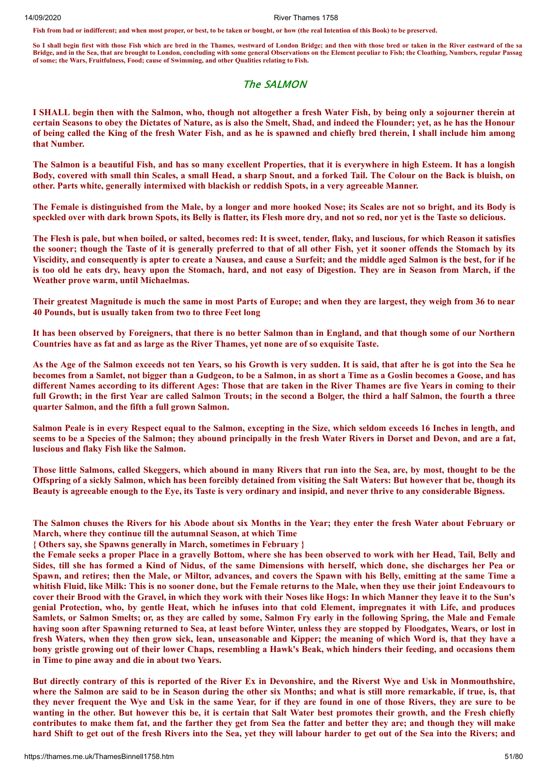**Fish from bad or indifferent; and when most proper, or best, to be taken or bought, or how (the real Intention of this Book) to be preserved.**

**So I shall begin first with those Fish which are bred in the Thames, westward of London Bridge; and then with those bred or taken in the River eastward of the sa Bridge, and in the Sea, that are brought to London, concluding with some general Observations on the Element peculiar to Fish; the Cloathing, Numbers, regular Passag of some; the Wars, Fruitfulness, Food; cause of Swimming, and other Qualities relating to Fish.**

#### The SALMON

I SHALL begin then with the Salmon, who, though not altogether a fresh Water Fish, by being only a sojourner therein at certain Seasons to obey the Dictates of Nature, as is also the Smelt, Shad, and indeed the Flounder; yet, as he has the Honour of being called the King of the fresh Water Fish, and as he is spawned and chiefly bred therein, I shall include him among **that Number.**

The Salmon is a beautiful Fish, and has so many excellent Properties, that it is everywhere in high Esteem. It has a longish Body, covered with small thin Scales, a small Head, a sharp Snout, and a forked Tail. The Colour on the Back is bluish, on **other. Parts white, generally intermixed with blackish or reddish Spots, in a very agreeable Manner.**

The Female is distinguished from the Male, by a longer and more hooked Nose; its Scales are not so bright, and its Body is speckled over with dark brown Spots, its Belly is flatter, its Flesh more dry, and not so red, nor yet is the Taste so delicious.

The Flesh is pale, but when boiled, or salted, becomes red: It is sweet, tender, flaky, and luscious, for which Reason it satisfies the sooner; though the Taste of it is generally preferred to that of all other Fish, yet it sooner offends the Stomach by its Viscidity, and consequently is apter to create a Nausea, and cause a Surfeit; and the middle aged Salmon is the best, for if he is too old he eats dry, heavy upon the Stomach, hard, and not easy of Digestion. They are in Season from March, if the **Weather prove warm, until Michaelmas.**

Their greatest Magnitude is much the same in most Parts of Europe; and when they are largest, they weigh from 36 to near **40 Pounds, but is usually taken from two to three Feet long**

It has been observed by Foreigners, that there is no better Salmon than in England, and that though some of our Northern **Countries have as fat and as large as the River Thames, yet none are of so exquisite Taste.**

As the Age of the Salmon exceeds not ten Years, so his Growth is very sudden. It is said, that after he is got into the Sea he becomes from a Samlet, not bigger than a Gudgeon, to be a Salmon, in as short a Time as a Goslin becomes a Goose, and has different Names according to its different Ages: Those that are taken in the River Thames are five Years in coming to their full Growth; in the first Year are called Salmon Trouts; in the second a Bolger, the third a half Salmon, the fourth a three **quarter Salmon, and the fifth a full grown Salmon.**

Salmon Peale is in every Respect equal to the Salmon, excepting in the Size, which seldom exceeds 16 Inches in length, and seems to be a Species of the Salmon; they abound principally in the fresh Water Rivers in Dorset and Devon, and are a fat, **luscious and flaky Fish like the Salmon.**

Those little Salmons, called Skeggers, which abound in many Rivers that run into the Sea, are, by most, thought to be the Offspring of a sickly Salmon, which has been forcibly detained from visiting the Salt Waters: But however that be, though its Beauty is agreeable enough to the Eye, its Taste is very ordinary and insipid, and never thrive to any considerable Bigness.

The Salmon chuses the Rivers for his Abode about six Months in the Year; they enter the fresh Water about February or **March, where they continue till the autumnal Season, at which Time**

**{ Others say, she Spawns generally in March, sometimes in February }**

the Female seeks a proper Place in a gravelly Bottom, where she has been observed to work with her Head, Tail, Belly and Sides, till she has formed a Kind of Nidus, of the same Dimensions with herself, which done, she discharges her Pea or Spawn, and retires; then the Male, or Miltor, advances, and covers the Spawn with his Belly, emitting at the same Time a whitish Fluid, like Milk: This is no sooner done, but the Female returns to the Male, when they use their joint Endeavours to cover their Brood with the Gravel, in which they work with their Noses like Hogs: In which Manner they leave it to the Sun's genial Protection, who, by gentle Heat, which he infuses into that cold Element, impregnates it with Life, and produces Samlets, or Salmon Smelts; or, as they are called by some, Salmon Fry early in the following Spring, the Male and Female having soon after Spawning returned to Sea, at least before Winter, unless they are stopped by Floodgates, Wears, or lost in fresh Waters, when they then grow sick, lean, unseasonable and Kipper; the meaning of which Word is, that they have a bony gristle growing out of their lower Chaps, resembling a Hawk's Beak, which hinders their feeding, and occasions them **in Time to pine away and die in about two Years.**

But directly contrary of this is reported of the River Ex in Devonshire, and the Riverst Wye and Usk in Monmouthshire, where the Salmon are said to be in Season during the other six Months; and what is still more remarkable, if true, is, that they never frequent the Wye and Usk in the same Year, for if they are found in one of those Rivers, they are sure to be wanting in the other. But however this be, it is certain that Salt Water best promotes their growth, and the Fresh chiefly contributes to make them fat, and the farther they get from Sea the fatter and better they are; and though they will make hard Shift to get out of the fresh Rivers into the Sea, yet they will labour harder to get out of the Sea into the Rivers; and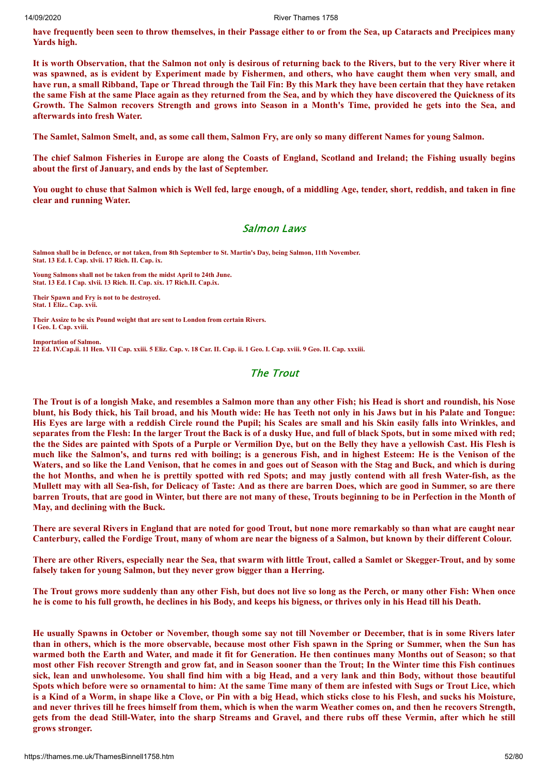have frequently been seen to throw themselves, in their Passage either to or from the Sea, up Cataracts and Precipices many **Yards high.**

It is worth Observation, that the Salmon not only is desirous of returning back to the Rivers, but to the very River where it was spawned, as is evident by Experiment made by Fishermen, and others, who have caught them when very small, and have run, a small Ribband, Tape or Thread through the Tail Fin: By this Mark they have been certain that they have retaken the same Fish at the same Place again as they returned from the Sea, and by which they have discovered the Quickness of its Growth. The Salmon recovers Strength and grows into Season in a Month's Time, provided he gets into the Sea, and **afterwards into fresh Water.**

The Samlet, Salmon Smelt, and, as some call them, Salmon Fry, are only so many different Names for young Salmon.

The chief Salmon Fisheries in Europe are along the Coasts of England, Scotland and Ireland: the Fishing usually begins **about the first of January, and ends by the last of September.**

You ought to chuse that Salmon which is Well fed, large enough, of a middling Age, tender, short, reddish, and taken in fine **clear and running Water.**

#### Salmon Laws

**Salmon shall be in Defence, or not taken, from 8th September to St. Martin's Day, being Salmon, 11th November. Stat. 13 Ed. I. Cap. xlvii. 17 Rich. II. Cap. ix.**

**Young Salmons shall not be taken from the midst April to 24th June. Stat. 13 Ed. I Cap. xlvii. 13 Rich. II. Cap. xix. 17 Rich.II. Cap.ix.**

**Their Spawn and Fry is not to be destroyed. Stat. 1 Eliz.. Cap. xvii.**

**Their Assize to be six Pound weight that are sent to London from certain Rivers. I Geo. L Cap. xviii.**

**Importation of Salmon. 22 Ed. IV.Cap.ii. 11 Hen. VII Cap. xxiii. 5 Eliz. Cap. v. 18 Car. II. Cap. ii. 1 Geo. I. Cap. xviii. 9 Geo. II. Cap. xxxiii.**

## The Trout

The Trout is of a longish Make, and resembles a Salmon more than any other Fish; his Head is short and roundish, his Nose blunt, his Body thick, his Tail broad, and his Mouth wide: He has Teeth not only in his Jaws but in his Palate and Tongue: His Eyes are large with a reddish Circle round the Pupil; his Scales are small and his Skin easily falls into Wrinkles, and separates from the Flesh: In the larger Trout the Back is of a dusky Hue, and full of black Spots, but in some mixed with red; the the Sides are painted with Spots of a Purple or Vermilion Dye, but on the Belly they have a yellowish Cast. His Flesh is much like the Salmon's, and turns red with boiling; is a generous Fish, and in highest Esteem: He is the Venison of the Waters, and so like the Land Venison, that he comes in and goes out of Season with the Stag and Buck, and which is during the hot Months, and when he is prettily spotted with red Spots; and may justly contend with all fresh Water-fish, as the Mullett may with all Sea-fish, for Delicacy of Taste: And as there are barren Does, which are good in Summer, so are there barren Trouts, that are good in Winter, but there are not many of these, Trouts beginning to be in Perfection in the Month of **May, and declining with the Buck.**

There are several Rivers in England that are noted for good Trout, but none more remarkably so than what are caught near Canterbury, called the Fordige Trout, many of whom are near the bigness of a Salmon, but known by their different Colour.

There are other Rivers, especially near the Sea, that swarm with little Trout, called a Samlet or Skegger-Trout, and by some **falsely taken for young Salmon, but they never grow bigger than a Herring.**

The Trout grows more suddenly than any other Fish, but does not live so long as the Perch, or many other Fish: When once he is come to his full growth, he declines in his Body, and keeps his bigness, or thrives only in his Head till his Death.

He usually Spawns in October or November, though some say not till November or December, that is in some Rivers later than in others, which is the more observable, because most other Fish spawn in the Spring or Summer, when the Sun has warmed both the Earth and Water, and made it fit for Generation. He then continues many Months out of Season; so that most other Fish recover Strength and grow fat, and in Season sooner than the Trout; In the Winter time this Fish continues sick, lean and unwholesome. You shall find him with a big Head, and a very lank and thin Body, without those beautiful Spots which before were so ornamental to him: At the same Time many of them are infested with Sugs or Trout Lice, which is a Kind of a Worm, in shape like a Clove, or Pin with a big Head, which sticks close to his Flesh, and sucks his Moisture, and never thrives till he frees himself from them, which is when the warm Weather comes on, and then he recovers Strength, gets from the dead Still-Water, into the sharp Streams and Gravel, and there rubs off these Vermin, after which he still **grows stronger.**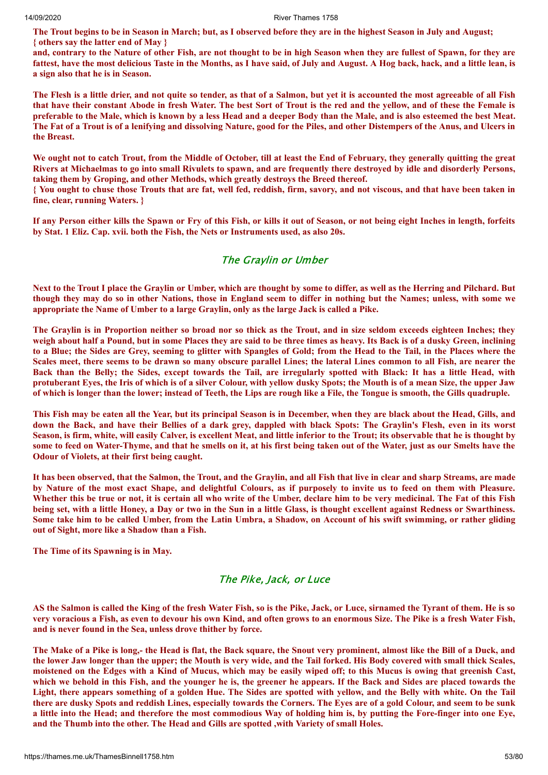The Trout begins to be in Season in March; but, as I observed before they are in the highest Season in July and August; **{ others say the latter end of May }**

and, contrary to the Nature of other Fish, are not thought to be in high Season when they are fullest of Spawn, for they are fattest, have the most delicious Taste in the Months, as I have said, of July and August. A Hog back, hack, and a little lean, is **a sign also that he is in Season.**

The Flesh is a little drier, and not quite so tender, as that of a Salmon, but yet it is accounted the most agreeable of all Fish that have their constant Abode in fresh Water. The best Sort of Trout is the red and the yellow, and of these the Female is preferable to the Male, which is known by a less Head and a deeper Body than the Male, and is also esteemed the best Meat. The Fat of a Trout is of a lenifying and dissolving Nature, good for the Piles, and other Distempers of the Anus, and Ulcers in **the Breast.**

We ought not to catch Trout, from the Middle of October, till at least the End of February, they generally quitting the great Rivers at Michaelmas to go into small Rivulets to spawn, and are frequently there destroved by idle and disorderly Persons, **taking them by Groping, and other Methods, which greatly destroys the Breed thereof.**

{ You ought to chuse those Trouts that are fat, well fed, reddish, firm, savory, and not viscous, and that have been taken in **fine, clear, running Waters. }**

If any Person either kills the Spawn or Fry of this Fish, or kills it out of Season, or not being eight Inches in length, forfeits **by Stat. 1 Eliz. Cap. xvii. both the Fish, the Nets or Instruments used, as also 20s.**

## The Graylin or Umber

Next to the Trout I place the Graylin or Umber, which are thought by some to differ, as well as the Herring and Pilchard. But though they may do so in other Nations, those in England seem to differ in nothing but the Names; unless, with some we **appropriate the Name of Umber to a large Graylin, only as the large Jack is called a Pike.**

The Graylin is in Proportion neither so broad nor so thick as the Trout, and in size seldom exceeds eighteen Inches; they weigh about half a Pound, but in some Places they are said to be three times as heavy. Its Back is of a dusky Green, inclining to a Blue; the Sides are Grey, seeming to glitter with Spangles of Gold; from the Head to the Tail, in the Places where the Scales meet, there seems to be drawn so many obscure parallel Lines; the lateral Lines common to all Fish, are nearer the Back than the Belly; the Sides, except towards the Tail, are irregularly spotted with Black: It has a little Head, with protuberant Eyes, the Iris of which is of a silver Colour, with yellow dusky Spots; the Mouth is of a mean Size, the upper Jaw of which is longer than the lower; instead of Teeth, the Lips are rough like a File, the Tongue is smooth, the Gills quadruple.

This Fish may be eaten all the Year, but its principal Season is in December, when they are black about the Head, Gills, and down the Back, and have their Bellies of a dark grey, dappled with black Spots: The Graylin's Flesh, even in its worst Season, is firm, white, will easily Calver, is excellent Meat, and little inferior to the Trout; its observable that he is thought by some to feed on Water-Thyme, and that he smells on it, at his first being taken out of the Water, just as our Smelts have the **Odour of Violets, at their first being caught.**

It has been observed, that the Salmon, the Trout, and the Graylin, and all Fish that live in clear and sharp Streams, are made by Nature of the most exact Shape, and delightful Colours, as if purposely to invite us to feed on them with Pleasure. Whether this be true or not, it is certain all who write of the Umber, declare him to be very medicinal. The Fat of this Fish being set, with a little Honey, a Day or two in the Sun in a little Glass, is thought excellent against Redness or Swarthiness. Some take him to be called Umber, from the Latin Umbra, a Shadow, on Account of his swift swimming, or rather gliding **out of Sight, more like a Shadow than a Fish.**

**The Time of its Spawning is in May.**

#### The Pike, Jack, or Luce

AS the Salmon is called the King of the fresh Water Fish, so is the Pike, Jack, or Luce, sirnamed the Tyrant of them. He is so very voracious a Fish, as even to devour his own Kind, and often grows to an enormous Size. The Pike is a fresh Water Fish, **and is never found in the Sea, unless drove thither by force.**

The Make of a Pike is long,- the Head is flat, the Back square, the Snout very prominent, almost like the Bill of a Duck, and the lower Jaw longer than the upper; the Mouth is very wide, and the Tail forked. His Body covered with small thick Scales, moistened on the Edges with a Kind of Mucus, which may be easily wiped off; to this Mucus is owing that greenish Cast, which we behold in this Fish, and the vounger he is, the greener he appears. If the Back and Sides are placed towards the Light, there appears something of a golden Hue. The Sides are spotted with vellow, and the Belly with white. On the Tail there are dusky Spots and reddish Lines, especially towards the Corners. The Eyes are of a gold Colour, and seem to be sunk a little into the Head; and therefore the most commodious Way of holding him is, by putting the Fore-finger into one Eye, **and the Thumb into the other. The Head and Gills are spotted ,with Variety of small Holes.**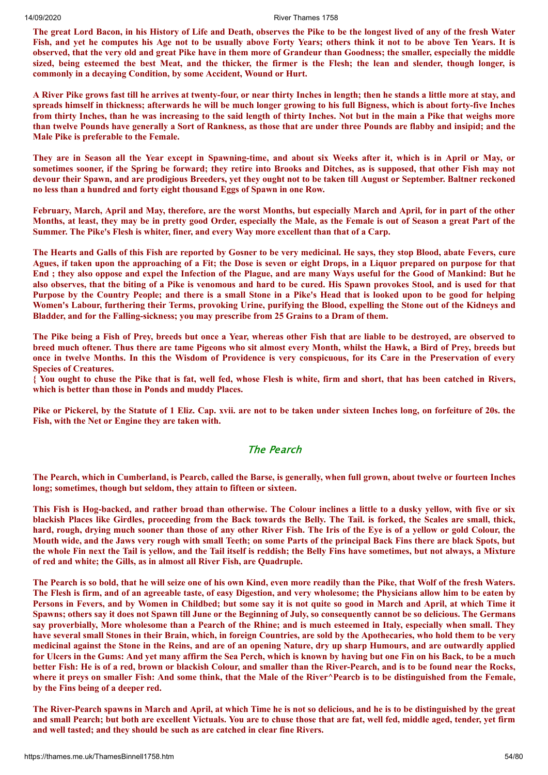The great Lord Bacon, in his History of Life and Death, observes the Pike to be the longest lived of any of the fresh Water Fish, and yet he computes his Age not to be usually above Forty Years; others think it not to be above Ten Years. It is observed, that the very old and great Pike have in them more of Grandeur than Goodness; the smaller, especially the middle sized, being esteemed the best Meat, and the thicker, the firmer is the Flesh; the lean and slender, though longer, is **commonly in a decaying Condition, by some Accident, Wound or Hurt.**

A River Pike grows fast till he arrives at twenty-four, or near thirty Inches in length; then he stands a little more at stay, and spreads himself in thickness; afterwards he will be much longer growing to his full Bigness, which is about forty-five Inches from thirty Inches, than he was increasing to the said length of thirty Inches. Not but in the main a Pike that weighs more than twelve Pounds have generally a Sort of Rankness, as those that are under three Pounds are flabby and insipid; and the **Male Pike is preferable to the Female.**

They are in Season all the Year except in Spawning-time, and about six Weeks after it, which is in April or May, or sometimes sooner, if the Spring be forward; they retire into Brooks and Ditches, as is supposed, that other Fish may not devour their Spawn, and are prodigious Breeders, yet they ought not to be taken till August or September. Baltner reckoned **no less than a hundred and forty eight thousand Eggs of Spawn in one Row.**

February, March, April and May, therefore, are the worst Months, but especially March and April, for in part of the other Months, at least, they may be in pretty good Order, especially the Male, as the Female is out of Season a great Part of the **Summer. The Pike's Flesh is whiter, finer, and every Way more excellent than that of a Carp.**

The Hearts and Galls of this Fish are reported by Gosner to be very medicinal. He says, they stop Blood, abate Fevers, cure Agues, if taken upon the approaching of a Fit; the Dose is seven or eight Drops, in a Liquor prepared on purpose for that End; they also oppose and expel the Infection of the Plague, and are many Ways useful for the Good of Mankind: But he also observes, that the biting of a Pike is venomous and hard to be cured. His Spawn provokes Stool, and is used for that Purpose by the Country People; and there is a small Stone in a Pike's Head that is looked upon to be good for helping Women's Labour, furthering their Terms, provoking Urine, purifying the Blood, expelling the Stone out of the Kidneys and **Bladder, and for the Falling-sickness; you may prescribe from 25 Grains to a Dram of them.**

The Pike being a Fish of Prey, breeds but once a Year, whereas other Fish that are liable to be destroyed, are observed to breed much oftener. Thus there are tame Pigeons who sit almost every Month, whilst the Hawk, a Bird of Prey, breeds but once in twelve Months. In this the Wisdom of Providence is very conspicuous, for its Care in the Preservation of every **Species of Creatures.**

{ You ought to chuse the Pike that is fat, well fed, whose Flesh is white, firm and short, that has been catched in Rivers, **which is better than those in Ponds and muddy Places.**

Pike or Pickerel, by the Statute of 1 Eliz. Cap. xvii. are not to be taken under sixteen Inches long, on forfeiture of 20s. the **Fish, with the Net or Engine they are taken with.**

#### The Pearch

The Pearch, which in Cumberland, is Pearch, called the Barse, is generally, when full grown, about twelve or fourteen Inches **long; sometimes, though but seldom, they attain to fifteen or sixteen.**

This Fish is Hog-backed, and rather broad than otherwise. The Colour inclines a little to a dusky vellow, with five or six blackish Places like Girdles, proceeding from the Back towards the Belly. The Tail, is forked, the Scales are small, thick, hard, rough, drying much sooner than those of any other River Fish. The Iris of the Eve is of a vellow or gold Colour, the Mouth wide, and the Jaws very rough with small Teeth; on some Parts of the principal Back Fins there are black Spots, but the whole Fin next the Tail is vellow, and the Tail itself is reddish; the Belly Fins have sometimes, but not always, a Mixture **of red and white; the Gills, as in almost all River Fish, are Quadruple.**

The Pearch is so bold, that he will seize one of his own Kind, even more readily than the Pike, that Wolf of the fresh Waters. The Flesh is firm, and of an agreeable taste, of easy Digestion, and very wholesome; the Physicians allow him to be eaten by Persons in Fevers, and by Women in Childbed; but some say it is not quite so good in March and April, at which Time it Spawns; others say it does not Spawn till June or the Beginning of July, so consequently cannot be so delicious. The Germans say proverbially, More wholesome than a Pearch of the Rhine; and is much esteemed in Italy, especially when small. They have several small Stones in their Brain, which, in foreign Countries, are sold by the Apothecaries, who hold them to be very medicinal against the Stone in the Reins, and are of an opening Nature, dry up sharp Humours, and are outwardly applied for Ulcers in the Gums: And yet many affirm the Sea Perch, which is known by having but one Fin on his Back, to be a much better Fish: He is of a red, brown or blackish Colour, and smaller than the River-Pearch, and is to be found near the Rocks, where it prevs on smaller Fish: And some think, that the Male of the River^Pearch is to be distinguished from the Female, **by the Fins being of a deeper red.**

The River-Pearch spawns in March and April, at which Time he is not so delicious, and he is to be distinguished by the great and small Pearch; but both are excellent Victuals. You are to chuse those that are fat, well fed, middle aged, tender, yet firm **and well tasted; and they should be such as are catched in clear fine Rivers.**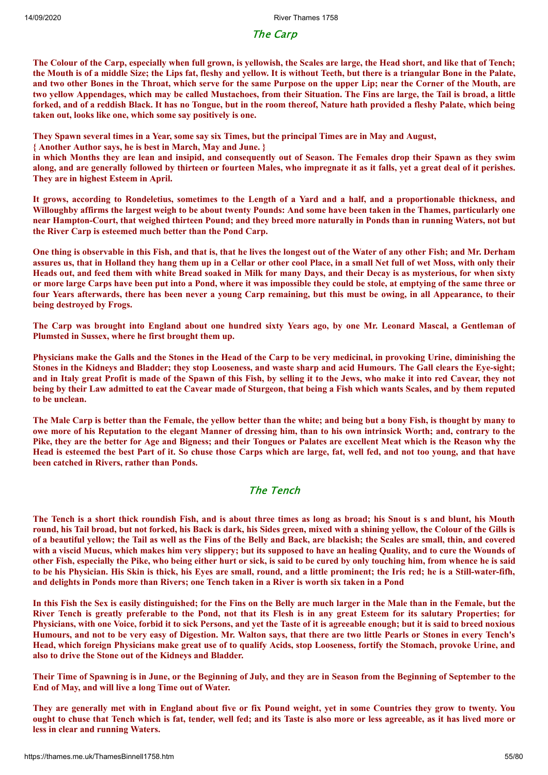The Carp

The Colour of the Carp, especially when full grown, is vellowish, the Scales are large, the Head short, and like that of Tench; the Mouth is of a middle Size; the Lips fat, fleshy and yellow. It is without Teeth, but there is a triangular Bone in the Palate, and two other Bones in the Throat, which serve for the same Purpose on the upper Lip; near the Corner of the Mouth, are two yellow Appendages, which may be called Mustachoes, from their Situation. The Fins are large, the Tail is broad, a little forked, and of a reddish Black. It has no Tongue, but in the room thereof, Nature hath provided a fleshy Palate, which being **taken out, looks like one, which some say positively is one.**

They Spawn several times in a Year, some say six Times, but the principal Times are in May and August,

**{ Another Author says, he is best in March, May and June. }**

in which Months they are lean and insipid, and consequently out of Season. The Females drop their Spawn as they swim along, and are generally followed by thirteen or fourteen Males, who impregnate it as it falls, yet a great deal of it perishes. **They are in highest Esteem in April.**

It grows, according to Rondeletius, sometimes to the Length of a Yard and a half, and a proportionable thickness, and Willoughby affirms the largest weigh to be about twenty Pounds: And some have been taken in the Thames, particularly one near Hampton-Court, that weighed thirteen Pound; and they breed more naturally in Ponds than in running Waters, not but **the River Carp is esteemed much better than the Pond Carp.**

One thing is observable in this Fish, and that is, that he lives the longest out of the Water of any other Fish; and Mr. Derham assures us, that in Holland they hang them up in a Cellar or other cool Place, in a small Net full of wet Moss, with only their Heads out, and feed them with white Bread soaked in Milk for many Days, and their Decay is as mysterious, for when sixty or more large Carps have been put into a Pond, where it was impossible they could be stole, at emptying of the same three or four Years afterwards, there has been never a young Carp remaining, but this must be owing, in all Appearance, to their **being destroyed by Frogs.**

The Carp was brought into England about one hundred sixty Years ago, by one Mr. Leonard Mascal, a Gentleman of **Plumsted in Sussex, where he first brought them up.**

Physicians make the Galls and the Stones in the Head of the Carp to be very medicinal, in provoking Urine, diminishing the Stones in the Kidneys and Bladder; they stop Looseness, and waste sharp and acid Humours. The Gall clears the Eye-sight; and in Italy great Profit is made of the Spawn of this Fish, by selling it to the Jews, who make it into red Cavear, they not being by their Law admitted to eat the Cavear made of Sturgeon, that being a Fish which wants Scales, and by them reputed **to be unclean.**

The Male Carp is better than the Female, the yellow better than the white; and being but a bony Fish, is thought by many to owe more of his Reputation to the elegant Manner of dressing him, than to his own intrinsick Worth; and, contrary to the Pike, they are the better for Age and Bigness; and their Tongues or Palates are excellent Meat which is the Reason why the Head is esteemed the best Part of it. So chuse those Carps which are large, fat, well fed, and not too young, and that have **been catched in Rivers, rather than Ponds.**

## The Tench

The Tench is a short thick roundish Fish, and is about three times as long as broad; his Snout is s and blunt, his Mouth round, his Tail broad, but not forked, his Back is dark, his Sides green, mixed with a shining vellow, the Colour of the Gills is of a beautiful yellow; the Tail as well as the Fins of the Belly and Back, are blackish; the Scales are small, thin, and covered with a viscid Mucus, which makes him very slippery; but its supposed to have an healing Quality, and to cure the Wounds of other Fish, especially the Pike, who being either hurt or sick, is said to be cured by only touching him, from whence he is said to be his Physician. His Skin is thick, his Eyes are small, round, and a little prominent; the Iris red; he is a Still-water-fifh, and delights in Ponds more than Rivers; one Tench taken in a River is worth six taken in a Pond

In this Fish the Sex is easily distinguished; for the Fins on the Belly are much larger in the Male than in the Female, but the River Tench is greatly preferable to the Pond, not that its Flesh is in any great Esteem for its salutary Properties; for Physicians, with one Voice, forbid it to sick Persons, and yet the Taste of it is agreeable enough; but it is said to breed noxious Humours, and not to be very easy of Digestion. Mr. Walton says, that there are two little Pearls or Stones in every Tench's Head, which foreign Physicians make great use of to qualify Acids, stop Looseness, fortify the Stomach, provoke Urine, and **also to drive the Stone out of the Kidneys and Bladder.**

Their Time of Spawning is in June, or the Beginning of July, and they are in Season from the Beginning of September to the **End of May, and will live a long Time out of Water.**

They are generally met with in England about five or fix Pound weight, yet in some Countries they grow to twenty. You ought to chuse that Tench which is fat, tender, well fed; and its Taste is also more or less agreeable, as it has lived more or **less in clear and running Waters.**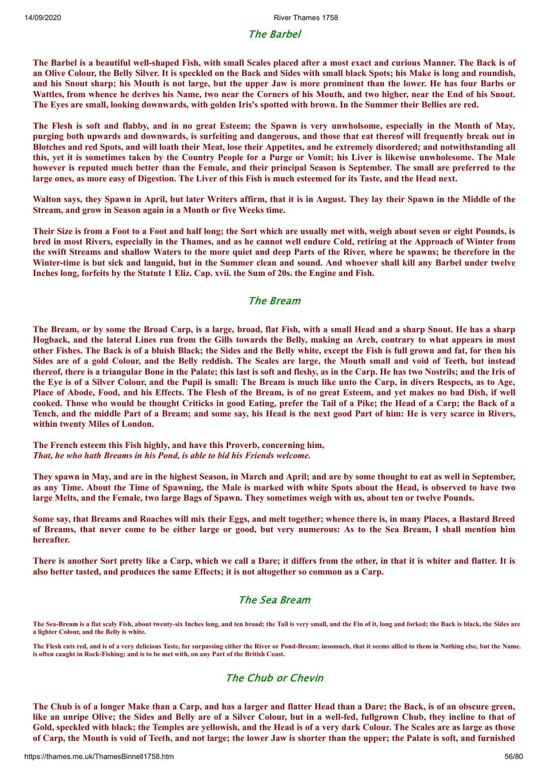#### The Barbel

The Barbel is a beautiful well-shaped Fish, with small Scales placed after a most exact and curious Manner. The Back is of an Olive Colour, the Belly Silver. It is speckled on the Back and Sides with small black Spots; his Make is long and roundish, and his Snout sharp; his Mouth is not large, but the upper Jaw is more prominent than the lower. He has four Barbs or Wattles, from whence he derives his Name, two near the Corners of his Mouth, and two higher, near the End of his Snout. The Eyes are small, looking downwards, with golden Iris's spotted with brown. In the Summer their Bellies are red.

The Flesh is soft and flabby, and in no great Esteem; the Spawn is very unwholsome, especially in the Month of May, purging both upwards and downwards, is surfeiting and dangerous, and those that eat thereof will frequently break out in Blotches and red Spots, and will loath their Meat, lose their Appetites, and be extremely disordered; and notwithstanding all this, yet it is sometimes taken by the Country People for a Purge or Vomit; his Liver is likewise unwholesome. The Male however is reputed much better than the Female, and their principal Season is September. The small are preferred to the large ones, as more easy of Digestion. The Liver of this Fish is much esteemed for its Taste, and the Head next.

Walton says, they Spawn in April, but later Writers affirm, that it is in August. They lay their Spawn in the Middle of the **Stream, and grow in Season again in a Month or five Weeks time.**

Their Size is from a Foot to a Foot and half long; the Sort which are usually met with, weigh about seven or eight Pounds, is bred in most Rivers, especially in the Thames, and as he cannot well endure Cold, retiring at the Approach of Winter from the swift Streams and shallow Waters to the more quiet and deep Parts of the River, where he spawns; he therefore in the Winter-time is but sick and languid, but in the Summer clean and sound. And whoever shall kill any Barbel under twelve **Inches long, forfeits by the Statute 1 Eliz. Cap. xvii. the Sum of 20s. the Engine and Fish.**

## The Bream

The Bream, or by some the Broad Carp, is a large, broad, flat Fish, with a small Head and a sharp Snout. He has a sharp Hogback, and the lateral Lines run from the Gills towards the Belly, making an Arch, contrary to what appears in most other Fishes. The Back is of a bluish Black; the Sides and the Belly white, except the Fish is full grown and fat, for then his Sides are of a gold Colour, and the Belly reddish. The Scales are large, the Mouth small and void of Teeth, but instead thereof, there is a triangular Bone in the Palate; this last is soft and fleshy, as in the Carp. He has two Nostrils; and the Iris of the Eve is of a Silver Colour, and the Pupil is small: The Bream is much like unto the Carp, in divers Respects, as to Age, Place of Abode, Food, and his Effects. The Flesh of the Bream, is of no great Esteem, and yet makes no bad Dish, if well cooked. Those who would be thought Criticks in good Eating, prefer the Tail of a Pike; the Head of a Carp; the Back of a Tench, and the middle Part of a Bream; and some say, his Head is the next good Part of him: He is very scarce in Rivers, **within twenty Miles of London.**

**The French esteem this Fish highly, and have this Proverb, concerning him,** *That, he who hath Breams in his Pond, is able to bid his Friends welcome.*

They spawn in May, and are in the highest Season, in March and April; and are by some thought to eat as well in September, as any Time. About the Time of Spawning, the Male is marked with white Spots about the Head, is observed to have two large Melts, and the Female, two large Bags of Spawn. They sometimes weigh with us, about ten or twelve Pounds.

Some say, that Breams and Roaches will mix their Eggs, and melt together; whence there is, in many Places, a Bastard Breed of Breams, that never come to be either large or good, but very numerous: As to the Sea Bream, I shall mention him **hereafter.**

There is another Sort pretty like a Carp, which we call a Dare; it differs from the other, in that it is whiter and flatter. It is **also better tasted, and produces the same Effects; it is not altogether so common as a Carp.**

## The Sea Bream

**The Sea-Bream is a flat scaly Fish, about twenty-six Inches long, and ten broad; the Tail is very small, and the Fin of it, long and forked; the Back is black, the Sides are a lighter Colour, and the Belly is white.**

**The Flesh cuts red, and is of a very delicious Taste, far surpassing either the River or Pond-Bream; insomuch, that it seems allied to them in Nothing else, but the Name. is often caught in Rock-Fishing; and is to be met with, on any Part of the British Coast.**

## The Chub or Chevin

The Chub is of a longer Make than a Carp, and has a larger and flatter Head than a Dare; the Back, is of an obscure green, like an unripe Olive; the Sides and Belly are of a Silver Colour, but in a well-fed, fullgrown Chub, they incline to that of Gold, speckled with black; the Temples are yellowish, and the Head is of a very dark Colour. The Scales are as large as those of Carp, the Mouth is void of Teeth, and not large; the lower Jaw is shorter than the upper; the Palate is soft, and furnished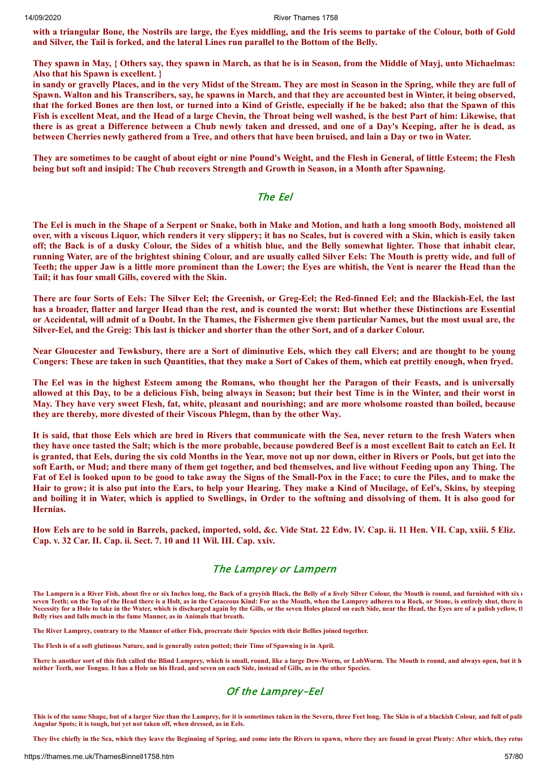with a triangular Bone, the Nostrils are large, the Eyes middling, and the Iris seems to partake of the Colour, both of Gold **and Silver, the Tail is forked, and the lateral Lines run parallel to the Bottom of the Belly.**

They spawn in May, { Others say, they spawn in March, as that he is in Season, from the Middle of Mayj, unto Michaelmas: **Also that his Spawn is excellent. }**

in sandy or gravelly Places, and in the very Midst of the Stream. They are most in Season in the Spring, while they are full of Spawn. Walton and his Transcribers, say, he spawns in March, and that they are accounted best in Winter, it being observed, that the forked Bones are then lost, or turned into a Kind of Gristle, especially if he be baked; also that the Spawn of this Fish is excellent Meat, and the Head of a large Chevin, the Throat being well washed, is the best Part of him: Likewise, that there is as great a Difference between a Chub newly taken and dressed, and one of a Day's Keeping, after he is dead, as between Cherries newly gathered from a Tree, and others that have been bruised, and lain a Day or two in Water.

They are sometimes to be caught of about eight or nine Pound's Weight, and the Flesh in General, of little Esteem; the Flesh being but soft and insipid: The Chub recovers Strength and Growth in Season, in a Month after Spawning.

## The Eel

The Eel is much in the Shape of a Serpent or Snake, both in Make and Motion, and hath a long smooth Body, moistened all over, with a viscous Liquor, which renders it very slippery; it has no Scales, but is covered with a Skin, which is easily taken off; the Back is of a dusky Colour, the Sides of a whitish blue, and the Belly somewhat lighter. Those that inhabit clear, running Water, are of the brightest shining Colour, and are usually called Silver Eels: The Mouth is pretty wide, and full of Teeth; the upper Jaw is a little more prominent than the Lower; the Eyes are whitish, the Vent is nearer the Head than the **Tail; it has four small Gills, covered with the Skin.**

There are four Sorts of Eels: The Silver Eel; the Greenish, or Greg-Eel; the Red-finned Eel; and the Blackish-Eel, the last has a broader, flatter and larger Head than the rest, and is counted the worst: But whether these Distinctions are Essential or Accidental, will admit of a Doubt. In the Thames, the Fishermen give them particular Names, but the most usual are, the Silver-Eel, and the Greig: This last is thicker and shorter than the other Sort, and of a darker Colour.

Near Gloucester and Tewksbury, there are a Sort of diminutive Eels, which they call Elvers; and are thought to be young Congers: These are taken in such Quantities, that they make a Sort of Cakes of them, which eat prettily enough, when fryed.

The Eel was in the highest Esteem among the Romans, who thought her the Paragon of their Feasts, and is universally allowed at this Day, to be a delicious Fish, being always in Season; but their best Time is in the Winter, and their worst in May. They have very sweet Flesh, fat, white, pleasant and nourishing; and are more wholsome roasted than boiled, because **they are thereby, more divested of their Viscous Phlegm, than by the other Way.**

It is said, that those Eels which are bred in Rivers that communicate with the Sea, never return to the fresh Waters when they have once tasted the Salt; which is the more probable, because powdered Beef is a most excellent Bait to catch an Eel. It is granted, that Eels, during the six cold Months in the Year, move not up nor down, either in Rivers or Pools, but get into the soft Earth, or Mud; and there many of them get together, and bed themselves, and live without Feeding upon any Thing. The Fat of Eel is looked upon to be good to take away the Signs of the Small-Pox in the Face; to cure the Piles, and to make the Hair to grow; it is also put into the Ears, to help your Hearing. They make a Kind of Mucilage, of Eel's, Skins, by steeping and boiling it in Water, which is applied to Swellings, in Order to the softning and dissolving of them. It is also good for **Hernias.**

How Eels are to be sold in Barrels, packed, imported, sold, &c. Vide Stat. 22 Edw. IV. Cap. ii. 11 Hen. VII. Cap. xxiii. 5 Eliz. **Cap. v. 32 Car. II. Cap. ii. Sect. 7. 10 and 11 Wil. III. Cap. xxiv.**

#### The Lamprey or Lampern

**The Lampern is a River Fish, about five or six Inches long, the Back of a greyish Black, the Belly of a lively Silver Colour, the Mouth is round, and furnished with six o seven Teeth; on the Top of the Head there is a Holt, as in the Cetaceous Kind: For as the Mouth, when the Lamprey adheres to a Rock, or Stone, is entirely shut, there is Necessity for a Hole to take in the Water, which is discharged again by the Gills, or the seven Holes placed on each Side, near the Head, the Eyes are of a palish yellow, th Belly rises and falls much in the fame Manner, as in Animals that breath.**

**The River Lamprey, contrary to the Manner of other Fish, procreate their Species with their Bellies joined together.**

**The Flesh is of a soft glutinous Nature, and is generally eaten potted; their Time of Spawning is in April.**

**There is another sort of this fish called the Blind Lamprey, which is small, round, like a large Dew-Worm, or LobWorm. The Mouth is round, and always open, but it h neither Teeth, nor Tongue. It has a Hole on his Head, and seven on each Side, instead of Gills, as in the other Species.**

## Of the Lamprey-Eel

**This is of the same Shape, but of a larger Size than the Lamprey, for it is sometimes taken in the Severn, three Feet long. The Skin is of a blackish Colour, and full of palis Angular Spots; it is tough, but yet not taken off, when dressed, as in Eels.**

**They live chiefly in the Sea, which they leave the Beginning of Spring, and come into the Rivers to spawn, where they are found in great Plenty: After which, they retur**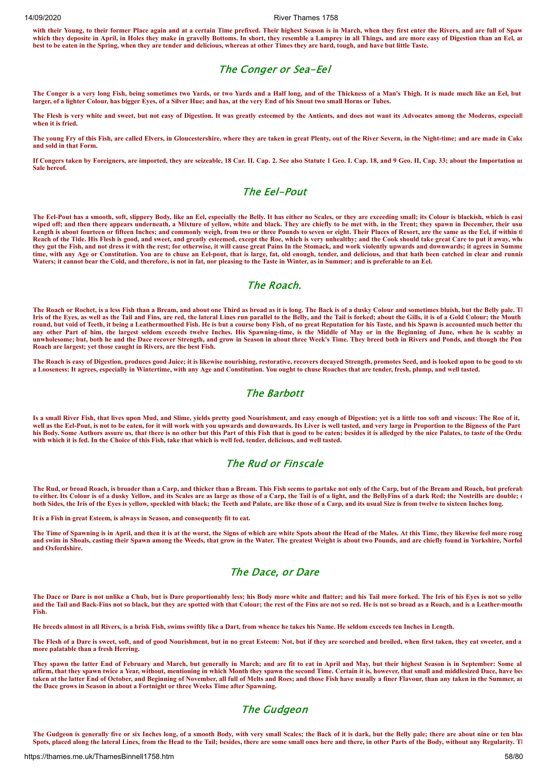**with their Young, to their former Place again and at a certain Time prefixed. Their highest Season is in March, when they first enter the Rivers, and are full of Spaw which they deposite in April, in Holes they make in gravelly Bottoms. In short, they resemble a Lamprey in all Things, and are more easy of Digestion than an Eel, an best to be eaten in the Spring, when they are tender and delicious, whereas at other Times they are hard, tough, and have but little Taste.**

#### The Conger or Sea-Eel

**The Conger is a very long Fish, being sometimes two Yards, or two Yards and a Half long, and of the Thickness of a Man's Thigh. It is made much like an Eel, but larger, of a lighter Colour, has bigger Eyes, of a Silver Hue; and has, at the very End of his Snout two small Horns or Tubes.**

**The Flesh is very white and sweet, but not easy of Digestion. It was greatly esteemed by the Antients, and does not want its Advocates among the Moderns, especiall when it is fried.**

**The young Fry of this Fish, are called Elvers, in Gloucestershire, where they are taken in great Plenty, out of the River Severn, in the Night-time; and are made in Cake and sold in that Form.**

**If Congers taken by Foreigners, are imported, they are seizeable, 18 Car. II. Cap. 2. See also Statute 1 Geo. I. Cap. 18, and 9 Geo. II, Cap. 33; about the Importation an Sale hereof.**

## The Eel-Pout

**The Eel-Pout has a smooth, soft, slippery Body, like an Eel, especially the Belly. It has either no Scales, or they are exceeding small; its Colour is blackish, which is easi wiped off; and then there appears underneath, a Mixture of yellow, white and black. They are chiefly to be met with, in the Trent; they spawn in December, their usu Length is about fourteen or fifteen Inches; and commonly weigh, from two or three Pounds to seven or eight. Their Places of Resort, are the same as the Eel, if within th Reach of the Tide. His Flesh is good, and sweet, and greatly esteemed, except the Roe, which is very unhealthy; and the Cook should take great Care to put it away, whe they gut the Fish, and not dress it with the rest; for otherwise, it will cause great Pains In the Stomack, and work violently upwards and downwards; it agrees in Summe time, with any Age or Constitution. You are to chuse an Eel-pout, that is large, fat, old enough, tender, and delicious, and that hath been catched in clear and runnin Waters; it cannot bear the Cold, and therefore, is not in fat, nor pleasing to the Taste in Winter, as in Summer; and is preferable to an Eel.**

#### The Roach.

**The Roach or Rochet, is a less Fish than a Bream, and about one Third as broad as it is long. The Back is of a dusky Colour and sometimes bluish, but the Belly pale. Th Iris of the Eyes, as well as the Tail and Fins, are red, the lateral Lines run parallel to the Belly, and the Tail is forked; about the Gills, it is of a Gold Colour; the Mouth round, but void of Teeth, it being a Leathermouthed Fish. He is but a course bony Fish, of no great Reputation for his Taste, and his Spawn is accounted much better tha any other Part of him, the largest seldom exceeds twelve Inches. His Spawning-time, is the Middle of May or in the Beginning of June, when he is scabby an unwholesome; but, both he and the Dace recover Strength, and grow in Season in about three Week's Time. They breed both in Rivers and Ponds, and though the Pon Roach are largest; yet those caught in Rivers, are the best Fish.**

**The Roach is easy of Digestion, produces good Juice; it is likewise nourishing, restorative, recovers decayed Strength, promotes Seed, and is looked upon to be good to sto a Looseness: It agrees, especially in Wintertime, with any Age and Constitution. You ought to chuse Roaches that are tender, fresh, plump, and well tasted.**

#### The Barbott

**Is a small River Fish, that lives upon Mud, and Slime, yields pretty good Nourishment, and easy enough of Digestion; yet is a little too soft and viscous: The Roe of it,**  well as the Eel-Pout, is not to be eaten, for it will work with you upwards and downwards. Its Liver is well tasted, and very large in Proportion to the Bigness of the Part **his Body. Some Authors assure us, that there is no other but this Part of this Fish that is good to be eaten; besides it is alledged by the nice Palates, to taste of the Ordur with which it is fed. In the Choice of this Fish, take that which is well fed, tender, delicious, and well tasted.**

#### The Rud or Finscale

**The Rud, or broad Roach, is broader than a Carp, and thicker than a Bream. This Fish seems to partake not only of the Carp, but of the Bream and Roach, but preferab to either. Its Colour is of a dusky Yellow, and its Scales are as large as those of a Carp, the Tail is of a light, and the BellyFins of a dark Red; the Nostrills are double; o both Sides, the Iris of the Eyes is yellow, speckled with black; the Teeth and Palate, are like those of a Carp, and its usual Size is from twelve to sixteen Inches long.**

**It is a Fish in great Esteem, is always in Season, and consequently fit to eat.**

**The Time of Spawning is in April, and then it is at the worst, the Signs of which are white Spots about the Head of the Males. At this Time, they likewise feel more roug and swim in Shoals, casting their Spawn among the Weeds, that grow in the Water. The greatest Weight is about two Pounds, and are chiefly found in Yorkshire, Norfol and Oxfordshire.**

#### The Dace, or Dare

The Dace or Dare is not unlike a Chub, but is Dare proportionably less; his Body more white and flatter; and his Tail more forked. The Iris of his Eyes is not so yello **and the Tail and Back-Fins not so black, but they are spotted with that Colour; the rest of the Fins are not so red. He is not so broad as a Roach, and is a Leather-mouthe Fish.**

**He breeds almost in all Rivers, is a brisk Fish, swims swiftly like a Dart, from whence he takes his Name. He seldom exceeds ten Inches in Length.**

**The Flesh of a Dare is sweet, soft, and of good Nourishment, but in no great Esteem: Not, but if they are scorched and broiled, when first taken, they eat sweeter, and a more palatable than a fresh Herring.**

**They spawn the latter End of February and March, but generally in March; and are fit to eat in April and May, but their highest Season is in September: Some al affirm, that they spawn twice a Year, without, mentioning in which Month they spawn the second Time. Certain it is, however, that small and middlesized Dace, have bee taken at the latter End of October, and Beginning of November, all full of Melts and Roes; and those Fish have usually a finer Flavour, than any taken in the Summer, an the Dace grows in Season in about a Fortnight or three Weeks Time after Spawning.**

## The Gudgeon

**The Gudgeon is generally five or six Inches long, of a smooth Body, with very small Scales; the Back of it is dark, but the Belly pale; there are about nine or ten blac Spots, placed along the lateral Lines, from the Head to the Tail; besides, there are some small ones here and there, in other Parts of the Body, without any Regularity. Th**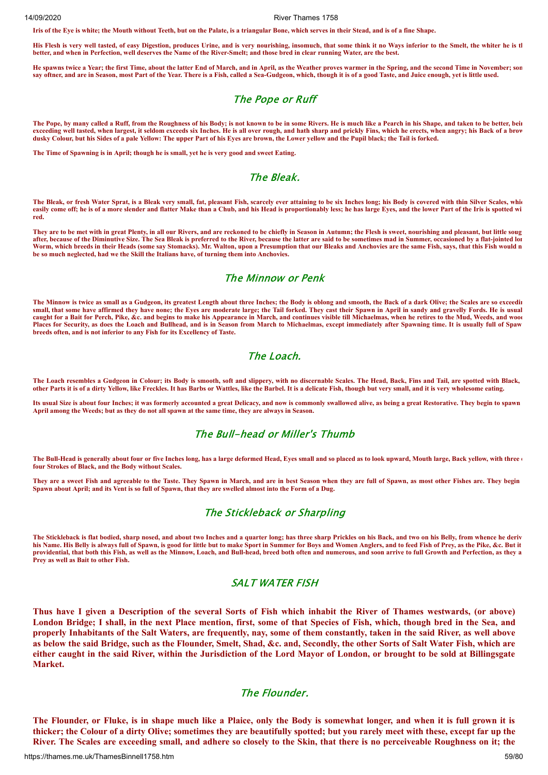**Iris of the Eye is white; the Mouth without Teeth, but on the Palate, is a triangular Bone, which serves in their Stead, and is of a fine Shape.**

**His Flesh is very well tasted, of easy Digestion, produces Urine, and is very nourishing, insomuch, that some think it no Ways inferior to the Smelt, the whiter he is th better, and when in Perfection, well deserves the Name of the River-Smelt; and those bred in clear running Water, are the best.**

**He spawns twice a Year; the first Time, about the latter End of March, and in April, as the Weather proves warmer in the Spring, and the second Time in November; som** say oftner, and are in Season, most Part of the Year. There is a Fish, called a Sea-Gudgeon, which, though it is of a good Taste, and Juice enough, yet is little used.

### The Pope or Ruff

**The Pope, by many called a Ruff, from the Roughness of his Body; is not known to be in some Rivers. He is much like a Pearch in his Shape, and taken to be better, bein exceeding well tasted, when largest, it seldom exceeds six Inches. He is all over rough, and hath sharp and prickly Fins, which he erects, when angry; his Back of a brow dusky Colour, but his Sides of a pale Yellow: The upper Part of his Eyes are brown, the Lower yellow and the Pupil black; the Tail is forked.**

**The Time of Spawning is in April; though he is small, yet he is very good and sweet Eating.**

#### The Bleak.

The Bleak, or fresh Water Sprat, is a Bleak very small, fat, pleasant Fish, scarcely ever attaining to be six Inches long; his Body is covered with thin Silver Scales, whic **easily come off; he is of a more slender and flatter Make than a Chub, and his Head is proportionably less; he has large Eyes, and the lower Part of the Iris is spotted wi red.**

**They are to be met with in great Plenty, in all our Rivers, and are reckoned to be chiefly in Season in Autumn; the Flesh is sweet, nourishing and pleasant, but little soug after, because of the Diminutive Size. The Sea Bleak is preferred to the River, because the latter are said to be sometimes mad in Summer, occasioned by a flat-jointed lon Worm, which breeds in their Heads (some say Stomacks). Mr. Walton, upon a Presumption that our Bleaks and Anchovies are the same Fish, says, that this Fish would n be so much neglected, had we the Skill the Italians have, of turning them into Anchovies.**

#### The Minnow or Penk

**The Minnow is twice as small as a Gudgeon, its greatest Length about three Inches; the Body is oblong and smooth, the Back of a dark Olive; the Scales are so exceedin small, that some have affirmed they have none; the Eyes are moderate large; the Tail forked. They cast their Spawn in April in sandy and gravelly Fords. He is usual** caught for a Bait for Perch, Pike, &c. and begins to make his Appearance in March, and continues visible till Michaelmas, when he retires to the Mud, Weeds, and wood **Places for Security, as does the Loach and Bullhead, and is in Season from March to Michaelmas, except immediately after Spawning time. It is usually full of Spaw breeds often, and is not inferior to any Fish for its Excellency of Taste.**

#### The Loach.

**The Loach resembles a Gudgeon in Colour; its Body is smooth, soft and slippery, with no discernable Scales. The Head, Back, Fins and Tail, are spotted with Black, other Parts it is of a dirty Yellow, like Freckles. It has Barbs or Wattles, like the Barbel. It is a delicate Fish, though but very small, and it is very wholesome eating.**

**Its usual Size is about four Inches; it was formerly accounted a great Delicacy, and now is commonly swallowed alive, as being a great Restorative. They begin to spawn April among the Weeds; but as they do not all spawn at the same time, they are always in Season.**

#### The Bull-head or Miller's Thumb

The Bull-Head is generally about four or five Inches long, has a large deformed Head, Eyes small and so placed as to look upward, Mouth large, Back yellow, with three of **four Strokes of Black, and the Body without Scales.**

**They are a sweet Fish and agreeable to the Taste. They Spawn in March, and are in best Season when they are full of Spawn, as most other Fishes are. They begin Spawn about April; and its Vent is so full of Spawn, that they are swelled almost into the Form of a Dug.**

#### The Stickleback or Sharpling

**The Stickleback is flat bodied, sharp nosed, and about two Inches and a quarter long; has three sharp Prickles on his Back, and two on his Belly, from whence he deriv his Name. His Belly is always full of Spawn, is good for little but to make Sport in Summer for Boys and Women Anglers, and to feed Fish of Prey, as the Pike, &c. But it providential, that both this Fish, as well as the Minnow, Loach, and Bull-head, breed both often and numerous, and soon arrive to full Growth and Perfection, as they a Prey as well as Bait to other Fish.**

## SALT WATER FISH

Thus have I given a Description of the several Sorts of Fish which inhabit the River of Thames westwards, (or above) London Bridge; I shall, in the next Place mention, first, some of that Species of Fish, which, though bred in the Sea, and properly Inhabitants of the Salt Waters, are frequently, nay, some of them constantly, taken in the said River, as well above as below the said Bridge, such as the Flounder, Smelt, Shad, &c. and, Secondly, the other Sorts of Salt Water Fish, which are either caught in the said River, within the Jurisdiction of the Lord Mayor of London, or brought to be sold at Billingsgate **Market.**

#### The Flounder.

The Flounder, or Fluke, is in shape much like a Plaice, only the Body is somewhat longer, and when it is full grown it is thicker; the Colour of a dirty Olive; sometimes they are beautifully spotted; but you rarely meet with these, except far up the River. The Scales are exceeding small, and adhere so closely to the Skin, that there is no perceiveable Roughness on it; the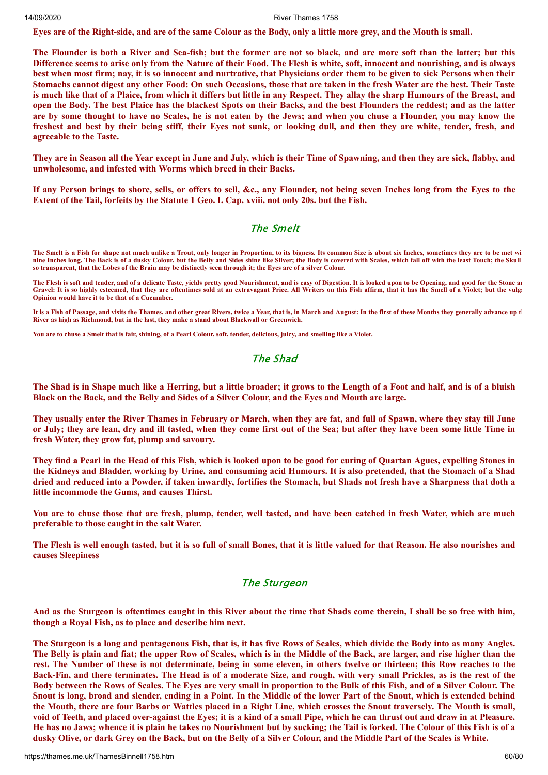Eves are of the Right-side, and are of the same Colour as the Body, only a little more grey, and the Mouth is small.

The Flounder is both a River and Sea-fish; but the former are not so black, and are more soft than the latter; but this Difference seems to arise only from the Nature of their Food. The Flesh is white, soft, innocent and nourishing, and is always best when most firm; nay, it is so innocent and nurtrative, that Physicians order them to be given to sick Persons when their Stomachs cannot digest any other Food: On such Occasions, those that are taken in the fresh Water are the best. Their Taste is much like that of a Plaice, from which it differs but little in any Respect. They allay the sharp Humours of the Breast, and open the Body. The best Plaice has the blackest Spots on their Backs, and the best Flounders the reddest; and as the latter are by some thought to have no Scales, he is not eaten by the Jews; and when you chuse a Flounder, you may know the freshest and best by their being stiff, their Eyes not sunk, or looking dull, and then they are white, tender, fresh, and **agreeable to the Taste.**

They are in Season all the Year except in June and July, which is their Time of Spawning, and then they are sick, flabby, and **unwholesome, and infested with Worms which breed in their Backs.**

If any Person brings to shore, sells, or offers to sell, &c., any Flounder, not being seven Inches long from the Eyes to the Extent of the Tail, forfeits by the Statute 1 Geo. I. Cap. xviii. not only 20s. but the Fish.

#### The Smelt

**The Smelt is a Fish for shape not much unlike a Trout, only longer in Proportion, to its bigness. Its common Size is about six Inches, sometimes they are to be met wit nine Inches long. The Back is of a dusky Colour, but the Belly and Sides shine like Silver; the Body is covered with Scales, which fall off with the least Touch; the Skull so transparent, that the Lobes of the Brain may be distinctly seen through it; the Eyes are of a silver Colour.**

**The Flesh is soft and tender, and of a delicate Taste, yields pretty good Nourishment, and is easy of Digestion. It is looked upon to be Opening, and good for the Stone an** Gravel: It is so highly esteemed, that they are oftentimes sold at an extravagant Price. All Writers on this Fish affirm, that it has the Smell of a Violet; but the vulgarity of a Violet; but the vulgarity of a Violet; but **Opinion would have it to be that of a Cucumber.**

**It is a Fish of Passage, and visits the Thames, and other great Rivers, twice a Year, that is, in March and August: In the first of these Months they generally advance up th River as high as Richmond, but in the last, they make a stand about Blackwall or Greenwich.**

**You are to chuse a Smelt that is fair, shining, of a Pearl Colour, soft, tender, delicious, juicy, and smelling like a Violet.**

## The Shad

The Shad is in Shape much like a Herring, but a little broader; it grows to the Length of a Foot and half, and is of a bluish Black on the Back, and the Belly and Sides of a Silver Colour, and the Eyes and Mouth are large.

They usually enter the River Thames in February or March, when they are fat, and full of Spawn, where they stay till June or July; they are lean, dry and ill tasted, when they come first out of the Sea; but after they have been some little Time in **fresh Water, they grow fat, plump and savoury.**

They find a Pearl in the Head of this Fish, which is looked upon to be good for curing of Quartan Agues, expelling Stones in the Kidneys and Bladder, working by Urine, and consuming acid Humours. It is also pretended, that the Stomach of a Shad dried and reduced into a Powder, if taken inwardly, fortifies the Stomach, but Shads not fresh have a Sharpness that doth a **little incommode the Gums, and causes Thirst.**

You are to chuse those that are fresh, plump, tender, well tasted, and have been catched in fresh Water, which are much **preferable to those caught in the salt Water.**

The Flesh is well enough tasted, but it is so full of small Bones, that it is little valued for that Reason. He also nourishes and **causes Sleepiness**

#### The Sturgeon

And as the Sturgeon is oftentimes caught in this River about the time that Shads come therein, I shall be so free with him, **though a Royal Fish, as to place and describe him next.**

The Sturgeon is a long and pentagenous Fish, that is, it has five Rows of Scales, which divide the Body into as many Angles. The Belly is plain and fiat; the upper Row of Scales, which is in the Middle of the Back, are larger, and rise higher than the rest. The Number of these is not determinate, being in some eleven, in others twelve or thirteen; this Row reaches to the Back-Fin, and there terminates. The Head is of a moderate Size, and rough, with very small Prickles, as is the rest of the Body between the Rows of Scales. The Eyes are very small in proportion to the Bulk of this Fish, and of a Silver Colour. The Snout is long, broad and slender, ending in a Point. In the Middle of the lower Part of the Snout, which is extended behind the Mouth, there are four Barbs or Wattles placed in a Right Line, which crosses the Snout traversely. The Mouth is small, void of Teeth, and placed over-against the Eyes; it is a kind of a small Pipe, which he can thrust out and draw in at Pleasure. He has no Jaws; whence it is plain he takes no Nourishment but by sucking; the Tail is forked. The Colour of this Fish is of a dusky Olive, or dark Grey on the Back, but on the Belly of a Silver Colour, and the Middle Part of the Scales is White.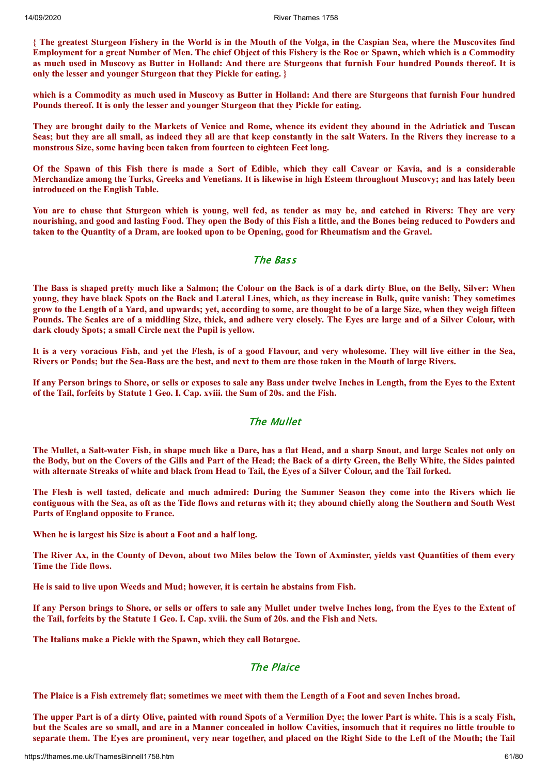{ The greatest Sturgeon Fishery in the World is in the Mouth of the Volga, in the Caspian Sea, where the Muscovites find Employment for a great Number of Men. The chief Object of this Fishery is the Roe or Spawn, which which is a Commodity as much used in Muscovy as Butter in Holland: And there are Sturgeons that furnish Four hundred Pounds thereof. It is **only the lesser and younger Sturgeon that they Pickle for eating. }**

which is a Commodity as much used in Muscovy as Butter in Holland: And there are Sturgeons that furnish Four hundred **Pounds thereof. It is only the lesser and younger Sturgeon that they Pickle for eating.**

They are brought daily to the Markets of Venice and Rome, whence its evident they abound in the Adriatick and Tuscan Seas; but they are all small, as indeed they all are that keep constantly in the salt Waters. In the Rivers they increase to a **monstrous Size, some having been taken from fourteen to eighteen Feet long.**

Of the Spawn of this Fish there is made a Sort of Edible, which they call Cavear or Kavia, and is a considerable Merchandize among the Turks, Greeks and Venetians. It is likewise in high Esteem throughout Muscovy; and has lately been **introduced on the English Table.**

You are to chuse that Sturgeon which is young, well fed, as tender as may be, and catched in Rivers: They are very nourishing, and good and lasting Food. They open the Body of this Fish a little, and the Bones being reduced to Powders and taken to the Quantity of a Dram, are looked upon to be Opening, good for Rheumatism and the Gravel.

## The Bass

The Bass is shaped pretty much like a Salmon; the Colour on the Back is of a dark dirty Blue, on the Belly, Silver: When young, they have black Spots on the Back and Lateral Lines, which, as they increase in Bulk, quite vanish: They sometimes grow to the Length of a Yard, and upwards; yet, according to some, are thought to be of a large Size, when they weigh fifteen Pounds. The Scales are of a middling Size, thick, and adhere very closely. The Eves are large and of a Silver Colour, with **dark cloudy Spots; a small Circle next the Pupil is yellow.**

It is a very voracious Fish, and yet the Flesh, is of a good Flavour, and very wholesome. They will live either in the Sea, Rivers or Ponds; but the Sea-Bass are the best, and next to them are those taken in the Mouth of large Rivers.

If any Person brings to Shore, or sells or exposes to sale any Bass under twelve Inches in Length, from the Eyes to the Extent **of the Tail, forfeits by Statute 1 Geo. I. Cap. xviii. the Sum of 20s. and the Fish.**

## The Mullet

The Mullet, a Salt-water Fish, in shape much like a Dare, has a flat Head, and a sharp Snout, and large Scales not only on the Body, but on the Covers of the Gills and Part of the Head; the Back of a dirty Green, the Belly White, the Sides painted with alternate Streaks of white and black from Head to Tail, the Eves of a Silver Colour, and the Tail forked.

The Flesh is well tasted, delicate and much admired: During the Summer Season they come into the Rivers which lie contiguous with the Sea, as oft as the Tide flows and returns with it; they abound chiefly along the Southern and South West **Parts of England opposite to France.**

**When he is largest his Size is about a Foot and a half long.**

The River Ax, in the County of Devon, about two Miles below the Town of Axminster, yields vast Quantities of them every **Time the Tide flows.**

**He is said to live upon Weeds and Mud; however, it is certain he abstains from Fish.**

If any Person brings to Shore, or sells or offers to sale any Mullet under twelve Inches long, from the Eyes to the Extent of the Tail, forfeits by the Statute 1 Geo. I. Cap. xviii. the Sum of 20s. and the Fish and Nets.

**The Italians make a Pickle with the Spawn, which they call Botargoe.**

## The Plaice

The Plaice is a Fish extremely flat; sometimes we meet with them the Length of a Foot and seven Inches broad.

The upper Part is of a dirty Olive, painted with round Spots of a Vermilion Dye; the lower Part is white. This is a scaly Fish, but the Scales are so small, and are in a Manner concealed in hollow Cavities, insomuch that it requires no little trouble to separate them. The Eyes are prominent, very near together, and placed on the Right Side to the Left of the Mouth; the Tail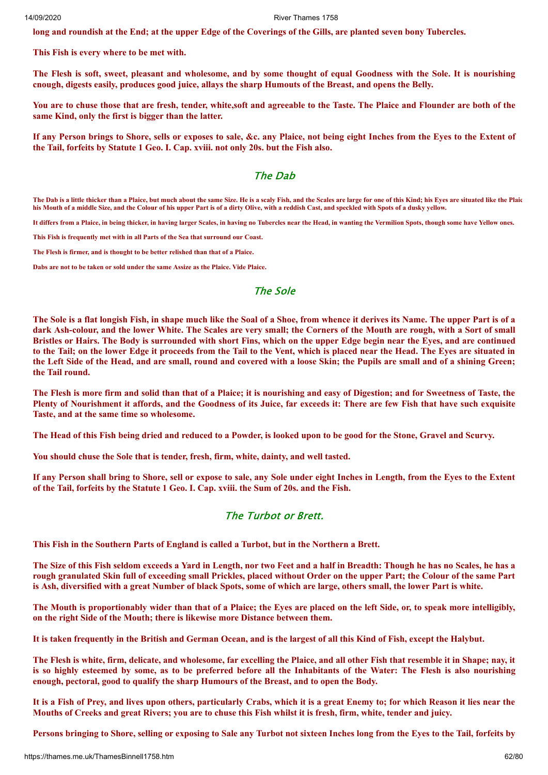long and roundish at the End; at the upper Edge of the Coverings of the Gills, are planted seven bony Tubercles.

**This Fish is every where to be met with.**

The Flesh is soft, sweet, pleasant and wholesome, and by some thought of equal Goodness with the Sole. It is nourishing **cnough, digests easily, produces good juice, allays the sharp Humouts of the Breast, and opens the Belly.**

You are to chuse those that are fresh, tender, white, soft and agreeable to the Taste. The Plaice and Flounder are both of the **same Kind, only the first is bigger than the latter.**

If any Person brings to Shore, sells or exposes to sale, &c. any Plaice, not being eight Inches from the Eves to the Extent of **the Tail, forfeits by Statute 1 Geo. I. Cap. xviii. not only 20s. but the Fish also.**

## The Dab

**The Dab is a little thicker than a Plaice, but much about the same Size. He is a scaly Fish, and the Scales are large for one of this Kind; his Eyes are situated like the Plaic his Mouth of a middle Size, and the Colour of his upper Part is of a dirty Olive, with a reddish Cast, and speckled with Spots of a dusky yellow.**

**It differs from a Plaice, in being thicker, in having larger Scales, in having no Tubercles near the Head, in wanting the Vermilion Spots, though some have Yellow ones.**

**This Fish is frequently met with in all Parts of the Sea that surround our Coast.**

**The Flesh is firmer, and is thought to be better relished than that of a Plaice.**

**Dabs are not to be taken or sold under the same Assize as the Plaice. Vide Plaice.**

## The Sole

The Sole is a flat longish Fish, in shape much like the Soal of a Shoe, from whence it derives its Name. The upper Part is of a dark Ash-colour, and the lower White. The Scales are very small; the Corners of the Mouth are rough, with a Sort of small Bristles or Hairs. The Body is surrounded with short Fins, which on the upper Edge begin near the Eves, and are continued to the Tail; on the lower Edge it proceeds from the Tail to the Vent, which is placed near the Head. The Eves are situated in the Left Side of the Head, and are small, round and covered with a loose Skin: the Pupils are small and of a shining Green: **the Tail round.**

The Flesh is more firm and solid than that of a Plaice; it is nourishing and easy of Digestion; and for Sweetness of Taste, the Plenty of Nourishment it affords, and the Goodness of its Juice, far exceeds it: There are few Fish that have such exquisite **Taste, and at the same time so wholesome.**

The Head of this Fish being dried and reduced to a Powder, is looked upon to be good for the Stone, Gravel and Scurvy.

**You should chuse the Sole that is tender, fresh, firm, white, dainty, and well tasted.**

If any Person shall bring to Shore, sell or expose to sale, any Sole under eight Inches in Length, from the Eyes to the Extent **of the Tail, forfeits by the Statute 1 Geo. I. Cap. xviii. the Sum of 20s. and the Fish.**

## The Turbot or Brett.

**This Fish in the Southern Parts of England is called a Turbot, but in the Northern a Brett.**

The Size of this Fish seldom exceeds a Yard in Length, nor two Feet and a half in Breadth: Though he has no Scales, he has a rough granulated Skin full of exceeding small Prickles, placed without Order on the upper Part; the Colour of the same Part is Ash, diversified with a great Number of black Spots, some of which are large, others small, the lower Part is white.

The Mouth is proportionably wider than that of a Plaice; the Eyes are placed on the left Side, or, to speak more intelligibly, **on the right Side of the Mouth; there is likewise more Distance between them.**

It is taken frequently in the British and German Ocean, and is the largest of all this Kind of Fish, except the Halybut.

The Flesh is white, firm, delicate, and wholesome, far excelling the Plaice, and all other Fish that resemble it in Shape; nay, it is so highly esteemed by some, as to be preferred before all the Inhabitants of the Water: The Flesh is also nourishing **enough, pectoral, good to qualify the sharp Humours of the Breast, and to open the Body.**

It is a Fish of Prey, and lives upon others, particularly Crabs, which it is a great Enemy to; for which Reason it lies near the Mouths of Creeks and great Rivers; you are to chuse this Fish whilst it is fresh, firm, white, tender and juicy.

Persons bringing to Shore, selling or exposing to Sale any Turbot not sixteen Inches long from the Eyes to the Tail, forfeits by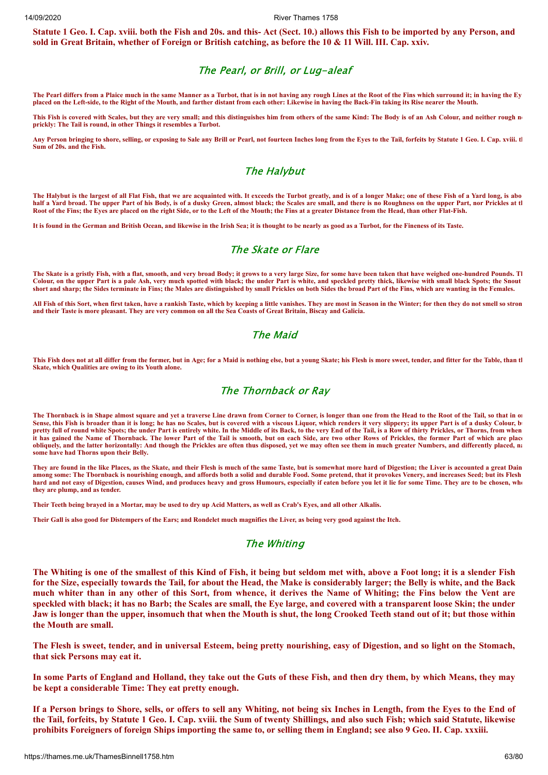Statute 1 Geo. I. Cap. xviii. both the Fish and 20s. and this- Act (Sect. 10.) allows this Fish to be imported by any Person, and sold in Great Britain, whether of Foreign or British catching, as before the 10 & 11 Will. III. Cap. xxiv.

## The Pearl, or Brill, or Lug-aleaf

**The Pearl differs from a Plaice much in the same Manner as a Turbot, that is in not having any rough Lines at the Root of the Fins which surround it; in having the Ey placed on the Left-side, to the Right of the Mouth, and farther distant from each other: Likewise in having the Back-Fin taking its Rise nearer the Mouth.**

**This Fish is covered with Scales, but they are very small; and this distinguishes him from others of the same Kind: The Body is of an Ash Colour, and neither rough no prickly: The Tail is round, in other Things it resembles a Turbot.**

**Any Person bringing to shore, selling, or exposing to Sale any Brill or Pearl, not fourteen Inches long from the Eyes to the Tail, forfeits by Statute 1 Geo. I. Cap. xviii. th Sum of 20s. and the Fish.**

#### The Halybut

**The Halybut is the largest of all Flat Fish, that we are acquainted with. It exceeds the Turbot greatly, and is of a longer Make; one of these Fish of a Yard long, is abo** half a Yard broad. The upper Part of his Body, is of a dusky Green, almost black; the Scales are small, and there is no Roughness on the upper Part, nor Prickles at the **Root of the Fins; the Eyes are placed on the right Side, or to the Left of the Mouth; the Fins at a greater Distance from the Head, than other Flat-Fish.**

**It is found in the German and British Ocean, and likewise in the Irish Sea; it is thought to be nearly as good as a Turbot, for the Fineness of its Taste.**

#### The Skate or Flare

**The Skate is a gristly Fish, with a flat, smooth, and very broad Body; it grows to a very large Size, for some have been taken that have weighed one-hundred Pounds. Th** Colour, on the upper Part is a pale Ash, very much spotted with black; the under Part is white, and speckled pretty thick, likewise with small black Spots; the Snout **short and sharp; the Sides terminate in Fins; the Males are distinguished by small Prickles on both Sides the broad Part of the Fins, which are wanting in the Females.**

**All Fish of this Sort, when first taken, have a rankish Taste, which by keeping a little vanishes. They are most in Season in the Winter; for then they do not smell so stron and their Taste is more pleasant. They are very common on all the Sea Coasts of Great Britain, Biscay and Galicia.**

#### The Maid

**This Fish does not at all differ from the former, but in Age; for a Maid is nothing else, but a young Skate; his Flesh is more sweet, tender, and fitter for the Table, than th Skate, which Qualities are owing to its Youth alone.**

## The Thornback or Ray

The Thornback is in Shape almost square and yet a traverse Line drawn from Corner to Corner, is longer than one from the Head to the Root of the Tail, so that in on Sense, this Fish is broader than it is long; he has no Scales, but is covered with a viscous Liquor, which renders it very slippery; its upper Part is of a dusky Colour, b **pretty full of round white Spots; the under Part is entirely white. In the Middle of its Back, to the very End of the Tail, is a Row of thirty Prickles, or Thorns, from when it has gained the Name of Thornback. The lower Part of the Tail is smooth, but on each Side, are two other Rows of Prickles, the former Part of which are place obliquely, and the latter horizontally: And though the Prickles are often thus disposed, yet we may often see them in much greater Numbers, and differently placed, na some have had Thorns upon their Belly.**

**They are found in the like Places, as the Skate, and their Flesh is much of the same Taste, but is somewhat more hard of Digestion; the Liver is accounted a great Dain among some: The Tbornback is nourishing enough, and affords both a solid and durable Food. Some pretend, that it provokes Venery, and increases Seed; but its Flesh**  hard and not easy of Digestion, causes Wind, and produces heavy and gross Humours, especially if eaten before you let it lie for some Time. They are to be chosen, when **they are plump, and as tender.**

**Their Teeth being brayed in a Mortar, may be used to dry up Acid Matters, as well as Crab's Eyes, and all other Alkalis.**

**Their Gall is also good for Distempers of the Ears; and Rondelet much magnifies the Liver, as being very good against the Itch.**

#### The Whiting

The Whiting is one of the smallest of this Kind of Fish, it being but seldom met with, above a Foot long; it is a slender Fish for the Size, especially towards the Tail, for about the Head, the Make is considerably larger; the Belly is white, and the Back much whiter than in any other of this Sort, from whence, it derives the Name of Whiting; the Fins below the Vent are speckled with black; it has no Barb; the Scales are small, the Eye large, and covered with a transparent loose Skin; the under Jaw is longer than the upper, insomuch that when the Mouth is shut, the long Crooked Teeth stand out of it; but those within **the Mouth are small.**

The Flesh is sweet, tender, and in universal Esteem, being pretty nourishing, easy of Digestion, and so light on the Stomach, **that sick Persons may eat it.**

In some Parts of England and Holland, they take out the Guts of these Fish, and then dry them, by which Means, they may **be kept a considerable Time: They eat pretty enough.**

If a Person brings to Shore, sells, or offers to sell any Whiting, not being six Inches in Length, from the Eyes to the End of the Tail, forfeits, by Statute 1 Geo. I. Cap. xviii. the Sum of twenty Shillings, and also such Fish; which said Statute, likewise prohibits Foreigners of foreign Ships importing the same to, or selling them in England; see also 9 Geo. II. Cap. xxxiii.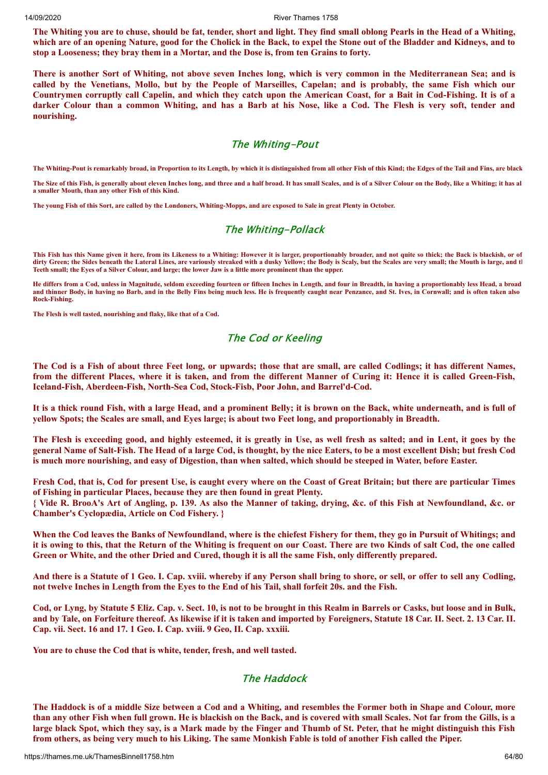The Whiting you are to chuse, should be fat, tender, short and light. They find small oblong Pearls in the Head of a Whiting, which are of an opening Nature, good for the Cholick in the Back, to expel the Stone out of the Bladder and Kidneys, and to **stop a Looseness; they bray them in a Mortar, and the Dose is, from ten Grains to forty.**

There is another Sort of Whiting, not above seven Inches long, which is very common in the Mediterranean Sea; and is called by the Venetians, Mollo, but by the People of Marseilles, Capelan; and is probably, the same Fish which our Countrymen corruptly call Capelin, and which they catch upon the American Coast, for a Bait in Cod-Fishing. It is of a darker Colour than a common Whiting, and has a Barb at his Nose, like a Cod. The Flesh is very soft, tender and **nourishing.**

## The Whiting-Pout

**The Whiting-Pout is remarkably broad, in Proportion to its Length, by which it is distinguished from all other Fish of this Kind; the Edges of the Tail and Fins, are black**

**The Size of this Fish, is generally about eleven Inches long, and three and a half broad. It has small Scales, and is of a Silver Colour on the Body, like a Whiting; it has al a smaller Mouth, than any other Fish of this Kind.**

**The young Fish of this Sort, are called by the Londoners, Whiting-Mopps, and are exposed to Sale in great Plenty in October.**

## The Whiting-Pollack

**This Fish has this Name given it here, from its Likeness to a Whiting: However it is larger, proportionably broader, and not quite so thick; the Back is blackish, or of dirty Green; the Sides beneath the Lateral Lines, are variously streaked with a dusky Yellow; the Body is Scaly, but the Scales are very small; the Mouth is large, and th Teeth small; the Eyes of a Silver Colour, and large; the lower Jaw is a little more prominent than the upper.**

**He differs from a Cod, unless in Magnitude, seldom exceeding fourteen or fifteen Inches in Length, and four in Breadth, in having a proportionably less Head, a broad and thinner Body, in having no Barb, and in the Belly Fins being much less. He is frequently caught near Penzance, and St. Ives, in Cornwall; and is often taken also Rock-Fishing.**

**The Flesh is well tasted, nourishing and flaky, like that of a Cod.**

## The Cod or Keeling

The Cod is a Fish of about three Feet long, or upwards; those that are small, are called Codlings; it has different Names, from the different Places, where it is taken, and from the different Manner of Curing it: Hence it is called Green-Fish, **Iceland-Fish, Aberdeen-Fish, North-Sea Cod, Stock-Fisb, Poor John, and Barrel'd-Cod.**

It is a thick round Fish, with a large Head, and a prominent Belly; it is brown on the Back, white underneath, and is full of vellow Spots; the Scales are small, and Eves large; is about two Feet long, and proportionably in Breadth.

The Flesh is exceeding good, and highly esteemed, it is greatly in Use, as well fresh as salted; and in Lent, it goes by the general Name of Salt-Fish. The Head of a large Cod, is thought, by the nice Eaters, to be a most excellent Dish; but fresh Cod is much more nourishing, and easy of Digestion, than when salted, which should be steeped in Water, before Easter.

Fresh Cod, that is, Cod for present Use, is caught every where on the Coast of Great Britain; but there are particular Times **of Fishing in particular Places, because they are then found in great Plenty.**

{ Vide R. BrooA's Art of Angling, p. 139. As also the Manner of taking, drying, &c. of this Fish at Newfoundland, &c. or **Chamber's Cyclopædia, Article on Cod Fishery. }**

When the Cod leaves the Banks of Newfoundland, where is the chiefest Fishery for them, they go in Pursuit of Whitings; and it is owing to this, that the Return of the Whiting is frequent on our Coast. There are two Kinds of salt Cod, the one called Green or White, and the other Dried and Cured, though it is all the same Fish, only differently prepared.

And there is a Statute of 1 Geo. I. Cap. xviii. whereby if any Person shall bring to shore, or sell, or offer to sell any Codling, not twelve Inches in Length from the Eyes to the End of his Tail, shall forfeit 20s. and the Fish.

Cod, or Lyng, by Statute 5 Eliz. Cap. v. Sect. 10, is not to be brought in this Realm in Barrels or Casks, but loose and in Bulk, and by Tale, on Forfeiture thereof. As likewise if it is taken and imported by Foreigners, Statute 18 Car. II. Sect. 2. 13 Car. II. **Cap. vii. Sect. 16 and 17. 1 Geo. I. Cap. xviii. 9 Geo, II. Cap. xxxiii.**

**You are to chuse the Cod that is white, tender, fresh, and well tasted.**

## The Haddock

The Haddock is of a middle Size between a Cod and a Whiting, and resembles the Former both in Shape and Colour, more than any other Fish when full grown. He is blackish on the Back, and is covered with small Scales. Not far from the Gills, is a large black Spot, which they say, is a Mark made by the Finger and Thumb of St. Peter, that he might distinguish this Fish from others, as being very much to his Liking. The same Monkish Fable is told of another Fish called the Piper.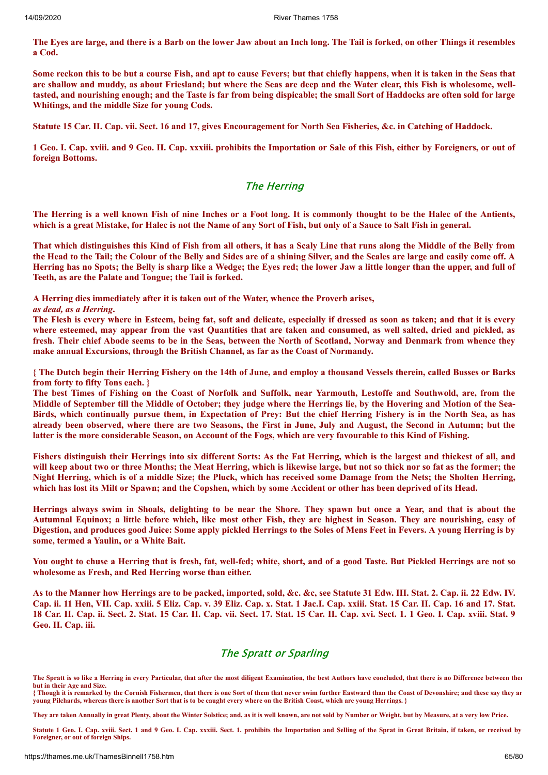The Eyes are large, and there is a Barb on the lower Jaw about an Inch long. The Tail is forked, on other Things it resembles **a Cod.**

Some reckon this to be but a course Fish, and apt to cause Fevers; but that chiefly happens, when it is taken in the Seas that are shallow and muddy, as about Friesland; but where the Seas are deep and the Water clear, this Fish is wholesome, welltasted, and nourishing enough; and the Taste is far from being dispicable; the small Sort of Haddocks are often sold for large **Whitings, and the middle Size for young Cods.**

Statute 15 Car. II. Cap. vii. Sect. 16 and 17, gives Encouragement for North Sea Fisheries, &c. in Catching of Haddock.

1 Geo. I. Cap. xviii. and 9 Geo. II. Cap. xxxiii. prohibits the Importation or Sale of this Fish, either by Foreigners, or out of **foreign Bottoms.**

#### The Herring

The Herring is a well known Fish of nine Inches or a Foot long. It is commonly thought to be the Halec of the Antients, which is a great Mistake, for Halec is not the Name of any Sort of Fish, but only of a Sauce to Salt Fish in general.

That which distinguishes this Kind of Fish from all others, it has a Scaly Line that runs along the Middle of the Belly from the Head to the Tail; the Colour of the Belly and Sides are of a shining Silver, and the Scales are large and easily come off. A Herring has no Spots; the Belly is sharp like a Wedge; the Eyes red; the lower Jaw a little longer than the upper, and full of **Teeth, as are the Palate and Tongue; the Tail is forked.**

**A Herring dies immediately after it is taken out of the Water, whence the Proverb arises,**

*as dead, as a Herring***.**

The Flesh is every where in Esteem, being fat, soft and delicate, especially if dressed as soon as taken; and that it is every where esteemed, may appear from the vast Quantities that are taken and consumed, as well salted, dried and pickled, as fresh. Their chief Abode seems to be in the Seas, between the North of Scotland, Norway and Denmark from whence they **make annual Excursions, through the British Channel, as far as the Coast of Normandy.**

{ The Dutch begin their Herring Fishery on the 14th of June, and employ a thousand Vessels therein, called Busses or Barks **from forty to fifty Tons each. }**

The best Times of Fishing on the Coast of Norfolk and Suffolk, near Yarmouth, Lestoffe and Southwold, are, from the Middle of September till the Middle of October; they judge where the Herrings lie, by the Hovering and Motion of the Sea-Birds, which continually pursue them, in Expectation of Prey: But the chief Herring Fishery is in the North Sea, as has already been observed, where there are two Seasons, the First in June, July and August, the Second in Autumn; but the latter is the more considerable Season, on Account of the Fogs, which are very favourable to this Kind of Fishing.

Fishers distinguish their Herrings into six different Sorts: As the Fat Herring, which is the largest and thickest of all, and will keep about two or three Months; the Meat Herring, which is likewise large, but not so thick nor so fat as the former; the Night Herring, which is of a middle Size; the Pluck, which has received some Damage from the Nets; the Sholten Herring, which has lost its Milt or Spawn; and the Copshen, which by some Accident or other has been deprived of its Head.

Herrings always swim in Shoals, delighting to be near the Shore. They spawn but once a Year, and that is about the Autumnal Equinox; a little before which, like most other Fish, they are highest in Season. They are nourishing, easy of Digestion, and produces good Juice: Some apply pickled Herrings to the Soles of Mens Feet in Fevers. A young Herring is by **some, termed a Yaulin, or a White Bait.**

You ought to chuse a Herring that is fresh, fat, well-fed; white, short, and of a good Taste. But Pickled Herrings are not so **wholesome as Fresh, and Red Herring worse than either.**

As to the Manner how Herrings are to be packed, imported, sold, &c. &c, see Statute 31 Edw. III. Stat. 2. Cap. ii. 22 Edw. IV. Cap. ii. 11 Hen, VII. Cap. xxiii. 5 Eliz. Cap. v. 39 Eliz. Cap. x. Stat. 1 Jac.I. Cap. xxiii. Stat. 15 Car. II. Cap. 16 and 17. Stat. 18 Car. II. Cap. ii. Sect. 2. Stat. 15 Car. II. Cap. vii. Sect. 17. Stat. 15 Car. II. Cap. xvi. Sect. 1. 1 Geo. I. Cap. xviii. Stat. 9 **Geo. II. Cap. iii.**

## The Spratt or Sparling

The Spratt is so like a Herring in every Particular, that after the most diligent Examination, the best Authors have concluded, that there is no Difference between there **but in their Age and Size.**

**{ Though it is remarked by the Cornish Fishermen, that there is one Sort of them that never swim further Eastward than the Coast of Devonshire; and these say they ar young Pilchards, whereas there is another Sort that is to be caught every where on the British Coast, which are young Herrings. }**

**They are taken Annually in great Plenty, about the Winter Solstice; and, as it is well known, are not sold by Number or Weight, but by Measure, at a very low Price.**

**Statute 1 Geo. I. Cap. xviii. Sect. 1 and 9 Geo. I. Cap. xxxiii. Sect. 1. prohibits the Importation and Selling of the Sprat in Great Britain, if taken, or received by Foreigner, or out of foreign Ships.**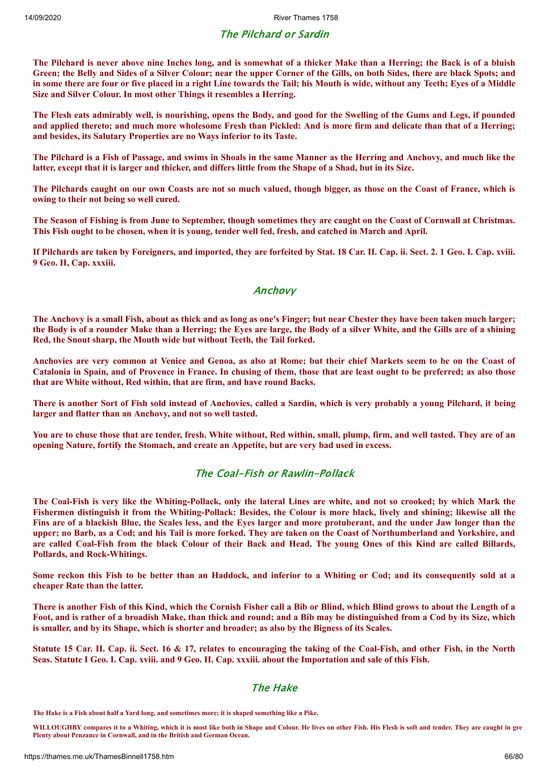## The Pilchard or Sardin

The Pilchard is never above nine Inches long, and is somewhat of a thicker Make than a Herring; the Back is of a bluish Green; the Belly and Sides of a Silver Colour; near the upper Corner of the Gills, on both Sides, there are black Spots; and in some there are four or five placed in a right Line towards the Tail; his Mouth is wide, without any Teeth; Eyes of a Middle **Size and Silver Colour. In most other Things it resembles a Herring.**

The Flesh eats admirably well, is nourishing, opens the Body, and good for the Swelling of the Gums and Legs, if pounded and applied thereto; and much more wholesome Fresh than Pickled: And is more firm and delicate than that of a Herring; **and besides, its Salutary Properties are no Ways inferior to its Taste.**

The Pilchard is a Fish of Passage, and swims in Shoals in the same Manner as the Herring and Anchovy, and much like the latter, except that it is larger and thicker, and differs little from the Shape of a Shad, but in its Size.

The Pilchards caught on our own Coasts are not so much valued, though bigger, as those on the Coast of France, which is **owing to their not being so well cured.**

The Season of Fishing is from June to September, though sometimes they are caught on the Coast of Cornwall at Christmas. This Fish ought to be chosen, when it is young, tender well fed, fresh, and catched in March and April.

If Pilchards are taken by Foreigners, and imported, they are forfeited by Stat. 18 Car. II. Cap. ii. Sect. 2. 1 Geo. I. Cap. xviii. **9 Geo. II, Cap. xxxiii.**

#### Anchovy

The Anchovy is a small Fish, about as thick and as long as one's Finger; but near Chester they have been taken much larger; the Body is of a rounder Make than a Herring; the Eves are large, the Body of a silver White, and the Gills are of a shining **Red, the Snout sharp, the Mouth wide but without Teeth, the Tail forked.**

Anchovies are very common at Venice and Genoa, as also at Rome; but their chief Markets seem to be on the Coast of Catalonia in Spain, and of Provence in France. In chusing of them, those that are least ought to be preferred; as also those **that are White without, Red within, that are firm, and have round Backs.**

There is another Sort of Fish sold instead of Anchovies, called a Sardin, which is very probably a young Pilchard, it being **larger and flatter than an Anchovy, and not so well tasted.**

You are to chuse those that are tender, fresh. White without, Red within, small, plump, firm, and well tasted. They are of an **opening Nature, fortify the Stomach, and create an Appetite, but are very bad used in excess.**

#### The Coal-Fish or Rawlin-Pollack

The Coal-Fish is very like the Whiting-Pollack, only the lateral Lines are white, and not so crooked; by which Mark the Fishermen distinguish it from the Whiting-Pollack: Besides, the Colour is more black, lively and shining; likewise all the Fins are of a blackish Blue, the Scales less, and the Eyes larger and more protuberant, and the under Jaw longer than the upper; no Barb, as a Cod; and his Tail is more forked. They are taken on the Coast of Northumberland and Yorkshire, and are called Coal-Fish from the black Colour of their Back and Head. The young Ones of this Kind are called Billards, **Pollards, and Rock-Whitings.**

Some reckon this Fish to be better than an Haddock, and inferior to a Whiting or Cod; and its consequently sold at a **cheaper Rate than the latter.**

There is another Fish of this Kind, which the Cornish Fisher call a Bib or Blind, which Blind grows to about the Length of a Foot, and is rather of a broadish Make, than thick and round; and a Bib may be distinguished from a Cod by its Size, which is smaller, and by its Shape, which is shorter and broader; as also by the Bigness of its Scales.

Statute 15 Car. II. Cap. ii. Sect. 16 & 17, relates to encouraging the taking of the Coal-Fish, and other Fish, in the North Seas. Statute I Geo. I. Cap. xviii. and 9 Geo. II. Cap. xxxiii. about the Importation and sale of this Fish.

## The Hake

**The Hake is a Fish about half a Yard long, and sometimes more; it is shaped something like a Pike.**

**WILLOUGHBY compares it to a Whiting, which it is most like both in Shape and Colour. He lives on other Fish. His Flesh is soft and tender. They are caught in gre Plenty about Penzance in Cornwall, and in the British and German Ocean.**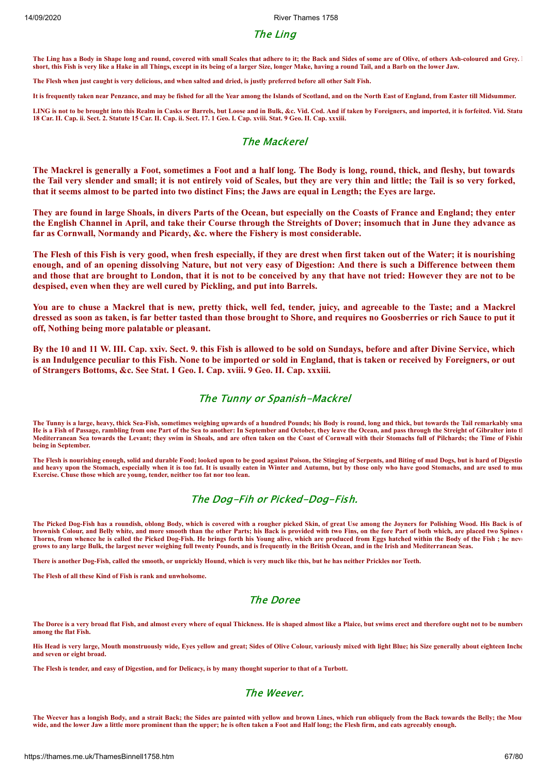## The Ling

The Ling has a Body in Shape long and round, covered with small Scales that adhere to it; the Back and Sides of some are of Olive, of others Ash-coloured and Grey. **short, this Fish is very like a Hake in all Things, except in its being of a larger Size, longer Make, having a round Tail, and a Barb on the lower Jaw.**

**The Flesh when just caught is very delicious, and when salted and dried, is justly preferred before all other Salt Fish.**

**It is frequently taken near Penzance, and may be fished for all the Year among the Islands of Scotland, and on the North East of England, from Easter till Midsummer.**

**LING is not to be brought into this Realm in Casks or Barrels, but Loose and in Bulk, &c. Vid. Cod. And if taken by Foreigners, and imported, it is forfeited. Vid. Statu 18 Car. II. Cap. ii. Sect. 2. Statute 15 Car. II. Cap. ii. Sect. 17. 1 Geo. I. Cap. xviii. Stat. 9 Geo. II. Cap. xxxiii.**

#### The Mackerel

The Mackrel is generally a Foot, sometimes a Foot and a half long. The Body is long, round, thick, and fleshy, but towards the Tail very slender and small; it is not entirely void of Scales, but they are very thin and little; the Tail is so very forked, that it seems almost to be parted into two distinct Fins; the Jaws are equal in Length; the Eves are large.

They are found in large Shoals, in divers Parts of the Ocean, but especially on the Coasts of France and England; they enter the English Channel in April, and take their Course through the Streights of Dover; insomuch that in June they advance as **far as Cornwall, Normandy and Picardy, &c. where the Fishery is most considerable.**

The Flesh of this Fish is very good, when fresh especially, if they are drest when first taken out of the Water; it is nourishing enough, and of an opening dissolving Nature, but not very easy of Digestion: And there is such a Difference between them and those that are brought to London, that it is not to be conceived by any that have not tried: However they are not to be **despised, even when they are well cured by Pickling, and put into Barrels.**

You are to chuse a Mackrel that is new, pretty thick, well fed, tender, juicy, and agreeable to the Taste; and a Mackrel dressed as soon as taken, is far better tasted than those brought to Shore, and requires no Goosberries or rich Sauce to put it **off, Nothing being more palatable or pleasant.**

By the 10 and 11 W. III. Cap. xxiv. Sect. 9. this Fish is allowed to be sold on Sundays, before and after Divine Service, which is an Indulgence peculiar to this Fish. None to be imported or sold in England, that is taken or received by Foreigners, or out **of Strangers Bottoms, &c. See Stat. 1 Geo. I. Cap. xviii. 9 Geo. II. Cap. xxxiii.**

## The Tunny or Spanish-Mackrel

**The Tunny is a large, heavy, thick Sea-Fish, sometimes weighing upwards of a hundred Pounds; his Body is round, long and thick, but towards the Tail remarkably sma He is a Fish of Passage, rambling from one Part of the Sea to another: In September and October, they leave the Ocean, and pass through the Streight of Gibralter into th** Mediterranean Sea towards the Levant; they swim in Shoals, and are often taken on the Coast of Cornwall with their Stomachs full of Pilchards; the Time of Fishin **being in September.**

**The Flesh is nourishing enough, solid and durable Food; looked upon to be good against Poison, the Stinging of Serpents, and Biting of mad Dogs, but is hard of Digestio and heavy upon the Stomach, especially when it is too fat. It is usually eaten in Winter and Autumn, but by those only who have good Stomachs, and are used to muc Exercise. Chuse those which are young, tender, neither too fat nor too lean.**

## The Dog-Fih or Picked-Dog-Fish.

**The Picked Dog-Fish has a roundish, oblong Body, which is covered with a rougher picked Skin, of great Use among the Joyners for Polishing Wood. His Back is of brownish Colour, and Belly white, and more smooth than the other Parts; his Back is provided with two Fins, on the fore Part of both which, are placed two Spines o Thorns, from whence he is called the Picked Dog-Fish. He brings forth his Young alive, which are produced from Eggs hatched within the Body of the Fish ; he neve grows to any large Bulk, the largest never weighing full twenty Pounds, and is frequently in the British Ocean, and in the Irish and Mediterranean Seas.**

**There is another Dog-Fish, called the smooth, or unprickly Hound, which is very much like this, but he has neither Prickles nor Teeth.**

**The Flesh of all these Kind of Fish is rank and unwholsome.**

## The Doree

**The Doree is a very broad flat Fish, and almost every where of equal Thickness. He is shaped almost like a Plaice, but swims erect and therefore ought not to be numbere among the flat Fish.**

**His Head is very large, Mouth monstruously wide, Eyes yellow and great; Sides of Olive Colour, variously mixed with light Blue; his Size generally about eighteen Inche and seven or eight broad.**

**The Flesh is tender, and easy of Digestion, and for Delicacy, is by many thought superior to that of a Turbott.**

#### The Weever.

**The Weever has a longish Body, and a strait Back; the Sides are painted with yellow and brown Lines, which run obliquely from the Back towards the Belly; the Mout wide, and the lower Jaw a little more prominent than the upper; he is often taken a Foot and Half long; the Flesh firm, and eats agreeably enough.**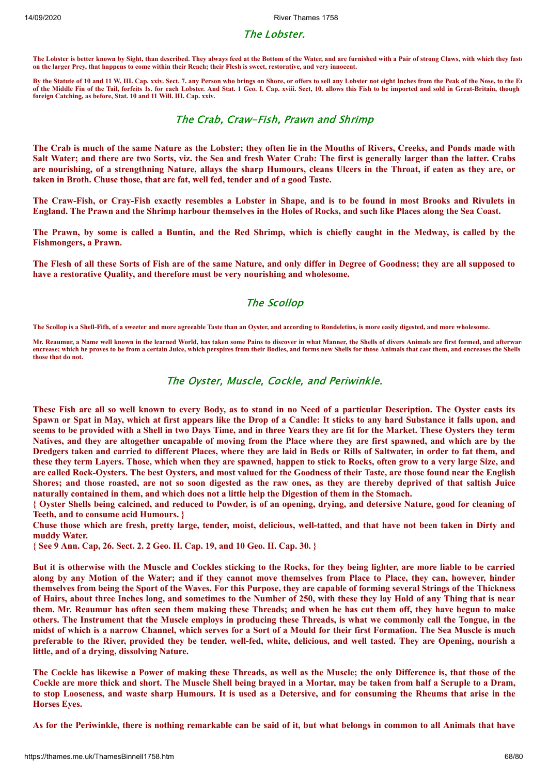#### The Lobster.

**The Lobster is better known by Sight, than described. They always feed at the Bottom of the Water, and are furnished with a Pair of strong Claws, with which they faste on the larger Prey, that happens to come within their Reach; their Flesh is sweet, restorative, and very innocent.**

**By the Statute of 10 and 11 W. III. Cap. xxiv. Sect. 7. any Person who brings on Shore, or offers to sell any Lobster not eight Inches from the Peak of the Nose, to the En of the Middle Fin of the Tail, forfeits 1s. for each Lobster. And Stat. 1 Geo. I. Cap. xviii. Sect, 10. allows this Fish to be imported and sold in Great-Britain, though foreign Catching, as before, Stat. 10 and 11 Will. III. Cap. xxiv.**

#### The Crab, Craw-Fish, Prawn and Shrimp

The Crab is much of the same Nature as the Lobster; they often lie in the Mouths of Rivers, Creeks, and Ponds made with Salt Water; and there are two Sorts, viz. the Sea and fresh Water Crab: The first is generally larger than the latter. Crabs are nourishing, of a strengthning Nature, allays the sharp Humours, cleans Ulcers in the Throat, if eaten as they are, or **taken in Broth. Chuse those, that are fat, well fed, tender and of a good Taste.**

The Craw-Fish, or Cray-Fish exactly resembles a Lobster in Shape, and is to be found in most Brooks and Rivulets in England. The Prawn and the Shrimp harbour themselves in the Holes of Rocks, and such like Places along the Sea Coast.

The Prawn, by some is called a Buntin, and the Red Shrimp, which is chiefly caught in the Medway, is called by the **Fishmongers, a Prawn.**

The Flesh of all these Sorts of Fish are of the same Nature, and only differ in Degree of Goodness; they are all supposed to **have a restorative Quality, and therefore must be very nourishing and wholesome.**

## The Scollop

**The Scollop is a Shell-Fifh, of a sweeter and more agreeable Taste than an Oyster, and according to Rondeletius, is more easily digested, and more wholesome.**

Mr. Reaumur, a Name well known in the learned World, has taken some Pains to discover in what Manner, the Shells of divers Animals are first formed, and afterward **encrease; which he proves to be from a certain Juice, which perspires from their Bodies, and forms new Shells for those Animals that cast them, and encreases the Shells those that do not.**

#### The Oyster, Muscle, Cockle, and Periwinkle.

These Fish are all so well known to every Body, as to stand in no Need of a particular Description. The Oyster casts its Spawn or Spat in May, which at first appears like the Drop of a Candle: It sticks to any hard Substance it falls upon, and seems to be provided with a Shell in two Days Time, and in three Years they are fit for the Market. These Oysters they term Natives, and they are altogether uncapable of moving from the Place where they are first spawned, and which are by the Dredgers taken and carried to different Places, where they are laid in Beds or Rills of Saltwater, in order to fat them, and these they term Layers. Those, which when they are spawned, happen to stick to Rocks, often grow to a very large Size, and are called Rock-Oysters. The best Oysters, and most valued for the Goodness of their Taste, are those found near the English Shores; and those roasted, are not so soon digested as the raw ones, as they are thereby deprived of that saltish Juice naturally contained in them, and which does not a little help the Digestion of them in the Stomach.

{ Oyster Shells being calcined, and reduced to Powder, is of an opening, drying, and detersive Nature, good for cleaning of **Teeth, and to consume acid Humours. }**

Chuse those which are fresh, pretty large, tender, moist, delicious, well-tatted, and that have not been taken in Dirty and **muddy Water.**

**{ See 9 Ann. Cap, 26. Sect. 2. 2 Geo. II. Cap. 19, and 10 Geo. II. Cap. 30. }**

But it is otherwise with the Muscle and Cockles sticking to the Rocks, for they being lighter, are more liable to be carried along by any Motion of the Water; and if they cannot move themselves from Place to Place, they can, however, hinder themselves from being the Sport of the Waves. For this Purpose, they are capable of forming several Strings of the Thickness of Hairs, about three Inches long, and sometimes to the Number of 250, with these they lay Hold of any Thing that is near them. Mr. Reaumur has often seen them making these Threads; and when he has cut them off, they have begun to make others. The Instrument that the Muscle employs in producing these Threads, is what we commonly call the Tongue, in the midst of which is a narrow Channel, which serves for a Sort of a Mould for their first Formation. The Sea Muscle is much preferable to the River, provided they be tender, well-fed, white, delicious, and well tasted. They are Opening, nourish a **little, and of a drying, dissolving Nature.**

The Cockle has likewise a Power of making these Threads, as well as the Muscle; the only Difference is, that those of the Cockle are more thick and short. The Muscle Shell being brayed in a Mortar, may be taken from half a Scruple to a Dram, to stop Looseness, and waste sharp Humours. It is used as a Detersive, and for consuming the Rheums that arise in the **Horses Eyes.**

As for the Periwinkle, there is nothing remarkable can be said of it, but what belongs in common to all Animals that have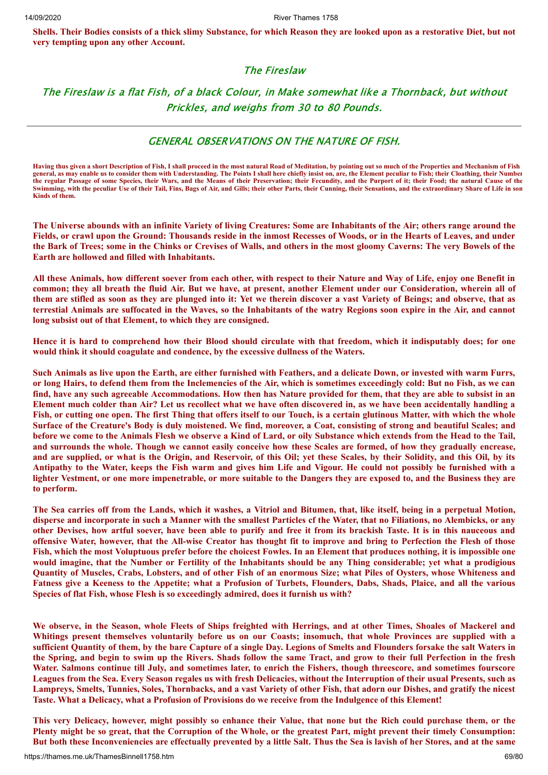Shells. Their Bodies consists of a thick slimy Substance, for which Reason they are looked upon as a restorative Diet, but not **very tempting upon any other Account.**

## The Fireslaw

The Fireslaw is a flat Fish, of a black Colour, in Make somewhat like a Thornback, but without Prickles, and weighs from 30 to 80 Pounds.

#### GENERAL OBSERVATIONS ON THE NATURE OF FISH.

**Having thus given a short Description of Fish, I shall proceed in the most natural Road of Meditation, by pointing out so much of the Properties and Mechanism of Fish general, as may enable us to consider them with Understanding. The Points I shall here chiefly insist on, are, the Element peculiar to Fish; their Cloathing, their Number the regular Passage of some Species, their Wars, and the Means of their Preservation; their Fecundity, and the Purport of it; their Food; the natural Cause of the Swimming, with the peculiar Use of their Tail, Fins, Bags of Air, and Gills; their other Parts, their Cunning, their Sensations, and the extraordinary Share of Life in som Kinds of them.**

The Universe abounds with an infinite Variety of living Creatures: Some are Inhabitants of the Air; others range around the Fields, or crawl upon the Ground: Thousands reside in the inmost Recesses of Woods, or in the Hearts of Leaves, and under the Bark of Trees; some in the Chinks or Crevises of Walls, and others in the most gloomy Caverns: The very Bowels of the **Earth are hollowed and filled with Inhabitants.**

All these Animals, how different soever from each other, with respect to their Nature and Way of Life, enjoy one Benefit in common; they all breath the fluid Air. But we have, at present, another Element under our Consideration, wherein all of them are stifled as soon as they are plunged into it: Yet we therein discover a vast Variety of Beings; and observe, that as terrestial Animals are suffocated in the Waves, so the Inhabitants of the watry Regions soon expire in the Air, and cannot **long subsist out of that Element, to which they are consigned.**

Hence it is hard to comprehend how their Blood should circulate with that freedom, which it indisputably does; for one **would think it should coagulate and condence, by the excessive dullness of the Waters.**

Such Animals as live upon the Earth, are either furnished with Feathers, and a delicate Down, or invested with warm Furrs, or long Hairs, to defend them from the Inclemencies of the Air, which is sometimes exceedingly cold: But no Fish, as we can find, have any such agreeable Accommodations. How then has Nature provided for them, that they are able to subsist in an Element much colder than Air? Let us recollect what we have often discovered in, as we have been accidentally handling a Fish, or cutting one open. The first Thing that offers itself to our Touch, is a certain glutinous Matter, with which the whole Surface of the Creature's Body is duly moistened. We find, moreover, a Coat, consisting of strong and beautiful Scales; and before we come to the Animals Flesh we observe a Kind of Lard, or oily Substance which extends from the Head to the Tail, and surrounds the whole. Though we cannot easily conceive how these Scales are formed, of how they gradually encrease, and are supplied, or what is the Origin, and Reservoir, of this Oil; yet these Scales, by their Solidity, and this Oil, by its Antipathy to the Water, keeps the Fish warm and gives him Life and Vigour. He could not possibly be furnished with a lighter Vestment, or one more impenetrable, or more suitable to the Dangers they are exposed to, and the Business they are **to perform.**

The Sea carries off from the Lands, which it washes, a Vitriol and Bitumen, that, like itself, being in a perpetual Motion, disperse and incorporate in such a Manner with the smallest Particles of the Water, that no Filiations, no Alembicks, or any other Devises, how artful soever, have been able to purify and free it from its brackish Taste. It is in this nauceous and offensive Water, however, that the All-wise Creator has thought fit to improve and bring to Perfection the Flesh of those Fish, which the most Voluptuous prefer before the choicest Fowles. In an Element that produces nothing, it is impossible one would imagine, that the Number or Fertility of the Inhabitants should be any Thing considerable; yet what a prodigious Quantity of Muscles, Crabs, Lobsters, and of other Fish of an enormous Size; what Piles of Oysters, whose Whiteness and Fatness give a Keeness to the Appetite; what a Profusion of Turbets, Flounders, Dabs, Shads, Plaice, and all the various **Species of flat Fish, whose Flesh is so exceedingly admired, does it furnish us with?**

We observe, in the Season, whole Fleets of Ships freighted with Herrings, and at other Times, Shoales of Mackerel and Whitings present themselves voluntarily before us on our Coasts; insomuch, that whole Provinces are supplied with a sufficient Quantity of them, by the bare Capture of a single Day. Legions of Smelts and Flounders forsake the salt Waters in the Spring, and begin to swim up the Rivers. Shads follow the same Tract, and grow to their full Perfection in the fresh Water. Salmons continue till July, and sometimes later, to enrich the Fishers, though threescore, and sometimes fourscore Leagues from the Sea. Every Season regales us with fresh Delicacies, without the Interruption of their usual Presents, such as Lampreys, Smelts, Tunnies, Soles, Thornbacks, and a vast Variety of other Fish, that adorn our Dishes, and gratify the nicest Taste. What a Delicacy, what a Profusion of Provisions do we receive from the Indulgence of this Element!

This very Delicacy, however, might possibly so enhance their Value, that none but the Rich could purchase them, or the Plenty might be so great, that the Corruption of the Whole, or the greatest Part, might prevent their timely Consumption: But both these Inconveniencies are effectually prevented by a little Salt. Thus the Sea is lavish of her Stores, and at the same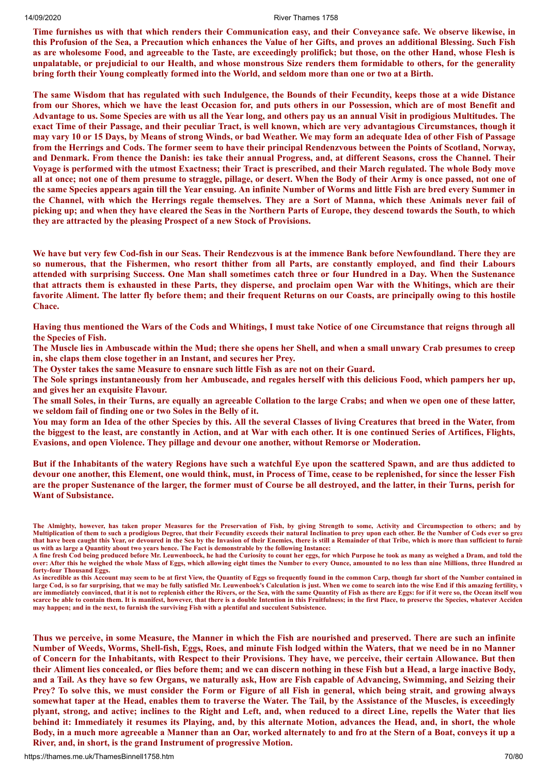Time furnishes us with that which renders their Communication easy, and their Conveyance safe. We observe likewise, in this Profusion of the Sea, a Precaution which enhances the Value of her Gifts, and proves an additional Blessing. Such Fish as are wholesome Food, and agreeable to the Taste, are exceedingly prolifick; but those, on the other Hand, whose Flesh is unpalatable, or prejudicial to our Health, and whose monstrous Size renders them formidable to others, for the generality bring forth their Young compleatly formed into the World, and seldom more than one or two at a Birth.

The same Wisdom that has regulated with such Indulgence, the Bounds of their Fecundity, keeps those at a wide Distance from our Shores, which we have the least Occasion for, and puts others in our Possession, which are of most Benefit and Advantage to us. Some Species are with us all the Year long, and others pay us an annual Visit in prodigious Multitudes. The exact Time of their Passage, and their peculiar Tract, is well known, which are very advantagious Circumstances, though it may vary 10 or 15 Days, by Means of strong Winds, or bad Weather. We may form an adequate Idea of other Fish of Passage from the Herrings and Cods. The former seem to have their principal Rendenzvous between the Points of Scotland, Norway, and Denmark. From thence the Danish: ies take their annual Progress, and, at different Seasons, cross the Channel. Their Voyage is performed with the utmost Exactness; their Tract is prescribed, and their March regulated. The whole Body move all at once; not one of them presume to straggle, pillage, or desert. When the Body of their Army is once passed, not one of the same Species appears again till the Year ensuing. An infinite Number of Worms and little Fish are bred every Summer in the Channel, with which the Herrings regale themselves. They are a Sort of Manna, which these Animals never fail of picking up; and when they have cleared the Seas in the Northern Parts of Europe, they descend towards the South, to which **they are attracted by the pleasing Prospect of a new Stock of Provisions.**

We have but very few Cod-fish in our Seas. Their Rendezvous is at the immence Bank before Newfoundland. There they are so numerous, that the Fishermen, who resort thither from all Parts, are constantly employed, and find their Labours attended with surprising Success. One Man shall sometimes catch three or four Hundred in a Day. When the Sustenance that attracts them is exhausted in these Parts, they disperse, and proclaim open War with the Whitings, which are their favorite Aliment. The latter fly before them; and their frequent Returns on our Coasts, are principally owing to this hostile **Chace.**

Having thus mentioned the Wars of the Cods and Whitings, I must take Notice of one Circumstance that reigns through all **the Species of Fish.**

The Muscle lies in Ambuscade within the Mud; there she opens her Shell, and when a small unwary Crab presumes to creep **in, she claps them close together in an Instant, and secures her Prey.**

**The Oyster takes the same Measure to ensnare such little Fish as are not on their Guard.**

The Sole springs instantaneously from her Ambuscade, and regales herself with this delicious Food, which pampers her up, **and gives her an exquisite Flavour.**

The small Soles, in their Turns, are equally an agreeable Collation to the large Crabs; and when we open one of these latter, **we seldom fail of finding one or two Soles in the Belly of it.**

You may form an Idea of the other Species by this. All the several Classes of living Creatures that breed in the Water, from the biggest to the least, are constantly in Action, and at War with each other. It is one continued Series of Artifices, Flights, **Evasions, and open Violence. They pillage and devour one another, without Remorse or Moderation.**

But if the Inhabitants of the watery Regions have such a watchful Eye upon the scattered Spawn, and are thus addicted to devour one another, this Element, one would think, must, in Process of Time, cease to be replenished, for since the lesser Fish are the proper Sustenance of the larger, the former must of Course be all destroyed, and the latter, in their Turns, perish for **Want of Subsistance.**

Thus we perceive, in some Measure, the Manner in which the Fish are nourished and preserved. There are such an infinite Number of Weeds, Worms, Shell-fish, Eggs, Roes, and minute Fish lodged within the Waters, that we need be in no Manner of Concern for the Inhabitants, with Respect to their Provisions. They have, we perceive, their certain Allowance. But then their Aliment lies concealed, or flies before them; and we can discern nothing in these Fish but a Head, a large inactive Body, and a Tail. As they have so few Organs, we naturally ask, How are Fish capable of Advancing, Swimming, and Seizing their Prey? To solve this, we must consider the Form or Figure of all Fish in general, which being strait, and growing always somewhat taper at the Head, enables them to traverse the Water. The Tail, by the Assistance of the Muscles, is exceedingly plyant, strong, and active; inclines to the Right and Left, and, when reduced to a direct Line, repells the Water that lies behind it: Immediately it resumes its Playing, and, by this alternate Motion, advances the Head, and, in short, the whole Body, in a much more agreeable a Manner than an Oar, worked alternately to and fro at the Stern of a Boat, conveys it up a **River, and, in short, is the grand Instrument of progressive Motion.**

**The Almighty, however, has taken proper Measures for the Preservation of Fish, by giving Strength to some, Activity and Circumspection to others; and by Multiplication of them to such a prodigious Degree, that their Fecundity exceeds their natural Inclination to prey upon each other. Be the Number of Cods ever so grea that have been caught this Year, or devoured in the Sea by the Invasion of their Enemies, there is still a Remainder of that Tribe, which is more than sufficient to furnis us with as large a Quantity about two years hence. The Fact is demonstrable by the following Instance:**

**A fine fresh Cod being produced before Mr. Leuwenboeck, he had the Curiosity to count her eggs, for which Purpose he took as many as weighed a Dram, and told the over: After this he weighed the whole Mass of Eggs, which allowing eight times the Number to every Ounce, amounted to no less than nine Millions, three Hundred an forty-four Thousand Eggs.**

**As incredible as this Account may seem to be at first View, the Quantity of Eggs so frequently found in the common Carp, though far short of the Number contained in** large Cod, is so far surprising, that we may be fully satisfied Mr. Leuwenboek's Calculation is just. When we come to search into the wise End if this amazing fertility, **v are immediately convinced, that it is not to replenish either the Rivers, or the Sea, with the same Quantity of Fish as there are Eggs: for if it were so, the Ocean itself wou scarce be able to contain them. It is manifest, however, that there is a double Intention in this Fruitfulness; in the first Place, to preserve the Species, whatever Acciden may happen; and in the next, to furnish the surviving Fish with a plentiful and succulent Subsistence.**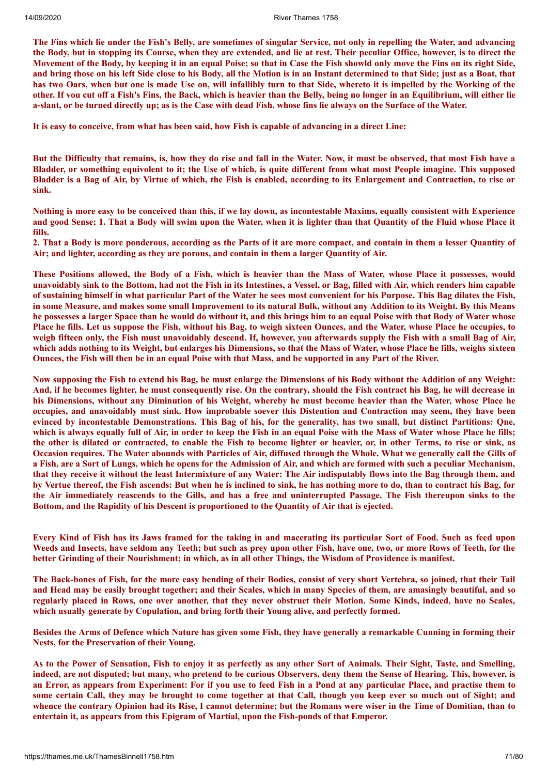The Fins which lie under the Fish's Belly, are sometimes of singular Service, not only in repelling the Water, and advancing the Body, but in stopping its Course, when they are extended, and lie at rest. Their peculiar Office, however, is to direct the Movement of the Body, by keeping it in an equal Poise; so that in Case the Fish showld only move the Fins on its right Side, and bring those on his left Side close to his Body, all the Motion is in an Instant determined to that Side; just as a Boat, that has two Oars, when but one is made Use on, will infallibly turn to that Side, whereto it is impelled by the Working of the other. If vou cut off a Fish's Fins, the Back, which is heavier than the Belly, being no longer in an Equilibrium, will either lie a-slant, or be turned directly up; as is the Case with dead Fish, whose fins lie always on the Surface of the Water.

It is easy to conceive, from what has been said, how Fish is capable of advancing in a direct Line:

But the Difficulty that remains, is, how they do rise and fall in the Water. Now, it must be observed, that most Fish have a Bladder, or something equivolent to it; the Use of which, is quite different from what most People imagine. This supposed Bladder is a Bag of Air, by Virtue of which, the Fish is enabled, according to its Enlargement and Contraction, to rise or **sink.**

Nothing is more easy to be conceived than this, if we lay down, as incontestable Maxims, equally consistent with Experience and good Sense; 1. That a Body will swim upon the Water, when it is lighter than that Quantity of the Fluid whose Place it **fills.**

2. That a Body is more ponderous, according as the Parts of it are more compact, and contain in them a lesser Quantity of **Air; and lighter, according as they are porous, and contain in them a larger Quantity of Air.**

These Positions allowed, the Body of a Fish, which is heavier than the Mass of Water, whose Place it possesses, would unavoidably sink to the Bottom, had not the Fish in its Intestines, a Vessel, or Bag, filled with Air, which renders him capable of sustaining himself in what particular Part of the Water he sees most convenient for his Purpose. This Bag dilates the Fish, in some Measure, and makes some small Improvement to its natural Bulk, without any Addition to its Weight. By this Means he possesses a larger Space than he would do without it, and this brings him to an equal Poise with that Body of Water whose Place he fills. Let us suppose the Fish, without his Bag, to weigh sixteen Ounces, and the Water, whose Place he occupies, to weigh fifteen only, the Fish must unavoidably descend. If, however, you afterwards supply the Fish with a small Bag of Air, which adds nothing to its Weight, but enlarges his Dimensions, so that the Mass of Water, whose Place he fills, weighs sixteen Ounces, the Fish will then be in an equal Poise with that Mass, and be supported in any Part of the River.

Now supposing the Fish to extend his Bag, he must enlarge the Dimensions of his Body without the Addition of any Weight: And, if he becomes lighter, he must consequently rise. On the contrary, should the Fish contract his Bag, he will decrease in his Dimensions, without any Diminution of his Weight, whereby he must become heavier than the Water, whose Place he occupies, and unavoidably must sink. How improbable soever this Distention and Contraction may seem, they have been evinced by incontestable Demonstrations. This Bag of his, for the generality, has two small, but distinct Partitions: One, which is always equally full of Air, in order to keep the Fish in an equal Poise with the Mass of Water whose Place he fills; the other is dilated or contracted, to enable the Fish to become lighter or heavier, or, in other Terms, to rise or sink, as Occasion requires. The Water abounds with Particles of Air, diffused through the Whole. What we generally call the Gills of a Fish, are a Sort of Lungs, which he opens for the Admission of Air, and which are formed with such a peculiar Mechanism, that they receive it without the least Intermixture of any Water: The Air indisputably flows into the Bag through them, and by Vertue thereof, the Fish ascends: But when he is inclined to sink, he has nothing more to do, than to contract his Bag, for the Air immediately reascends to the Gills, and has a free and uninterrupted Passage. The Fish thereupon sinks to the **Bottom, and the Rapidity of his Descent is proportioned to the Quantity of Air that is ejected.**

Every Kind of Fish has its Jaws framed for the taking in and macerating its particular Sort of Food. Such as feed upon Weeds and Insects, have seldom any Teeth; but such as prey upon other Fish, have one, two, or more Rows of Teeth, for the better Grinding of their Nourishment; in which, as in all other Things, the Wisdom of Providence is manifest.

The Back-bones of Fish, for the more easy bending of their Bodies, consist of very short Vertebra, so joined, that their Tail and Head may be easily brought together; and their Scales, which in many Species of them, are amasingly beautiful, and so regularly placed in Rows, one over another, that they never obstruct their Motion. Some Kinds, indeed, have no Scales, **which usually generate by Copulation, and bring forth their Young alive, and perfectly formed.**

Besides the Arms of Defence which Nature has given some Fish, they have generally a remarkable Cunning in forming their **Nests, for the Preservation of their Young.**

As to the Power of Sensation, Fish to enjoy it as perfectly as any other Sort of Animals. Their Sight, Taste, and Smelling, indeed, are not disputed; but many, who pretend to be curious Observers, deny them the Sense of Hearing. This, however, is an Error, as appears from Experiment: For if you use to feed Fish in a Pond at any particular Place, and practise them to some certain Call, they may be brought to come together at that Call, though you keep ever so much out of Sight; and whence the contrary Opinion had its Rise, I cannot determine; but the Romans were wiser in the Time of Domitian, than to **entertain it, as appears from this Epigram of Martial, upon the Fish-ponds of that Emperor.**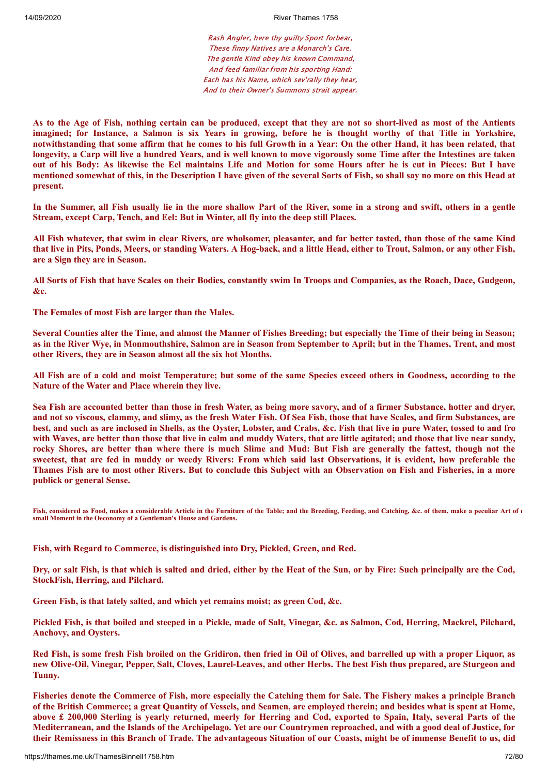Rash Angler, here thy guilty Sport forbear, These finny Natives are a Monarch's Care. The gentle Kind obey his known Command, And feed familiar from his sporting Hand: Each has his Name, which sev'rally they hear, And to their Owner's Summons strait appear.

As to the Age of Fish, nothing certain can be produced, except that they are not so short-lived as most of the Antients imagined; for Instance, a Salmon is six Years in growing, before he is thought worthy of that Title in Yorkshire, notwithstanding that some affirm that he comes to his full Growth in a Year: On the other Hand, it has been related, that longevity, a Carp will live a hundred Years, and is well known to move vigorously some Time after the Intestines are taken out of his Body: As likewise the Eel maintains Life and Motion for some Hours after he is cut in Pieces: But I have mentioned somewhat of this, in the Description I have given of the several Sorts of Fish, so shall say no more on this Head at **present.**

In the Summer, all Fish usually lie in the more shallow Part of the River, some in a strong and swift, others in a gentle **Stream, except Carp, Tench, and Eel: But in Winter, all fly into the deep still Places.**

All Fish whatever, that swim in clear Rivers, are wholsomer, pleasanter, and far better tasted, than those of the same Kind that live in Pits, Ponds, Meers, or standing Waters. A Hog-back, and a little Head, either to Trout, Salmon, or any other Fish, **are a Sign they are in Season.**

All Sorts of Fish that have Scales on their Bodies, constantly swim In Troops and Companies, as the Roach, Dace, Gudgeon, **&c.**

**The Females of most Fish are larger than the Males.**

Several Counties alter the Time, and almost the Manner of Fishes Breeding; but especially the Time of their being in Season; as in the River Wye, in Monmouthshire, Salmon are in Season from September to April; but in the Thames, Trent, and most **other Rivers, they are in Season almost all the six hot Months.**

All Fish are of a cold and moist Temperature; but some of the same Species exceed others in Goodness, according to the **Nature of the Water and Place wherein they live.**

Sea Fish are accounted better than those in fresh Water, as being more savory, and of a firmer Substance, hotter and dryer, and not so viscous, clammy, and slimy, as the fresh Water Fish. Of Sea Fish, those that have Scales, and firm Substances, are best, and such as are inclosed in Shells, as the Oyster, Lobster, and Crabs, &c. Fish that live in pure Water, tossed to and fro with Waves, are better than those that live in calm and muddy Waters, that are little agitated; and those that live near sandy, rocky Shores, are better than where there is much Slime and Mud: But Fish are generally the fattest, though not the sweetest, that are fed in muddy or weedy Rivers: From which said last Observations, it is evident, how preferable the Thames Fish are to most other Rivers. But to conclude this Subject with an Observation on Fish and Fisheries, in a more **publick or general Sense.**

**Fish, considered as Food, makes a considerable Article in the Furniture of the Table; and the Breeding, Feeding, and Catching, &c. of them, make a peculiar Art of n small Moment in the Oeconomy of a Gentleman's House and Gardens.**

**Fish, with Regard to Commerce, is distinguished into Dry, Pickled, Green, and Red.**

Dry, or salt Fish, is that which is salted and dried, either by the Heat of the Sun, or by Fire: Such principally are the Cod, **StockFish, Herring, and Pilchard.**

**Green Fish, is that lately salted, and which yet remains moist; as green Cod, &c.**

Pickled Fish, is that boiled and steeped in a Pickle, made of Salt, Vinegar, &c. as Salmon, Cod, Herring, Mackrel, Pilchard, **Anchovy, and Oysters.**

Red Fish, is some fresh Fish broiled on the Gridiron, then fried in Oil of Olives, and barrelled up with a proper Liquor, as new Olive-Oil, Vinegar, Pepper, Salt, Cloves, Laurel-Leaves, and other Herbs. The best Fish thus prepared, are Sturgeon and **Tunny.**

Fisheries denote the Commerce of Fish, more especially the Catching them for Sale. The Fishery makes a principle Branch of the British Commerce; a great Quantity of Vessels, and Seamen, are employed therein; and besides what is spent at Home, above £ 200,000 Sterling is yearly returned, meerly for Herring and Cod, exported to Spain, Italy, several Parts of the Mediterranean, and the Islands of the Archipelago. Yet are our Countrymen reproached, and with a good deal of Justice, for their Remissness in this Branch of Trade. The advantageous Situation of our Coasts, might be of immense Benefit to us, did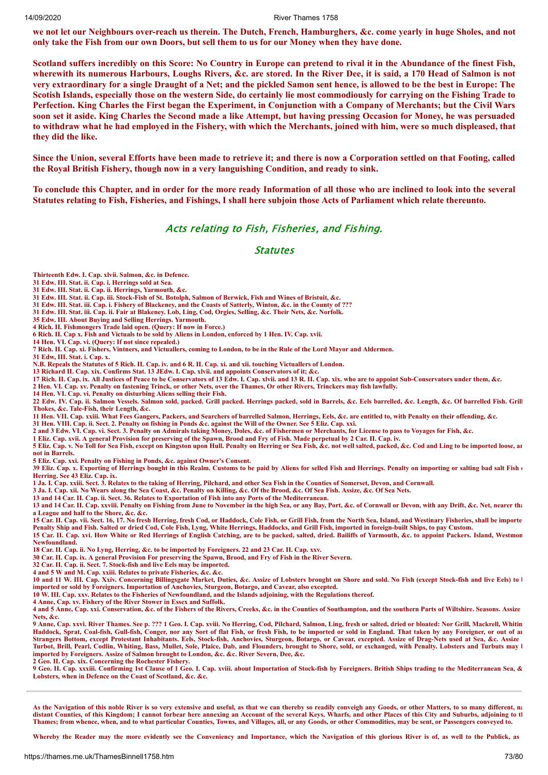#### 14/09/2020 River Thames 1758

we not let our Neighbours over-reach us therein. The Dutch, French, Hamburghers, &c. come yearly in huge Sholes, and not only take the Fish from our own Doors, but sell them to us for our Money when they have done.

Scotland suffers incredibly on this Score: No Country in Europe can pretend to rival it in the Abundance of the finest Fish, wherewith its numerous Harbours, Loughs Rivers, &c. are stored. In the River Dee, it is said, a 170 Head of Salmon is not very extraordinary for a single Draught of a Net; and the pickled Samon sent hence, is allowed to be the best in Europe: The Scotish Islands, especially those on the western Side, do certainly lie most commodiously for carrying on the Fishing Trade to Perfection. King Charles the First began the Experiment, in Conjunction with a Company of Merchants; but the Civil Wars soon set it aside. King Charles the Second made a like Attempt, but having pressing Occasion for Money, he was persuaded to withdraw what he had employed in the Fishery, with which the Merchants, joined with him, were so much displeased, that **they did the like.**

Since the Union, several Efforts have been made to retrieve it: and there is now a Corporation settled on that Footing, called **the Royal British Fishery, though now in a very languishing Condition, and ready to sink.**

To conclude this Chapter, and in order for the more ready Information of all those who are inclined to look into the several Statutes relating to Fish, Fisheries, and Fishings, I shall here subjoin those Acts of Parliament which relate thereunto.

### Acts relating to Fish, Fisheries, and Fishing.

#### **Statutes**

**Thirteenth Edw. I. Cap. xlvii. Salmon, &c. in Defence.**

**31 Edw. III. Stat. ii. Cap. i. Herrings sold at Sea.**

**31 Edw. III. Stat. ii. Cap. ii. Herrings, Yarmouth, &c.**

**31 Edw. IIL Stat. ii. Cap. iii. Stock-Fish of St. Botolph, Salmon of Berwick, Fish and Wines of Bristuit, &c.**

**31 Edw. III. Stat. iii. Cap. i. Fishery of Blackeney, and the Coasts of Satterly, Winton, &c. in the County of ???**

**31 Edw. III. Stat. iii. Cap. ii. Fair at Blakeney. Lob, Ling, Cod, Orgies, Selling, &c. Their Nets, &c. Norfolk.**

**35 Edw. III. About Buying and Selling Herrings. Yarmouth.**

**4 Rich. II. Fishmongers Trade laid open. (Query: If now in Force.)**

**6 Rich. II. Cap x. Fish and Victuals to be sold by Aliens in London, enforced by 1 Hen. IV. Cap. xvii.**

**14 Hen. VI. Cap. vi. (Query: If not since repealed.)**

**7 Rich. II. Cap. xi. Fishers, Vintners, and Victuallers, coming to London, to be in the Rule of the Lord Mayor and Aldermen.**

**31 Edw, III. Stat. i. Cap. x.**

**N.B. Repeals the Statutes of 5 Rich. IL Cap. iv. and 6 R. II. Cap. xi. and xii. touching Victuallers of London.**

**13 Richard II. Cap. xix. Confirms Stat. 13 JEdw. I. Cap. xlvii. and appoints Conservators of it; &c.**

**17 Rich. II. Cap. ix. All Justices of Peace to be Conservators of 13 Edw. I. Cap. xlvii. and 13 R. II. Cap. xix. who are to appoint Sub-Conservators under them, &c.**

**2 Hen. VI. Cap. xv. Penalty on fastening Trinck, or other Nets, over the Thames, Or other Rivers, Trinckers may fish lawfully.**

**14 Hen. VI. Cap. vi. Penalty on disturbing Aliens selling their Fish.**

**22 Edw. IV. Cap. ii. Salmon Vessels. Salmon sold, packed. Grill packed. Herrings packed, sold in Barrels, &c. Eels barrelled, &c. Length, &c. Of barrelled Fish. Grill Thokes, &c. Tale-Fish, their Length, &c.**

**11 Hen. VII. Cap. xxiii. What Fees Gangers, Packers, and Searchers of barrelled Salmon, Herrings, Eels, &c. are entitled to, with Penalty on their offending, &c. 31 Hen. VIII. Cap. ii. Sect. 2. Penalty on fishing in Ponds &c. against the Will of the Owner. See 5 Eliz. Cap. xxi.**

**2 and 3 Edw. VI. Cap. vi. Sect. 3. Penalty on Admirals taking Money, Doles, &c. of Fishermen or Merchants, for License to pass to Voyages for Fish, &c.**

**1 Eliz. Cap. xvii. A general Provision for preserving of the Spawn, Brood and Fry of Fish. Made perpetual by 2 Car. II. Cap. iv.**

**5 Eliz. Cap. v. No Toll for Sea Fish, except on Kingston upon Hull. Penalty on Herring or Sea Fish, &c. not well salted, packed, &c. Cod and Ling to be imported loose, an not in Barrels.**

**5 Eliz. Cap. xxi. Penalty on Fishing in Ponds, &c. against Owner's Consent.**

**39 Eliz. Cap. x. Exporting of Herrings bought in this Realm. Customs to be paid by Aliens for selled Fish and Herrings. Penalty on importing or salting bad salt Fish o Herring. See 43 Eliz. Cap. ix.**

**1 Ja. I. Cap. xxiii. Sect. 3. Relates to the taking of Herring, Pilchard, and other Sea Fish in the Counties of Somerset, Devon, and Cornwall.**

**3 Ja. I. Cap. xii. No Wears along the Sea Coast, &c. Penalty on Killing, &c. Of the Brood, &c. Of Sea Fish. Assize, &c. Of Sea Nets.**

**13 and 14 Car. II. Cap. ii. Sect. 36. Relates to Exportation of Fish into any Ports of the Mediterranean.**

**13 and 14 Car. II. Cap. xxviii. Penalty on Fishing from June to November in the high Sea, or any Bay, Port, &c. of Cornwall or Devon, with any Drift, &c. Net, nearer tha a League and half to the Shore, &c. &c.**

**15 Car. II. Cap. vii. Sect. 16, 17. No fresh Herring, fresh Cod, or Haddock, Cole Fish, or Grill Fish, from the North Sea, Island, and Westinary Fisheries, shall be importe Penalty Ship and Fish. Salted or dried Cod, Cole Fish, Lyng, White Herrings, Haddocks, and Grill Fish, imported in foreign-built Ships, to pay Custom.**

**15 Car. II. Cap. xvi. How White or Red Herrings of English Catching, are to be packed, salted, dried. Bailiffs of Yarmouth, &c. to appoint Packers. Island, Westmon Newfoundland.**

**18 Car. II. Cap. ii. No Lyng, Herring, &c. to be imported by Foreigners. 22 and 23 Car. II. Cap. xxv.**

**30 Car. II. Cap. ix. A general Provision For preserving the Spawn, Brood, and Fry of Fish in the River Severn.**

**32 Car. II. Cap. ii. Sect. 7. Stock-fish and live Eels may be imported. 4 and 5 W and M. Cap. xxiii. Relates to private Fisheries, &c. &c.**

**10 and 11 W. III. Cap. Xxiv. Concerning Billingsgate Market, Duties, &c. Assize of Lobsters brought on Shore and sold. No Fish (except Stock-fish and live Eels) to b imported or sold by Foreigners. Importation of Anchovies, Sturgeon, Botargo, and Cavear, also excepted.**

**10 W. III. Cap. xxv. Relates to the Fisheries of Newfoundland, and the Islands adjoining, with the Regulations thereof.**

**4 Anne, Cap. xv. Fishery of the River Stower in Essex and Suffolk.**

**4 and 5 Anne, Cap. xxi. Conservation, &c. of the Fishers of the Rivers, Creeks, &c. in the Counties of Southampton, and the southern Parts of Wiltshire. Seasons. Assize Nets, &c.**

**9 Anne, Cap. xxvi. River Thames. See p. ??? 1 Geo. I. Cap. xviii. No Herring, Cod, Pilchard, Salmon, Ling, fresh or salted, dried or bloated: Nor Grill, Mackrell, Whitin Haddock, Sprat, Coal-fish, Gull-fish, Conger, nor any Sort of flat Fish, or fresh Fish, to be imported or sold in England. That taken by any Foreigner, or out of an Strangers Bottom, except Protestant Inhabitants. Eels, Stock-fish, Anchovies, Sturgeon, Botargo, or Cavear, excepted. Assize of Drag-Nets used at Sea, &c. Assize Turbot, Brill, Pearl, Codlin, Whiting, Bass, Mullet, Sole, Plaice, Dab, and Flounders, brought to Shore, sold, or exchanged, with Penalty. Lobsters and Turbuts may b imported by Foreigners. Assize of Salmon brought to London, &c. &c. River Severn, Dee, &c.**

**2 Geo. II. Cap. xix. Concerning the Rochester Fishery.**

**9 Geo. II. Cap. xxxiii. Confirming 1st Clause of 1 Geo. I. Cap. xviii. about Importation of Stock-fish by Foreigners. British Ships trading to the Mediterranean Sea, & Lobsters, when in Defence on the Coast of Scotland, &c. &c.**

As the Navigation of this noble River is so very extensive and useful, as that we can thereby so readily conveigh any Goods, or other Matters, to so many different, na **distant Counties, of this Kingdom; I cannot forbear here annexing an Account of the several Keys, Wharfs, and other Places of this City and Suburbs, adjoining to th Thames; from whence, when, and to what particular Counties, Towns, and Villages, all, or any Goods, or other Commodities, may be sent, or Passengers conveyed to.**

**Whereby the Reader may the more evidently see the Conveniency and Importance, which the Navigation of this glorious River is of, as well to the Publick, as**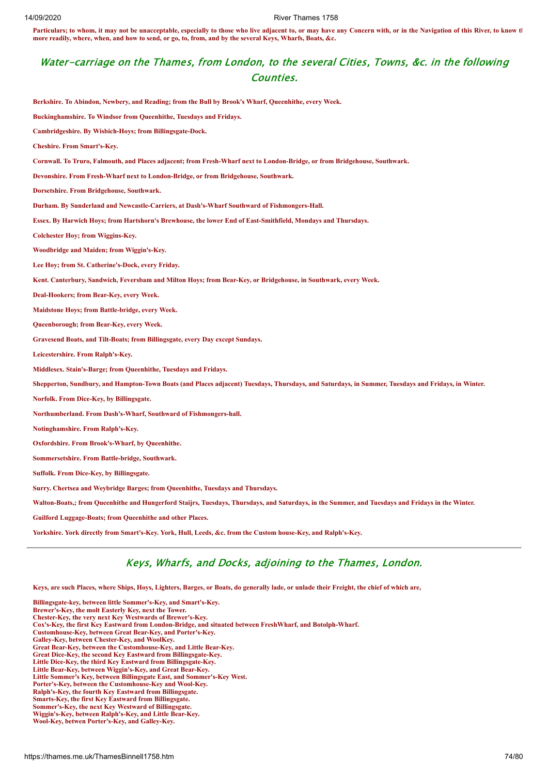Particulars; to whom, it may not be unacceptable, especially to those who live adjacent to, or may have any Concern with, or in the Navigation of this River, to know the **more readily, where, when, and how to send, or go, to, from, and by the several Keys, Wharfs, Boats, &c.**

## Water-carriage on the Thames, from London, to the several Cities, Towns, &c. in the following Counties.

**Berkshire. To Abindon, Newbery, and Reading; from the Bull by Brook's Wharf, Queenhithe, every Week. Buckinghamshire. To Windsor from Queenhithe, Tuesdays and Fridays. Cambridgeshire. By Wisbich-Hoys; from Billingsgate-Dock. Cheshire. From Smart's-Key. Cornwall. To Truro, Falmouth, and Places adjacent; from Fresh-Wharf next to London-Bridge, or from Bridgehouse, Southwark. Devonshire. From Fresh-Wharf next to London-Bridge, or from Bridgehouse, Southwark. Dorsetshire. From Bridgehouse, Southwark. Durham. By Sunderland and Newcastle-Carriers, at Dash's-Wharf Southward of Fishmongers-Hall. Essex. By Harwich Hoys; from Hartshorn's Brewhouse, the lower End of East-Smithfield, Mondays and Thursdays. Colchester Hoy; from Wiggins-Key. Woodbridge and Maiden; from Wiggin's-Key. Lee Hoy; from St. Catherine's-Dock, every Friday. Kent. Canterbury, Sandwich, Feversbam and Milton Hoys; from Bear-Key, or Bridgehouse, in Southwark, every Week. Deal-Hookers; from Bear-Key, every Week. Maidstone Hoys; from Battle-bridge, every Week. Queenborough; from Bear-Key, every Week. Gravesend Boats, and Tilt-Boats; from Billingsgate, every Day except Sundays. Leicestershire. From Ralph's-Key. Middlesex. Stain's-Barge; from Queenhithe, Tuesdays and Fridays. Shepperton, Sundbury, and Hampton-Town Boats (and Places adjacent) Tuesdays, Thursdays, and Saturdays, in Summer, Tuesdays and Fridays, in Winter. Norfolk. From Dice-Key, by Billingsgate. Northumberland. From Dash's-Wharf, Southward of Fishmongers-hall. Notinghamshire. From Ralph's-Key. Oxfordshire. From Brook's-Wharf, by Queenhithe. Sommersetshire. From Battle-bridge, Southwark. Suffolk. From Dice-Key, by Billingsgate. Surry. Chertsea and Weybridge Barges; from Queenhithe, Tuesdays and Thursdays. Walton-Boats,; from Queenhithe and Hungerford Staijrs, Tuesdays, Thursdays, and Saturdays, in the Summer, and Tuesdays and Fridays in the Winter. Guilford Luggage-Boats; from Queenhithe and other Places. Yorkshire. York directly from Smart's-Key. York, Hull, Leeds, &c. from the Custom house-Key, and Ralph's-Key.**

# Keys, Wharfs, and Docks, adjoining to the Thames, London.

**Keys, are such Places, where Ships, Hoys, Lighters, Barges, or Boats, do generally lade, or unlade their Freight, the chief of which are,**

**Billingsgate-key, between little Sommer's-Key, and Smart's-Key. Brewer's-Key, the molt Easterly Key, next the Tower. Chester-Key, the very next Key Westwards of Brewer's-Key. Cox's-Key, the first Key Eastward from London-Bridge, and situated between FreshWharf, and Botolph-Wharf. Customhouse-Key, between Great Bear-Key, and Porter's-Key. Galley-Key, between Chester-Key, and WoolKey. Great Bear-Key, between the Customhouse-Key, and Little Bear-Key. Great Dice-Key, the second Key Eastward from Billingsgate-Key. Little Dice-Key, the third Key Eastward from Billingsgate-Key. Little Bear-Key, between Wiggin's-Key, and Great Bear-Key. Little Sommer's Key, between Billingsgate East, and Sommer's-Key West. Porter's-Key, between the Customhouse-Key and Wool-Key. Ralph's-Key, the fourth Key Eastward from Billingsgate. Smarts-Key, the first Key Eastward from Billingsgate. Sommer's-Key, the next Key Westward of Billingsgate. Wiggin's-Key, between Ralph's-Key, and Little Bear-Key. Wool-Key, betwen Porter's-Key, and Galley-Key.**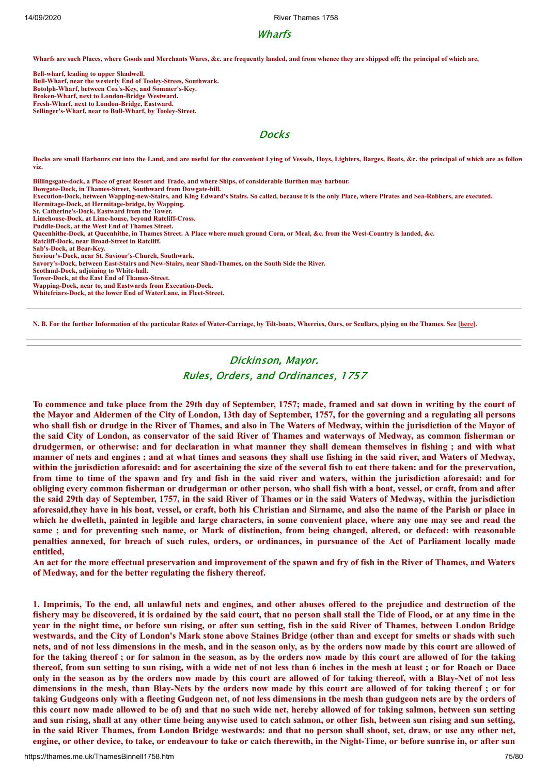14/09/2020 River Thames 1758

## Wharfs

**Wharfs are such Places, where Goods and Merchants Wares, &c. are frequently landed, and from whence they are shipped off; the principal of which are,**

**Bell-wharf, leading to upper Shadwell. Bull-Wharf, near the westerly End of Tooley-Strees, Southwark. Botolph-Wharf, between Cox's-Key, and Sommer's-Key. Broken-Wharf, next to London-Bridge Westward. Fresh-Wharf, next to London-Bridge, Eastward. Sellinger's-Wharf, near to Bull-Wharf, by Tooley-Street.**

## **Docks**

**Docks are small Harbours cut into the Land, and are useful for the convenient Lying of Vessels, Hoys, Lighters, Barges, Boats, &c. the principal of which are as follow viz.**

**Billingsgate-dock, a Place of great Resort and Trade, and where Ships, of considerable Burthen may harbour. Dowgate-Dock, in Thames-Street, Southward from Dowgate-hill. Execution-Dock, between Wapping-new-Stairs, and King Edward's Stairs. So called, because it is the only Place, where Pirates and Sea-Robbers, are executed. Hermitage-Dock, at Hermitage-bridge, by Wapping. St. Catherine's-Dock, Eastward from the Tower. Limehouse-Dock, at Lime-house, beyond Ratcliff-Cross. Puddle-Dock, at the West End of Thames Street. Queenhithe-Dock, at Queenhithe, in Thames Street. A Place where much ground Corn, or Meal, &c. from the West-Country is landed, &c. Ratcliff-Dock, near Broad-Street in Ratcliff. Sab's-Dock, at Bear-Key. Saviour's-Dock, near St. Saviour's-Church, Southwark. Savory's-Dock, between East-Stairs and New-Stairs, near Shad-Thames, on the South Side the River. Scotland-Dock, adjoining to White-hall. Tower-Dock, at the East End of Thames-Street. Wapping-Dock, near to, and Eastwards from Execution-Dock. Whitefriars-Dock, at the lower End of WaterLane, in Fleet-Street.**

**N. B. For the further Information of the particular Rates of Water-Carriage, by Tilt-boats, Wherries, Oars, or Scullars, plying on the Thames. See [\[here](#page-45-0)].**

## Dickinson, Mayor. Rules, Orders, and Ordinances, 1757

To commence and take place from the 29th day of September, 1757; made, framed and sat down in writing by the court of the Mayor and Aldermen of the City of London, 13th day of September, 1757, for the governing and a regulating all persons who shall fish or drudge in the River of Thames, and also in The Waters of Medway, within the jurisdiction of the Mayor of the said City of London, as conservator of the said River of Thames and waterways of Medway, as common fisherman or drudgermen, or otherwise: and for declaration in what manner they shall demean themselves in fishing; and with what manner of nets and engines; and at what times and seasons they shall use fishing in the said river, and Waters of Medway, within the jurisdiction aforesaid: and for ascertaining the size of the several fish to eat there taken: and for the preservation, from time to time of the spawn and fry and fish in the said river and waters, within the jurisdiction aforesaid: and for obliging every common fisherman or drudgerman or other person, who shall fish with a boat, vessel, or craft, from and after the said 29th day of September, 1757, in the said River of Thames or in the said Waters of Medway, within the jurisdiction aforesaid, they have in his boat, vessel, or craft, both his Christian and Sirname, and also the name of the Parish or place in which he dwelleth, painted in legible and large characters, in some convenient place, where any one may see and read the same; and for preventing such name, or Mark of distinction, from being changed, altered, or defaced: with reasonable penalties annexed, for breach of such rules, orders, or ordinances, in pursuance of the Act of Parliament locally made **entitled,**

An act for the more effectual preservation and improvement of the spawn and fry of fish in the River of Thames, and Waters **of Medway, and for the better regulating the fishery thereof.**

1. Imprimis, To the end, all unlawful nets and engines, and other abuses offered to the prejudice and destruction of the fishery may be discovered, it is ordained by the said court, that no person shall stall the Tide of Flood, or at any time in the year in the night time, or before sun rising, or after sun setting, fish in the said River of Thames, between London Bridge westwards, and the City of London's Mark stone above Staines Bridge (other than and except for smelts or shads with such nets, and of not less dimensions in the mesh, and in the season only, as by the orders now made by this court are allowed of for the taking thereof; or for salmon in the season, as by the orders now made by this court are allowed of for the taking thereof, from sun setting to sun rising, with a wide net of not less than 6 inches in the mesh at least; or for Roach or Dace only in the season as by the orders now made by this court are allowed of for taking thereof, with a Blay-Net of not less dimensions in the mesh, than Blay-Nets by the orders now made by this court are allowed of for taking thereof; or for taking Gudgeons only with a fleeting Gudgeon net, of not less dimensions in the mesh than gudgeon nets are by the orders of this court now made allowed to be of) and that no such wide net, hereby allowed of for taking salmon, between sun setting and sun rising, shall at any other time being anywise used to catch salmon, or other fish, between sun rising and sun setting, in the said River Thames, from London Bridge westwards: and that no person shall shoot, set, draw, or use any other net, engine, or other device, to take, or endeavour to take or catch therewith, in the Night-Time, or before sunrise in, or after sun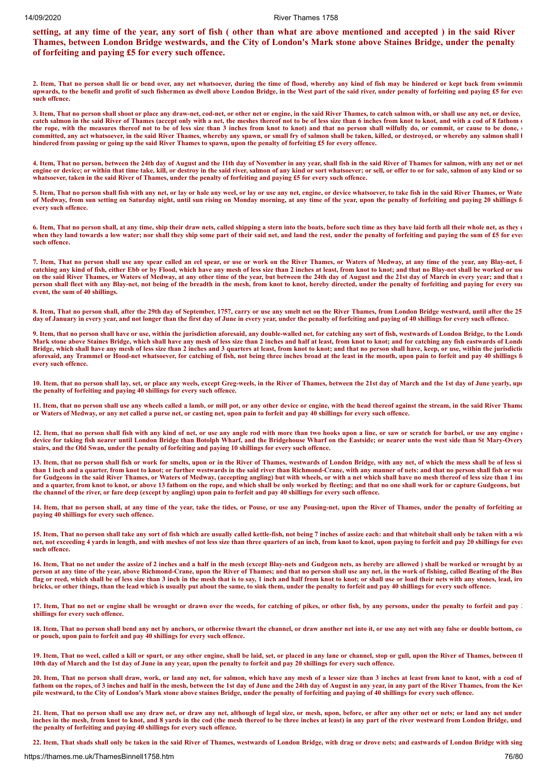setting, at any time of the year, any sort of fish (other than what are above mentioned and accepted) in the said River Thames, between London Bridge westwards, and the City of London's Mark stone above Staines Bridge, under the penalty **of forfeiting and paying £5 for every such offence.**

**2. Item, That no person shall lie or bend over, any net whatsoever, during the time of flood, whereby any kind of fish may be hindered or kept back from swimmin upwards, to the benefit and profit of such fishermen as dwell above London Bridge, in the West part of the said river, under penalty of forfeiting and paying £5 for ever such offence.**

**3. Item, That no person shall shoot or place any draw-net, cod-net, or other net or engine, in the said River Thames, to catch salmon with, or shall use any net, or device, catch salmon in the said River of Thames (accept only with a net, the meshes thereof not to be of less size than 6 inches from knot to knot, and with a cod of 8 fathom o** the rope, with the measures thereof not to be of less size than 3 inches from knot to knot) and that no person shall wilfully do, or commit, or cause to be done, **committed, any act whatsoever, in the said River Thames, whereby any spawn, or small fry of salmon shall be taken, killed, or destroyed, or whereby any salmon shall b hindered from passing or going up the said River Thames to spawn, upon the penalty of forfeiting £5 for every offence.**

**4. Item, That no person, between the 24th day of August and the 11th day of November in any year, shall fish in the said River of Thames for salmon, with any net or net** engine or device; or within that time take, kill, or destroy in the said river, salmon of any kind or sort whatsoever; or sell, or offer to or for sale, salmon of any kind or so **whatsoever, taken in the said River of Thames, under the penalty of forfeiting and paying £5 for every such offence.**

**5. Item, That no person shall fish with any net, or lay or hale any weel, or lay or use any net, engine, or device whatsoever, to take fish in the said River Thames, or Wate of Medway, from sun setting on Saturday night, until sun rising on Monday morning, at any time of the year, upon the penalty of forfeiting and paying 20 shillings fo every such offence.**

6. Item, That no person shall, at any time, ship their draw nets, called shipping a stern into the boats, before such time as they have laid forth all their whole net, as they  $\epsilon$ when they land towards a low water; nor shall they ship some part of their said net, and land the rest, under the penalty of forfeiting and paying the sum of £5 for ever **such offence.**

7. Item, That no person shall use any spear called an eel spear, or use or work on the River Thames, or Waters of Medway, at any time of the year, any Blay-net, f **catching any kind of fish, either Ebb or by Flood, which have any mesh of less size than 2 inches at least, from knot to knot; and that no Blay-net shall be worked or use** on the said River Thames, or Waters of Medway, at any other time of the year, but between the 24th day of August and the 21st day of March in every year; and that **n person shall fleet with any Blay-net, not being of the breadth in the mesh, from knot to knot, hereby directed, under the penalty of forfeiting and paying for every suc event, the sum of 40 shillings.**

**8. Item, That no person shall, after the 29th day of September, 1757, carry or use any smelt net on the River Thames, from London Bridge westward, until after the 25 day of January in every year, and not longer than the first day of June in every year, under the penalty of forfeiting and paying of 40 shillings for every such offence.**

**9. Item, that no person shall have or use, within the jurisdiction aforesaid, any double-walled net, for catching any sort of fish, westwards of London Bridge, to the Londo Mark stone above Staines Bridge, which shall have any mesh of less size than 2 inches and half at least, from knot to knot; and for catching any fish eastwards of Londo Bridge, which shall have any mesh of less size than 2 inches and 3 quarters at least, from knot to knot; and that no person shall have, keep, or use, within the jurisdictio aforesaid, any Trammel or Hood-net whatsoever, for catching of fish, not being three inches broad at the least in the mouth, upon pain to forfeit and pay 40 shillings fo every such offence.**

**10. Item, that no person shall lay, set, or place any weels, except Greg-weels, in the River of Thames, between the 21st day of March and the 1st day of June yearly, upo the penalty of forfeiting and paying 40 shillings for every such offence.**

**11. Item, that no person shall use any wheels called a lamb, or mill pot, or any other device or engine, with the head thereof against the stream, in the said River Thame or Waters of Medway, or any net called a purse net, or casting net, upon pain to forfeit and pay 40 shillings for every such offence.**

**12. Item, that no person shall fish with any kind of net, or use any angle rod with more than two hooks upon a line, or saw or scratch for barbel, or use any engine o device for taking fish nearer until London Bridge than Botolph Wharf, and the Bridgehouse Wharf on the Eastside; or nearer unto the west side than St Mary-Overy stairs, and the Old Swan, under the penalty of forfeiting and paying 10 shillings for every such offence.** 

**13. Item, that no person shall fish or work for smelts, upon or in the River of Thames, westwards of London Bridge, with any net, of which the mess shall be of less si than 1 inch and a quarter, from knot to knot; or further westwards in the said river than Richmond-Crane, with any manner of nets: and that no person shall fish or wor for Gudgeons in the said River Thames, or Waters of Medway, (accepting angling) but with wheels, or with a net which shall have no mesh thereof of less size than 1 inc and a quarter, from knot to knot, or above 13 fathom on the rope, and which shall be only worked by fleeting; and that no one shall work for or capture Gudgeons, but the channel of the river, or fare deep (except by angling) upon pain to forfeit and pay 40 shillings for every such offence.** 

**14. Item, that no person shall, at any time of the year, take the tides, or Pouse, or use any Pousing-net, upon the River of Thames, under the penalty of forfeiting an paying 40 shillings for every such offence.**

**15. Item, That no person shall take any sort of fish which are usually called kettle-fish, not being 7 inches of assize each: and that whitebait shall only be taken with a wid net, not exceeding 4 yards in length, and with meshes of not less size than three quarters of an inch, from knot to knot, upon paying to forfeit and pay 20 shillings for ever such offence.** 

**16. Item, That no net under the assize of 2 inches and a half in the mesh (except Blay-nets and Gudgeon nets, as hereby are allowed ) shall be worked or wrought by an person at any time of the year, above Richmond-Crane, upon the River of Thames; and that no person shall use any net, in the work of fishing, called Beating of the Bus flag or reed, which shall be of less size than 3 inch in the mesh that is to say, 1 inch and half from knot to knot; or shall use or load their nets with any stones, lead, iro bricks, or other things, than the lead which is usually put about the same, to sink them, under the penalty to forfeit and pay 40 shillings for every such offence.**

17. Item, That no net or engine shall be wrought or drawn over the weeds, for catching of pikes, or other fish, by any persons, under the penalty to forfeit and pay 2 **shillings for every such offence.** 

**18. Item, That no person shall bend any net by anchors, or otherwise thwart the channel, or draw another net into it, or use any net with any false or double bottom, co or pouch, upon pain to forfeit and pay 40 shillings for every such offence.**

**19. Item, That no weel, called a kill or spurt, or any other engine, shall be laid, set, or placed in any lane or channel, stop or gull, upon the River of Thames, between th 10th day of March and the 1st day of June in any year, upon the penalty to forfeit and pay 20 shillings for every such offence.** 

**20. Item, That no person shall draw, work, or land any net, for salmon, which have any mesh of a lesser size than 3 inches at least from knot to knot, with a cod of fathom on the ropes, of 3 inches and half in the mesh, between the 1st day of June and the 24th day of August in any year, in any part of the River Thames, from the Kew pile westward, to the City of London's Mark stone above staines Bridge, under the penalty of forfeiting and paying of 40 shillings for every such offence.**

**21. Item, That no person shall use any draw net, or draw any net, although of legal size, or mesh, upon, before, or after any other net or nets; or land any net under inches in the mesh, from knot to knot, and 8 yards in the cod (the mesh thereof to be three inches at least) in any part of the river westward from London Bridge, und the penalty of forfeiting and paying 40 shillings for every such offence.**

**22. Item, That shads shall only be taken in the said River of Thames, westwards of London Bridge, with drag or drove nets; and eastwards of London Bridge with sing**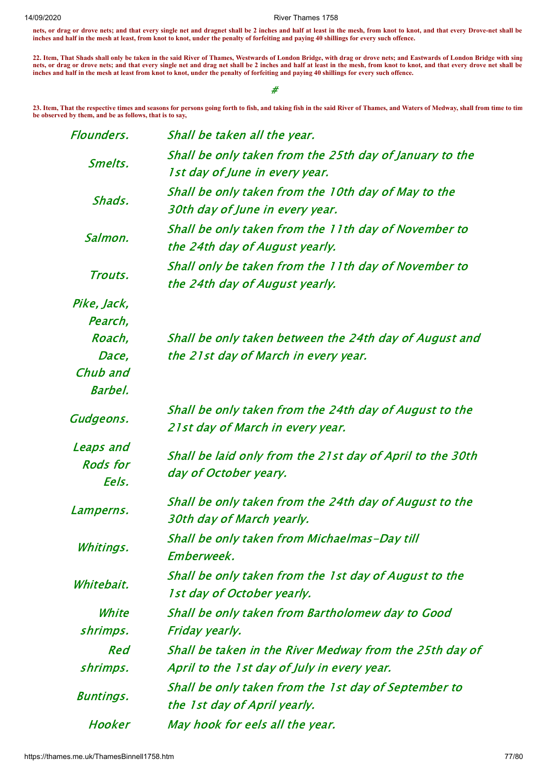**nets, or drag or drove nets; and that every single net and dragnet shall be 2 inches and half at least in the mesh, from knot to knot, and that every Drove-net shall be inches and half in the mesh at least, from knot to knot, under the penalty of forfeiting and paying 40 shillings for every such offence.**

**22. Item, That Shads shall only be taken in the said River of Thames, Westwards of London Bridge, with drag or drove nets; and Eastwards of London Bridge with sing nets, or drag or drove nets; and that every single net and drag net shall be 2 inches and half at least in the mesh, from knot to knot, and that every drove net shall be inches and half in the mesh at least from knot to knot, under the penalty of forfeiting and paying 40 shillings for every such offence.**

#

**23. Item, That the respective times and seasons for persons going forth to fish, and taking fish in the said River of Thames, and Waters of Medway, shall from time to tim be observed by them, and be as follows, that is to say,**

| Flounders.                             | Shall be taken all the year.                                                                           |
|----------------------------------------|--------------------------------------------------------------------------------------------------------|
| Smelts.                                | Shall be only taken from the 25th day of January to the<br>1st day of June in every year.              |
| Shads.                                 | Shall be only taken from the 10th day of May to the<br>30th day of June in every year.                 |
| Salmon.                                | Shall be only taken from the 11th day of November to<br>the 24th day of August yearly.                 |
| Trouts.                                | Shall only be taken from the 11th day of November to<br>the 24th day of August yearly.                 |
| Pike, Jack,<br>Pearch,                 |                                                                                                        |
| Roach,<br>Dace,<br>Chub and<br>Barbel. | Shall be only taken between the 24th day of August and<br>the 21st day of March in every year.         |
| Gudgeons.                              | Shall be only taken from the 24th day of August to the<br>21 st day of March in every year.            |
| Leaps and<br><b>Rods</b> for<br>Eels.  | Shall be laid only from the 21st day of April to the 30th<br>day of October yeary.                     |
| Lamperns.                              | Shall be only taken from the 24th day of August to the<br>30th day of March yearly.                    |
| Whitings.                              | Shall be only taken from Michaelmas-Day till<br>Emberweek.                                             |
| Whitebait.                             | Shall be only taken from the 1st day of August to the<br>1 st day of October yearly.                   |
| White<br>shrimps.                      | Shall be only taken from Bartholomew day to Good<br>Friday yearly.                                     |
| Red<br>shrimps.                        | Shall be taken in the River Medway from the 25th day of<br>April to the 1st day of July in every year. |
| <b>Buntings.</b>                       | Shall be only taken from the 1st day of September to<br>the 1st day of April yearly.                   |
| Hooker                                 | May hook for eels all the year.                                                                        |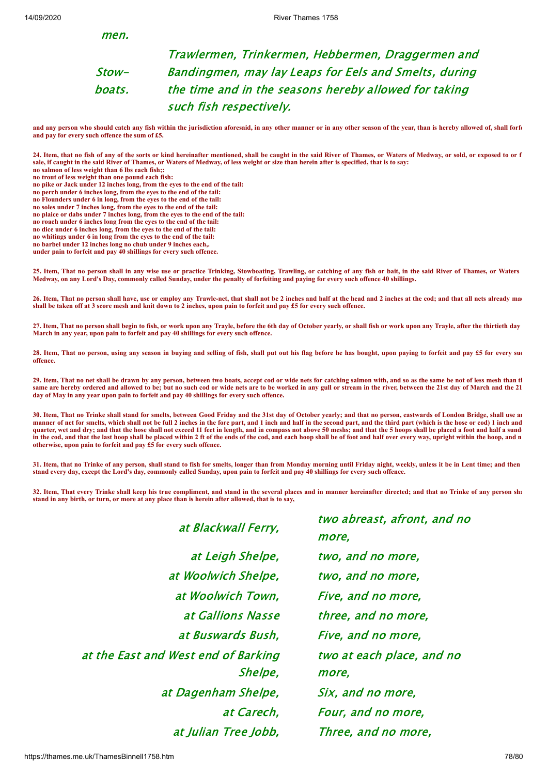men.

Stowboats. Trawlermen, Trinkermen, Hebbermen, Draggermen and Bandingmen, may lay Leaps for Eels and Smelts, during the time and in the seasons hereby allowed for taking such fish respectively.

**and any person who should catch any fish within the jurisdiction aforesaid, in any other manner or in any other season of the year, than is hereby allowed of, shall forfe and pay for every such offence the sum of £5.**

**24. Item, that no fish of any of the sorts or kind hereinafter mentioned, shall be caught in the said River of Thames, or Waters of Medway, or sold, or exposed to or f sale, if caught in the said River of Thames, or Waters of Medway, of less weight or size than herein after is specified, that is to say: no salmon of less weight than 6 lbs each fish;:**

**no pike or Jack under 12 inches long, from the eyes to the end of the tail:**

**no perch under 6 inches long, from the eyes to the end of the tail:**

**no Flounders under 6 in long, from the eyes to the end of the tail:**

**no soles under 7 inches long, from the eyes to the end of the tail:**

**no plaice or dabs under 7 inches long, from the eyes to the end of the tail:**

**no roach under 6 inches long from the eyes to the end of the tail: no dice under 6 inches long, from the eyes to the end of the tail:**

**no whitings under 6 in long from the eyes to the end of the tail:**

**no barbel under 12 inches long no chub under 9 inches each,.**

**under pain to forfeit and pay 40 shillings for every such offence.**

**25. Item, That no person shall in any wise use or practice Trinking, Stowboating, Trawling, or catching of any fish or bait, in the said River of Thames, or Waters Medway, on any Lord's Day, commonly called Sunday, under the penalty of forfeiting and paying for every such offence 40 shillings.**

26. Item, That no person shall have, use or employ any Trawle-net, that shall not be 2 inches and half at the head and 2 inches at the cod; and that all nets already mad **shall be taken off at 3 score mesh and knit down to 2 inches, upon pain to forfeit and pay £5 for every such offence.**

**27. Item, That no person shall begin to fish, or work upon any Trayle, before the 6th day of October yearly, or shall fish or work upon any Trayle, after the thirtieth day March in any year, upon pain to forfeit and pay 40 shillings for every such offence.**

**28. Item, That no person, using any season in buying and selling of fish, shall put out his flag before he has bought, upon paying to forfeit and pay £5 for every suc offence.**

**29. Item, That no net shall be drawn by any person, between two boats, accept cod or wide nets for catching salmon with, and so as the same be not of less mesh than th** same are hereby ordered and allowed to be; but no such cod or wide nets are to be worked in any gull or stream in the river, between the 21st day of March and the 21 **day of May in any year upon pain to forfeit and pay 40 shillings for every such offence.**

**30. Item, That no Trinke shall stand for smelts, between Good Friday and the 31st day of October yearly; and that no person, eastwards of London Bridge, shall use an** manner of net for smelts, which shall not be full 2 inches in the fore part, and 1 inch and half in the second part, and the third part (which is the hose or cod) 1 inch and **quarter, wet and dry; and that the hose shall not exceed 11 feet in length, and in compass not above 50 meshs; and that the 5 hoops shall be placed a foot and half a sunde in the cod, and that the last hoop shall be placed within 2 ft of the ends of the cod, and each hoop shall be of foot and half over every way, upright within the hoop, and n otherwise, upon pain to forfeit and pay £5 for every such offence.**

**31. Item, that no Trinke of any person, shall stand to fish for smelts, longer than from Monday morning until Friday night, weekly, unless it be in Lent time; and then stand every day, except the Lord's day, commonly called Sunday, upon pain to forfeit and pay 40 shillings for every such offence.**

**32. Item, That every Trinke shall keep his true compliment, and stand in the several places and in manner hereinafter directed; and that no Trinke of any person sha stand in any birth, or turn, or more at any place than is herein after allowed, that is to say,**

at Blackwall Ferry, at Leigh Shelpe, two, and no more, at Woolwich Shelpe, two, and no more, at Woolwich Town, Five, and no more, at Buswards Bush, Five, and no more, at the East and West end of Barking Shelpe, at Dagenham Shelpe, Six, and no more, at Julian Tree Jobb, Three, and no more,

two abreast, afront, and no more, at Gallions Nasse three, and no more, two at each place, and no more, at Carech, Four, and no more,

**no trout of less weight than one pound each fish:**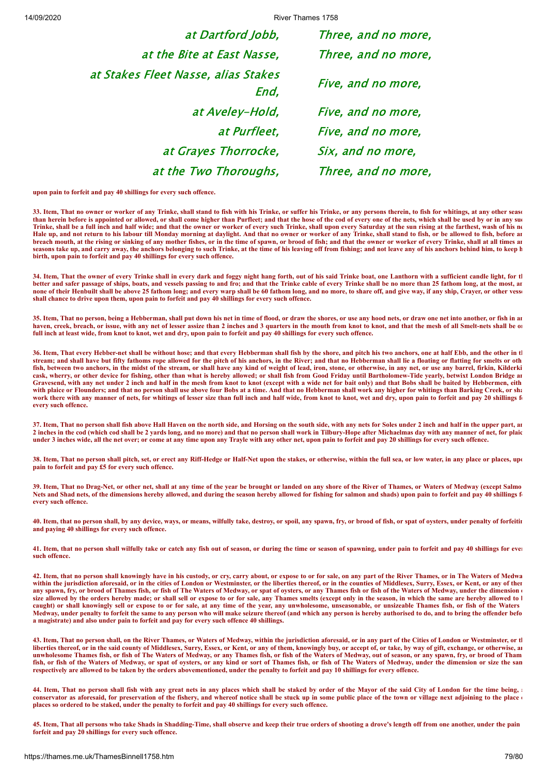14/09/2020 River Thames 1758

at Dartford Jobb, Three, and no more, at the Bite at East Nasse, Three, and no more, at Stakes Fleet Nasse, alias Stakes End, Five, and no more, at Aveley-Hold, Five, and no more, at Purfleet, Five, and no more, at Grayes Thorrocke, Six, and no more, at the Two Thoroughs, Three, and no more,

**upon pain to forfeit and pay 40 shillings for every such offence.**

**33. Item, That no owner or worker of any Trinke, shall stand to fish with his Trinke, or suffer his Trinke, or any persons therein, to fish for whitings, at any other seaso than herein before is appointed or allowed, or shall come higher than Purfleet; and that the hose of the cod of every one of the nets, which shall be used by or in any suc Trinke, shall be a full inch and half wide; and that the owner or worker of every such Trinke, shall upon every Saturday at the sun rising at the farthest, wash of his ne Hale up, and not return to his labour till Monday morning at daylight. And that no owner or worker of any Trinke, shall stand to fish, or be allowed to fish, before an breach mouth, at the rising or sinking of any mother fishes, or in the time of spawn, or brood of fish; and that the owner or worker of every Trinke, shall at all times an seasons take up, and carry away, the anchors belonging to such Trinke, at the time of his leaving off from fishing; and not leave any of his anchors behind him, to keep h birth, upon pain to forfeit and pay 40 shillings for every such offence.**

**34. Item, That the owner of every Trinke shall in every dark and foggy night hang forth, out of his said Trinke boat, one Lanthorn with a sufficient candle light, for th better and safer passage of ships, boats, and vessels passing to and fro; and that the Trinke cable of every Trinke shall be no more than 25 fathom long, at the most, an none of their Henbuilt shall be above 25 fathom long; and every warp shall be 60 fathom long, and no more, to share off, and give way, if any ship, Crayer, or other vesse shall chance to drive upon them, upon pain to forfeit and pay 40 shillings for every such offence.**

**35. Item, That no person, being a Hebberman, shall put down his net in time of flood, or draw the shores, or use any hood nets, or draw one net into another, or fish in an** haven, creek, breach, or issue, with any net of lesser assize than 2 inches and 3 quarters in the mouth from knot to knot, and that the mesh of all Smelt-nets shall be on **full inch at least wide, from knot to knot, wet and dry, upon pain to forfeit and pay 40 shillings for every such offence.**

**36. Item, That every Hebber-net shall be without hose; and that every Hebberman shall fish by the shore, and pitch his two anchors, one at half Ebb, and the other in th stream; and shall have but fifty fathoms rope allowed for the pitch of his anchors, in the River; and that no Hebberman shall lie a floating or flatting for smelts or oth fish, between two anchors, in the midst of the stream, or shall have any kind of weight of lead, iron, stone, or otherwise, in any net, or use any barrel, firkin, Kilderki cask, wherry, or other device for fishing, other than what is hereby allowed; or shall fish from Good Friday until Bartholomew-Tide yearly, betwixt London Bridge an Gravesend, with any net under 2 inch and half in the mesh from knot to knot (except with a wide net for bait only) and that Bobs shall be baited by Hebbermen, eith with plaice or Flounders; and that no person shall use above four Bobs at a time. And that no Hebberman shall work any higher for whitings than Barking Creek, or sha work there with any manner of nets, for whitings of lesser size than full inch and half wide, from knot to knot, wet and dry, upon pain to forfeit and pay 20 shillings fo every such offence.**

**37. Item, That no person shall fish above Hall Haven on the north side, and Horsing on the south side, with any nets for Soles under 2 inch and half in the upper part, an 2 inches in the cod (which cod shall be 2 yards long, and no more) and that no person shall work in Tilbury-Hope after Michaelmas day with any manner of net, for plaic under 3 inches wide, all the net over; or come at any time upon any Trayle with any other net, upon pain to forfeit and pay 20 shillings for every such offence.**

**38. Item, That no person shall pitch, set, or erect any Riff-Hedge or Half-Net upon the stakes, or otherwise, within the full sea, or low water, in any place or places, upo pain to forfeit and pay £5 for every such offence.**

**39. Item, That no Drag-Net, or other net, shall at any time of the year be brought or landed on any shore of the River of Thames, or Waters of Medway (except Salmo Nets and Shad nets, of the dimensions hereby allowed, and during the season hereby allowed for fishing for salmon and shads) upon pain to forfeit and pay 40 shillings fo every such offence.**

**40. Item, that no person shall, by any device, ways, or means, wilfully take, destroy, or spoil, any spawn, fry, or brood of fish, or spat of oysters, under penalty of forfeitin and paying 40 shillings for every such offence.**

**41. Item, that no person shall wilfully take or catch any fish out of season, or during the time or season of spawning, under pain to forfeit and pay 40 shillings for ever such offence.**

**42. Item, that no person shall knowingly have in his custody, or cry, carry about, or expose to or for sale, on any part of the River Thames, or in The Waters of Medwa** within the jurisdiction aforesaid, or in the cities of London or Westminster, or the liberties thereof, or in the counties of Middlesex, Surry, Essex, or Kent, or any of ther **any spawn, fry, or brood of Thames fish, or fish of The Waters of Medway, or spat of oysters, or any Thames fish or fish of the Waters of Medway, under the dimension o** size allowed by the orders hereby made; or shall sell or expose to or for sale, any Thames smelts (except only in the season, in which the same are hereby allowed to l **caught) or shall knowingly sell or expose to or for sale, at any time of the year, any unwholesome, unseasonable, or unsizeable Thames fish, or fish of the Waters Medway, under penalty to forfeit the same to any person who will make seizure thereof (and which any person is hereby authorised to do, and to bring the offender befo a magistrate) and also under pain to forfeit and pay for every such offence 40 shillings.**

**43. Item, That no person shall, on the River Thames, or Waters of Medway, within the jurisdiction aforesaid, or in any part of the Cities of London or Westminster, or th liberties thereof, or in the said county of Middlesex, Surry, Essex, or Kent, or any of them, knowingly buy, or accept of, or take, by way of gift, exchange, or otherwise, an unwholesome Thames fish, or fish of The Waters of Medway, or any Thames fish, or fish of the Waters of Medway, out of season, or any spawn, fry, or brood of Tham fish, or fish of the Waters of Medway, or spat of oysters, or any kind or sort of Thames fish, or fish of The Waters of Medway, under the dimension or size the sam respectively are allowed to be taken by the orders abovementioned, under the penalty to forfeit and pay 10 shillings for every offence.**

44. Item, That no person shall fish with any great nets in any places which shall be staked by order of the Mayor of the said City of London for the time being, **conservator as aforesaid, for preservation of the fishery, and whereof notice shall be stuck up in some public place of the town or village next adjoining to the place o places so ordered to be staked, under the penalty to forfeit and pay 40 shillings for every such offence.**

**45. Item, That all persons who take Shads in Shadding-Time, shall observe and keep their true orders of shooting a drove's length off from one another, under the pain forfeit and pay 20 shillings for every such offence.**